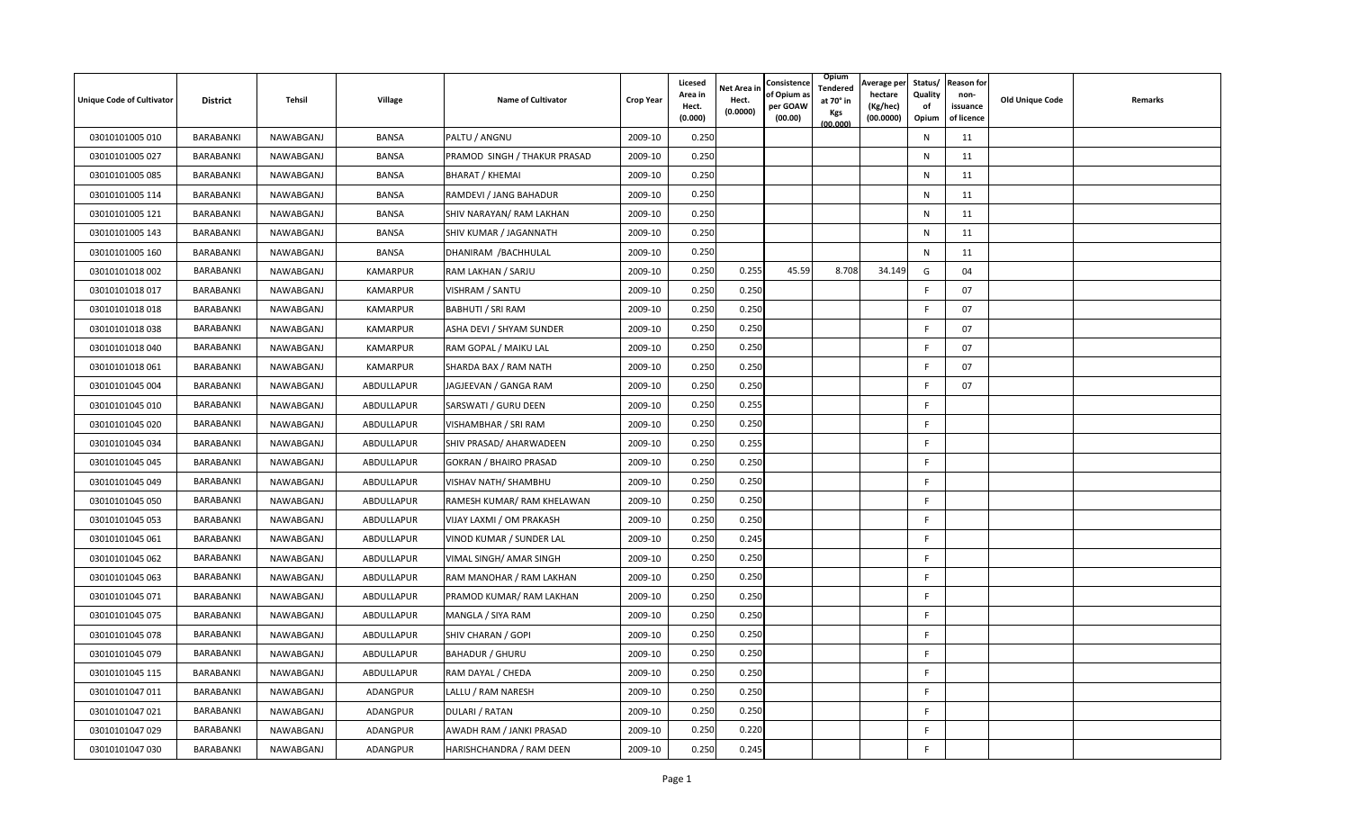| <b>Unique Code of Cultivator</b> | <b>District</b> | Tehsil    | Village         | <b>Name of Cultivator</b>     | <b>Crop Year</b> | <b>Licesed</b><br>Area in<br>Hect.<br>(0.000) | Net Area in<br>Hect.<br>(0.0000) | Consistence<br>of Opium a<br>per GOAW<br>(00.00) | Opium<br>Tendered<br>at 70° in<br>Kgs<br>(00.000) | Average per<br>hectare<br>(Kg/hec)<br>(00.0000) | Status/<br>Quality<br>of<br>Opium | <b>Reason for</b><br>non-<br>issuance<br>of licence | <b>Old Unique Code</b> | Remarks |
|----------------------------------|-----------------|-----------|-----------------|-------------------------------|------------------|-----------------------------------------------|----------------------------------|--------------------------------------------------|---------------------------------------------------|-------------------------------------------------|-----------------------------------|-----------------------------------------------------|------------------------|---------|
| 03010101005 010                  | BARABANKI       | NAWABGANJ | <b>BANSA</b>    | PALTU / ANGNU                 | 2009-10          | 0.250                                         |                                  |                                                  |                                                   |                                                 | N                                 | 11                                                  |                        |         |
| 03010101005 027                  | BARABANKI       | NAWABGANJ | <b>BANSA</b>    | PRAMOD SINGH / THAKUR PRASAD  | 2009-10          | 0.250                                         |                                  |                                                  |                                                   |                                                 | N                                 | 11                                                  |                        |         |
| 03010101005 085                  | BARABANKI       | NAWABGANJ | <b>BANSA</b>    | <b>BHARAT / KHEMAI</b>        | 2009-10          | 0.250                                         |                                  |                                                  |                                                   |                                                 | N                                 | 11                                                  |                        |         |
| 03010101005 114                  | BARABANKI       | NAWABGANJ | <b>BANSA</b>    | RAMDEVI / JANG BAHADUR        | 2009-10          | 0.250                                         |                                  |                                                  |                                                   |                                                 | N                                 | 11                                                  |                        |         |
| 03010101005 121                  | BARABANKI       | NAWABGANJ | <b>BANSA</b>    | SHIV NARAYAN/ RAM LAKHAN      | 2009-10          | 0.250                                         |                                  |                                                  |                                                   |                                                 | N                                 | 11                                                  |                        |         |
| 03010101005 143                  | BARABANKI       | NAWABGANJ | <b>BANSA</b>    | SHIV KUMAR / JAGANNATH        | 2009-10          | 0.250                                         |                                  |                                                  |                                                   |                                                 | N                                 | 11                                                  |                        |         |
| 03010101005 160                  | BARABANKI       | NAWABGANJ | <b>BANSA</b>    | DHANIRAM / BACHHULAL          | 2009-10          | 0.250                                         |                                  |                                                  |                                                   |                                                 | N                                 | 11                                                  |                        |         |
| 03010101018 002                  | BARABANKI       | NAWABGANJ | <b>KAMARPUR</b> | RAM LAKHAN / SARJU            | 2009-10          | 0.250                                         | 0.255                            | 45.59                                            | 8.708                                             | 34.149                                          | G                                 | 04                                                  |                        |         |
| 03010101018 017                  | BARABANKI       | NAWABGANJ | KAMARPUR        | VISHRAM / SANTU               | 2009-10          | 0.250                                         | 0.250                            |                                                  |                                                   |                                                 | F                                 | 07                                                  |                        |         |
| 03010101018018                   | BARABANKI       | NAWABGANJ | KAMARPUR        | <b>BABHUTI / SRI RAM</b>      | 2009-10          | 0.250                                         | 0.250                            |                                                  |                                                   |                                                 | F                                 | 07                                                  |                        |         |
| 03010101018038                   | BARABANKI       | NAWABGANJ | KAMARPUR        | ASHA DEVI / SHYAM SUNDER      | 2009-10          | 0.250                                         | 0.250                            |                                                  |                                                   |                                                 | F                                 | 07                                                  |                        |         |
| 03010101018 040                  | BARABANKI       | NAWABGANJ | <b>KAMARPUR</b> | RAM GOPAL / MAIKU LAL         | 2009-10          | 0.250                                         | 0.250                            |                                                  |                                                   |                                                 | F                                 | 07                                                  |                        |         |
| 03010101018 061                  | BARABANKI       | NAWABGANJ | KAMARPUR        | SHARDA BAX / RAM NATH         | 2009-10          | 0.250                                         | 0.250                            |                                                  |                                                   |                                                 | F                                 | 07                                                  |                        |         |
| 03010101045 004                  | BARABANKI       | NAWABGANJ | ABDULLAPUR      | JAGJEEVAN / GANGA RAM         | 2009-10          | 0.250                                         | 0.250                            |                                                  |                                                   |                                                 | F                                 | 07                                                  |                        |         |
| 03010101045 010                  | BARABANKI       | NAWABGANJ | ABDULLAPUR      | SARSWATI / GURU DEEN          | 2009-10          | 0.250                                         | 0.255                            |                                                  |                                                   |                                                 | F.                                |                                                     |                        |         |
| 03010101045 020                  | BARABANKI       | NAWABGANJ | ABDULLAPUR      | VISHAMBHAR / SRI RAM          | 2009-10          | 0.250                                         | 0.250                            |                                                  |                                                   |                                                 | E                                 |                                                     |                        |         |
| 03010101045 034                  | BARABANKI       | NAWABGANJ | ABDULLAPUR      | SHIV PRASAD/ AHARWADEEN       | 2009-10          | 0.250                                         | 0.255                            |                                                  |                                                   |                                                 | F.                                |                                                     |                        |         |
| 03010101045 045                  | BARABANKI       | NAWABGANJ | ABDULLAPUR      | <b>GOKRAN / BHAIRO PRASAD</b> | 2009-10          | 0.250                                         | 0.250                            |                                                  |                                                   |                                                 | F                                 |                                                     |                        |         |
| 03010101045 049                  | BARABANKI       | NAWABGANJ | ABDULLAPUR      | VISHAV NATH/ SHAMBHU          | 2009-10          | 0.250                                         | 0.250                            |                                                  |                                                   |                                                 | F.                                |                                                     |                        |         |
| 03010101045 050                  | BARABANKI       | NAWABGANJ | ABDULLAPUR      | RAMESH KUMAR/ RAM KHELAWAN    | 2009-10          | 0.250                                         | 0.250                            |                                                  |                                                   |                                                 | F                                 |                                                     |                        |         |
| 03010101045 053                  | BARABANKI       | NAWABGANJ | ABDULLAPUR      | VIJAY LAXMI / OM PRAKASH      | 2009-10          | 0.250                                         | 0.250                            |                                                  |                                                   |                                                 | F                                 |                                                     |                        |         |
| 03010101045 061                  | BARABANKI       | NAWABGANJ | ABDULLAPUR      | VINOD KUMAR / SUNDER LAL      | 2009-10          | 0.250                                         | 0.245                            |                                                  |                                                   |                                                 | F.                                |                                                     |                        |         |
| 03010101045 062                  | BARABANKI       | NAWABGANJ | ABDULLAPUR      | VIMAL SINGH/ AMAR SINGH       | 2009-10          | 0.250                                         | 0.250                            |                                                  |                                                   |                                                 | F.                                |                                                     |                        |         |
| 03010101045 063                  | BARABANKI       | NAWABGANJ | ABDULLAPUR      | RAM MANOHAR / RAM LAKHAN      | 2009-10          | 0.250                                         | 0.250                            |                                                  |                                                   |                                                 | E                                 |                                                     |                        |         |
| 03010101045 071                  | BARABANKI       | NAWABGANJ | ABDULLAPUR      | PRAMOD KUMAR/RAM LAKHAN       | 2009-10          | 0.250                                         | 0.250                            |                                                  |                                                   |                                                 | F                                 |                                                     |                        |         |
| 03010101045 075                  | BARABANKI       | NAWABGANJ | ABDULLAPUR      | MANGLA / SIYA RAM             | 2009-10          | 0.250                                         | 0.250                            |                                                  |                                                   |                                                 | F                                 |                                                     |                        |         |
| 03010101045 078                  | BARABANKI       | NAWABGANJ | ABDULLAPUR      | SHIV CHARAN / GOPI            | 2009-10          | 0.250                                         | 0.250                            |                                                  |                                                   |                                                 | F.                                |                                                     |                        |         |
| 03010101045 079                  | BARABANKI       | NAWABGANJ | ABDULLAPUR      | <b>BAHADUR / GHURU</b>        | 2009-10          | 0.250                                         | 0.250                            |                                                  |                                                   |                                                 | F                                 |                                                     |                        |         |
| 03010101045 115                  | BARABANKI       | NAWABGANJ | ABDULLAPUR      | RAM DAYAL / CHEDA             | 2009-10          | 0.250                                         | 0.250                            |                                                  |                                                   |                                                 | F.                                |                                                     |                        |         |
| 03010101047 011                  | BARABANKI       | NAWABGANJ | ADANGPUR        | LALLU / RAM NARESH            | 2009-10          | 0.250                                         | 0.250                            |                                                  |                                                   |                                                 | F                                 |                                                     |                        |         |
| 03010101047 021                  | BARABANKI       | NAWABGANJ | ADANGPUR        | DULARI / RATAN                | 2009-10          | 0.250                                         | 0.250                            |                                                  |                                                   |                                                 | F.                                |                                                     |                        |         |
| 03010101047 029                  | BARABANKI       | NAWABGANJ | ADANGPUR        | AWADH RAM / JANKI PRASAD      | 2009-10          | 0.250                                         | 0.220                            |                                                  |                                                   |                                                 | F                                 |                                                     |                        |         |
| 03010101047 030                  | BARABANKI       | NAWABGANJ | ADANGPUR        | HARISHCHANDRA / RAM DEEN      | 2009-10          | 0.250                                         | 0.245                            |                                                  |                                                   |                                                 | F                                 |                                                     |                        |         |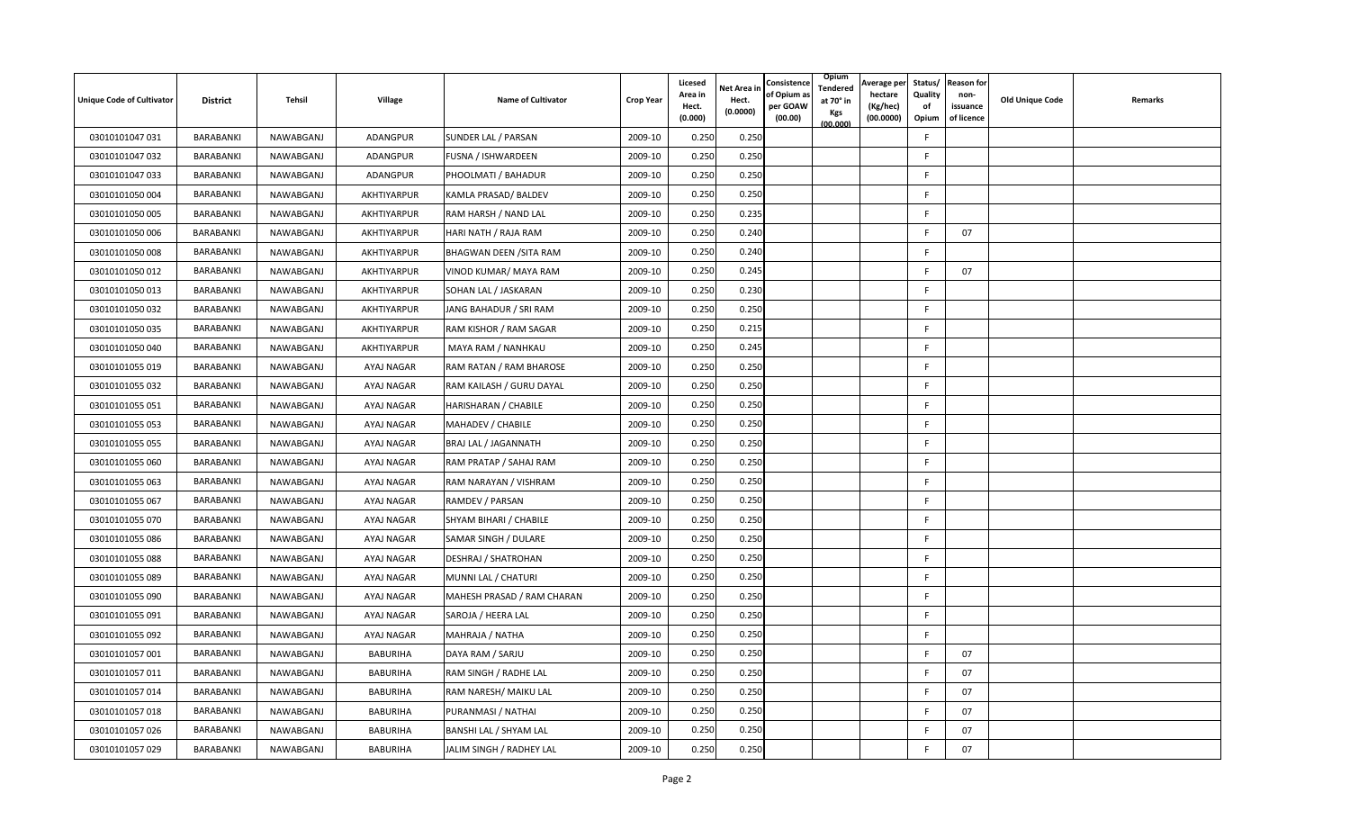| <b>Unique Code of Cultivator</b> | <b>District</b> | Tehsil    | Village         | <b>Name of Cultivator</b>  | <b>Crop Year</b> | Licesed<br>Area in<br>Hect.<br>(0.000) | Net Area in<br>Hect.<br>(0.0000) | Consistence<br>of Opium a<br>per GOAW<br>(00.00) | Opium<br>Tendered<br>at 70° in<br>Kgs<br>(00.000) | Average per<br>hectare<br>(Kg/hec)<br>(00.0000) | Status/<br>Quality<br>of<br>Opium | <b>Reason for</b><br>non-<br>issuance<br>of licence | <b>Old Unique Code</b> | Remarks |
|----------------------------------|-----------------|-----------|-----------------|----------------------------|------------------|----------------------------------------|----------------------------------|--------------------------------------------------|---------------------------------------------------|-------------------------------------------------|-----------------------------------|-----------------------------------------------------|------------------------|---------|
| 03010101047 031                  | BARABANKI       | NAWABGANJ | ADANGPUR        | SUNDER LAL / PARSAN        | 2009-10          | 0.250                                  | 0.250                            |                                                  |                                                   |                                                 | F                                 |                                                     |                        |         |
| 03010101047 032                  | BARABANKI       | NAWABGANJ | ADANGPUR        | FUSNA / ISHWARDEEN         | 2009-10          | 0.250                                  | 0.250                            |                                                  |                                                   |                                                 | F                                 |                                                     |                        |         |
| 03010101047 033                  | BARABANKI       | NAWABGANJ | ADANGPUR        | PHOOLMATI / BAHADUR        | 2009-10          | 0.250                                  | 0.250                            |                                                  |                                                   |                                                 | F                                 |                                                     |                        |         |
| 03010101050 004                  | BARABANKI       | NAWABGANJ | AKHTIYARPUR     | KAMLA PRASAD/ BALDEV       | 2009-10          | 0.250                                  | 0.25C                            |                                                  |                                                   |                                                 | F                                 |                                                     |                        |         |
| 03010101050 005                  | BARABANKI       | NAWABGANJ | AKHTIYARPUR     | RAM HARSH / NAND LAL       | 2009-10          | 0.250                                  | 0.235                            |                                                  |                                                   |                                                 | F                                 |                                                     |                        |         |
| 03010101050 006                  | BARABANKI       | NAWABGANJ | AKHTIYARPUR     | HARI NATH / RAJA RAM       | 2009-10          | 0.250                                  | 0.240                            |                                                  |                                                   |                                                 | F                                 | 07                                                  |                        |         |
| 03010101050 008                  | BARABANKI       | NAWABGANJ | AKHTIYARPUR     | BHAGWAN DEEN /SITA RAM     | 2009-10          | 0.250                                  | 0.240                            |                                                  |                                                   |                                                 | F                                 |                                                     |                        |         |
| 03010101050 012                  | BARABANKI       | NAWABGANJ | AKHTIYARPUR     | VINOD KUMAR/ MAYA RAM      | 2009-10          | 0.250                                  | 0.245                            |                                                  |                                                   |                                                 | E                                 | 07                                                  |                        |         |
| 03010101050 013                  | BARABANKI       | NAWABGANJ | AKHTIYARPUR     | SOHAN LAL / JASKARAN       | 2009-10          | 0.250                                  | 0.230                            |                                                  |                                                   |                                                 | F                                 |                                                     |                        |         |
| 03010101050 032                  | BARABANKI       | NAWABGANJ | AKHTIYARPUR     | JANG BAHADUR / SRI RAM     | 2009-10          | 0.250                                  | 0.25C                            |                                                  |                                                   |                                                 | F.                                |                                                     |                        |         |
| 03010101050 035                  | BARABANKI       | NAWABGANJ | AKHTIYARPUR     | RAM KISHOR / RAM SAGAR     | 2009-10          | 0.250                                  | 0.215                            |                                                  |                                                   |                                                 | F.                                |                                                     |                        |         |
| 03010101050 040                  | BARABANKI       | NAWABGANJ | AKHTIYARPUR     | MAYA RAM / NANHKAU         | 2009-10          | 0.250                                  | 0.245                            |                                                  |                                                   |                                                 | F                                 |                                                     |                        |         |
| 03010101055 019                  | BARABANKI       | NAWABGANJ | AYAJ NAGAR      | RAM RATAN / RAM BHAROSE    | 2009-10          | 0.250                                  | 0.250                            |                                                  |                                                   |                                                 | F                                 |                                                     |                        |         |
| 03010101055 032                  | BARABANKI       | NAWABGANJ | AYAJ NAGAR      | RAM KAILASH / GURU DAYAL   | 2009-10          | 0.250                                  | 0.250                            |                                                  |                                                   |                                                 | F.                                |                                                     |                        |         |
| 03010101055 051                  | BARABANKI       | NAWABGANJ | AYAJ NAGAR      | HARISHARAN / CHABILE       | 2009-10          | 0.250                                  | 0.250                            |                                                  |                                                   |                                                 | F                                 |                                                     |                        |         |
| 03010101055 053                  | BARABANKI       | NAWABGANJ | AYAJ NAGAR      | MAHADEV / CHABILE          | 2009-10          | 0.250                                  | 0.250                            |                                                  |                                                   |                                                 | F                                 |                                                     |                        |         |
| 03010101055 055                  | BARABANKI       | NAWABGANJ | AYAJ NAGAR      | BRAJ LAL / JAGANNATH       | 2009-10          | 0.250                                  | 0.250                            |                                                  |                                                   |                                                 | F.                                |                                                     |                        |         |
| 03010101055 060                  | BARABANKI       | NAWABGANJ | AYAJ NAGAR      | RAM PRATAP / SAHAJ RAM     | 2009-10          | 0.250                                  | 0.250                            |                                                  |                                                   |                                                 | F                                 |                                                     |                        |         |
| 03010101055 063                  | BARABANKI       | NAWABGANJ | AYAJ NAGAR      | RAM NARAYAN / VISHRAM      | 2009-10          | 0.250                                  | 0.250                            |                                                  |                                                   |                                                 | F.                                |                                                     |                        |         |
| 03010101055 067                  | BARABANKI       | NAWABGANJ | AYAJ NAGAR      | RAMDEV / PARSAN            | 2009-10          | 0.250                                  | 0.250                            |                                                  |                                                   |                                                 | F                                 |                                                     |                        |         |
| 03010101055 070                  | BARABANKI       | NAWABGANJ | AYAJ NAGAR      | SHYAM BIHARI / CHABILE     | 2009-10          | 0.250                                  | 0.250                            |                                                  |                                                   |                                                 | F                                 |                                                     |                        |         |
| 03010101055 086                  | BARABANKI       | NAWABGANJ | AYAJ NAGAR      | SAMAR SINGH / DULARE       | 2009-10          | 0.250                                  | 0.25C                            |                                                  |                                                   |                                                 | F                                 |                                                     |                        |         |
| 03010101055 088                  | BARABANKI       | NAWABGANJ | AYAJ NAGAR      | DESHRAJ / SHATROHAN        | 2009-10          | 0.250                                  | 0.250                            |                                                  |                                                   |                                                 | F                                 |                                                     |                        |         |
| 03010101055 089                  | BARABANKI       | NAWABGANJ | AYAJ NAGAR      | MUNNI LAL / CHATURI        | 2009-10          | 0.250                                  | 0.250                            |                                                  |                                                   |                                                 | E                                 |                                                     |                        |         |
| 03010101055 090                  | BARABANKI       | NAWABGANJ | AYAJ NAGAR      | MAHESH PRASAD / RAM CHARAN | 2009-10          | 0.250                                  | 0.250                            |                                                  |                                                   |                                                 | F                                 |                                                     |                        |         |
| 03010101055 091                  | BARABANKI       | NAWABGANJ | AYAJ NAGAR      | SAROJA / HEERA LAL         | 2009-10          | 0.250                                  | 0.250                            |                                                  |                                                   |                                                 | F.                                |                                                     |                        |         |
| 03010101055 092                  | BARABANKI       | NAWABGANJ | AYAJ NAGAR      | MAHRAJA / NATHA            | 2009-10          | 0.250                                  | 0.250                            |                                                  |                                                   |                                                 | F                                 |                                                     |                        |         |
| 03010101057 001                  | BARABANKI       | NAWABGANJ | <b>BABURIHA</b> | DAYA RAM / SARJU           | 2009-10          | 0.250                                  | 0.250                            |                                                  |                                                   |                                                 | F                                 | 07                                                  |                        |         |
| 03010101057 011                  | BARABANKI       | NAWABGANJ | <b>BABURIHA</b> | RAM SINGH / RADHE LAL      | 2009-10          | 0.250                                  | 0.250                            |                                                  |                                                   |                                                 | F                                 | 07                                                  |                        |         |
| 03010101057 014                  | BARABANKI       | NAWABGANJ | <b>BABURIHA</b> | RAM NARESH/ MAIKU LAL      | 2009-10          | 0.250                                  | 0.250                            |                                                  |                                                   |                                                 | E                                 | 07                                                  |                        |         |
| 03010101057 018                  | BARABANKI       | NAWABGANJ | <b>BABURIHA</b> | PURANMASI / NATHAI         | 2009-10          | 0.250                                  | 0.250                            |                                                  |                                                   |                                                 | E                                 | 07                                                  |                        |         |
| 03010101057 026                  | BARABANKI       | NAWABGANJ | <b>BABURIHA</b> | BANSHI LAL / SHYAM LAL     | 2009-10          | 0.250                                  | 0.250                            |                                                  |                                                   |                                                 | E                                 | 07                                                  |                        |         |
| 03010101057 029                  | BARABANKI       | NAWABGANJ | <b>BABURIHA</b> | JALIM SINGH / RADHEY LAL   | 2009-10          | 0.250                                  | 0.250                            |                                                  |                                                   |                                                 | F                                 | 07                                                  |                        |         |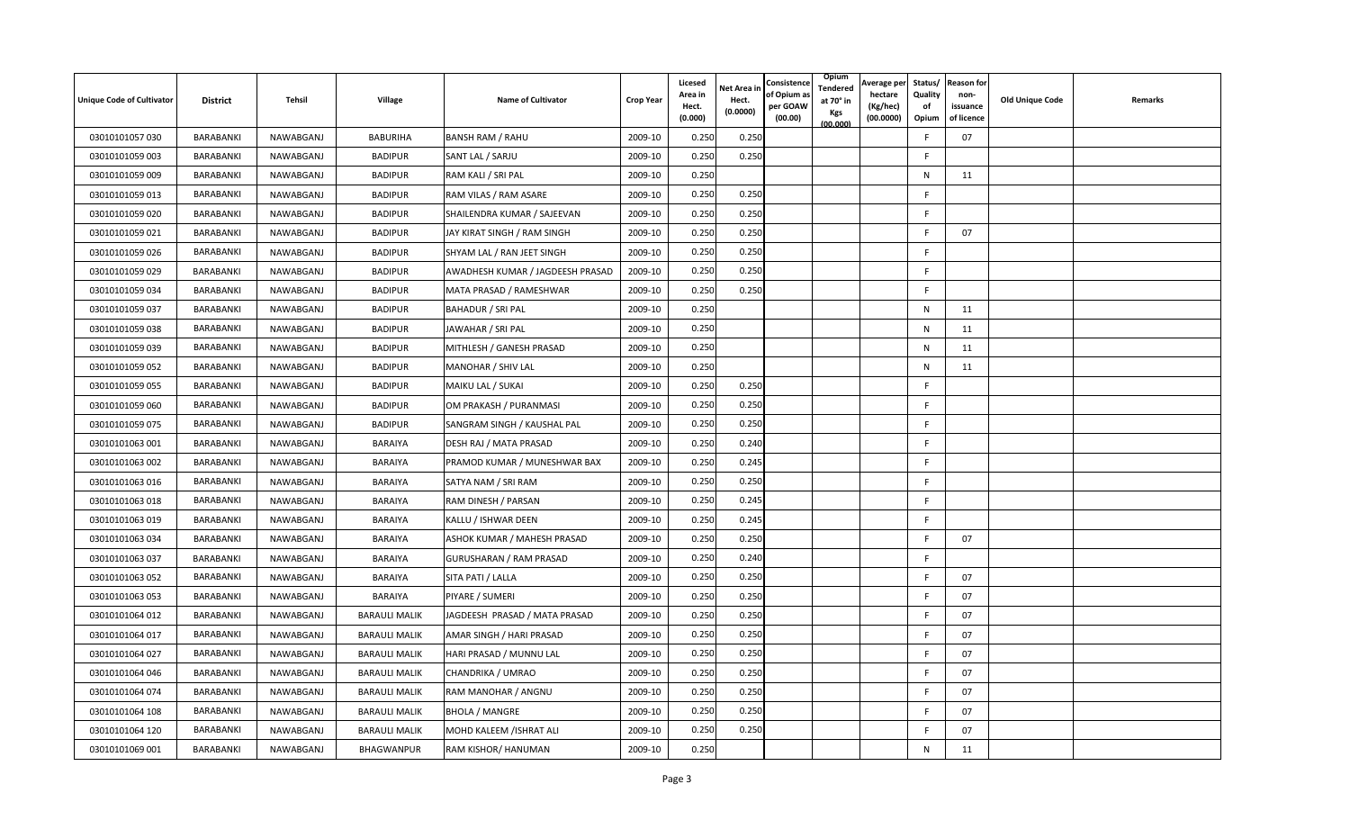| <b>Unique Code of Cultivator</b> | <b>District</b> | <b>Tehsil</b> | Village              | <b>Name of Cultivator</b>        | <b>Crop Year</b> | <b>Licesed</b><br>Area in<br>Hect.<br>(0.000) | Net Area in<br>Hect.<br>(0.0000) | Consistence<br>of Opium a<br>per GOAW<br>(00.00) | Opium<br>Tendered<br>at 70° in<br>Kgs<br>(00.000) | Average per<br>hectare<br>(Kg/hec)<br>(00.0000) | Status/<br>Quality<br>of<br>Opium | <b>Reason for</b><br>non-<br>issuance<br>of licence | <b>Old Unique Code</b> | Remarks |
|----------------------------------|-----------------|---------------|----------------------|----------------------------------|------------------|-----------------------------------------------|----------------------------------|--------------------------------------------------|---------------------------------------------------|-------------------------------------------------|-----------------------------------|-----------------------------------------------------|------------------------|---------|
| 03010101057 030                  | BARABANKI       | NAWABGANJ     | <b>BABURIHA</b>      | <b>BANSH RAM / RAHU</b>          | 2009-10          | 0.250                                         | 0.250                            |                                                  |                                                   |                                                 | F                                 | 07                                                  |                        |         |
| 03010101059 003                  | BARABANKI       | NAWABGANJ     | <b>BADIPUR</b>       | SANT LAL / SARJU                 | 2009-10          | 0.250                                         | 0.250                            |                                                  |                                                   |                                                 | F                                 |                                                     |                        |         |
| 03010101059 009                  | BARABANKI       | NAWABGANJ     | <b>BADIPUR</b>       | RAM KALI / SRI PAL               | 2009-10          | 0.250                                         |                                  |                                                  |                                                   |                                                 | N                                 | 11                                                  |                        |         |
| 03010101059 013                  | BARABANKI       | NAWABGANJ     | <b>BADIPUR</b>       | RAM VILAS / RAM ASARE            | 2009-10          | 0.250                                         | 0.250                            |                                                  |                                                   |                                                 | F                                 |                                                     |                        |         |
| 03010101059 020                  | BARABANKI       | NAWABGANJ     | <b>BADIPUR</b>       | SHAILENDRA KUMAR / SAJEEVAN      | 2009-10          | 0.250                                         | 0.250                            |                                                  |                                                   |                                                 | F                                 |                                                     |                        |         |
| 03010101059 021                  | BARABANKI       | NAWABGANJ     | <b>BADIPUR</b>       | JAY KIRAT SINGH / RAM SINGH      | 2009-10          | 0.250                                         | 0.250                            |                                                  |                                                   |                                                 | F                                 | 07                                                  |                        |         |
| 03010101059 026                  | BARABANKI       | NAWABGANJ     | <b>BADIPUR</b>       | SHYAM LAL / RAN JEET SINGH       | 2009-10          | 0.250                                         | 0.250                            |                                                  |                                                   |                                                 | F.                                |                                                     |                        |         |
| 03010101059 029                  | BARABANKI       | NAWABGANJ     | <b>BADIPUR</b>       | AWADHESH KUMAR / JAGDEESH PRASAD | 2009-10          | 0.250                                         | 0.250                            |                                                  |                                                   |                                                 | F                                 |                                                     |                        |         |
| 03010101059 034                  | BARABANKI       | NAWABGANJ     | <b>BADIPUR</b>       | MATA PRASAD / RAMESHWAR          | 2009-10          | 0.250                                         | 0.250                            |                                                  |                                                   |                                                 | F                                 |                                                     |                        |         |
| 03010101059 037                  | BARABANKI       | NAWABGANJ     | <b>BADIPUR</b>       | <b>BAHADUR / SRI PAL</b>         | 2009-10          | 0.250                                         |                                  |                                                  |                                                   |                                                 | N                                 | 11                                                  |                        |         |
| 03010101059 038                  | BARABANKI       | NAWABGANJ     | <b>BADIPUR</b>       | JAWAHAR / SRI PAL                | 2009-10          | 0.250                                         |                                  |                                                  |                                                   |                                                 | N                                 | 11                                                  |                        |         |
| 03010101059 039                  | BARABANKI       | NAWABGANJ     | <b>BADIPUR</b>       | MITHLESH / GANESH PRASAD         | 2009-10          | 0.250                                         |                                  |                                                  |                                                   |                                                 | $\mathsf{N}$                      | 11                                                  |                        |         |
| 03010101059 052                  | BARABANKI       | NAWABGANJ     | <b>BADIPUR</b>       | MANOHAR / SHIV LAL               | 2009-10          | 0.250                                         |                                  |                                                  |                                                   |                                                 | N                                 | 11                                                  |                        |         |
| 03010101059 055                  | BARABANKI       | NAWABGANJ     | <b>BADIPUR</b>       | MAIKU LAL / SUKAI                | 2009-10          | 0.250                                         | 0.250                            |                                                  |                                                   |                                                 | F                                 |                                                     |                        |         |
| 03010101059 060                  | BARABANKI       | NAWABGANJ     | <b>BADIPUR</b>       | OM PRAKASH / PURANMASI           | 2009-10          | 0.250                                         | 0.250                            |                                                  |                                                   |                                                 | F.                                |                                                     |                        |         |
| 03010101059 075                  | BARABANKI       | NAWABGANJ     | <b>BADIPUR</b>       | SANGRAM SINGH / KAUSHAL PAL      | 2009-10          | 0.250                                         | 0.250                            |                                                  |                                                   |                                                 | F.                                |                                                     |                        |         |
| 03010101063 001                  | BARABANKI       | NAWABGANJ     | <b>BARAIYA</b>       | DESH RAJ / MATA PRASAD           | 2009-10          | 0.250                                         | 0.240                            |                                                  |                                                   |                                                 | F.                                |                                                     |                        |         |
| 03010101063 002                  | BARABANKI       | NAWABGANJ     | <b>BARAIYA</b>       | PRAMOD KUMAR / MUNESHWAR BAX     | 2009-10          | 0.250                                         | 0.245                            |                                                  |                                                   |                                                 | F                                 |                                                     |                        |         |
| 03010101063 016                  | BARABANKI       | NAWABGANJ     | BARAIYA              | SATYA NAM / SRI RAM              | 2009-10          | 0.250                                         | 0.250                            |                                                  |                                                   |                                                 | F.                                |                                                     |                        |         |
| 03010101063 018                  | BARABANKI       | NAWABGANJ     | <b>BARAIYA</b>       | RAM DINESH / PARSAN              | 2009-10          | 0.250                                         | 0.245                            |                                                  |                                                   |                                                 | F                                 |                                                     |                        |         |
| 03010101063 019                  | BARABANKI       | NAWABGANJ     | <b>BARAIYA</b>       | KALLU / ISHWAR DEEN              | 2009-10          | 0.250                                         | 0.245                            |                                                  |                                                   |                                                 | F                                 |                                                     |                        |         |
| 03010101063 034                  | BARABANKI       | NAWABGANJ     | <b>BARAIYA</b>       | ASHOK KUMAR / MAHESH PRASAD      | 2009-10          | 0.250                                         | 0.250                            |                                                  |                                                   |                                                 | F.                                | 07                                                  |                        |         |
| 03010101063 037                  | BARABANKI       | NAWABGANJ     | <b>BARAIYA</b>       | GURUSHARAN / RAM PRASAD          | 2009-10          | 0.250                                         | 0.240                            |                                                  |                                                   |                                                 | F.                                |                                                     |                        |         |
| 03010101063 052                  | BARABANKI       | NAWABGANJ     | <b>BARAIYA</b>       | SITA PATI / LALLA                | 2009-10          | 0.250                                         | 0.250                            |                                                  |                                                   |                                                 | F                                 | 07                                                  |                        |         |
| 03010101063 053                  | BARABANKI       | NAWABGANJ     | <b>BARAIYA</b>       | PIYARE / SUMERI                  | 2009-10          | 0.250                                         | 0.250                            |                                                  |                                                   |                                                 | F                                 | 07                                                  |                        |         |
| 03010101064 012                  | BARABANKI       | NAWABGANJ     | <b>BARAULI MALIK</b> | JAGDEESH PRASAD / MATA PRASAD    | 2009-10          | 0.250                                         | 0.250                            |                                                  |                                                   |                                                 | F                                 | 07                                                  |                        |         |
| 03010101064 017                  | BARABANKI       | NAWABGANJ     | <b>BARAULI MALIK</b> | AMAR SINGH / HARI PRASAD         | 2009-10          | 0.250                                         | 0.250                            |                                                  |                                                   |                                                 |                                   | 07                                                  |                        |         |
| 03010101064 027                  | BARABANKI       | NAWABGANJ     | <b>BARAULI MALIK</b> | HARI PRASAD / MUNNU LAL          | 2009-10          | 0.250                                         | 0.250                            |                                                  |                                                   |                                                 | F                                 | 07                                                  |                        |         |
| 03010101064 046                  | BARABANKI       | NAWABGANJ     | <b>BARAULI MALIK</b> | CHANDRIKA / UMRAO                | 2009-10          | 0.250                                         | 0.250                            |                                                  |                                                   |                                                 | F                                 | 07                                                  |                        |         |
| 03010101064 074                  | BARABANKI       | NAWABGANJ     | <b>BARAULI MALIK</b> | RAM MANOHAR / ANGNU              | 2009-10          | 0.250                                         | 0.250                            |                                                  |                                                   |                                                 | E                                 | 07                                                  |                        |         |
| 03010101064 108                  | BARABANKI       | NAWABGANJ     | <b>BARAULI MALIK</b> | <b>BHOLA / MANGRE</b>            | 2009-10          | 0.250                                         | 0.250                            |                                                  |                                                   |                                                 | F                                 | 07                                                  |                        |         |
| 03010101064 120                  | BARABANKI       | NAWABGANJ     | <b>BARAULI MALIK</b> | MOHD KALEEM / ISHRAT ALI         | 2009-10          | 0.250                                         | 0.250                            |                                                  |                                                   |                                                 | F                                 | 07                                                  |                        |         |
| 03010101069 001                  | BARABANKI       | NAWABGANJ     | BHAGWANPUR           | RAM KISHOR/ HANUMAN              | 2009-10          | 0.250                                         |                                  |                                                  |                                                   |                                                 | N                                 | 11                                                  |                        |         |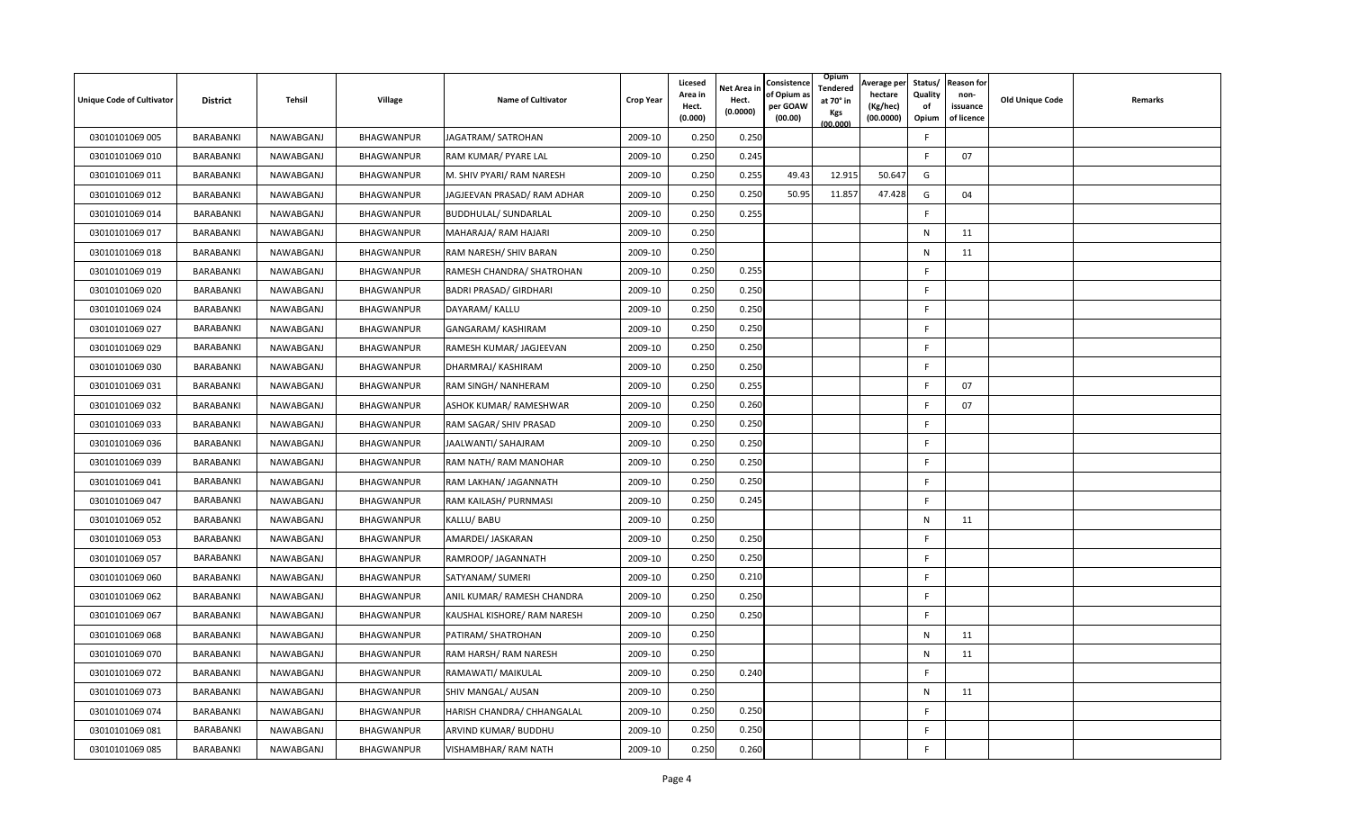| <b>Unique Code of Cultivator</b> | <b>District</b> | Tehsil    | Village           | <b>Name of Cultivator</b>     | <b>Crop Year</b> | Licesed<br>Area in<br>Hect.<br>(0.000) | <b>Net Area in</b><br>Hect.<br>(0.0000) | Consistence<br>of Opium as<br>per GOAW<br>(00.00) | Opium<br>Tendered<br>at 70° in<br>Kgs<br>(00.000) | Average per<br>hectare<br>(Kg/hec)<br>(00.0000) | Status/<br>Quality<br>οf<br>Opium | <b>Reason for</b><br>non-<br>issuance<br>of licence | <b>Old Unique Code</b> | Remarks |
|----------------------------------|-----------------|-----------|-------------------|-------------------------------|------------------|----------------------------------------|-----------------------------------------|---------------------------------------------------|---------------------------------------------------|-------------------------------------------------|-----------------------------------|-----------------------------------------------------|------------------------|---------|
| 03010101069 005                  | BARABANKI       | NAWABGANJ | <b>BHAGWANPUR</b> | JAGATRAM/ SATROHAN            | 2009-10          | 0.250                                  | 0.250                                   |                                                   |                                                   |                                                 | F.                                |                                                     |                        |         |
| 03010101069 010                  | BARABANKI       | NAWABGANJ | BHAGWANPUR        | RAM KUMAR/ PYARE LAL          | 2009-10          | 0.250                                  | 0.245                                   |                                                   |                                                   |                                                 | F                                 | 07                                                  |                        |         |
| 03010101069 011                  | BARABANKI       | NAWABGANJ | BHAGWANPUR        | M. SHIV PYARI/ RAM NARESH     | 2009-10          | 0.250                                  | 0.255                                   | 49.43                                             | 12.915                                            | 50.647                                          | G                                 |                                                     |                        |         |
| 03010101069 012                  | BARABANKI       | NAWABGANJ | BHAGWANPUR        | JAGJEEVAN PRASAD/ RAM ADHAR   | 2009-10          | 0.25C                                  | 0.250                                   | 50.95                                             | 11.857                                            | 47.428                                          | G                                 | 04                                                  |                        |         |
| 03010101069 014                  | BARABANKI       | NAWABGANJ | BHAGWANPUR        | <b>BUDDHULAL/ SUNDARLAL</b>   | 2009-10          | 0.250                                  | 0.255                                   |                                                   |                                                   |                                                 | F.                                |                                                     |                        |         |
| 03010101069 017                  | BARABANKI       | NAWABGANJ | BHAGWANPUR        | MAHARAJA/ RAM HAJARI          | 2009-10          | 0.250                                  |                                         |                                                   |                                                   |                                                 | N                                 | 11                                                  |                        |         |
| 03010101069 018                  | BARABANKI       | NAWABGANJ | BHAGWANPUR        | RAM NARESH/ SHIV BARAN        | 2009-10          | 0.250                                  |                                         |                                                   |                                                   |                                                 | N                                 | 11                                                  |                        |         |
| 03010101069 019                  | BARABANKI       | NAWABGANJ | BHAGWANPUR        | RAMESH CHANDRA/ SHATROHAN     | 2009-10          | 0.250                                  | 0.255                                   |                                                   |                                                   |                                                 | F                                 |                                                     |                        |         |
| 03010101069 020                  | BARABANKI       | NAWABGANJ | BHAGWANPUR        | <b>BADRI PRASAD/ GIRDHARI</b> | 2009-10          | 0.250                                  | 0.250                                   |                                                   |                                                   |                                                 | F                                 |                                                     |                        |         |
| 03010101069 024                  | BARABANKI       | NAWABGANJ | BHAGWANPUR        | DAYARAM/ KALLU                | 2009-10          | 0.250                                  | 0.250                                   |                                                   |                                                   |                                                 | F.                                |                                                     |                        |         |
| 03010101069 027                  | BARABANKI       | NAWABGANJ | BHAGWANPUR        | GANGARAM/ KASHIRAM            | 2009-10          | 0.250                                  | 0.250                                   |                                                   |                                                   |                                                 | F.                                |                                                     |                        |         |
| 03010101069 029                  | BARABANKI       | NAWABGANJ | BHAGWANPUR        | RAMESH KUMAR/ JAGJEEVAN       | 2009-10          | 0.250                                  | 0.250                                   |                                                   |                                                   |                                                 | F.                                |                                                     |                        |         |
| 03010101069 030                  | BARABANKI       | NAWABGANJ | BHAGWANPUR        | DHARMRAJ/ KASHIRAM            | 2009-10          | 0.250                                  | 0.250                                   |                                                   |                                                   |                                                 | F.                                |                                                     |                        |         |
| 03010101069 031                  | BARABANKI       | NAWABGANJ | BHAGWANPUR        | RAM SINGH/ NANHERAM           | 2009-10          | 0.250                                  | 0.255                                   |                                                   |                                                   |                                                 | F                                 | 07                                                  |                        |         |
| 03010101069 032                  | BARABANKI       | NAWABGANJ | BHAGWANPUR        | ASHOK KUMAR/ RAMESHWAR        | 2009-10          | 0.250                                  | 0.260                                   |                                                   |                                                   |                                                 | F                                 | 07                                                  |                        |         |
| 03010101069 033                  | BARABANKI       | NAWABGANJ | BHAGWANPUR        | RAM SAGAR/ SHIV PRASAD        | 2009-10          | 0.25C                                  | 0.250                                   |                                                   |                                                   |                                                 | F.                                |                                                     |                        |         |
| 03010101069 036                  | BARABANKI       | NAWABGANJ | BHAGWANPUR        | JAALWANTI/ SAHAJRAM           | 2009-10          | 0.250                                  | 0.250                                   |                                                   |                                                   |                                                 | F.                                |                                                     |                        |         |
| 03010101069 039                  | BARABANKI       | NAWABGANJ | BHAGWANPUR        | RAM NATH/ RAM MANOHAR         | 2009-10          | 0.250                                  | 0.250                                   |                                                   |                                                   |                                                 | F.                                |                                                     |                        |         |
| 03010101069 041                  | BARABANKI       | NAWABGANJ | BHAGWANPUR        | RAM LAKHAN/ JAGANNATH         | 2009-10          | 0.250                                  | 0.250                                   |                                                   |                                                   |                                                 | F.                                |                                                     |                        |         |
| 03010101069 047                  | BARABANKI       | NAWABGANJ | BHAGWANPUR        | RAM KAILASH/ PURNMASI         | 2009-10          | 0.250                                  | 0.245                                   |                                                   |                                                   |                                                 | F                                 |                                                     |                        |         |
| 03010101069 052                  | BARABANKI       | NAWABGANJ | BHAGWANPUR        | KALLU/ BABU                   | 2009-10          | 0.250                                  |                                         |                                                   |                                                   |                                                 | N                                 | 11                                                  |                        |         |
| 03010101069 053                  | BARABANKI       | NAWABGANJ | BHAGWANPUR        | AMARDEI/ JASKARAN             | 2009-10          | 0.250                                  | 0.250                                   |                                                   |                                                   |                                                 | F.                                |                                                     |                        |         |
| 03010101069 057                  | BARABANKI       | NAWABGANJ | BHAGWANPUR        | RAMROOP/ JAGANNATH            | 2009-10          | 0.250                                  | 0.250                                   |                                                   |                                                   |                                                 | F.                                |                                                     |                        |         |
| 03010101069 060                  | BARABANKI       | NAWABGANJ | BHAGWANPUR        | SATYANAM/ SUMERI              | 2009-10          | 0.250                                  | 0.210                                   |                                                   |                                                   |                                                 | F.                                |                                                     |                        |         |
| 03010101069 062                  | BARABANKI       | NAWABGANJ | <b>BHAGWANPUR</b> | ANIL KUMAR/ RAMESH CHANDRA    | 2009-10          | 0.250                                  | 0.250                                   |                                                   |                                                   |                                                 | F.                                |                                                     |                        |         |
| 03010101069 067                  | BARABANKI       | NAWABGANJ | BHAGWANPUR        | KAUSHAL KISHORE/ RAM NARESH   | 2009-10          | 0.250                                  | 0.250                                   |                                                   |                                                   |                                                 | F.                                |                                                     |                        |         |
| 03010101069 068                  | BARABANKI       | NAWABGANJ | BHAGWANPUR        | PATIRAM/ SHATROHAN            | 2009-10          | 0.250                                  |                                         |                                                   |                                                   |                                                 | N                                 | 11                                                  |                        |         |
| 03010101069 070                  | BARABANKI       | NAWABGANJ | BHAGWANPUR        | RAM HARSH/ RAM NARESH         | 2009-10          | 0.250                                  |                                         |                                                   |                                                   |                                                 | N                                 | 11                                                  |                        |         |
| 03010101069 072                  | BARABANKI       | NAWABGANJ | BHAGWANPUR        | RAMAWATI/ MAIKULAL            | 2009-10          | 0.250                                  | 0.240                                   |                                                   |                                                   |                                                 | F                                 |                                                     |                        |         |
| 03010101069 073                  | BARABANKI       | NAWABGANJ | BHAGWANPUR        | SHIV MANGAL/ AUSAN            | 2009-10          | 0.250                                  |                                         |                                                   |                                                   |                                                 | $\mathsf{N}$                      | 11                                                  |                        |         |
| 03010101069 074                  | BARABANKI       | NAWABGANJ | BHAGWANPUR        | HARISH CHANDRA/ CHHANGALAL    | 2009-10          | 0.250                                  | 0.250                                   |                                                   |                                                   |                                                 | F.                                |                                                     |                        |         |
| 03010101069081                   | BARABANKI       | NAWABGANJ | BHAGWANPUR        | ARVIND KUMAR/ BUDDHU          | 2009-10          | 0.250                                  | 0.250                                   |                                                   |                                                   |                                                 | F.                                |                                                     |                        |         |
| 03010101069 085                  | BARABANKI       | NAWABGANJ | BHAGWANPUR        | VISHAMBHAR/RAM NATH           | 2009-10          | 0.250                                  | 0.260                                   |                                                   |                                                   |                                                 | F.                                |                                                     |                        |         |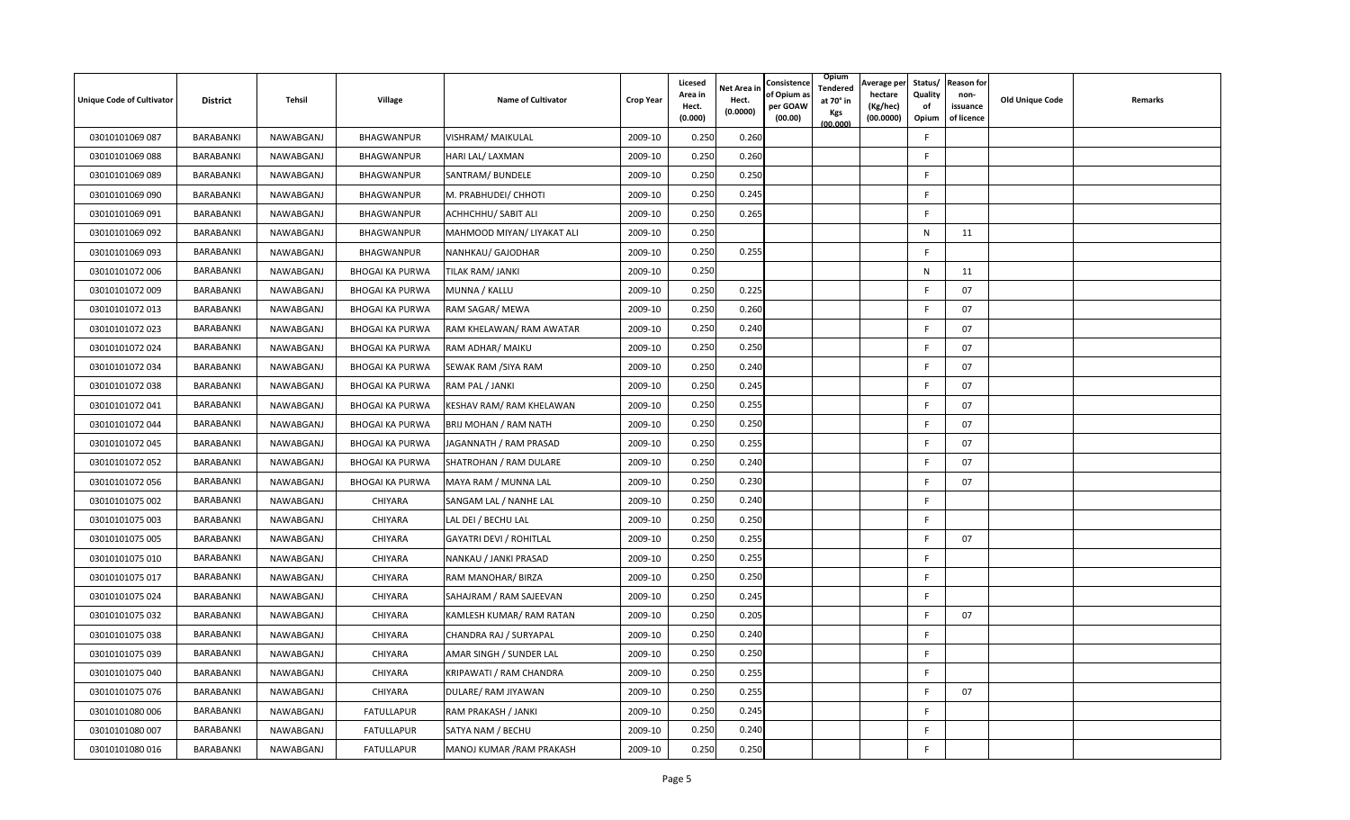| <b>Unique Code of Cultivator</b> | <b>District</b>  | Tehsil    | Village                | <b>Name of Cultivator</b>      | <b>Crop Year</b> | Licesed<br>Area in<br>Hect.<br>(0.000) | <b>Jet Area in</b><br>Hect.<br>(0.0000) | Consistence<br>of Opium a<br>per GOAW<br>(00.00) | Opium<br>Tendered<br>at 70° in<br>Kgs<br>(00.000) | Average per<br>hectare<br>(Kg/hec)<br>(00.0000) | Status/<br>Quality<br>οf<br>Opium | <b>Reason for</b><br>non-<br>issuance<br>of licence | <b>Old Unique Code</b> | Remarks |
|----------------------------------|------------------|-----------|------------------------|--------------------------------|------------------|----------------------------------------|-----------------------------------------|--------------------------------------------------|---------------------------------------------------|-------------------------------------------------|-----------------------------------|-----------------------------------------------------|------------------------|---------|
| 03010101069 087                  | BARABANKI        | NAWABGANJ | <b>BHAGWANPUR</b>      | VISHRAM/ MAIKULAL              | 2009-10          | 0.250                                  | 0.260                                   |                                                  |                                                   |                                                 | F                                 |                                                     |                        |         |
| 03010101069 088                  | BARABANKI        | NAWABGANJ | BHAGWANPUR             | HARI LAL/ LAXMAN               | 2009-10          | 0.250                                  | 0.260                                   |                                                  |                                                   |                                                 | F.                                |                                                     |                        |         |
| 03010101069 089                  | BARABANKI        | NAWABGANJ | BHAGWANPUR             | SANTRAM/ BUNDELE               | 2009-10          | 0.250                                  | 0.250                                   |                                                  |                                                   |                                                 | -F                                |                                                     |                        |         |
| 03010101069 090                  | <b>BARABANKI</b> | NAWABGANJ | BHAGWANPUR             | M. PRABHUDEI/ CHHOTI           | 2009-10          | 0.250                                  | 0.245                                   |                                                  |                                                   |                                                 | F                                 |                                                     |                        |         |
| 03010101069 091                  | BARABANKI        | NAWABGANJ | BHAGWANPUR             | ACHHCHHU/ SABIT ALI            | 2009-10          | 0.250                                  | 0.265                                   |                                                  |                                                   |                                                 | F                                 |                                                     |                        |         |
| 03010101069 092                  | BARABANKI        | NAWABGANJ | BHAGWANPUR             | MAHMOOD MIYAN/ LIYAKAT ALI     | 2009-10          | 0.250                                  |                                         |                                                  |                                                   |                                                 | N                                 | 11                                                  |                        |         |
| 03010101069 093                  | BARABANKI        | NAWABGANJ | BHAGWANPUR             | NANHKAU/ GAJODHAR              | 2009-10          | 0.250                                  | 0.255                                   |                                                  |                                                   |                                                 | F.                                |                                                     |                        |         |
| 03010101072 006                  | BARABANKI        | NAWABGANJ | <b>BHOGAI KA PURWA</b> | TILAK RAM/ JANKI               | 2009-10          | 0.250                                  |                                         |                                                  |                                                   |                                                 | N                                 | 11                                                  |                        |         |
| 03010101072 009                  | BARABANKI        | NAWABGANJ | <b>BHOGAI KA PURWA</b> | MUNNA / KALLU                  | 2009-10          | 0.250                                  | 0.225                                   |                                                  |                                                   |                                                 | E                                 | 07                                                  |                        |         |
| 03010101072 013                  | BARABANKI        | NAWABGANJ | <b>BHOGAI KA PURWA</b> | RAM SAGAR/ MEWA                | 2009-10          | 0.250                                  | 0.260                                   |                                                  |                                                   |                                                 | F                                 | 07                                                  |                        |         |
| 03010101072 023                  | BARABANKI        | NAWABGANJ | <b>BHOGAI KA PURWA</b> | RAM KHELAWAN/ RAM AWATAR       | 2009-10          | 0.250                                  | 0.240                                   |                                                  |                                                   |                                                 | F                                 | 07                                                  |                        |         |
| 03010101072 024                  | BARABANKI        | NAWABGANJ | <b>BHOGAI KA PURWA</b> | RAM ADHAR/ MAIKU               | 2009-10          | 0.250                                  | 0.250                                   |                                                  |                                                   |                                                 | F                                 | 07                                                  |                        |         |
| 03010101072 034                  | BARABANKI        | NAWABGANJ | <b>BHOGAI KA PURWA</b> | SEWAK RAM /SIYA RAM            | 2009-10          | 0.250                                  | 0.240                                   |                                                  |                                                   |                                                 | E                                 | 07                                                  |                        |         |
| 03010101072 038                  | BARABANKI        | NAWABGANJ | <b>BHOGAI KA PURWA</b> | RAM PAL / JANKI                | 2009-10          | 0.250                                  | 0.245                                   |                                                  |                                                   |                                                 | F.                                | 07                                                  |                        |         |
| 03010101072 041                  | BARABANKI        | NAWABGANJ | <b>BHOGAI KA PURWA</b> | KESHAV RAM/ RAM KHELAWAN       | 2009-10          | 0.250                                  | 0.255                                   |                                                  |                                                   |                                                 | -F                                | 07                                                  |                        |         |
| 03010101072 044                  | BARABANKI        | NAWABGANJ | <b>BHOGAI KA PURWA</b> | BRIJ MOHAN / RAM NATH          | 2009-10          | 0.250                                  | 0.250                                   |                                                  |                                                   |                                                 | F                                 | 07                                                  |                        |         |
| 03010101072 045                  | BARABANKI        | NAWABGANJ | <b>BHOGAI KA PURWA</b> | JAGANNATH / RAM PRASAD         | 2009-10          | 0.250                                  | 0.255                                   |                                                  |                                                   |                                                 | F                                 | 07                                                  |                        |         |
| 03010101072 052                  | BARABANKI        | NAWABGANJ | <b>BHOGAI KA PURWA</b> | SHATROHAN / RAM DULARE         | 2009-10          | 0.250                                  | 0.240                                   |                                                  |                                                   |                                                 | -F                                | 07                                                  |                        |         |
| 03010101072 056                  | BARABANKI        | NAWABGANJ | <b>BHOGAI KA PURWA</b> | MAYA RAM / MUNNA LAL           | 2009-10          | 0.250                                  | 0.230                                   |                                                  |                                                   |                                                 | E                                 | 07                                                  |                        |         |
| 03010101075 002                  | BARABANKI        | NAWABGANJ | CHIYARA                | SANGAM LAL / NANHE LAL         | 2009-10          | 0.250                                  | 0.240                                   |                                                  |                                                   |                                                 | F                                 |                                                     |                        |         |
| 03010101075 003                  | BARABANKI        | NAWABGANJ | CHIYARA                | LAL DEI / BECHU LAL            | 2009-10          | 0.250                                  | 0.250                                   |                                                  |                                                   |                                                 | F                                 |                                                     |                        |         |
| 03010101075 005                  | BARABANKI        | NAWABGANJ | CHIYARA                | <b>GAYATRI DEVI / ROHITLAL</b> | 2009-10          | 0.250                                  | 0.255                                   |                                                  |                                                   |                                                 | F                                 | 07                                                  |                        |         |
| 03010101075 010                  | BARABANKI        | NAWABGANJ | CHIYARA                | NANKAU / JANKI PRASAD          | 2009-10          | 0.250                                  | 0.255                                   |                                                  |                                                   |                                                 | $\mathsf{F}$                      |                                                     |                        |         |
| 03010101075 017                  | BARABANKI        | NAWABGANJ | CHIYARA                | RAM MANOHAR/ BIRZA             | 2009-10          | 0.250                                  | 0.250                                   |                                                  |                                                   |                                                 | F                                 |                                                     |                        |         |
| 03010101075 024                  | BARABANKI        | NAWABGANJ | CHIYARA                | SAHAJRAM / RAM SAJEEVAN        | 2009-10          | 0.250                                  | 0.245                                   |                                                  |                                                   |                                                 | $\mathsf{F}$                      |                                                     |                        |         |
| 03010101075 032                  | BARABANKI        | NAWABGANJ | CHIYARA                | KAMLESH KUMAR/RAM RATAN        | 2009-10          | 0.250                                  | 0.205                                   |                                                  |                                                   |                                                 | F.                                | 07                                                  |                        |         |
| 03010101075 038                  | BARABANKI        | NAWABGANJ | CHIYARA                | CHANDRA RAJ / SURYAPAL         | 2009-10          | 0.250                                  | 0.240                                   |                                                  |                                                   |                                                 | F                                 |                                                     |                        |         |
| 03010101075 039                  | BARABANKI        | NAWABGANJ | CHIYARA                | AMAR SINGH / SUNDER LAL        | 2009-10          | 0.250                                  | 0.250                                   |                                                  |                                                   |                                                 | F                                 |                                                     |                        |         |
| 03010101075 040                  | BARABANKI        | NAWABGANJ | CHIYARA                | KRIPAWATI / RAM CHANDRA        | 2009-10          | 0.250                                  | 0.255                                   |                                                  |                                                   |                                                 | F                                 |                                                     |                        |         |
| 03010101075 076                  | BARABANKI        | NAWABGANJ | CHIYARA                | DULARE/ RAM JIYAWAN            | 2009-10          | 0.250                                  | 0.255                                   |                                                  |                                                   |                                                 | E                                 | 07                                                  |                        |         |
| 03010101080 006                  | BARABANKI        | NAWABGANJ | <b>FATULLAPUR</b>      | RAM PRAKASH / JANKI            | 2009-10          | 0.250                                  | 0.245                                   |                                                  |                                                   |                                                 | F.                                |                                                     |                        |         |
| 03010101080 007                  | BARABANKI        | NAWABGANJ | FATULLAPUR             | SATYA NAM / BECHU              | 2009-10          | 0.250                                  | 0.240                                   |                                                  |                                                   |                                                 | F                                 |                                                     |                        |         |
| 03010101080 016                  | BARABANKI        | NAWABGANJ | <b>FATULLAPUR</b>      | MANOJ KUMAR / RAM PRAKASH      | 2009-10          | 0.250                                  | 0.250                                   |                                                  |                                                   |                                                 | F                                 |                                                     |                        |         |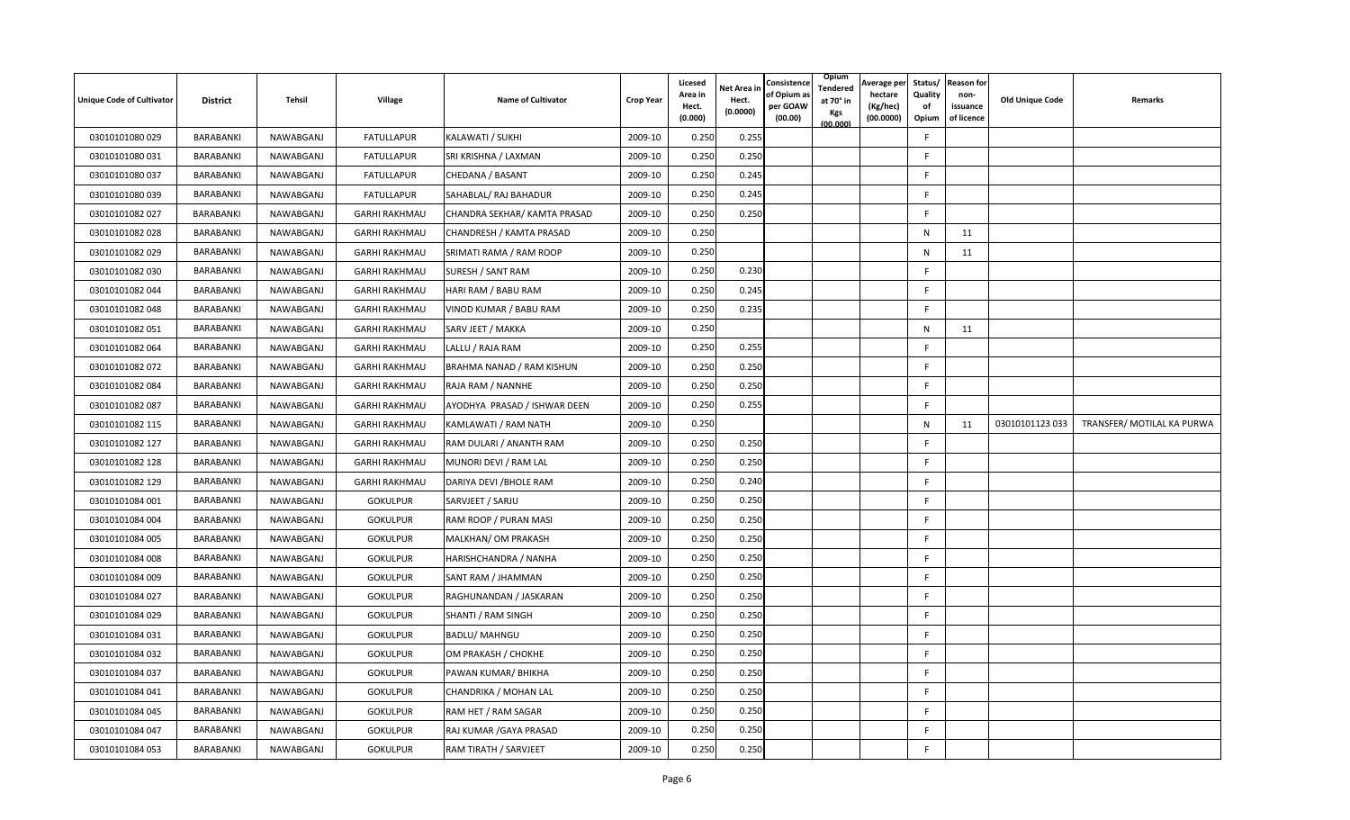| <b>Unique Code of Cultivator</b> | <b>District</b> | Tehsil    | Village              | <b>Name of Cultivator</b>    | <b>Crop Year</b> | Licesed<br>Area in<br>Hect.<br>(0.000) | Net Area in<br>Hect.<br>(0.0000) | Consistence<br>of Opium a<br>per GOAW<br>(00.00) | Opium<br>Tendered<br>at 70° in<br>Kgs<br>(00.000) | Average per<br>hectare<br>(Kg/hec)<br>(00.0000) | Status/<br>Quality<br>of<br>Opium | <b>Reason for</b><br>non-<br>issuance<br>of licence | <b>Old Unique Code</b> | Remarks                    |
|----------------------------------|-----------------|-----------|----------------------|------------------------------|------------------|----------------------------------------|----------------------------------|--------------------------------------------------|---------------------------------------------------|-------------------------------------------------|-----------------------------------|-----------------------------------------------------|------------------------|----------------------------|
| 03010101080 029                  | BARABANKI       | NAWABGANJ | <b>FATULLAPUR</b>    | KALAWATI / SUKHI             | 2009-10          | 0.250                                  | 0.255                            |                                                  |                                                   |                                                 | F                                 |                                                     |                        |                            |
| 03010101080 031                  | BARABANKI       | NAWABGANJ | <b>FATULLAPUR</b>    | SRI KRISHNA / LAXMAN         | 2009-10          | 0.250                                  | 0.250                            |                                                  |                                                   |                                                 | F                                 |                                                     |                        |                            |
| 03010101080 037                  | BARABANKI       | NAWABGANJ | <b>FATULLAPUR</b>    | CHEDANA / BASANT             | 2009-10          | 0.250                                  | 0.245                            |                                                  |                                                   |                                                 | F                                 |                                                     |                        |                            |
| 03010101080 039                  | BARABANKI       | NAWABGANJ | <b>FATULLAPUR</b>    | SAHABLAL/ RAJ BAHADUR        | 2009-10          | 0.250                                  | 0.245                            |                                                  |                                                   |                                                 | F                                 |                                                     |                        |                            |
| 03010101082 027                  | BARABANKI       | NAWABGANJ | <b>GARHI RAKHMAU</b> | CHANDRA SEKHAR/ KAMTA PRASAD | 2009-10          | 0.250                                  | 0.250                            |                                                  |                                                   |                                                 | F                                 |                                                     |                        |                            |
| 03010101082 028                  | BARABANKI       | NAWABGANJ | <b>GARHI RAKHMAU</b> | CHANDRESH / KAMTA PRASAD     | 2009-10          | 0.250                                  |                                  |                                                  |                                                   |                                                 | N                                 | 11                                                  |                        |                            |
| 03010101082 029                  | BARABANKI       | NAWABGANJ | <b>GARHI RAKHMAU</b> | SRIMATI RAMA / RAM ROOP      | 2009-10          | 0.250                                  |                                  |                                                  |                                                   |                                                 | N                                 | 11                                                  |                        |                            |
| 03010101082 030                  | BARABANKI       | NAWABGANJ | <b>GARHI RAKHMAU</b> | SURESH / SANT RAM            | 2009-10          | 0.250                                  | 0.230                            |                                                  |                                                   |                                                 | F                                 |                                                     |                        |                            |
| 03010101082 044                  | BARABANKI       | NAWABGANJ | <b>GARHI RAKHMAU</b> | HARI RAM / BABU RAM          | 2009-10          | 0.250                                  | 0.245                            |                                                  |                                                   |                                                 | F                                 |                                                     |                        |                            |
| 03010101082 048                  | BARABANKI       | NAWABGANJ | <b>GARHI RAKHMAU</b> | VINOD KUMAR / BABU RAM       | 2009-10          | 0.250                                  | 0.235                            |                                                  |                                                   |                                                 | F                                 |                                                     |                        |                            |
| 03010101082 051                  | BARABANKI       | NAWABGANJ | <b>GARHI RAKHMAU</b> | SARV JEET / MAKKA            | 2009-10          | 0.250                                  |                                  |                                                  |                                                   |                                                 | N                                 | 11                                                  |                        |                            |
| 03010101082 064                  | BARABANKI       | NAWABGANJ | <b>GARHI RAKHMAU</b> | LALLU / RAJA RAM             | 2009-10          | 0.250                                  | 0.255                            |                                                  |                                                   |                                                 | F                                 |                                                     |                        |                            |
| 03010101082 072                  | BARABANKI       | NAWABGANJ | <b>GARHI RAKHMAU</b> | BRAHMA NANAD / RAM KISHUN    | 2009-10          | 0.250                                  | 0.250                            |                                                  |                                                   |                                                 | F                                 |                                                     |                        |                            |
| 03010101082 084                  | BARABANKI       | NAWABGANJ | <b>GARHI RAKHMAU</b> | RAJA RAM / NANNHE            | 2009-10          | 0.250                                  | 0.250                            |                                                  |                                                   |                                                 | F.                                |                                                     |                        |                            |
| 03010101082 087                  | BARABANKI       | NAWABGANJ | <b>GARHI RAKHMAU</b> | AYODHYA PRASAD / ISHWAR DEEN | 2009-10          | 0.250                                  | 0.255                            |                                                  |                                                   |                                                 | F                                 |                                                     |                        |                            |
| 03010101082 115                  | BARABANKI       | NAWABGANJ | <b>GARHI RAKHMAU</b> | KAMLAWATI / RAM NATH         | 2009-10          | 0.250                                  |                                  |                                                  |                                                   |                                                 | N                                 | 11                                                  | 03010101123 033        | TRANSFER/ MOTILAL KA PURWA |
| 03010101082 127                  | BARABANKI       | NAWABGANJ | <b>GARHI RAKHMAU</b> | RAM DULARI / ANANTH RAM      | 2009-10          | 0.250                                  | 0.250                            |                                                  |                                                   |                                                 | F                                 |                                                     |                        |                            |
| 03010101082 128                  | BARABANKI       | NAWABGANJ | <b>GARHI RAKHMAU</b> | MUNORI DEVI / RAM LAL        | 2009-10          | 0.250                                  | 0.25C                            |                                                  |                                                   |                                                 | F                                 |                                                     |                        |                            |
| 03010101082 129                  | BARABANKI       | NAWABGANJ | <b>GARHI RAKHMAU</b> | DARIYA DEVI / BHOLE RAM      | 2009-10          | 0.250                                  | 0.240                            |                                                  |                                                   |                                                 | F                                 |                                                     |                        |                            |
| 03010101084 001                  | BARABANKI       | NAWABGANJ | GOKULPUR             | SARVJEET / SARJU             | 2009-10          | 0.250                                  | 0.250                            |                                                  |                                                   |                                                 | F.                                |                                                     |                        |                            |
| 03010101084 004                  | BARABANKI       | NAWABGANJ | <b>GOKULPUR</b>      | RAM ROOP / PURAN MASI        | 2009-10          | 0.250                                  | 0.250                            |                                                  |                                                   |                                                 | F                                 |                                                     |                        |                            |
| 03010101084 005                  | BARABANKI       | NAWABGANJ | <b>GOKULPUR</b>      | MALKHAN/ OM PRAKASH          | 2009-10          | 0.250                                  | 0.250                            |                                                  |                                                   |                                                 | E                                 |                                                     |                        |                            |
| 03010101084 008                  | BARABANKI       | NAWABGANJ | <b>GOKULPUR</b>      | HARISHCHANDRA / NANHA        | 2009-10          | 0.250                                  | 0.250                            |                                                  |                                                   |                                                 | F                                 |                                                     |                        |                            |
| 03010101084 009                  | BARABANKI       | NAWABGANJ | <b>GOKULPUR</b>      | SANT RAM / JHAMMAN           | 2009-10          | 0.250                                  | 0.250                            |                                                  |                                                   |                                                 | F                                 |                                                     |                        |                            |
| 03010101084 027                  | BARABANKI       | NAWABGANJ | <b>GOKULPUR</b>      | RAGHUNANDAN / JASKARAN       | 2009-10          | 0.250                                  | 0.250                            |                                                  |                                                   |                                                 | F                                 |                                                     |                        |                            |
| 03010101084 029                  | BARABANKI       | NAWABGANJ | <b>GOKULPUR</b>      | SHANTI / RAM SINGH           | 2009-10          | 0.250                                  | 0.250                            |                                                  |                                                   |                                                 | F                                 |                                                     |                        |                            |
| 03010101084 031                  | BARABANKI       | NAWABGANJ | <b>GOKULPUR</b>      | <b>BADLU/ MAHNGU</b>         | 2009-10          | 0.250                                  | 0.250                            |                                                  |                                                   |                                                 | F                                 |                                                     |                        |                            |
| 03010101084 032                  | BARABANKI       | NAWABGANJ | <b>GOKULPUR</b>      | OM PRAKASH / CHOKHE          | 2009-10          | 0.250                                  | 0.250                            |                                                  |                                                   |                                                 | F                                 |                                                     |                        |                            |
| 03010101084 037                  | BARABANKI       | NAWABGANJ | <b>GOKULPUR</b>      | PAWAN KUMAR/ BHIKHA          | 2009-10          | 0.250                                  | 0.250                            |                                                  |                                                   |                                                 | F                                 |                                                     |                        |                            |
| 03010101084 041                  | BARABANKI       | NAWABGANJ | <b>GOKULPUR</b>      | CHANDRIKA / MOHAN LAL        | 2009-10          | 0.250                                  | 0.250                            |                                                  |                                                   |                                                 | F                                 |                                                     |                        |                            |
| 03010101084 045                  | BARABANKI       | NAWABGANJ | <b>GOKULPUR</b>      | RAM HET / RAM SAGAR          | 2009-10          | 0.250                                  | 0.250                            |                                                  |                                                   |                                                 | F                                 |                                                     |                        |                            |
| 03010101084 047                  | BARABANKI       | NAWABGANJ | <b>GOKULPUR</b>      | RAJ KUMAR / GAYA PRASAD      | 2009-10          | 0.250                                  | 0.25C                            |                                                  |                                                   |                                                 | E                                 |                                                     |                        |                            |
| 03010101084 053                  | BARABANKI       | NAWABGANJ | <b>GOKULPUR</b>      | RAM TIRATH / SARVJEET        | 2009-10          | 0.250                                  | 0.250                            |                                                  |                                                   |                                                 | F                                 |                                                     |                        |                            |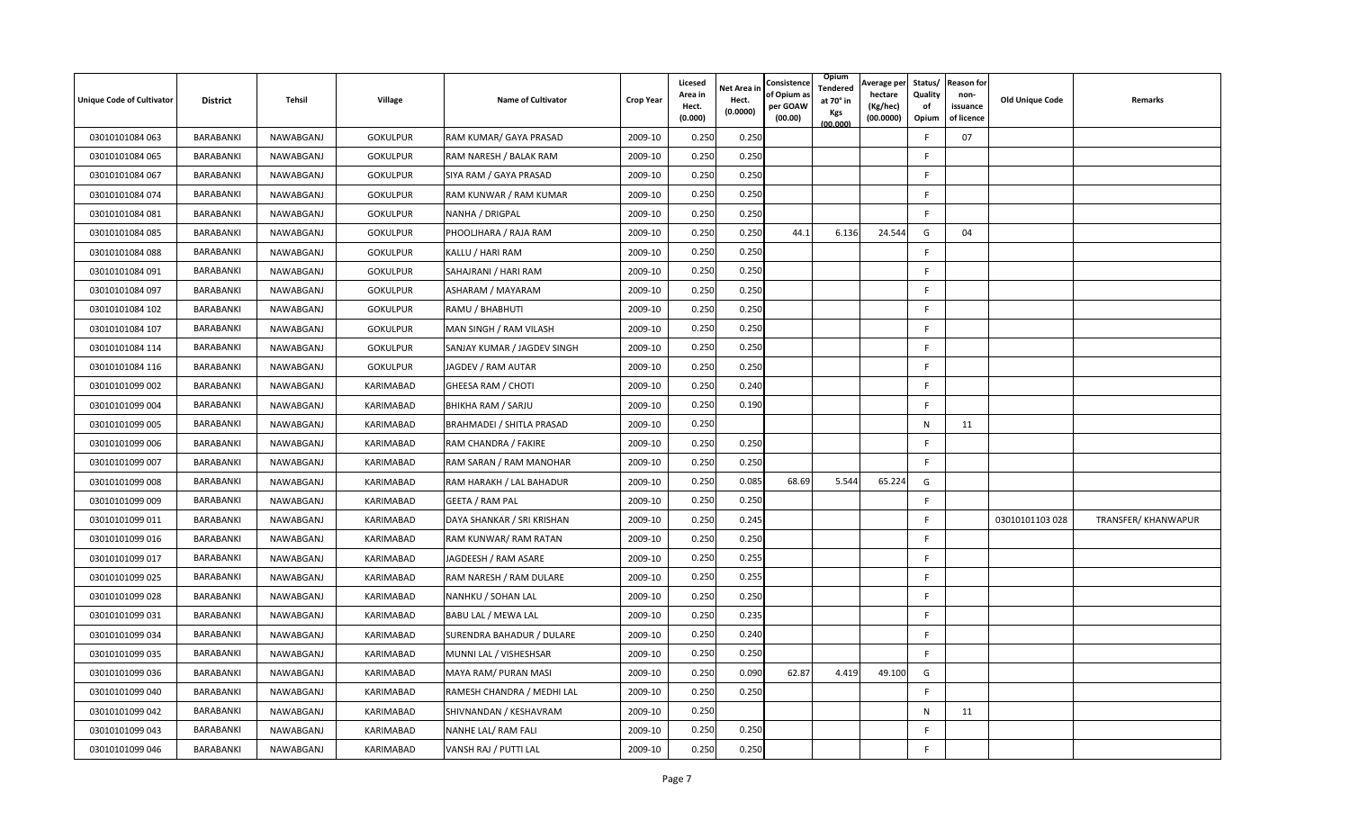| <b>Unique Code of Cultivator</b> | <b>District</b> | Tehsil    | Village         | <b>Name of Cultivator</b>   | <b>Crop Year</b> | Licesed<br>Area in<br>Hect.<br>(0.000) | Net Area in<br>Hect.<br>(0.0000) | Consistence<br>of Opium a<br>per GOAW<br>(00.00) | Opium<br>Tendered<br>at 70° in<br>Kgs<br>(00.000) | Average per<br>hectare<br>(Kg/hec)<br>(00.0000) | Status/<br>Quality<br>of<br>Opium | <b>Reason for</b><br>non-<br>issuance<br>of licence | <b>Old Unique Code</b> | Remarks             |
|----------------------------------|-----------------|-----------|-----------------|-----------------------------|------------------|----------------------------------------|----------------------------------|--------------------------------------------------|---------------------------------------------------|-------------------------------------------------|-----------------------------------|-----------------------------------------------------|------------------------|---------------------|
| 03010101084 063                  | BARABANKI       | NAWABGANJ | <b>GOKULPUR</b> | RAM KUMAR/ GAYA PRASAD      | 2009-10          | 0.250                                  | 0.250                            |                                                  |                                                   |                                                 | F                                 | 07                                                  |                        |                     |
| 03010101084 065                  | BARABANKI       | NAWABGANJ | <b>GOKULPUR</b> | RAM NARESH / BALAK RAM      | 2009-10          | 0.250                                  | 0.250                            |                                                  |                                                   |                                                 | F                                 |                                                     |                        |                     |
| 03010101084 067                  | BARABANKI       | NAWABGANJ | <b>GOKULPUR</b> | SIYA RAM / GAYA PRASAD      | 2009-10          | 0.250                                  | 0.250                            |                                                  |                                                   |                                                 | F                                 |                                                     |                        |                     |
| 03010101084 074                  | BARABANKI       | NAWABGANJ | <b>GOKULPUR</b> | RAM KUNWAR / RAM KUMAR      | 2009-10          | 0.250                                  | 0.250                            |                                                  |                                                   |                                                 | F                                 |                                                     |                        |                     |
| 03010101084 081                  | BARABANKI       | NAWABGANJ | <b>GOKULPUR</b> | NANHA / DRIGPAL             | 2009-10          | 0.250                                  | 0.250                            |                                                  |                                                   |                                                 | F                                 |                                                     |                        |                     |
| 03010101084 085                  | BARABANKI       | NAWABGANJ | <b>GOKULPUR</b> | PHOOLJHARA / RAJA RAM       | 2009-10          | 0.250                                  | 0.250                            | 44.1                                             | 6.136                                             | 24.544                                          | G                                 | 04                                                  |                        |                     |
| 03010101084 088                  | BARABANKI       | NAWABGANJ | <b>GOKULPUR</b> | KALLU / HARI RAM            | 2009-10          | 0.250                                  | 0.250                            |                                                  |                                                   |                                                 | F.                                |                                                     |                        |                     |
| 03010101084 091                  | BARABANKI       | NAWABGANJ | <b>GOKULPUR</b> | SAHAJRANI / HARI RAM        | 2009-10          | 0.250                                  | 0.250                            |                                                  |                                                   |                                                 | F.                                |                                                     |                        |                     |
| 03010101084 097                  | BARABANKI       | NAWABGANJ | <b>GOKULPUR</b> | ASHARAM / MAYARAM           | 2009-10          | 0.250                                  | 0.250                            |                                                  |                                                   |                                                 | F                                 |                                                     |                        |                     |
| 03010101084 102                  | BARABANKI       | NAWABGANJ | <b>GOKULPUR</b> | RAMU / BHABHUTI             | 2009-10          | 0.250                                  | 0.250                            |                                                  |                                                   |                                                 | F                                 |                                                     |                        |                     |
| 03010101084 107                  | BARABANKI       | NAWABGANJ | <b>GOKULPUR</b> | MAN SINGH / RAM VILASH      | 2009-10          | 0.250                                  | 0.250                            |                                                  |                                                   |                                                 | F.                                |                                                     |                        |                     |
| 03010101084 114                  | BARABANKI       | NAWABGANJ | <b>GOKULPUR</b> | SANJAY KUMAR / JAGDEV SINGH | 2009-10          | 0.250                                  | 0.250                            |                                                  |                                                   |                                                 | F                                 |                                                     |                        |                     |
| 03010101084 116                  | BARABANKI       | NAWABGANJ | <b>GOKULPUR</b> | JAGDEV / RAM AUTAR          | 2009-10          | 0.250                                  | 0.250                            |                                                  |                                                   |                                                 | F                                 |                                                     |                        |                     |
| 03010101099 002                  | BARABANKI       | NAWABGANJ | KARIMABAD       | GHEESA RAM / CHOTI          | 2009-10          | 0.250                                  | 0.240                            |                                                  |                                                   |                                                 | F.                                |                                                     |                        |                     |
| 03010101099 004                  | BARABANKI       | NAWABGANJ | KARIMABAD       | BHIKHA RAM / SARJU          | 2009-10          | 0.250                                  | 0.190                            |                                                  |                                                   |                                                 | F                                 |                                                     |                        |                     |
| 03010101099 005                  | BARABANKI       | NAWABGANJ | KARIMABAD       | BRAHMADEI / SHITLA PRASAD   | 2009-10          | 0.250                                  |                                  |                                                  |                                                   |                                                 | N                                 | 11                                                  |                        |                     |
| 03010101099 006                  | BARABANKI       | NAWABGANJ | KARIMABAD       | RAM CHANDRA / FAKIRE        | 2009-10          | 0.250                                  | 0.250                            |                                                  |                                                   |                                                 | F.                                |                                                     |                        |                     |
| 03010101099 007                  | BARABANKI       | NAWABGANJ | KARIMABAD       | RAM SARAN / RAM MANOHAR     | 2009-10          | 0.250                                  | 0.25C                            |                                                  |                                                   |                                                 | F.                                |                                                     |                        |                     |
| 03010101099 008                  | BARABANKI       | NAWABGANJ | KARIMABAD       | RAM HARAKH / LAL BAHADUR    | 2009-10          | 0.250                                  | 0.085                            | 68.69                                            | 5.544                                             | 65.224                                          | G                                 |                                                     |                        |                     |
| 03010101099 009                  | BARABANKI       | NAWABGANJ | KARIMABAD       | GEETA / RAM PAL             | 2009-10          | 0.250                                  | 0.250                            |                                                  |                                                   |                                                 | F.                                |                                                     |                        |                     |
| 03010101099 011                  | BARABANKI       | NAWABGANJ | KARIMABAD       | DAYA SHANKAR / SRI KRISHAN  | 2009-10          | 0.250                                  | 0.245                            |                                                  |                                                   |                                                 | F                                 |                                                     | 03010101103 028        | TRANSFER/ KHANWAPUR |
| 03010101099 016                  | BARABANKI       | NAWABGANJ | KARIMABAD       | RAM KUNWAR/RAM RATAN        | 2009-10          | 0.250                                  | 0.250                            |                                                  |                                                   |                                                 | F                                 |                                                     |                        |                     |
| 03010101099 017                  | BARABANKI       | NAWABGANJ | KARIMABAD       | JAGDEESH / RAM ASARE        | 2009-10          | 0.250                                  | 0.255                            |                                                  |                                                   |                                                 | F                                 |                                                     |                        |                     |
| 03010101099 025                  | BARABANKI       | NAWABGANJ | KARIMABAD       | RAM NARESH / RAM DULARE     | 2009-10          | 0.250                                  | 0.255                            |                                                  |                                                   |                                                 | F                                 |                                                     |                        |                     |
| 03010101099 028                  | BARABANKI       | NAWABGANJ | KARIMABAD       | NANHKU / SOHAN LAL          | 2009-10          | 0.250                                  | 0.250                            |                                                  |                                                   |                                                 | F                                 |                                                     |                        |                     |
| 03010101099 031                  | BARABANKI       | NAWABGANJ | KARIMABAD       | BABU LAL / MEWA LAL         | 2009-10          | 0.250                                  | 0.235                            |                                                  |                                                   |                                                 | F                                 |                                                     |                        |                     |
| 03010101099 034                  | BARABANKI       | NAWABGANJ | KARIMABAD       | SURENDRA BAHADUR / DULARE   | 2009-10          | 0.250                                  | 0.240                            |                                                  |                                                   |                                                 | F                                 |                                                     |                        |                     |
| 03010101099 035                  | BARABANKI       | NAWABGANJ | KARIMABAD       | MUNNI LAL / VISHESHSAR      | 2009-10          | 0.250                                  | 0.250                            |                                                  |                                                   |                                                 | F.                                |                                                     |                        |                     |
| 03010101099 036                  | BARABANKI       | NAWABGANJ | KARIMABAD       | MAYA RAM/ PURAN MASI        | 2009-10          | 0.250                                  | 0.090                            | 62.87                                            | 4.419                                             | 49.100                                          | G                                 |                                                     |                        |                     |
| 03010101099 040                  | BARABANKI       | NAWABGANJ | KARIMABAD       | RAMESH CHANDRA / MEDHI LAL  | 2009-10          | 0.250                                  | 0.250                            |                                                  |                                                   |                                                 | F                                 |                                                     |                        |                     |
| 03010101099 042                  | BARABANKI       | NAWABGANJ | KARIMABAD       | SHIVNANDAN / KESHAVRAM      | 2009-10          | 0.250                                  |                                  |                                                  |                                                   |                                                 | N                                 | 11                                                  |                        |                     |
| 03010101099 043                  | BARABANKI       | NAWABGANJ | KARIMABAD       | NANHE LAL/ RAM FALI         | 2009-10          | 0.250                                  | 0.250                            |                                                  |                                                   |                                                 | E                                 |                                                     |                        |                     |
| 03010101099 046                  | BARABANKI       | NAWABGANJ | KARIMABAD       | VANSH RAJ / PUTTI LAL       | 2009-10          | 0.250                                  | 0.250                            |                                                  |                                                   |                                                 | F.                                |                                                     |                        |                     |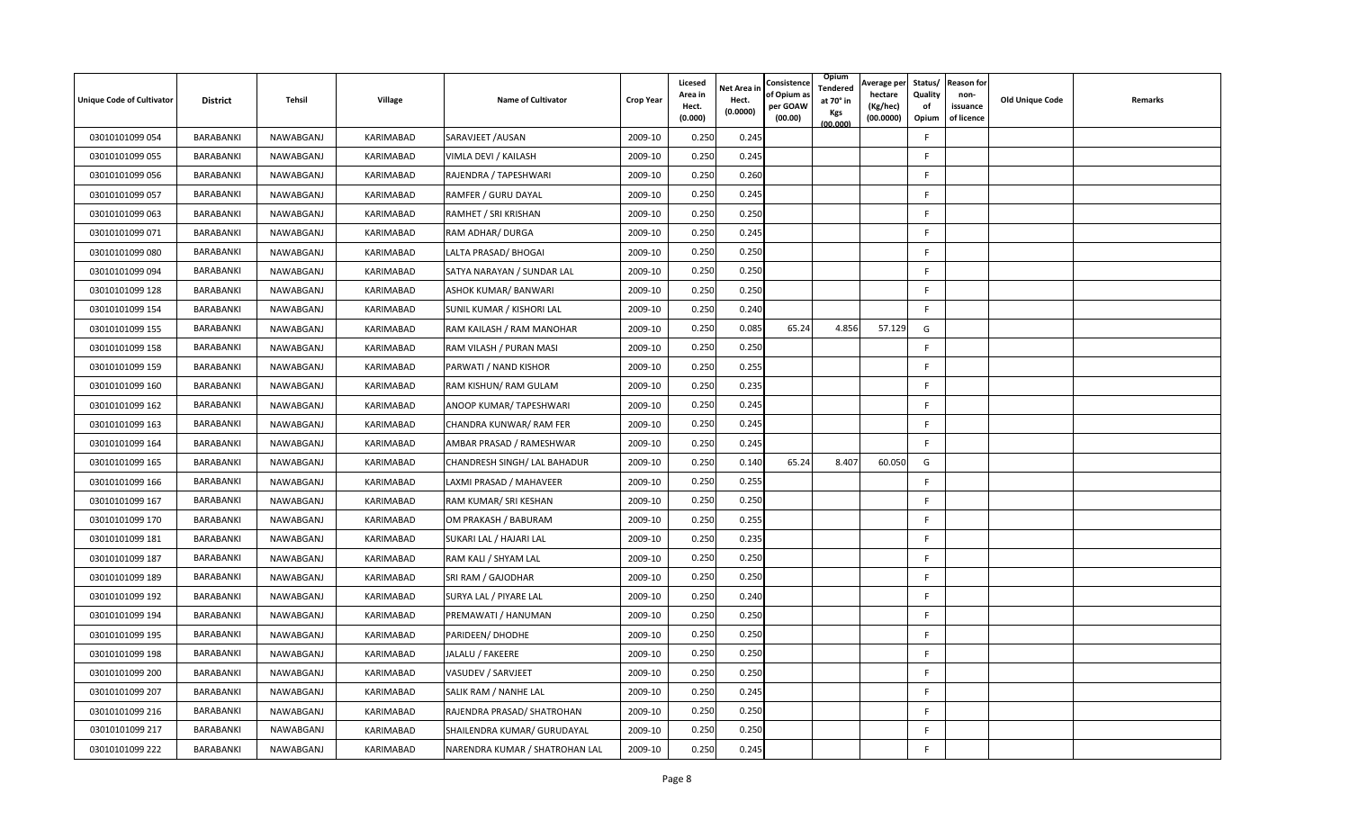| <b>Unique Code of Cultivator</b> | <b>District</b> | Tehsil    | Village   | <b>Name of Cultivator</b>      | <b>Crop Year</b> | Licesed<br>Area in<br>Hect.<br>(0.000) | <b>Net Area in</b><br>Hect.<br>(0.0000) | Consistence<br>of Opium as<br>per GOAW<br>(00.00) | Opium<br>Tendered<br>at 70° in<br>Kgs<br>(00.000) | Average per<br>hectare<br>(Kg/hec)<br>(00.0000) | Status/<br>Quality<br>of<br>Opium | <b>Reason for</b><br>non-<br>issuance<br>of licence | <b>Old Unique Code</b> | Remarks |
|----------------------------------|-----------------|-----------|-----------|--------------------------------|------------------|----------------------------------------|-----------------------------------------|---------------------------------------------------|---------------------------------------------------|-------------------------------------------------|-----------------------------------|-----------------------------------------------------|------------------------|---------|
| 03010101099 054                  | BARABANKI       | NAWABGANJ | KARIMABAD | SARAVJEET / AUSAN              | 2009-10          | 0.250                                  | 0.245                                   |                                                   |                                                   |                                                 | F                                 |                                                     |                        |         |
| 03010101099 055                  | BARABANKI       | NAWABGANJ | KARIMABAD | VIMLA DEVI / KAILASH           | 2009-10          | 0.250                                  | 0.245                                   |                                                   |                                                   |                                                 | F.                                |                                                     |                        |         |
| 03010101099 056                  | BARABANKI       | NAWABGANJ | KARIMABAD | RAJENDRA / TAPESHWARI          | 2009-10          | 0.250                                  | 0.260                                   |                                                   |                                                   |                                                 | F.                                |                                                     |                        |         |
| 03010101099 057                  | BARABANKI       | NAWABGANJ | KARIMABAD | RAMFER / GURU DAYAL            | 2009-10          | 0.250                                  | 0.245                                   |                                                   |                                                   |                                                 | F.                                |                                                     |                        |         |
| 03010101099 063                  | BARABANKI       | NAWABGANJ | KARIMABAD | RAMHET / SRI KRISHAN           | 2009-10          | 0.250                                  | 0.250                                   |                                                   |                                                   |                                                 | F.                                |                                                     |                        |         |
| 03010101099 071                  | BARABANKI       | NAWABGANJ | KARIMABAD | RAM ADHAR/ DURGA               | 2009-10          | 0.250                                  | 0.245                                   |                                                   |                                                   |                                                 | F.                                |                                                     |                        |         |
| 03010101099 080                  | BARABANKI       | NAWABGANJ | KARIMABAD | LALTA PRASAD/ BHOGAI           | 2009-10          | 0.250                                  | 0.250                                   |                                                   |                                                   |                                                 | F.                                |                                                     |                        |         |
| 03010101099 094                  | BARABANKI       | NAWABGANJ | KARIMABAD | SATYA NARAYAN / SUNDAR LAL     | 2009-10          | 0.250                                  | 0.250                                   |                                                   |                                                   |                                                 | F.                                |                                                     |                        |         |
| 03010101099 128                  | BARABANKI       | NAWABGANJ | KARIMABAD | ASHOK KUMAR/ BANWARI           | 2009-10          | 0.250                                  | 0.250                                   |                                                   |                                                   |                                                 | F.                                |                                                     |                        |         |
| 03010101099 154                  | BARABANKI       | NAWABGANJ | KARIMABAD | SUNIL KUMAR / KISHORI LAL      | 2009-10          | 0.250                                  | 0.240                                   |                                                   |                                                   |                                                 | F                                 |                                                     |                        |         |
| 03010101099 155                  | BARABANKI       | NAWABGANJ | KARIMABAD | RAM KAILASH / RAM MANOHAR      | 2009-10          | 0.250                                  | 0.085                                   | 65.24                                             | 4.856                                             | 57.129                                          | G                                 |                                                     |                        |         |
| 03010101099 158                  | BARABANKI       | NAWABGANJ | KARIMABAD | RAM VILASH / PURAN MASI        | 2009-10          | 0.250                                  | 0.250                                   |                                                   |                                                   |                                                 | F.                                |                                                     |                        |         |
| 03010101099 159                  | BARABANKI       | NAWABGANJ | KARIMABAD | PARWATI / NAND KISHOR          | 2009-10          | 0.250                                  | 0.255                                   |                                                   |                                                   |                                                 | F.                                |                                                     |                        |         |
| 03010101099 160                  | BARABANKI       | NAWABGANJ | KARIMABAD | RAM KISHUN/ RAM GULAM          | 2009-10          | 0.250                                  | 0.235                                   |                                                   |                                                   |                                                 | F.                                |                                                     |                        |         |
| 03010101099 162                  | BARABANKI       | NAWABGANJ | KARIMABAD | ANOOP KUMAR/ TAPESHWARI        | 2009-10          | 0.250                                  | 0.245                                   |                                                   |                                                   |                                                 | F.                                |                                                     |                        |         |
| 03010101099 163                  | BARABANKI       | NAWABGANJ | KARIMABAD | CHANDRA KUNWAR/ RAM FER        | 2009-10          | 0.25C                                  | 0.245                                   |                                                   |                                                   |                                                 | F.                                |                                                     |                        |         |
| 03010101099 164                  | BARABANKI       | NAWABGANJ | KARIMABAD | AMBAR PRASAD / RAMESHWAR       | 2009-10          | 0.250                                  | 0.245                                   |                                                   |                                                   |                                                 | F.                                |                                                     |                        |         |
| 03010101099 165                  | BARABANKI       | NAWABGANJ | KARIMABAD | CHANDRESH SINGH/ LAL BAHADUR   | 2009-10          | 0.250                                  | 0.140                                   | 65.24                                             | 8.407                                             | 60.050                                          | G                                 |                                                     |                        |         |
| 03010101099 166                  | BARABANKI       | NAWABGANJ | KARIMABAD | LAXMI PRASAD / MAHAVEER        | 2009-10          | 0.250                                  | 0.255                                   |                                                   |                                                   |                                                 | F.                                |                                                     |                        |         |
| 03010101099 167                  | BARABANKI       | NAWABGANJ | KARIMABAD | RAM KUMAR/ SRI KESHAN          | 2009-10          | 0.250                                  | 0.250                                   |                                                   |                                                   |                                                 | F                                 |                                                     |                        |         |
| 03010101099 170                  | BARABANKI       | NAWABGANJ | KARIMABAD | OM PRAKASH / BABURAM           | 2009-10          | 0.250                                  | 0.255                                   |                                                   |                                                   |                                                 | F.                                |                                                     |                        |         |
| 03010101099 181                  | BARABANKI       | NAWABGANJ | KARIMABAD | SUKARI LAL / HAJARI LAL        | 2009-10          | 0.250                                  | 0.235                                   |                                                   |                                                   |                                                 | F.                                |                                                     |                        |         |
| 03010101099 187                  | BARABANKI       | NAWABGANJ | KARIMABAD | RAM KALI / SHYAM LAL           | 2009-10          | 0.250                                  | 0.250                                   |                                                   |                                                   |                                                 | F.                                |                                                     |                        |         |
| 03010101099 189                  | BARABANKI       | NAWABGANJ | KARIMABAD | SRI RAM / GAJODHAR             | 2009-10          | 0.250                                  | 0.250                                   |                                                   |                                                   |                                                 | F                                 |                                                     |                        |         |
| 03010101099 192                  | BARABANKI       | NAWABGANJ | KARIMABAD | SURYA LAL / PIYARE LAL         | 2009-10          | 0.250                                  | 0.240                                   |                                                   |                                                   |                                                 | F.                                |                                                     |                        |         |
| 03010101099 194                  | BARABANKI       | NAWABGANJ | KARIMABAD | PREMAWATI / HANUMAN            | 2009-10          | 0.250                                  | 0.250                                   |                                                   |                                                   |                                                 | F.                                |                                                     |                        |         |
| 03010101099 195                  | BARABANKI       | NAWABGANJ | KARIMABAD | PARIDEEN/ DHODHE               | 2009-10          | 0.250                                  | 0.250                                   |                                                   |                                                   |                                                 | F.                                |                                                     |                        |         |
| 03010101099 198                  | BARABANKI       | NAWABGANJ | KARIMABAD | JALALU / FAKEERE               | 2009-10          | 0.250                                  | 0.250                                   |                                                   |                                                   |                                                 | F                                 |                                                     |                        |         |
| 03010101099 200                  | BARABANKI       | NAWABGANJ | KARIMABAD | VASUDEV / SARVJEET             | 2009-10          | 0.250                                  | 0.250                                   |                                                   |                                                   |                                                 | F.                                |                                                     |                        |         |
| 03010101099 207                  | BARABANKI       | NAWABGANJ | KARIMABAD | SALIK RAM / NANHE LAL          | 2009-10          | 0.250                                  | 0.245                                   |                                                   |                                                   |                                                 | F.                                |                                                     |                        |         |
| 03010101099 216                  | BARABANKI       | NAWABGANJ | KARIMABAD | RAJENDRA PRASAD/ SHATROHAN     | 2009-10          | 0.250                                  | 0.250                                   |                                                   |                                                   |                                                 | F.                                |                                                     |                        |         |
| 03010101099 217                  | BARABANKI       | NAWABGANJ | KARIMABAD | SHAILENDRA KUMAR/ GURUDAYAL    | 2009-10          | 0.250                                  | 0.250                                   |                                                   |                                                   |                                                 | F.                                |                                                     |                        |         |
| 03010101099 222                  | BARABANKI       | NAWABGANJ | KARIMABAD | NARENDRA KUMAR / SHATROHAN LAL | 2009-10          | 0.250                                  | 0.245                                   |                                                   |                                                   |                                                 | F.                                |                                                     |                        |         |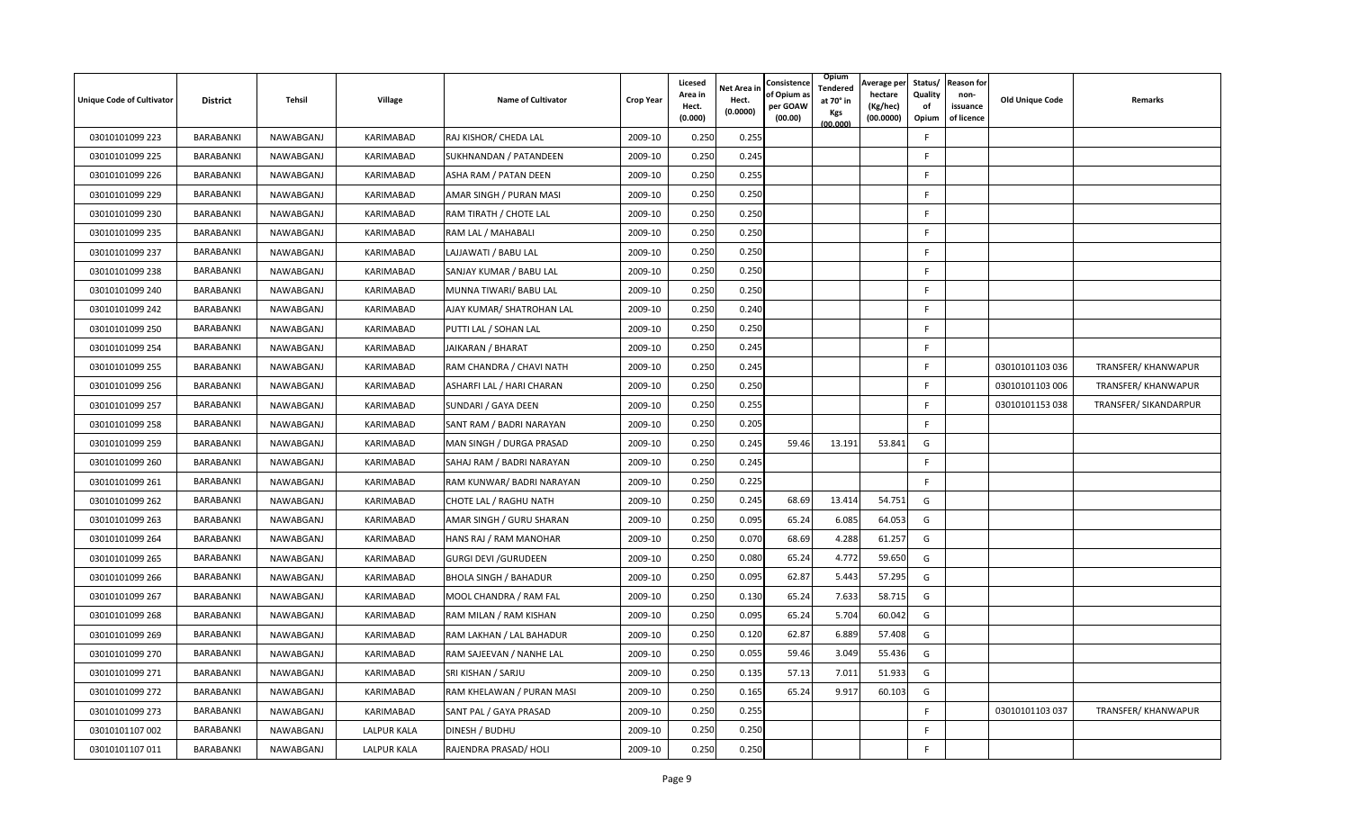| <b>Unique Code of Cultivator</b> | <b>District</b> | Tehsil    | Village            | <b>Name of Cultivator</b>    | <b>Crop Year</b> | Licesed<br>Area in<br>Hect.<br>(0.000) | Net Area in<br>Hect.<br>(0.0000) | Consistence<br>of Opium a<br>per GOAW<br>(00.00) | Opium<br>Tendered<br>at 70° in<br>Kgs<br>(00.000) | Average per<br>hectare<br>(Kg/hec)<br>(00.0000) | Status/<br>Quality<br>of<br>Opium | <b>Reason for</b><br>non-<br>issuance<br>of licence | <b>Old Unique Code</b> | Remarks               |
|----------------------------------|-----------------|-----------|--------------------|------------------------------|------------------|----------------------------------------|----------------------------------|--------------------------------------------------|---------------------------------------------------|-------------------------------------------------|-----------------------------------|-----------------------------------------------------|------------------------|-----------------------|
| 03010101099 223                  | BARABANKI       | NAWABGANJ | KARIMABAD          | RAJ KISHOR/ CHEDA LAL        | 2009-10          | 0.250                                  | 0.255                            |                                                  |                                                   |                                                 | F                                 |                                                     |                        |                       |
| 03010101099 225                  | BARABANKI       | NAWABGANJ | KARIMABAD          | SUKHNANDAN / PATANDEEN       | 2009-10          | 0.250                                  | 0.245                            |                                                  |                                                   |                                                 | F                                 |                                                     |                        |                       |
| 03010101099 226                  | BARABANKI       | NAWABGANJ | KARIMABAD          | ASHA RAM / PATAN DEEN        | 2009-10          | 0.250                                  | 0.255                            |                                                  |                                                   |                                                 | F                                 |                                                     |                        |                       |
| 03010101099 229                  | BARABANKI       | NAWABGANJ | KARIMABAD          | AMAR SINGH / PURAN MASI      | 2009-10          | 0.250                                  | 0.25C                            |                                                  |                                                   |                                                 | F                                 |                                                     |                        |                       |
| 03010101099 230                  | BARABANKI       | NAWABGANJ | KARIMABAD          | RAM TIRATH / CHOTE LAL       | 2009-10          | 0.250                                  | 0.250                            |                                                  |                                                   |                                                 | F                                 |                                                     |                        |                       |
| 03010101099 235                  | BARABANKI       | NAWABGANJ | KARIMABAD          | RAM LAL / MAHABALI           | 2009-10          | 0.250                                  | 0.250                            |                                                  |                                                   |                                                 | E                                 |                                                     |                        |                       |
| 03010101099 237                  | BARABANKI       | NAWABGANJ | KARIMABAD          | LAJJAWATI / BABU LAL         | 2009-10          | 0.250                                  | 0.250                            |                                                  |                                                   |                                                 | F                                 |                                                     |                        |                       |
| 03010101099 238                  | BARABANKI       | NAWABGANJ | KARIMABAD          | SANJAY KUMAR / BABU LAL      | 2009-10          | 0.250                                  | 0.250                            |                                                  |                                                   |                                                 | F.                                |                                                     |                        |                       |
| 03010101099 240                  | BARABANKI       | NAWABGANJ | KARIMABAD          | MUNNA TIWARI/ BABU LAL       | 2009-10          | 0.250                                  | 0.250                            |                                                  |                                                   |                                                 | F                                 |                                                     |                        |                       |
| 03010101099 242                  | BARABANKI       | NAWABGANJ | KARIMABAD          | AJAY KUMAR/ SHATROHAN LAL    | 2009-10          | 0.250                                  | 0.240                            |                                                  |                                                   |                                                 | F                                 |                                                     |                        |                       |
| 03010101099 250                  | BARABANKI       | NAWABGANJ | KARIMABAD          | PUTTI LAL / SOHAN LAL        | 2009-10          | 0.250                                  | 0.250                            |                                                  |                                                   |                                                 | F                                 |                                                     |                        |                       |
| 03010101099 254                  | BARABANKI       | NAWABGANJ | KARIMABAD          | JAIKARAN / BHARAT            | 2009-10          | 0.250                                  | 0.245                            |                                                  |                                                   |                                                 | F                                 |                                                     |                        |                       |
| 03010101099 255                  | BARABANKI       | NAWABGANJ | KARIMABAD          | RAM CHANDRA / CHAVI NATH     | 2009-10          | 0.250                                  | 0.245                            |                                                  |                                                   |                                                 | F                                 |                                                     | 03010101103 036        | TRANSFER/ KHANWAPUR   |
| 03010101099 256                  | BARABANKI       | NAWABGANJ | KARIMABAD          | ASHARFI LAL / HARI CHARAN    | 2009-10          | 0.250                                  | 0.250                            |                                                  |                                                   |                                                 | F                                 |                                                     | 03010101103 006        | TRANSFER/ KHANWAPUR   |
| 03010101099 257                  | BARABANKI       | NAWABGANJ | KARIMABAD          | SUNDARI / GAYA DEEN          | 2009-10          | 0.250                                  | 0.255                            |                                                  |                                                   |                                                 | F                                 |                                                     | 03010101153 038        | TRANSFER/ SIKANDARPUR |
| 03010101099 258                  | BARABANKI       | NAWABGANJ | KARIMABAD          | SANT RAM / BADRI NARAYAN     | 2009-10          | 0.250                                  | 0.205                            |                                                  |                                                   |                                                 | F.                                |                                                     |                        |                       |
| 03010101099 259                  | BARABANKI       | NAWABGANJ | KARIMABAD          | MAN SINGH / DURGA PRASAD     | 2009-10          | 0.250                                  | 0.245                            | 59.46                                            | 13.191                                            | 53.841                                          | G                                 |                                                     |                        |                       |
| 03010101099 260                  | BARABANKI       | NAWABGANJ | KARIMABAD          | SAHAJ RAM / BADRI NARAYAN    | 2009-10          | 0.250                                  | 0.245                            |                                                  |                                                   |                                                 | F                                 |                                                     |                        |                       |
| 03010101099 261                  | BARABANKI       | NAWABGANJ | KARIMABAD          | RAM KUNWAR/ BADRI NARAYAN    | 2009-10          | 0.250                                  | 0.225                            |                                                  |                                                   |                                                 | F.                                |                                                     |                        |                       |
| 03010101099 262                  | BARABANKI       | NAWABGANJ | KARIMABAD          | CHOTE LAL / RAGHU NATH       | 2009-10          | 0.250                                  | 0.245                            | 68.69                                            | 13.414                                            | 54.751                                          | G                                 |                                                     |                        |                       |
| 03010101099 263                  | BARABANKI       | NAWABGANJ | KARIMABAD          | AMAR SINGH / GURU SHARAN     | 2009-10          | 0.250                                  | 0.095                            | 65.24                                            | 6.085                                             | 64.053                                          | G                                 |                                                     |                        |                       |
| 03010101099 264                  | BARABANKI       | NAWABGANJ | KARIMABAD          | HANS RAJ / RAM MANOHAR       | 2009-10          | 0.250                                  | 0.070                            | 68.69                                            | 4.288                                             | 61.257                                          | G                                 |                                                     |                        |                       |
| 03010101099 265                  | BARABANKI       | NAWABGANJ | KARIMABAD          | <b>GURGI DEVI / GURUDEEN</b> | 2009-10          | 0.250                                  | 0.080                            | 65.24                                            | 4.772                                             | 59.650                                          | G                                 |                                                     |                        |                       |
| 03010101099 266                  | BARABANKI       | NAWABGANJ | KARIMABAD          | <b>BHOLA SINGH / BAHADUR</b> | 2009-10          | 0.250                                  | 0.095                            | 62.87                                            | 5.443                                             | 57.295                                          | G                                 |                                                     |                        |                       |
| 03010101099 267                  | BARABANKI       | NAWABGANJ | KARIMABAD          | MOOL CHANDRA / RAM FAL       | 2009-10          | 0.250                                  | 0.130                            | 65.24                                            | 7.633                                             | 58.715                                          | G                                 |                                                     |                        |                       |
| 03010101099 268                  | BARABANKI       | NAWABGANJ | KARIMABAD          | RAM MILAN / RAM KISHAN       | 2009-10          | 0.250                                  | 0.095                            | 65.24                                            | 5.704                                             | 60.042                                          | G                                 |                                                     |                        |                       |
| 03010101099 269                  | BARABANKI       | NAWABGANJ | KARIMABAD          | RAM LAKHAN / LAL BAHADUR     | 2009-10          | 0.250                                  | 0.120                            | 62.87                                            | 6.889                                             | 57.408                                          | G                                 |                                                     |                        |                       |
| 03010101099 270                  | BARABANKI       | NAWABGANJ | KARIMABAD          | RAM SAJEEVAN / NANHE LAL     | 2009-10          | 0.250                                  | 0.055                            | 59.46                                            | 3.049                                             | 55.436                                          | G                                 |                                                     |                        |                       |
| 03010101099 271                  | BARABANKI       | NAWABGANJ | KARIMABAD          | SRI KISHAN / SARJU           | 2009-10          | 0.250                                  | 0.135                            | 57.13                                            | 7.011                                             | 51.933                                          | G                                 |                                                     |                        |                       |
| 03010101099 272                  | BARABANKI       | NAWABGANJ | KARIMABAD          | RAM KHELAWAN / PURAN MASI    | 2009-10          | 0.250                                  | 0.165                            | 65.24                                            | 9.917                                             | 60.103                                          | G                                 |                                                     |                        |                       |
| 03010101099 273                  | BARABANKI       | NAWABGANJ | KARIMABAD          | SANT PAL / GAYA PRASAD       | 2009-10          | 0.250                                  | 0.255                            |                                                  |                                                   |                                                 | F                                 |                                                     | 03010101103 037        | TRANSFER/ KHANWAPUR   |
| 03010101107 002                  | BARABANKI       | NAWABGANJ | <b>LALPUR KALA</b> | DINESH / BUDHU               | 2009-10          | 0.250                                  | 0.250                            |                                                  |                                                   |                                                 | F                                 |                                                     |                        |                       |
| 03010101107 011                  | BARABANKI       | NAWABGANJ | <b>LALPUR KALA</b> | RAJENDRA PRASAD/ HOLI        | 2009-10          | 0.250                                  | 0.250                            |                                                  |                                                   |                                                 | F                                 |                                                     |                        |                       |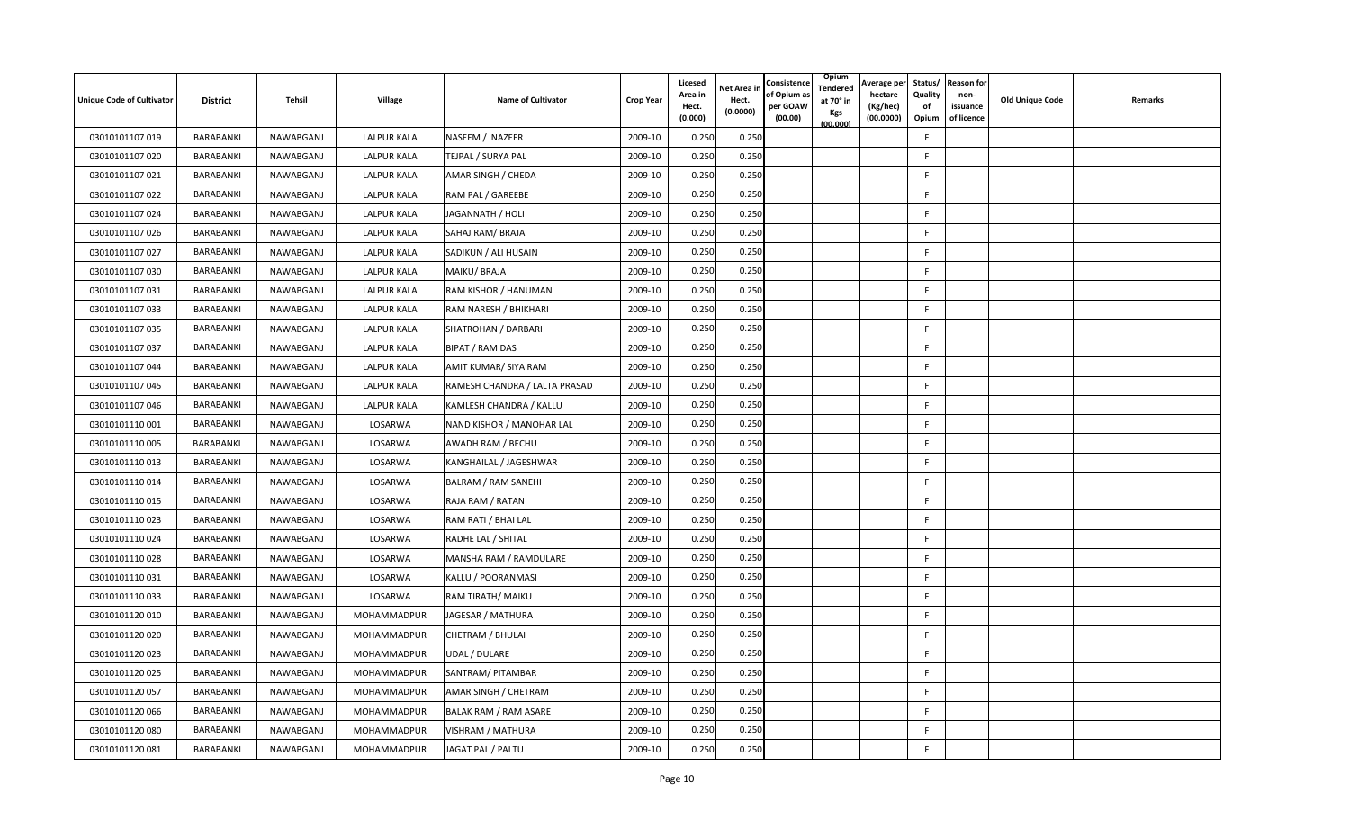| <b>Unique Code of Cultivator</b> | <b>District</b> | Tehsil    | Village            | <b>Name of Cultivator</b>     | <b>Crop Year</b> | Licesed<br>Area in<br>Hect.<br>(0.000) | Net Area in<br>Hect.<br>(0.0000) | Consistence<br>of Opium a<br>per GOAW<br>(00.00) | Opium<br>Tendered<br>at 70° in<br>Kgs<br>(00.000) | Average per<br>hectare<br>(Kg/hec)<br>(00.0000) | Status/<br>Quality<br>of<br>Opium | <b>Reason for</b><br>non-<br>issuance<br>of licence | <b>Old Unique Code</b> | Remarks |
|----------------------------------|-----------------|-----------|--------------------|-------------------------------|------------------|----------------------------------------|----------------------------------|--------------------------------------------------|---------------------------------------------------|-------------------------------------------------|-----------------------------------|-----------------------------------------------------|------------------------|---------|
| 03010101107 019                  | BARABANKI       | NAWABGANJ | <b>LALPUR KALA</b> | NASEEM / NAZEER               | 2009-10          | 0.250                                  | 0.250                            |                                                  |                                                   |                                                 | F                                 |                                                     |                        |         |
| 03010101107 020                  | BARABANKI       | NAWABGANJ | <b>LALPUR KALA</b> | TEJPAL / SURYA PAL            | 2009-10          | 0.250                                  | 0.250                            |                                                  |                                                   |                                                 | F                                 |                                                     |                        |         |
| 03010101107 021                  | BARABANKI       | NAWABGANJ | <b>LALPUR KALA</b> | AMAR SINGH / CHEDA            | 2009-10          | 0.250                                  | 0.250                            |                                                  |                                                   |                                                 | F.                                |                                                     |                        |         |
| 03010101107 022                  | BARABANKI       | NAWABGANJ | <b>LALPUR KALA</b> | RAM PAL / GAREEBE             | 2009-10          | 0.250                                  | 0.250                            |                                                  |                                                   |                                                 | F.                                |                                                     |                        |         |
| 03010101107 024                  | BARABANKI       | NAWABGANJ | <b>LALPUR KALA</b> | JAGANNATH / HOLI              | 2009-10          | 0.250                                  | 0.250                            |                                                  |                                                   |                                                 | F.                                |                                                     |                        |         |
| 03010101107 026                  | BARABANKI       | NAWABGANJ | LALPUR KALA        | SAHAJ RAM/BRAJA               | 2009-10          | 0.250                                  | 0.250                            |                                                  |                                                   |                                                 | F                                 |                                                     |                        |         |
| 03010101107 027                  | BARABANKI       | NAWABGANJ | LALPUR KALA        | SADIKUN / ALI HUSAIN          | 2009-10          | 0.250                                  | 0.250                            |                                                  |                                                   |                                                 | F                                 |                                                     |                        |         |
| 03010101107 030                  | BARABANKI       | NAWABGANJ | LALPUR KALA        | MAIKU/BRAJA                   | 2009-10          | 0.250                                  | 0.250                            |                                                  |                                                   |                                                 | F                                 |                                                     |                        |         |
| 03010101107 031                  | BARABANKI       | NAWABGANJ | <b>LALPUR KALA</b> | RAM KISHOR / HANUMAN          | 2009-10          | 0.250                                  | 0.250                            |                                                  |                                                   |                                                 | F                                 |                                                     |                        |         |
| 03010101107 033                  | BARABANKI       | NAWABGANJ | <b>LALPUR KALA</b> | RAM NARESH / BHIKHARI         | 2009-10          | 0.250                                  | 0.250                            |                                                  |                                                   |                                                 | F.                                |                                                     |                        |         |
| 03010101107 035                  | BARABANKI       | NAWABGANJ | <b>LALPUR KALA</b> | SHATROHAN / DARBARI           | 2009-10          | 0.250                                  | 0.250                            |                                                  |                                                   |                                                 | F.                                |                                                     |                        |         |
| 03010101107 037                  | BARABANKI       | NAWABGANJ | LALPUR KALA        | BIPAT / RAM DAS               | 2009-10          | 0.250                                  | 0.250                            |                                                  |                                                   |                                                 | F                                 |                                                     |                        |         |
| 03010101107 044                  | BARABANKI       | NAWABGANJ | <b>LALPUR KALA</b> | AMIT KUMAR/ SIYA RAM          | 2009-10          | 0.250                                  | 0.250                            |                                                  |                                                   |                                                 | F                                 |                                                     |                        |         |
| 03010101107 045                  | BARABANKI       | NAWABGANJ | <b>LALPUR KALA</b> | RAMESH CHANDRA / LALTA PRASAD | 2009-10          | 0.250                                  | 0.250                            |                                                  |                                                   |                                                 | F.                                |                                                     |                        |         |
| 03010101107 046                  | BARABANKI       | NAWABGANJ | <b>LALPUR KALA</b> | KAMLESH CHANDRA / KALLU       | 2009-10          | 0.250                                  | 0.250                            |                                                  |                                                   |                                                 | F.                                |                                                     |                        |         |
| 03010101110001                   | BARABANKI       | NAWABGANJ | LOSARWA            | NAND KISHOR / MANOHAR LAL     | 2009-10          | 0.250                                  | 0.250                            |                                                  |                                                   |                                                 | F.                                |                                                     |                        |         |
| 03010101110005                   | BARABANKI       | NAWABGANJ | LOSARWA            | AWADH RAM / BECHU             | 2009-10          | 0.250                                  | 0.250                            |                                                  |                                                   |                                                 | F.                                |                                                     |                        |         |
| 03010101110013                   | BARABANKI       | NAWABGANJ | LOSARWA            | KANGHAILAL / JAGESHWAR        | 2009-10          | 0.250                                  | 0.250                            |                                                  |                                                   |                                                 | F.                                |                                                     |                        |         |
| 03010101110014                   | BARABANKI       | NAWABGANJ | LOSARWA            | BALRAM / RAM SANEHI           | 2009-10          | 0.250                                  | 0.250                            |                                                  |                                                   |                                                 | F                                 |                                                     |                        |         |
| 03010101110015                   | BARABANKI       | NAWABGANJ | LOSARWA            | RAJA RAM / RATAN              | 2009-10          | 0.250                                  | 0.250                            |                                                  |                                                   |                                                 | F.                                |                                                     |                        |         |
| 03010101110023                   | BARABANKI       | NAWABGANJ | LOSARWA            | RAM RATI / BHAI LAL           | 2009-10          | 0.250                                  | 0.250                            |                                                  |                                                   |                                                 | F                                 |                                                     |                        |         |
| 03010101110024                   | BARABANKI       | NAWABGANJ | LOSARWA            | RADHE LAL / SHITAL            | 2009-10          | 0.250                                  | 0.250                            |                                                  |                                                   |                                                 | F.                                |                                                     |                        |         |
| 03010101110028                   | BARABANKI       | NAWABGANJ | LOSARWA            | MANSHA RAM / RAMDULARE        | 2009-10          | 0.250                                  | 0.250                            |                                                  |                                                   |                                                 | F                                 |                                                     |                        |         |
| 03010101110031                   | BARABANKI       | NAWABGANJ | LOSARWA            | KALLU / POORANMASI            | 2009-10          | 0.250                                  | 0.25C                            |                                                  |                                                   |                                                 | F                                 |                                                     |                        |         |
| 03010101110033                   | BARABANKI       | NAWABGANJ | LOSARWA            | RAM TIRATH/ MAIKU             | 2009-10          | 0.250                                  | 0.250                            |                                                  |                                                   |                                                 | F                                 |                                                     |                        |         |
| 03010101120010                   | BARABANKI       | NAWABGANJ | MOHAMMADPUR        | JAGESAR / MATHURA             | 2009-10          | 0.250                                  | 0.250                            |                                                  |                                                   |                                                 | F                                 |                                                     |                        |         |
| 03010101120020                   | BARABANKI       | NAWABGANJ | MOHAMMADPUR        | CHETRAM / BHULAI              | 2009-10          | 0.250                                  | 0.250                            |                                                  |                                                   |                                                 | F                                 |                                                     |                        |         |
| 03010101120 023                  | BARABANKI       | NAWABGANJ | MOHAMMADPUR        | UDAL / DULARE                 | 2009-10          | 0.250                                  | 0.250                            |                                                  |                                                   |                                                 | F                                 |                                                     |                        |         |
| 03010101120 025                  | BARABANKI       | NAWABGANJ | MOHAMMADPUR        | SANTRAM/ PITAMBAR             | 2009-10          | 0.250                                  | 0.250                            |                                                  |                                                   |                                                 | F                                 |                                                     |                        |         |
| 03010101120 057                  | BARABANKI       | NAWABGANJ | MOHAMMADPUR        | AMAR SINGH / CHETRAM          | 2009-10          | 0.250                                  | 0.250                            |                                                  |                                                   |                                                 | F                                 |                                                     |                        |         |
| 03010101120066                   | BARABANKI       | NAWABGANJ | MOHAMMADPUR        | BALAK RAM / RAM ASARE         | 2009-10          | 0.250                                  | 0.250                            |                                                  |                                                   |                                                 | F                                 |                                                     |                        |         |
| 03010101120 080                  | BARABANKI       | NAWABGANJ | MOHAMMADPUR        | VISHRAM / MATHURA             | 2009-10          | 0.250                                  | 0.250                            |                                                  |                                                   |                                                 | F                                 |                                                     |                        |         |
| 03010101120081                   | BARABANKI       | NAWABGANJ | MOHAMMADPUR        | JAGAT PAL / PALTU             | 2009-10          | 0.250                                  | 0.250                            |                                                  |                                                   |                                                 | F.                                |                                                     |                        |         |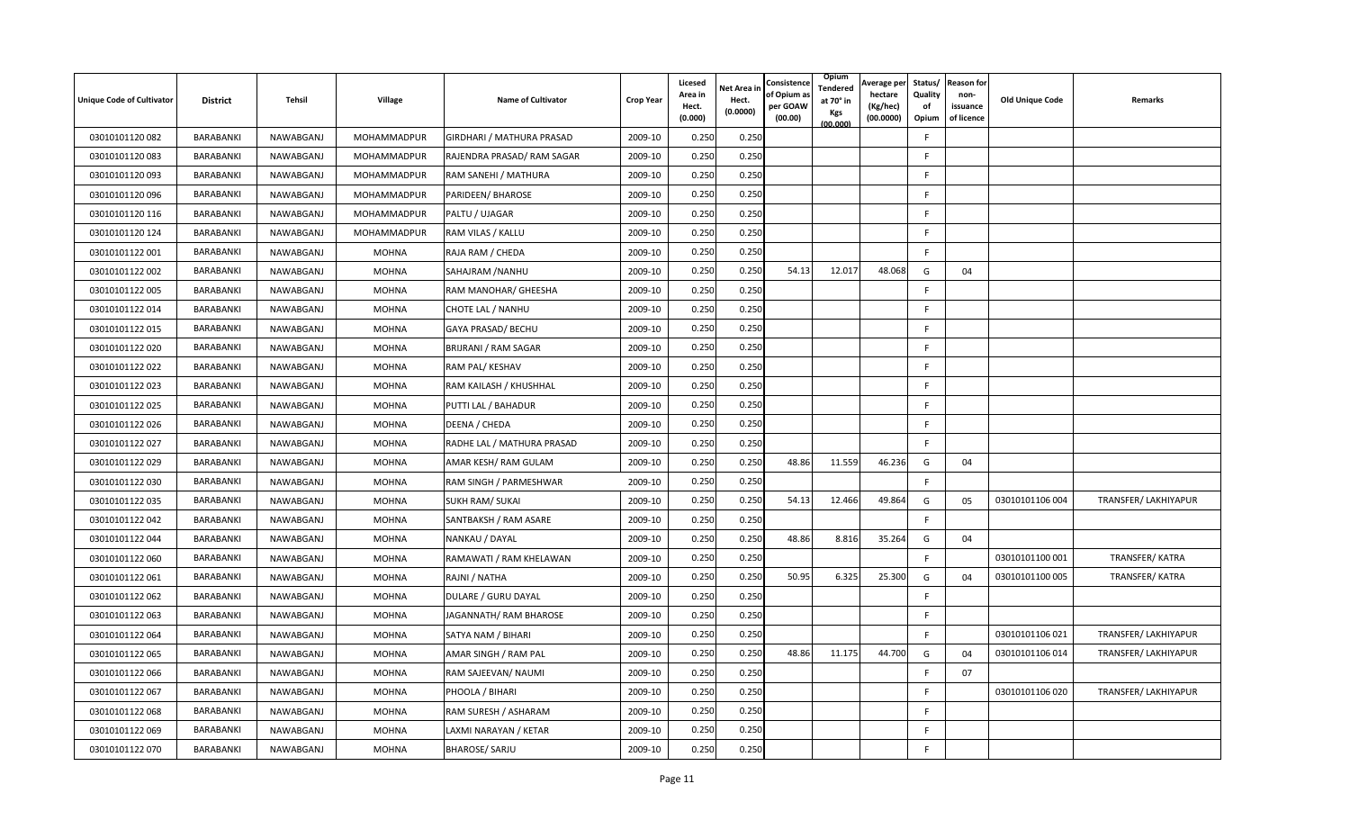| <b>Unique Code of Cultivator</b> | <b>District</b> | Tehsil    | Village      | <b>Name of Cultivator</b>  | <b>Crop Year</b> | Licesed<br>Area in<br>Hect.<br>(0.000) | <b>Net Area in</b><br>Hect.<br>(0.0000) | Consistence<br>of Opium a<br>per GOAW<br>(00.00) | Opium<br>Tendered<br>at 70° in<br>Kgs<br>(00.000) | Average per<br>hectare<br>(Kg/hec)<br>(00.0000) | Quality<br>of<br>Opium | Status/ Reason for<br>non-<br>issuance<br>of licence | <b>Old Unique Code</b> | Remarks              |
|----------------------------------|-----------------|-----------|--------------|----------------------------|------------------|----------------------------------------|-----------------------------------------|--------------------------------------------------|---------------------------------------------------|-------------------------------------------------|------------------------|------------------------------------------------------|------------------------|----------------------|
| 03010101120082                   | BARABANKI       | NAWABGANJ | MOHAMMADPUR  | GIRDHARI / MATHURA PRASAD  | 2009-10          | 0.250                                  | 0.250                                   |                                                  |                                                   |                                                 | F.                     |                                                      |                        |                      |
| 03010101120083                   | BARABANKI       | NAWABGANJ | MOHAMMADPUR  | RAJENDRA PRASAD/ RAM SAGAR | 2009-10          | 0.250                                  | 0.250                                   |                                                  |                                                   |                                                 | F                      |                                                      |                        |                      |
| 03010101120093                   | BARABANKI       | NAWABGANJ | MOHAMMADPUR  | RAM SANEHI / MATHURA       | 2009-10          | 0.250                                  | 0.250                                   |                                                  |                                                   |                                                 | F                      |                                                      |                        |                      |
| 03010101120 096                  | BARABANKI       | NAWABGANJ | MOHAMMADPUR  | PARIDEEN/ BHAROSE          | 2009-10          | 0.250                                  | 0.250                                   |                                                  |                                                   |                                                 | E                      |                                                      |                        |                      |
| 03010101120 116                  | BARABANKI       | NAWABGANJ | MOHAMMADPUR  | PALTU / UJAGAR             | 2009-10          | 0.250                                  | 0.250                                   |                                                  |                                                   |                                                 | F                      |                                                      |                        |                      |
| 03010101120 124                  | BARABANKI       | NAWABGANJ | MOHAMMADPUR  | RAM VILAS / KALLU          | 2009-10          | 0.250                                  | 0.250                                   |                                                  |                                                   |                                                 | F                      |                                                      |                        |                      |
| 03010101122 001                  | BARABANKI       | NAWABGANJ | <b>MOHNA</b> | RAJA RAM / CHEDA           | 2009-10          | 0.250                                  | 0.250                                   |                                                  |                                                   |                                                 | F.                     |                                                      |                        |                      |
| 03010101122 002                  | BARABANKI       | NAWABGANJ | <b>MOHNA</b> | SAHAJRAM / NANHU           | 2009-10          | 0.250                                  | 0.250                                   | 54.13                                            | 12.017                                            | 48.068                                          | G                      | 04                                                   |                        |                      |
| 03010101122 005                  | BARABANKI       | NAWABGANJ | <b>MOHNA</b> | RAM MANOHAR/ GHEESHA       | 2009-10          | 0.250                                  | 0.250                                   |                                                  |                                                   |                                                 | F                      |                                                      |                        |                      |
| 03010101122 014                  | BARABANKI       | NAWABGANJ | <b>MOHNA</b> | CHOTE LAL / NANHU          | 2009-10          | 0.250                                  | 0.250                                   |                                                  |                                                   |                                                 | F.                     |                                                      |                        |                      |
| 03010101122 015                  | BARABANKI       | NAWABGANJ | <b>MOHNA</b> | GAYA PRASAD/ BECHU         | 2009-10          | 0.250                                  | 0.250                                   |                                                  |                                                   |                                                 | F.                     |                                                      |                        |                      |
| 03010101122 020                  | BARABANKI       | NAWABGANJ | <b>MOHNA</b> | BRIJRANI / RAM SAGAR       | 2009-10          | 0.250                                  | 0.250                                   |                                                  |                                                   |                                                 | E                      |                                                      |                        |                      |
| 03010101122 022                  | BARABANKI       | NAWABGANJ | <b>MOHNA</b> | RAM PAL/ KESHAV            | 2009-10          | 0.250                                  | 0.250                                   |                                                  |                                                   |                                                 | F.                     |                                                      |                        |                      |
| 03010101122 023                  | BARABANKI       | NAWABGANJ | <b>MOHNA</b> | RAM KAILASH / KHUSHHAL     | 2009-10          | 0.250                                  | 0.250                                   |                                                  |                                                   |                                                 | F.                     |                                                      |                        |                      |
| 03010101122 025                  | BARABANKI       | NAWABGANJ | <b>MOHNA</b> | PUTTI LAL / BAHADUR        | 2009-10          | 0.250                                  | 0.250                                   |                                                  |                                                   |                                                 | F.                     |                                                      |                        |                      |
| 03010101122 026                  | BARABANKI       | NAWABGANJ | <b>MOHNA</b> | DEENA / CHEDA              | 2009-10          | 0.250                                  | 0.250                                   |                                                  |                                                   |                                                 | F.                     |                                                      |                        |                      |
| 03010101122 027                  | BARABANKI       | NAWABGANJ | <b>MOHNA</b> | RADHE LAL / MATHURA PRASAD | 2009-10          | 0.250                                  | 0.250                                   |                                                  |                                                   |                                                 | F                      |                                                      |                        |                      |
| 03010101122 029                  | BARABANKI       | NAWABGANJ | <b>MOHNA</b> | AMAR KESH/ RAM GULAM       | 2009-10          | 0.250                                  | 0.250                                   | 48.86                                            | 11.559                                            | 46.236                                          | G                      | 04                                                   |                        |                      |
| 03010101122 030                  | BARABANKI       | NAWABGANJ | <b>MOHNA</b> | RAM SINGH / PARMESHWAR     | 2009-10          | 0.250                                  | 0.250                                   |                                                  |                                                   |                                                 | F.                     |                                                      |                        |                      |
| 03010101122 035                  | BARABANKI       | NAWABGANJ | <b>MOHNA</b> | <b>SUKH RAM/ SUKAI</b>     | 2009-10          | 0.250                                  | 0.250                                   | 54.13                                            | 12.466                                            | 49.864                                          | G                      | 05                                                   | 03010101106 004        | TRANSFER/ LAKHIYAPUR |
| 03010101122 042                  | BARABANKI       | NAWABGANJ | <b>MOHNA</b> | SANTBAKSH / RAM ASARE      | 2009-10          | 0.250                                  | 0.250                                   |                                                  |                                                   |                                                 | F.                     |                                                      |                        |                      |
| 03010101122044                   | BARABANKI       | NAWABGANJ | <b>MOHNA</b> | NANKAU / DAYAL             | 2009-10          | 0.250                                  | 0.250                                   | 48.86                                            | 8.816                                             | 35.264                                          | G                      | 04                                                   |                        |                      |
| 03010101122 060                  | BARABANKI       | NAWABGANJ | <b>MOHNA</b> | RAMAWATI / RAM KHELAWAN    | 2009-10          | 0.250                                  | 0.250                                   |                                                  |                                                   |                                                 | F.                     |                                                      | 03010101100 001        | TRANSFER/ KATRA      |
| 03010101122 061                  | BARABANKI       | NAWABGANJ | <b>MOHNA</b> | RAJNI / NATHA              | 2009-10          | 0.250                                  | 0.250                                   | 50.95                                            | 6.325                                             | 25.300                                          | G                      | 04                                                   | 03010101100 005        | TRANSFER/ KATRA      |
| 03010101122 062                  | BARABANKI       | NAWABGANJ | <b>MOHNA</b> | DULARE / GURU DAYAL        | 2009-10          | 0.250                                  | 0.250                                   |                                                  |                                                   |                                                 | F                      |                                                      |                        |                      |
| 03010101122 063                  | BARABANKI       | NAWABGANJ | <b>MOHNA</b> | JAGANNATH/ RAM BHAROSE     | 2009-10          | 0.250                                  | 0.250                                   |                                                  |                                                   |                                                 | F                      |                                                      |                        |                      |
| 03010101122 064                  | BARABANKI       | NAWABGANJ | <b>MOHNA</b> | SATYA NAM / BIHARI         | 2009-10          | 0.250                                  | 0.250                                   |                                                  |                                                   |                                                 | F                      |                                                      | 03010101106 021        | TRANSFER/ LAKHIYAPUR |
| 03010101122 065                  | BARABANKI       | NAWABGANJ | <b>MOHNA</b> | AMAR SINGH / RAM PAL       | 2009-10          | 0.250                                  | 0.250                                   | 48.86                                            | 11.175                                            | 44.700                                          | G                      | 04                                                   | 03010101106 014        | TRANSFER/ LAKHIYAPUR |
| 03010101122 066                  | BARABANKI       | NAWABGANJ | <b>MOHNA</b> | RAM SAJEEVAN/ NAUMI        | 2009-10          | 0.250                                  | 0.250                                   |                                                  |                                                   |                                                 | E                      | 07                                                   |                        |                      |
| 03010101122 067                  | BARABANKI       | NAWABGANJ | <b>MOHNA</b> | PHOOLA / BIHARI            | 2009-10          | 0.250                                  | 0.250                                   |                                                  |                                                   |                                                 | F.                     |                                                      | 03010101106 020        | TRANSFER/ LAKHIYAPUR |
| 03010101122 068                  | BARABANKI       | NAWABGANJ | <b>MOHNA</b> | RAM SURESH / ASHARAM       | 2009-10          | 0.250                                  | 0.250                                   |                                                  |                                                   |                                                 | F.                     |                                                      |                        |                      |
| 03010101122069                   | BARABANKI       | NAWABGANJ | <b>MOHNA</b> | LAXMI NARAYAN / KETAR      | 2009-10          | 0.250                                  | 0.250                                   |                                                  |                                                   |                                                 | F                      |                                                      |                        |                      |
| 03010101122 070                  | BARABANKI       | NAWABGANJ | <b>MOHNA</b> | <b>BHAROSE/ SARJU</b>      | 2009-10          | 0.250                                  | 0.250                                   |                                                  |                                                   |                                                 | F                      |                                                      |                        |                      |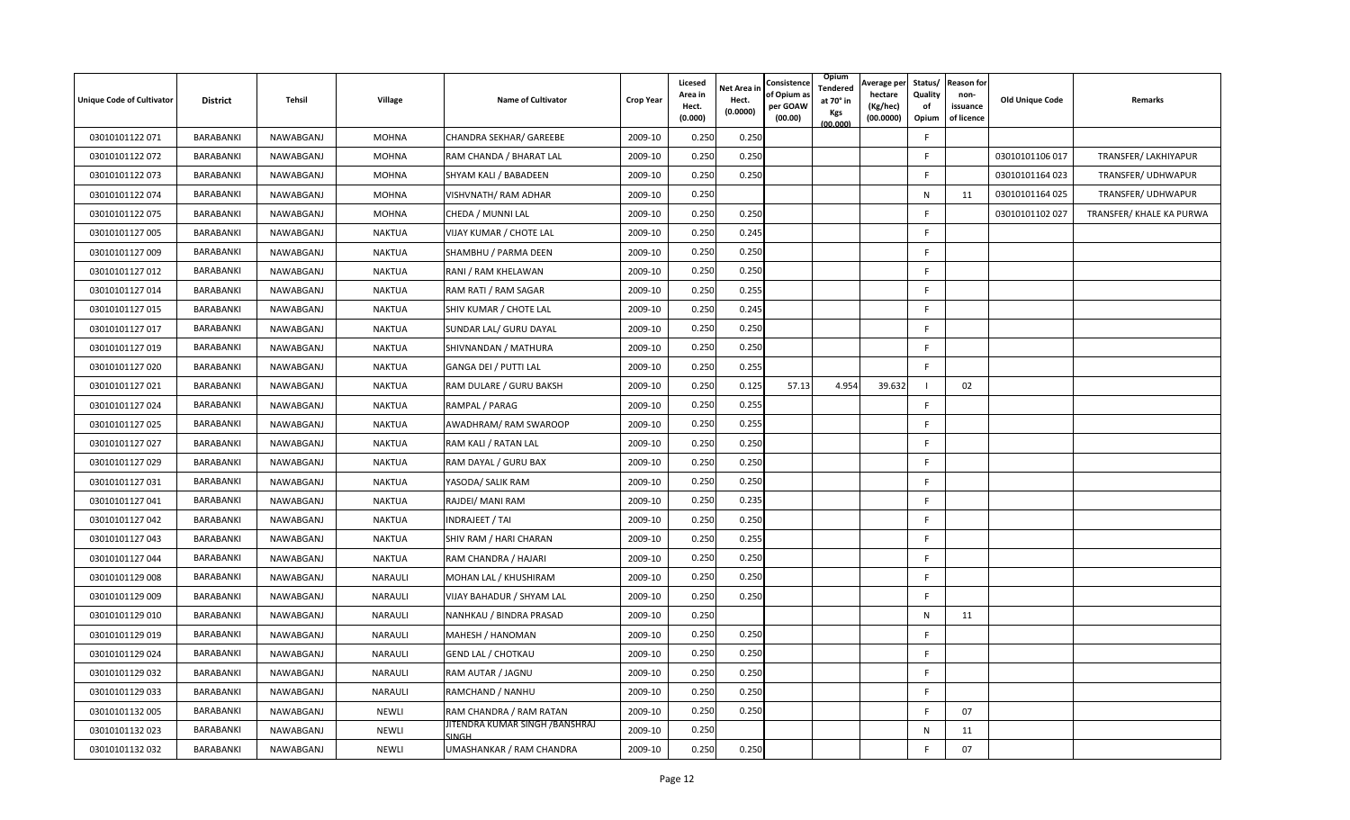| <b>Unique Code of Cultivator</b> | <b>District</b> | Tehsil    | Village        | <b>Name of Cultivator</b>               | Crop Year | Licesed<br>Area in | <b>Net Area ir</b><br>Hect. | Consistence<br>of Opium a | Opium<br>Tendered<br>at 70° in | Average per<br>hectare | Status/<br>Quality | <b>Reason for</b><br>non- | <b>Old Unique Code</b> | Remarks                  |
|----------------------------------|-----------------|-----------|----------------|-----------------------------------------|-----------|--------------------|-----------------------------|---------------------------|--------------------------------|------------------------|--------------------|---------------------------|------------------------|--------------------------|
|                                  |                 |           |                |                                         |           | Hect.<br>(0.000)   | (0.0000)                    | per GOAW<br>(00.00)       | Kgs<br>(00.000)                | (Kg/hec)<br>(00.0000)  | of<br>Opium        | issuance<br>of licence    |                        |                          |
| 03010101122 071                  | BARABANKI       | NAWABGANJ | <b>MOHNA</b>   | CHANDRA SEKHAR/ GAREEBE                 | 2009-10   | 0.250              | 0.250                       |                           |                                |                        | F                  |                           |                        |                          |
| 03010101122 072                  | BARABANKI       | NAWABGANJ | <b>MOHNA</b>   | RAM CHANDA / BHARAT LAL                 | 2009-10   | 0.250              | 0.250                       |                           |                                |                        | E                  |                           | 03010101106 017        | TRANSFER/ LAKHIYAPUR     |
| 03010101122 073                  | BARABANKI       | NAWABGANJ | <b>MOHNA</b>   | SHYAM KALI / BABADEEN                   | 2009-10   | 0.250              | 0.250                       |                           |                                |                        | F                  |                           | 03010101164 023        | TRANSFER/ UDHWAPUR       |
| 03010101122 074                  | BARABANKI       | NAWABGANJ | <b>MOHNA</b>   | VISHVNATH/ RAM ADHAR                    | 2009-10   | 0.250              |                             |                           |                                |                        | N                  | 11                        | 03010101164 025        | TRANSFER/ UDHWAPUR       |
| 03010101122 075                  | BARABANKI       | NAWABGANJ | <b>MOHNA</b>   | CHEDA / MUNNI LAL                       | 2009-10   | 0.250              | 0.250                       |                           |                                |                        | F                  |                           | 03010101102 027        | TRANSFER/ KHALE KA PURWA |
| 03010101127 005                  | BARABANKI       | NAWABGANJ | <b>NAKTUA</b>  | VIJAY KUMAR / CHOTE LAL                 | 2009-10   | 0.250              | 0.245                       |                           |                                |                        | F.                 |                           |                        |                          |
| 03010101127 009                  | BARABANKI       | NAWABGANJ | <b>NAKTUA</b>  | SHAMBHU / PARMA DEEN                    | 2009-10   | 0.250              | 0.250                       |                           |                                |                        | F.                 |                           |                        |                          |
| 03010101127 012                  | BARABANKI       | NAWABGANJ | <b>NAKTUA</b>  | RANI / RAM KHELAWAN                     | 2009-10   | 0.250              | 0.250                       |                           |                                |                        | F.                 |                           |                        |                          |
| 03010101127 014                  | BARABANKI       | NAWABGANJ | <b>NAKTUA</b>  | RAM RATI / RAM SAGAR                    | 2009-10   | 0.250              | 0.255                       |                           |                                |                        | F.                 |                           |                        |                          |
| 03010101127 015                  | BARABANKI       | NAWABGANJ | <b>NAKTUA</b>  | SHIV KUMAR / CHOTE LAL                  | 2009-10   | 0.250              | 0.245                       |                           |                                |                        | E                  |                           |                        |                          |
| 03010101127 017                  | BARABANKI       | NAWABGANJ | <b>NAKTUA</b>  | SUNDAR LAL/ GURU DAYAL                  | 2009-10   | 0.250              | 0.250                       |                           |                                |                        | F                  |                           |                        |                          |
| 03010101127 019                  | BARABANKI       | NAWABGANJ | <b>NAKTUA</b>  | SHIVNANDAN / MATHURA                    | 2009-10   | 0.250              | 0.250                       |                           |                                |                        | F                  |                           |                        |                          |
| 03010101127 020                  | BARABANKI       | NAWABGANJ | <b>NAKTUA</b>  | GANGA DEI / PUTTI LAL                   | 2009-10   | 0.250              | 0.255                       |                           |                                |                        | F.                 |                           |                        |                          |
| 03010101127 021                  | BARABANKI       | NAWABGANJ | <b>NAKTUA</b>  | RAM DULARE / GURU BAKSH                 | 2009-10   | 0.250              | 0.125                       | 57.13                     | 4.954                          | 39.632                 |                    | 02                        |                        |                          |
| 03010101127 024                  | BARABANKI       | NAWABGANJ | <b>NAKTUA</b>  | RAMPAL / PARAG                          | 2009-10   | 0.250              | 0.255                       |                           |                                |                        | F                  |                           |                        |                          |
| 03010101127 025                  | BARABANKI       | NAWABGANJ | <b>NAKTUA</b>  | AWADHRAM/RAM SWAROOP                    | 2009-10   | 0.250              | 0.255                       |                           |                                |                        | F.                 |                           |                        |                          |
| 03010101127 027                  | BARABANKI       | NAWABGANJ | <b>NAKTUA</b>  | RAM KALI / RATAN LAL                    | 2009-10   | 0.250              | 0.250                       |                           |                                |                        | F.                 |                           |                        |                          |
| 03010101127 029                  | BARABANKI       | NAWABGANJ | <b>NAKTUA</b>  | RAM DAYAL / GURU BAX                    | 2009-10   | 0.250              | 0.250                       |                           |                                |                        | F                  |                           |                        |                          |
| 03010101127 031                  | BARABANKI       | NAWABGANJ | <b>NAKTUA</b>  | YASODA/ SALIK RAM                       | 2009-10   | 0.250              | 0.250                       |                           |                                |                        | F.                 |                           |                        |                          |
| 03010101127 041                  | BARABANKI       | NAWABGANJ | <b>NAKTUA</b>  | RAJDEI/ MANI RAM                        | 2009-10   | 0.250              | 0.235                       |                           |                                |                        | F.                 |                           |                        |                          |
| 03010101127 042                  | BARABANKI       | NAWABGANJ | <b>NAKTUA</b>  | INDRAJEET / TAI                         | 2009-10   | 0.250              | 0.250                       |                           |                                |                        | F                  |                           |                        |                          |
| 03010101127 043                  | BARABANKI       | NAWABGANJ | <b>NAKTUA</b>  | SHIV RAM / HARI CHARAN                  | 2009-10   | 0.250              | 0.255                       |                           |                                |                        | F.                 |                           |                        |                          |
| 03010101127 044                  | BARABANKI       | NAWABGANJ | <b>NAKTUA</b>  | RAM CHANDRA / HAJARI                    | 2009-10   | 0.250              | 0.250                       |                           |                                |                        | F.                 |                           |                        |                          |
| 03010101129 008                  | BARABANKI       | NAWABGANJ | NARAULI        | MOHAN LAL / KHUSHIRAM                   | 2009-10   | 0.250              | 0.250                       |                           |                                |                        | F.                 |                           |                        |                          |
| 03010101129 009                  | BARABANKI       | NAWABGANJ | NARAULI        | VIJAY BAHADUR / SHYAM LAL               | 2009-10   | 0.250              | 0.250                       |                           |                                |                        | $\mathsf{F}$       |                           |                        |                          |
| 03010101129 010                  | BARABANKI       | NAWABGANJ | NARAULI        | NANHKAU / BINDRA PRASAD                 | 2009-10   | 0.250              |                             |                           |                                |                        | N                  | 11                        |                        |                          |
| 03010101129 019                  | BARABANKI       | NAWABGANJ | NARAULI        | MAHESH / HANOMAN                        | 2009-10   | 0.250              | 0.250                       |                           |                                |                        | $\mathsf{F}$       |                           |                        |                          |
| 03010101129 024                  | BARABANKI       | NAWABGANJ | NARAULI        | <b>GEND LAL / CHOTKAU</b>               | 2009-10   | 0.250              | 0.250                       |                           |                                |                        | F                  |                           |                        |                          |
| 03010101129 032                  | BARABANKI       | NAWABGANJ | <b>NARAULI</b> | RAM AUTAR / JAGNU                       | 2009-10   | 0.250              | 0.250                       |                           |                                |                        | F                  |                           |                        |                          |
| 03010101129 033                  | BARABANKI       | NAWABGANJ | NARAULI        | RAMCHAND / NANHU                        | 2009-10   | 0.250              | 0.250                       |                           |                                |                        | F.                 |                           |                        |                          |
| 03010101132 005                  | BARABANKI       | NAWABGANJ | NEWLI          | RAM CHANDRA / RAM RATAN                 | 2009-10   | 0.250              | 0.250                       |                           |                                |                        | -F                 | 07                        |                        |                          |
| 03010101132023                   | BARABANKI       | NAWABGANJ | <b>NEWLI</b>   | JITENDRA KUMAR SINGH /BANSHRAJ<br>SINGH | 2009-10   | 0.250              |                             |                           |                                |                        | N                  | 11                        |                        |                          |
| 03010101132 032                  | BARABANKI       | NAWABGANJ | <b>NEWLI</b>   | UMASHANKAR / RAM CHANDRA                | 2009-10   | 0.250              | 0.250                       |                           |                                |                        | F                  | 07                        |                        |                          |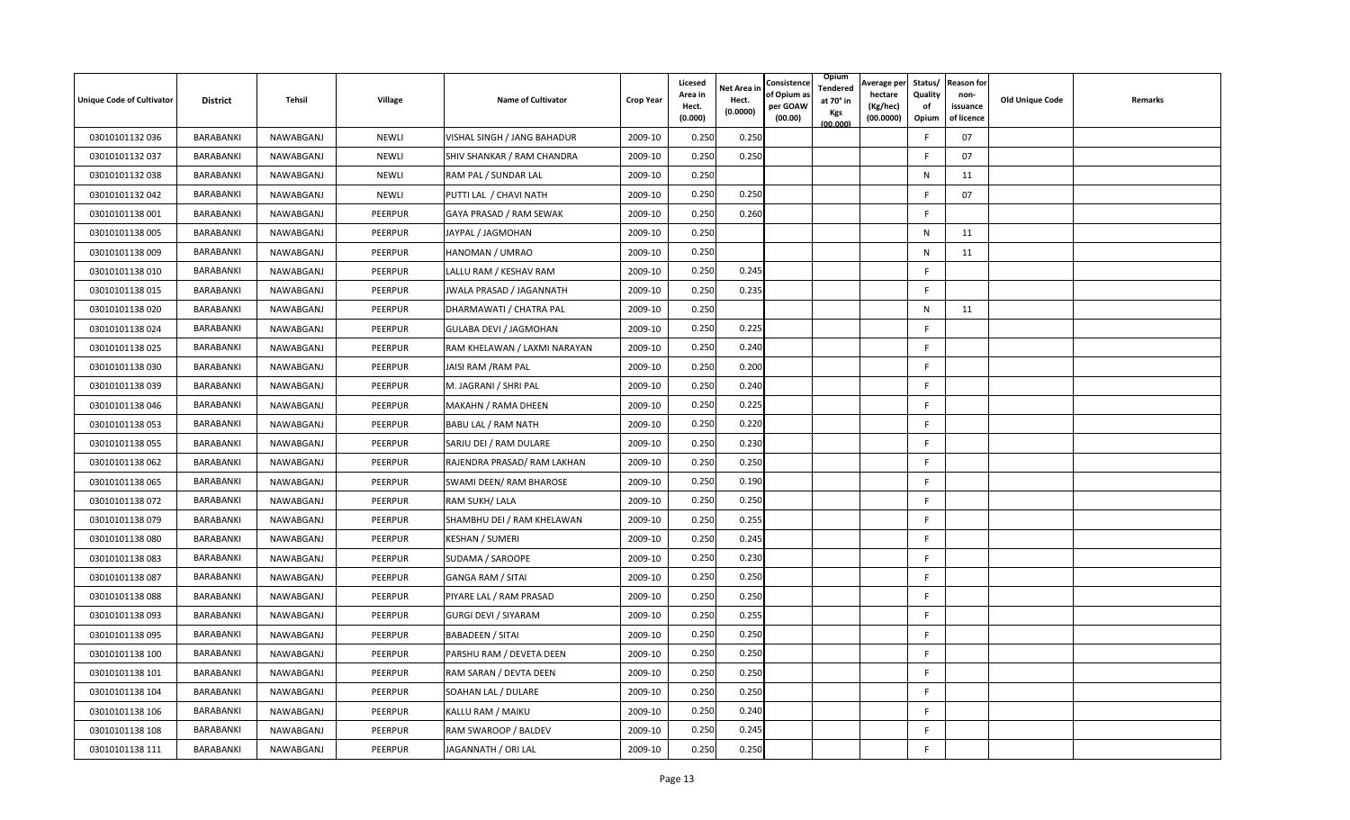| <b>Unique Code of Cultivator</b> | <b>District</b> | Tehsil    | Village        | <b>Name of Cultivator</b>    | <b>Crop Year</b> | Licesed<br>Area in<br>Hect.<br>(0.000) | Net Area in<br>Hect.<br>(0.0000) | Consistence<br>of Opium a<br>per GOAW<br>(00.00) | Opium<br>Tendered<br>at 70° in<br>Kgs<br>(00.000) | Average per<br>hectare<br>(Kg/hec)<br>(00.0000) | Quality<br>of<br>Opium | Status/ Reason for<br>non-<br>issuance<br>of licence | <b>Old Unique Code</b> | Remarks |
|----------------------------------|-----------------|-----------|----------------|------------------------------|------------------|----------------------------------------|----------------------------------|--------------------------------------------------|---------------------------------------------------|-------------------------------------------------|------------------------|------------------------------------------------------|------------------------|---------|
| 03010101132 036                  | BARABANKI       | NAWABGANJ | <b>NEWLI</b>   | VISHAL SINGH / JANG BAHADUR  | 2009-10          | 0.250                                  | 0.250                            |                                                  |                                                   |                                                 | F                      | 07                                                   |                        |         |
| 03010101132 037                  | BARABANKI       | NAWABGANJ | <b>NEWLI</b>   | SHIV SHANKAR / RAM CHANDRA   | 2009-10          | 0.250                                  | 0.250                            |                                                  |                                                   |                                                 | F                      | 07                                                   |                        |         |
| 03010101132 038                  | BARABANKI       | NAWABGANJ | <b>NEWLI</b>   | RAM PAL / SUNDAR LAL         | 2009-10          | 0.250                                  |                                  |                                                  |                                                   |                                                 | N                      | 11                                                   |                        |         |
| 03010101132 042                  | BARABANKI       | NAWABGANJ | <b>NEWLI</b>   | PUTTI LAL / CHAVI NATH       | 2009-10          | 0.250                                  | 0.250                            |                                                  |                                                   |                                                 | F                      | 07                                                   |                        |         |
| 03010101138 001                  | BARABANKI       | NAWABGANJ | <b>PEERPUR</b> | GAYA PRASAD / RAM SEWAK      | 2009-10          | 0.250                                  | 0.260                            |                                                  |                                                   |                                                 | F                      |                                                      |                        |         |
| 03010101138 005                  | BARABANKI       | NAWABGANJ | PEERPUR        | JAYPAL / JAGMOHAN            | 2009-10          | 0.250                                  |                                  |                                                  |                                                   |                                                 | N                      | 11                                                   |                        |         |
| 03010101138009                   | BARABANKI       | NAWABGANJ | PEERPUR        | HANOMAN / UMRAO              | 2009-10          | 0.250                                  |                                  |                                                  |                                                   |                                                 | N                      | 11                                                   |                        |         |
| 03010101138 010                  | BARABANKI       | NAWABGANJ | PEERPUR        | LALLU RAM / KESHAV RAM       | 2009-10          | 0.250                                  | 0.245                            |                                                  |                                                   |                                                 | F                      |                                                      |                        |         |
| 03010101138 015                  | BARABANKI       | NAWABGANJ | PEERPUR        | JWALA PRASAD / JAGANNATH     | 2009-10          | 0.250                                  | 0.235                            |                                                  |                                                   |                                                 | F                      |                                                      |                        |         |
| 03010101138020                   | BARABANKI       | NAWABGANJ | PEERPUR        | DHARMAWATI / CHATRA PAL      | 2009-10          | 0.250                                  |                                  |                                                  |                                                   |                                                 | N                      | 11                                                   |                        |         |
| 03010101138024                   | BARABANKI       | NAWABGANJ | PEERPUR        | GULABA DEVI / JAGMOHAN       | 2009-10          | 0.250                                  | 0.225                            |                                                  |                                                   |                                                 | F.                     |                                                      |                        |         |
| 03010101138 025                  | BARABANKI       | NAWABGANJ | PEERPUR        | RAM KHELAWAN / LAXMI NARAYAN | 2009-10          | 0.250                                  | 0.240                            |                                                  |                                                   |                                                 | F                      |                                                      |                        |         |
| 03010101138 030                  | BARABANKI       | NAWABGANJ | <b>PEERPUR</b> | JAISI RAM / RAM PAL          | 2009-10          | 0.250                                  | 0.200                            |                                                  |                                                   |                                                 | F                      |                                                      |                        |         |
| 03010101138039                   | BARABANKI       | NAWABGANJ | PEERPUR        | M. JAGRANI / SHRI PAL        | 2009-10          | 0.250                                  | 0.240                            |                                                  |                                                   |                                                 | F.                     |                                                      |                        |         |
| 03010101138046                   | BARABANKI       | NAWABGANJ | PEERPUR        | MAKAHN / RAMA DHEEN          | 2009-10          | 0.250                                  | 0.225                            |                                                  |                                                   |                                                 | F                      |                                                      |                        |         |
| 03010101138 053                  | BARABANKI       | NAWABGANJ | <b>PEERPUR</b> | BABU LAL / RAM NATH          | 2009-10          | 0.250                                  | 0.220                            |                                                  |                                                   |                                                 | F.                     |                                                      |                        |         |
| 03010101138 055                  | BARABANKI       | NAWABGANJ | PEERPUR        | SARJU DEI / RAM DULARE       | 2009-10          | 0.250                                  | 0.230                            |                                                  |                                                   |                                                 | F.                     |                                                      |                        |         |
| 03010101138 062                  | BARABANKI       | NAWABGANJ | PEERPUR        | RAJENDRA PRASAD/ RAM LAKHAN  | 2009-10          | 0.250                                  | 0.250                            |                                                  |                                                   |                                                 | F                      |                                                      |                        |         |
| 03010101138065                   | BARABANKI       | NAWABGANJ | PEERPUR        | SWAMI DEEN/ RAM BHAROSE      | 2009-10          | 0.250                                  | 0.190                            |                                                  |                                                   |                                                 | F.                     |                                                      |                        |         |
| 03010101138 072                  | BARABANKI       | NAWABGANJ | PEERPUR        | RAM SUKH/ LALA               | 2009-10          | 0.250                                  | 0.250                            |                                                  |                                                   |                                                 | F                      |                                                      |                        |         |
| 03010101138079                   | BARABANKI       | NAWABGANJ | PEERPUR        | SHAMBHU DEI / RAM KHELAWAN   | 2009-10          | 0.250                                  | 0.255                            |                                                  |                                                   |                                                 | F                      |                                                      |                        |         |
| 03010101138080                   | BARABANKI       | NAWABGANJ | PEERPUR        | <b>KESHAN / SUMERI</b>       | 2009-10          | 0.250                                  | 0.245                            |                                                  |                                                   |                                                 | F.                     |                                                      |                        |         |
| 03010101138083                   | BARABANKI       | NAWABGANJ | PEERPUR        | SUDAMA / SAROOPE             | 2009-10          | 0.250                                  | 0.230                            |                                                  |                                                   |                                                 | F.                     |                                                      |                        |         |
| 03010101138 087                  | BARABANKI       | NAWABGANJ | PEERPUR        | <b>GANGA RAM / SITAI</b>     | 2009-10          | 0.250                                  | 0.250                            |                                                  |                                                   |                                                 | F                      |                                                      |                        |         |
| 03010101138088                   | BARABANKI       | NAWABGANJ | <b>PEERPUR</b> | PIYARE LAL / RAM PRASAD      | 2009-10          | 0.250                                  | 0.250                            |                                                  |                                                   |                                                 | F                      |                                                      |                        |         |
| 03010101138093                   | BARABANKI       | NAWABGANJ | PEERPUR        | GURGI DEVI / SIYARAM         | 2009-10          | 0.250                                  | 0.255                            |                                                  |                                                   |                                                 | F                      |                                                      |                        |         |
| 03010101138 095                  | BARABANKI       | NAWABGANJ | PEERPUR        | <b>BABADEEN / SITAI</b>      | 2009-10          | 0.250                                  | 0.250                            |                                                  |                                                   |                                                 | F.                     |                                                      |                        |         |
| 03010101138 100                  | BARABANKI       | NAWABGANJ | <b>PEERPUR</b> | PARSHU RAM / DEVETA DEEN     | 2009-10          | 0.250                                  | 0.250                            |                                                  |                                                   |                                                 | F                      |                                                      |                        |         |
| 03010101138 101                  | BARABANKI       | NAWABGANJ | PEERPUR        | RAM SARAN / DEVTA DEEN       | 2009-10          | 0.250                                  | 0.250                            |                                                  |                                                   |                                                 | F.                     |                                                      |                        |         |
| 03010101138 104                  | BARABANKI       | NAWABGANJ | PEERPUR        | SOAHAN LAL / DULARE          | 2009-10          | 0.250                                  | 0.250                            |                                                  |                                                   |                                                 | F.                     |                                                      |                        |         |
| 03010101138 106                  | BARABANKI       | NAWABGANJ | PEERPUR        | KALLU RAM / MAIKU            | 2009-10          | 0.250                                  | 0.240                            |                                                  |                                                   |                                                 | F.                     |                                                      |                        |         |
| 03010101138 108                  | BARABANKI       | NAWABGANJ | <b>PEERPUR</b> | RAM SWAROOP / BALDEV         | 2009-10          | 0.250                                  | 0.245                            |                                                  |                                                   |                                                 | F                      |                                                      |                        |         |
| 03010101138 111                  | BARABANKI       | NAWABGANJ | <b>PEERPUR</b> | JAGANNATH / ORI LAL          | 2009-10          | 0.250                                  | 0.250                            |                                                  |                                                   |                                                 | F                      |                                                      |                        |         |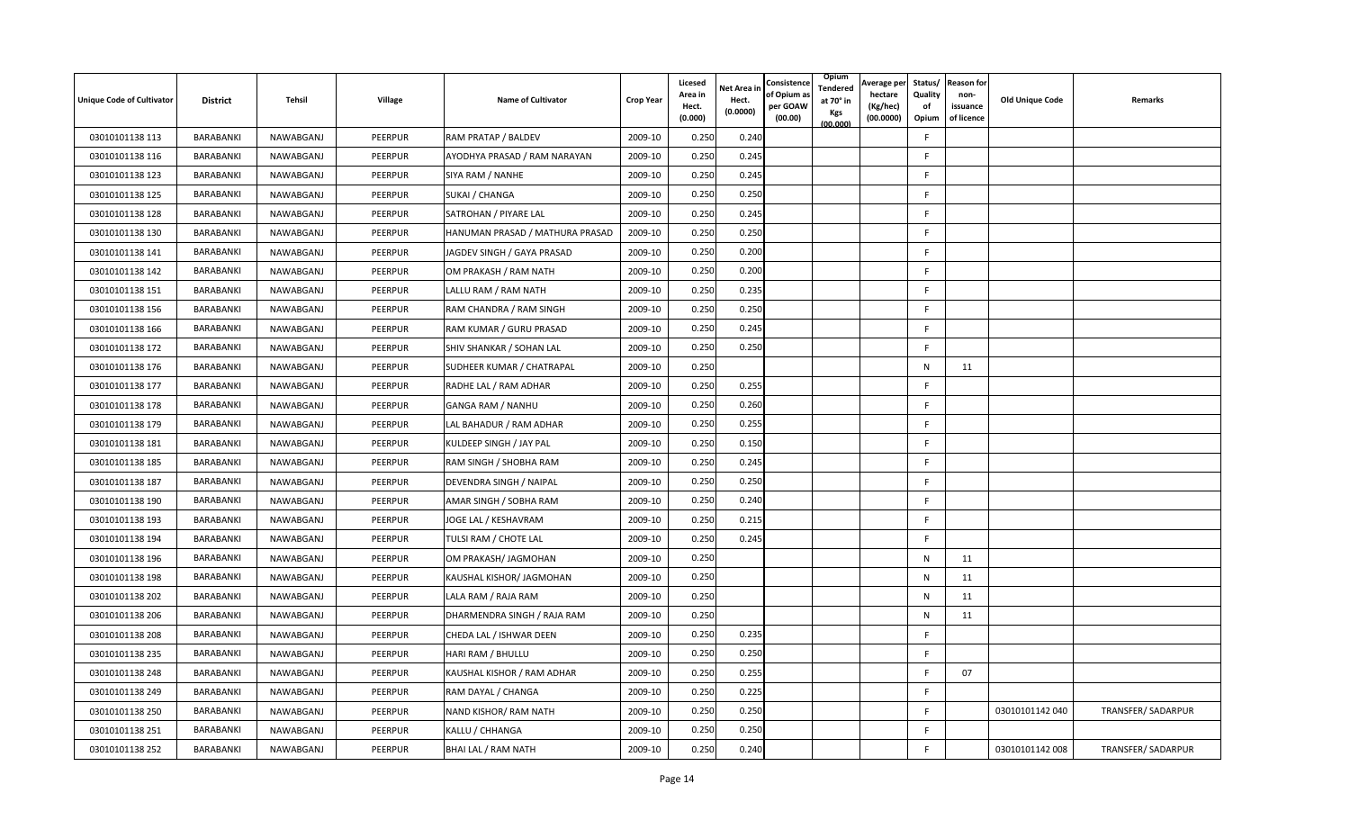| <b>Unique Code of Cultivator</b> | <b>District</b> | Tehsil    | Village        | <b>Name of Cultivator</b>       | <b>Crop Year</b> | Licesed<br>Area in<br>Hect.<br>(0.000) | <b>Vet Area in</b><br>Hect.<br>(0.0000) | Consistence<br>of Opium a<br>per GOAW<br>(00.00) | Opium<br>Tendered<br>at 70° in<br>Kgs<br>(00.000) | Average per<br>hectare<br>(Kg/hec)<br>(00.0000) | Status/<br>Quality<br>of<br>Opium | <b>Reason for</b><br>non-<br>issuance<br>of licence | <b>Old Unique Code</b> | Remarks            |
|----------------------------------|-----------------|-----------|----------------|---------------------------------|------------------|----------------------------------------|-----------------------------------------|--------------------------------------------------|---------------------------------------------------|-------------------------------------------------|-----------------------------------|-----------------------------------------------------|------------------------|--------------------|
| 03010101138 113                  | BARABANKI       | NAWABGANJ | <b>PEERPUR</b> | RAM PRATAP / BALDEV             | 2009-10          | 0.250                                  | 0.240                                   |                                                  |                                                   |                                                 | F                                 |                                                     |                        |                    |
| 03010101138 116                  | BARABANKI       | NAWABGANJ | PEERPUR        | AYODHYA PRASAD / RAM NARAYAN    | 2009-10          | 0.250                                  | 0.245                                   |                                                  |                                                   |                                                 | F                                 |                                                     |                        |                    |
| 03010101138 123                  | BARABANKI       | NAWABGANJ | PEERPUR        | SIYA RAM / NANHE                | 2009-10          | 0.250                                  | 0.245                                   |                                                  |                                                   |                                                 | F.                                |                                                     |                        |                    |
| 03010101138 125                  | BARABANKI       | NAWABGANJ | PEERPUR        | SUKAI / CHANGA                  | 2009-10          | 0.250                                  | 0.250                                   |                                                  |                                                   |                                                 | F                                 |                                                     |                        |                    |
| 03010101138 128                  | BARABANKI       | NAWABGANJ | PEERPUR        | SATROHAN / PIYARE LAL           | 2009-10          | 0.250                                  | 0.245                                   |                                                  |                                                   |                                                 | F                                 |                                                     |                        |                    |
| 03010101138 130                  | BARABANKI       | NAWABGANJ | PEERPUR        | HANUMAN PRASAD / MATHURA PRASAD | 2009-10          | 0.250                                  | 0.250                                   |                                                  |                                                   |                                                 | F.                                |                                                     |                        |                    |
| 03010101138 141                  | BARABANKI       | NAWABGANJ | PEERPUR        | JAGDEV SINGH / GAYA PRASAD      | 2009-10          | 0.250                                  | 0.200                                   |                                                  |                                                   |                                                 | F.                                |                                                     |                        |                    |
| 03010101138 142                  | BARABANKI       | NAWABGANJ | PEERPUR        | OM PRAKASH / RAM NATH           | 2009-10          | 0.250                                  | 0.200                                   |                                                  |                                                   |                                                 | F                                 |                                                     |                        |                    |
| 03010101138 151                  | BARABANKI       | NAWABGANJ | PEERPUR        | LALLU RAM / RAM NATH            | 2009-10          | 0.250                                  | 0.235                                   |                                                  |                                                   |                                                 | F                                 |                                                     |                        |                    |
| 03010101138 156                  | BARABANKI       | NAWABGANJ | PEERPUR        | RAM CHANDRA / RAM SINGH         | 2009-10          | 0.250                                  | 0.250                                   |                                                  |                                                   |                                                 | F                                 |                                                     |                        |                    |
| 03010101138 166                  | BARABANKI       | NAWABGANJ | PEERPUR        | RAM KUMAR / GURU PRASAD         | 2009-10          | 0.250                                  | 0.245                                   |                                                  |                                                   |                                                 | F                                 |                                                     |                        |                    |
| 03010101138 172                  | BARABANKI       | NAWABGANJ | PEERPUR        | SHIV SHANKAR / SOHAN LAL        | 2009-10          | 0.250                                  | 0.250                                   |                                                  |                                                   |                                                 | F                                 |                                                     |                        |                    |
| 03010101138 176                  | BARABANKI       | NAWABGANJ | <b>PEERPUR</b> | SUDHEER KUMAR / CHATRAPAL       | 2009-10          | 0.250                                  |                                         |                                                  |                                                   |                                                 | N                                 | 11                                                  |                        |                    |
| 03010101138 177                  | BARABANKI       | NAWABGANJ | PEERPUR        | RADHE LAL / RAM ADHAR           | 2009-10          | 0.250                                  | 0.255                                   |                                                  |                                                   |                                                 | F                                 |                                                     |                        |                    |
| 03010101138 178                  | BARABANKI       | NAWABGANJ | PEERPUR        | GANGA RAM / NANHU               | 2009-10          | 0.250                                  | 0.260                                   |                                                  |                                                   |                                                 | F                                 |                                                     |                        |                    |
| 03010101138 179                  | BARABANKI       | NAWABGANJ | PEERPUR        | LAL BAHADUR / RAM ADHAR         | 2009-10          | 0.250                                  | 0.255                                   |                                                  |                                                   |                                                 | F.                                |                                                     |                        |                    |
| 03010101138 181                  | BARABANKI       | NAWABGANJ | PEERPUR        | KULDEEP SINGH / JAY PAL         | 2009-10          | 0.250                                  | 0.150                                   |                                                  |                                                   |                                                 | F.                                |                                                     |                        |                    |
| 03010101138 185                  | BARABANKI       | NAWABGANJ | PEERPUR        | RAM SINGH / SHOBHA RAM          | 2009-10          | 0.250                                  | 0.245                                   |                                                  |                                                   |                                                 | F.                                |                                                     |                        |                    |
| 03010101138 187                  | BARABANKI       | NAWABGANJ | <b>PEERPUR</b> | DEVENDRA SINGH / NAIPAL         | 2009-10          | 0.250                                  | 0.250                                   |                                                  |                                                   |                                                 | F.                                |                                                     |                        |                    |
| 03010101138 190                  | BARABANKI       | NAWABGANJ | PEERPUR        | AMAR SINGH / SOBHA RAM          | 2009-10          | 0.250                                  | 0.240                                   |                                                  |                                                   |                                                 | F.                                |                                                     |                        |                    |
| 03010101138 193                  | BARABANKI       | NAWABGANJ | PEERPUR        | JOGE LAL / KESHAVRAM            | 2009-10          | 0.250                                  | 0.215                                   |                                                  |                                                   |                                                 | F.                                |                                                     |                        |                    |
| 03010101138 194                  | BARABANKI       | NAWABGANJ | <b>PEERPUR</b> | TULSI RAM / CHOTE LAL           | 2009-10          | 0.250                                  | 0.245                                   |                                                  |                                                   |                                                 | F                                 |                                                     |                        |                    |
| 03010101138 196                  | BARABANKI       | NAWABGANJ | PEERPUR        | OM PRAKASH/ JAGMOHAN            | 2009-10          | 0.250                                  |                                         |                                                  |                                                   |                                                 | N                                 | 11                                                  |                        |                    |
| 03010101138 198                  | BARABANKI       | NAWABGANJ | PEERPUR        | KAUSHAL KISHOR/ JAGMOHAN        | 2009-10          | 0.250                                  |                                         |                                                  |                                                   |                                                 | $\mathsf{N}$                      | 11                                                  |                        |                    |
| 03010101138 202                  | BARABANKI       | NAWABGANJ | PEERPUR        | LALA RAM / RAJA RAM             | 2009-10          | 0.250                                  |                                         |                                                  |                                                   |                                                 | N                                 | 11                                                  |                        |                    |
| 03010101138 206                  | BARABANKI       | NAWABGANJ | PEERPUR        | DHARMENDRA SINGH / RAJA RAM     | 2009-10          | 0.250                                  |                                         |                                                  |                                                   |                                                 | N                                 | 11                                                  |                        |                    |
| 03010101138 208                  | BARABANKI       | NAWABGANJ | <b>PEERPUR</b> | CHEDA LAL / ISHWAR DEEN         | 2009-10          | 0.250                                  | 0.235                                   |                                                  |                                                   |                                                 | F                                 |                                                     |                        |                    |
| 03010101138 235                  | BARABANKI       | NAWABGANJ | PEERPUR        | HARI RAM / BHULLU               | 2009-10          | 0.250                                  | 0.250                                   |                                                  |                                                   |                                                 | F                                 |                                                     |                        |                    |
| 03010101138 248                  | BARABANKI       | NAWABGANJ | PEERPUR        | KAUSHAL KISHOR / RAM ADHAR      | 2009-10          | 0.250                                  | 0.255                                   |                                                  |                                                   |                                                 | F                                 | 07                                                  |                        |                    |
| 03010101138 249                  | BARABANKI       | NAWABGANJ | PEERPUR        | RAM DAYAL / CHANGA              | 2009-10          | 0.250                                  | 0.225                                   |                                                  |                                                   |                                                 | F.                                |                                                     |                        |                    |
| 03010101138 250                  | BARABANKI       | NAWABGANJ | PEERPUR        | NAND KISHOR/ RAM NATH           | 2009-10          | 0.250                                  | 0.250                                   |                                                  |                                                   |                                                 | F                                 |                                                     | 03010101142 040        | TRANSFER/ SADARPUR |
| 03010101138 251                  | BARABANKI       | NAWABGANJ | <b>PEERPUR</b> | KALLU / CHHANGA                 | 2009-10          | 0.250                                  | 0.250                                   |                                                  |                                                   |                                                 | F                                 |                                                     |                        |                    |
| 03010101138 252                  | BARABANKI       | NAWABGANJ | <b>PEERPUR</b> | BHAI LAL / RAM NATH             | 2009-10          | 0.250                                  | 0.240                                   |                                                  |                                                   |                                                 | F.                                |                                                     | 03010101142 008        | TRANSFER/SADARPUR  |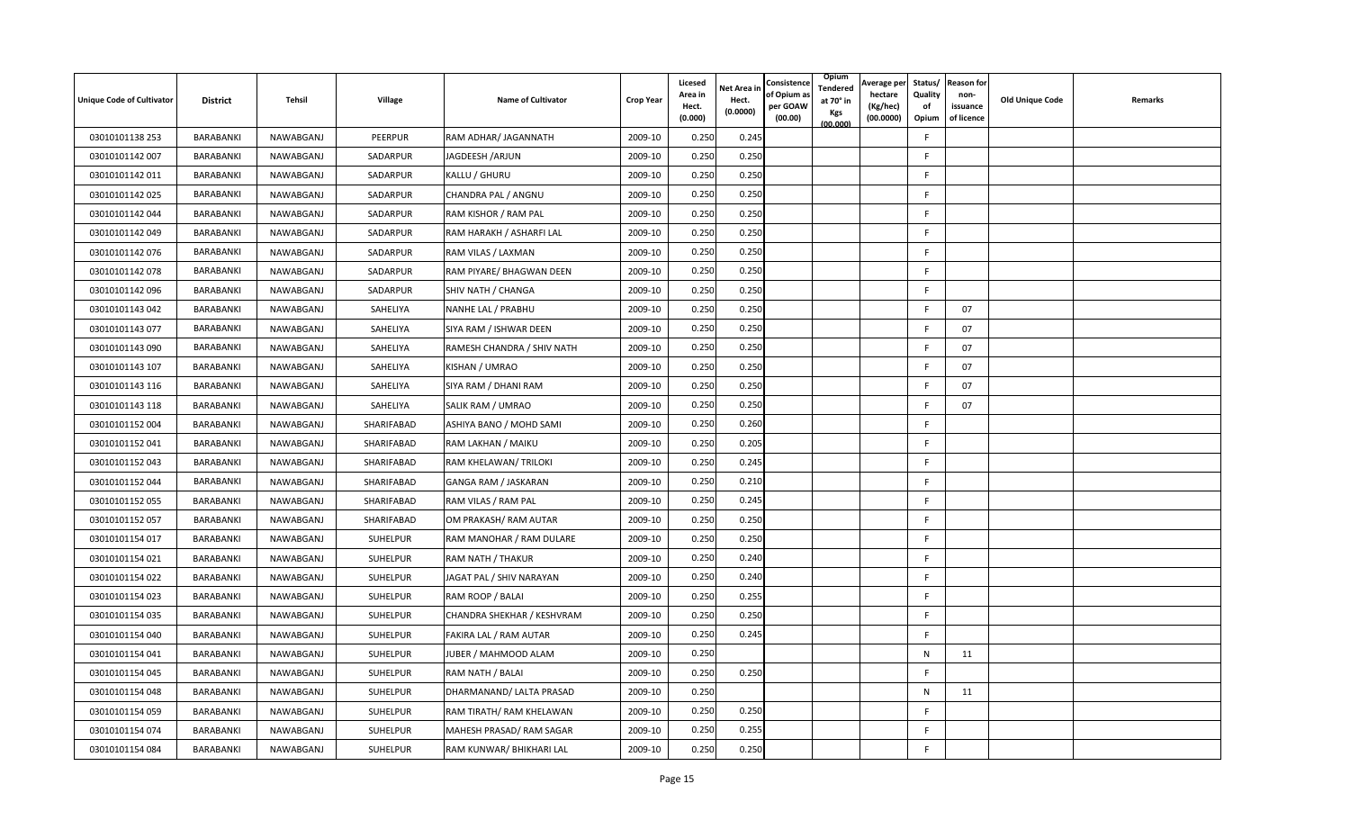| <b>Unique Code of Cultivator</b> | <b>District</b> | Tehsil    | Village         | <b>Name of Cultivator</b>  | <b>Crop Year</b> | Licesed<br>Area in<br>Hect.<br>(0.000) | Net Area in<br>Hect.<br>(0.0000) | Consistence<br>of Opium a<br>per GOAW<br>(00.00) | Opium<br>Tendered<br>at 70° in<br>Kgs<br>(00.000) | Average per<br>hectare<br>(Kg/hec)<br>(00.0000) | Status/<br>Quality<br>of<br>Opium | <b>Reason for</b><br>non-<br>issuance<br>of licence | <b>Old Unique Code</b> | Remarks |
|----------------------------------|-----------------|-----------|-----------------|----------------------------|------------------|----------------------------------------|----------------------------------|--------------------------------------------------|---------------------------------------------------|-------------------------------------------------|-----------------------------------|-----------------------------------------------------|------------------------|---------|
| 03010101138 253                  | BARABANKI       | NAWABGANJ | <b>PEERPUR</b>  | RAM ADHAR/ JAGANNATH       | 2009-10          | 0.250                                  | 0.245                            |                                                  |                                                   |                                                 | F                                 |                                                     |                        |         |
| 03010101142 007                  | BARABANKI       | NAWABGANJ | SADARPUR        | JAGDEESH /ARJUN            | 2009-10          | 0.250                                  | 0.250                            |                                                  |                                                   |                                                 | F                                 |                                                     |                        |         |
| 03010101142 011                  | BARABANKI       | NAWABGANJ | SADARPUR        | KALLU / GHURU              | 2009-10          | 0.250                                  | 0.250                            |                                                  |                                                   |                                                 | F                                 |                                                     |                        |         |
| 03010101142 025                  | BARABANKI       | NAWABGANJ | SADARPUR        | CHANDRA PAL / ANGNU        | 2009-10          | 0.250                                  | 0.250                            |                                                  |                                                   |                                                 | F                                 |                                                     |                        |         |
| 03010101142 044                  | BARABANKI       | NAWABGANJ | SADARPUR        | RAM KISHOR / RAM PAL       | 2009-10          | 0.250                                  | 0.250                            |                                                  |                                                   |                                                 | F                                 |                                                     |                        |         |
| 03010101142 049                  | BARABANKI       | NAWABGANJ | SADARPUR        | RAM HARAKH / ASHARFI LAL   | 2009-10          | 0.250                                  | 0.250                            |                                                  |                                                   |                                                 | F                                 |                                                     |                        |         |
| 03010101142 076                  | BARABANKI       | NAWABGANJ | SADARPUR        | RAM VILAS / LAXMAN         | 2009-10          | 0.250                                  | 0.250                            |                                                  |                                                   |                                                 | F.                                |                                                     |                        |         |
| 03010101142 078                  | BARABANKI       | NAWABGANJ | SADARPUR        | RAM PIYARE/ BHAGWAN DEEN   | 2009-10          | 0.250                                  | 0.250                            |                                                  |                                                   |                                                 | F                                 |                                                     |                        |         |
| 03010101142 096                  | BARABANKI       | NAWABGANJ | SADARPUR        | SHIV NATH / CHANGA         | 2009-10          | 0.250                                  | 0.250                            |                                                  |                                                   |                                                 | F                                 |                                                     |                        |         |
| 03010101143 042                  | BARABANKI       | NAWABGANJ | SAHELIYA        | NANHE LAL / PRABHU         | 2009-10          | 0.250                                  | 0.250                            |                                                  |                                                   |                                                 | F                                 | 07                                                  |                        |         |
| 03010101143 077                  | BARABANKI       | NAWABGANJ | SAHELIYA        | SIYA RAM / ISHWAR DEEN     | 2009-10          | 0.250                                  | 0.250                            |                                                  |                                                   |                                                 | F                                 | 07                                                  |                        |         |
| 03010101143 090                  | BARABANKI       | NAWABGANJ | SAHELIYA        | RAMESH CHANDRA / SHIV NATH | 2009-10          | 0.250                                  | 0.250                            |                                                  |                                                   |                                                 | F                                 | 07                                                  |                        |         |
| 03010101143 107                  | BARABANKI       | NAWABGANJ | SAHELIYA        | KISHAN / UMRAO             | 2009-10          | 0.250                                  | 0.250                            |                                                  |                                                   |                                                 | F                                 | 07                                                  |                        |         |
| 03010101143 116                  | BARABANKI       | NAWABGANJ | SAHELIYA        | SIYA RAM / DHANI RAM       | 2009-10          | 0.250                                  | 0.250                            |                                                  |                                                   |                                                 | F                                 | 07                                                  |                        |         |
| 03010101143 118                  | BARABANKI       | NAWABGANJ | SAHELIYA        | SALIK RAM / UMRAO          | 2009-10          | 0.250                                  | 0.250                            |                                                  |                                                   |                                                 | F                                 | 07                                                  |                        |         |
| 03010101152 004                  | BARABANKI       | NAWABGANJ | SHARIFABAD      | ASHIYA BANO / MOHD SAMI    | 2009-10          | 0.250                                  | 0.260                            |                                                  |                                                   |                                                 | F                                 |                                                     |                        |         |
| 03010101152 041                  | BARABANKI       | NAWABGANJ | SHARIFABAD      | RAM LAKHAN / MAIKU         | 2009-10          | 0.250                                  | 0.205                            |                                                  |                                                   |                                                 | F.                                |                                                     |                        |         |
| 03010101152 043                  | BARABANKI       | NAWABGANJ | SHARIFABAD      | RAM KHELAWAN/TRILOKI       | 2009-10          | 0.250                                  | 0.245                            |                                                  |                                                   |                                                 | F                                 |                                                     |                        |         |
| 03010101152 044                  | BARABANKI       | NAWABGANJ | SHARIFABAD      | GANGA RAM / JASKARAN       | 2009-10          | 0.250                                  | 0.210                            |                                                  |                                                   |                                                 | F.                                |                                                     |                        |         |
| 03010101152 055                  | BARABANKI       | NAWABGANJ | SHARIFABAD      | RAM VILAS / RAM PAL        | 2009-10          | 0.250                                  | 0.245                            |                                                  |                                                   |                                                 | F                                 |                                                     |                        |         |
| 03010101152 057                  | BARABANKI       | NAWABGANJ | SHARIFABAD      | OM PRAKASH/ RAM AUTAR      | 2009-10          | 0.250                                  | 0.250                            |                                                  |                                                   |                                                 | F                                 |                                                     |                        |         |
| 03010101154 017                  | BARABANKI       | NAWABGANJ | <b>SUHELPUR</b> | RAM MANOHAR / RAM DULARE   | 2009-10          | 0.250                                  | 0.250                            |                                                  |                                                   |                                                 | F.                                |                                                     |                        |         |
| 03010101154 021                  | BARABANKI       | NAWABGANJ | <b>SUHELPUR</b> | RAM NATH / THAKUR          | 2009-10          | 0.250                                  | 0.240                            |                                                  |                                                   |                                                 | F                                 |                                                     |                        |         |
| 03010101154 022                  | BARABANKI       | NAWABGANJ | SUHELPUR        | JAGAT PAL / SHIV NARAYAN   | 2009-10          | 0.250                                  | 0.240                            |                                                  |                                                   |                                                 | F                                 |                                                     |                        |         |
| 03010101154 023                  | BARABANKI       | NAWABGANJ | SUHELPUR        | RAM ROOP / BALAI           | 2009-10          | 0.250                                  | 0.255                            |                                                  |                                                   |                                                 | F                                 |                                                     |                        |         |
| 03010101154 035                  | BARABANKI       | NAWABGANJ | SUHELPUR        | CHANDRA SHEKHAR / KESHVRAM | 2009-10          | 0.250                                  | 0.250                            |                                                  |                                                   |                                                 | F                                 |                                                     |                        |         |
| 03010101154 040                  | BARABANKI       | NAWABGANJ | SUHELPUR        | FAKIRA LAL / RAM AUTAR     | 2009-10          | 0.250                                  | 0.245                            |                                                  |                                                   |                                                 | F.                                |                                                     |                        |         |
| 03010101154 041                  | BARABANKI       | NAWABGANJ | <b>SUHELPUR</b> | JUBER / MAHMOOD ALAM       | 2009-10          | 0.250                                  |                                  |                                                  |                                                   |                                                 | N                                 | 11                                                  |                        |         |
| 03010101154 045                  | BARABANKI       | NAWABGANJ | SUHELPUR        | RAM NATH / BALAI           | 2009-10          | 0.250                                  | 0.250                            |                                                  |                                                   |                                                 | F                                 |                                                     |                        |         |
| 03010101154 048                  | BARABANKI       | NAWABGANJ | SUHELPUR        | DHARMANAND/ LALTA PRASAD   | 2009-10          | 0.250                                  |                                  |                                                  |                                                   |                                                 | N                                 | 11                                                  |                        |         |
| 03010101154 059                  | BARABANKI       | NAWABGANJ | <b>SUHELPUR</b> | RAM TIRATH/ RAM KHELAWAN   | 2009-10          | 0.250                                  | 0.250                            |                                                  |                                                   |                                                 | F.                                |                                                     |                        |         |
| 03010101154 074                  | BARABANKI       | NAWABGANJ | SUHELPUR        | MAHESH PRASAD/ RAM SAGAR   | 2009-10          | 0.250                                  | 0.255                            |                                                  |                                                   |                                                 | F                                 |                                                     |                        |         |
| 03010101154 084                  | BARABANKI       | NAWABGANJ | SUHELPUR        | RAM KUNWAR/ BHIKHARI LAL   | 2009-10          | 0.250                                  | 0.250                            |                                                  |                                                   |                                                 | F                                 |                                                     |                        |         |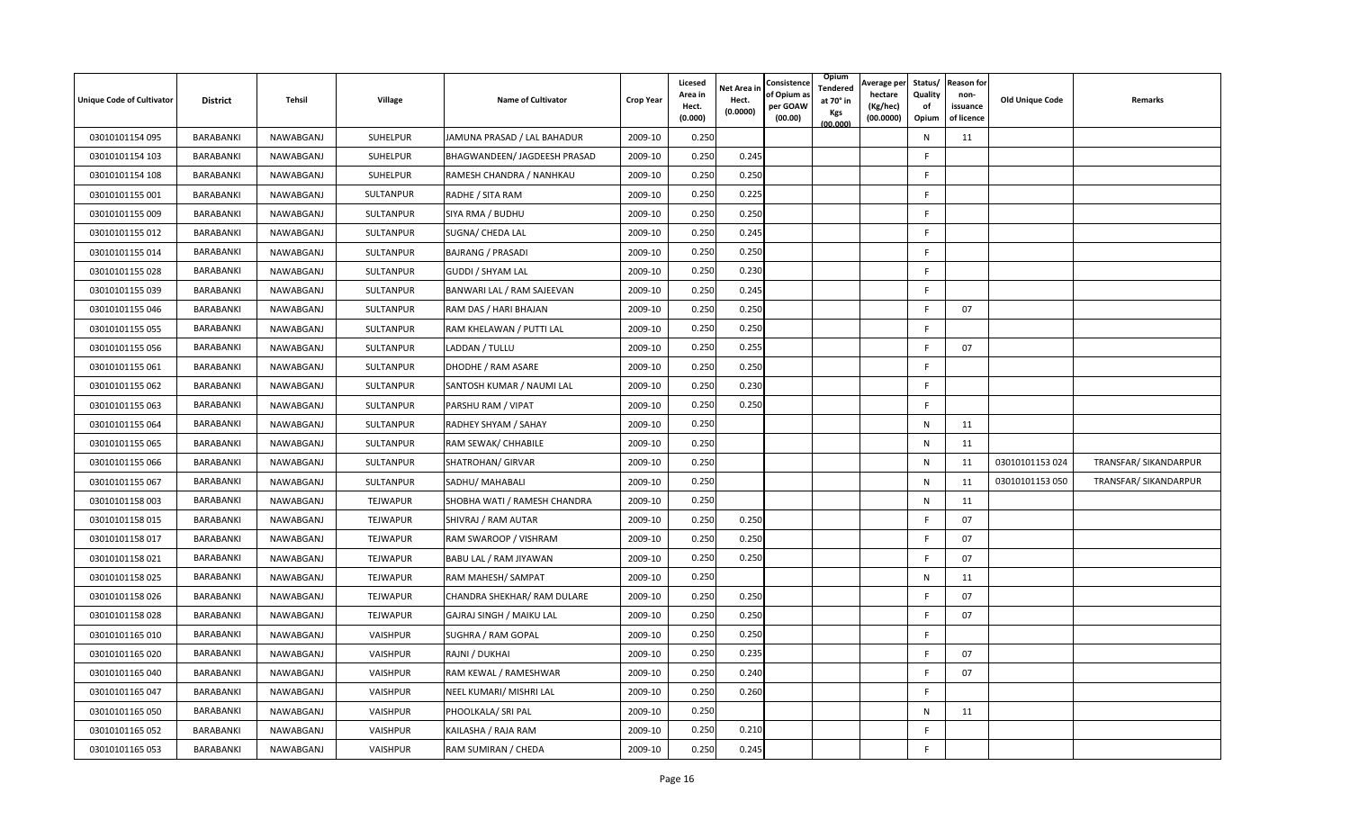| <b>Unique Code of Cultivator</b> | <b>District</b> | Tehsil    | Village          | <b>Name of Cultivator</b>    | <b>Crop Year</b> | Licesed<br>Area in<br>Hect.<br>(0.000) | Net Area in<br>Hect.<br>(0.0000) | Consistence<br>of Opium a<br>per GOAW<br>(00.00) | Opium<br>Tendered<br>at 70° in<br>Kgs<br>(00.000) | Average per<br>hectare<br>(Kg/hec)<br>(00.0000) | Status/<br>Quality<br>of<br>Opium | <b>Reason for</b><br>non-<br>issuance<br>of licence | <b>Old Unique Code</b> | Remarks               |
|----------------------------------|-----------------|-----------|------------------|------------------------------|------------------|----------------------------------------|----------------------------------|--------------------------------------------------|---------------------------------------------------|-------------------------------------------------|-----------------------------------|-----------------------------------------------------|------------------------|-----------------------|
| 03010101154 095                  | BARABANKI       | NAWABGANJ | SUHELPUR         | JAMUNA PRASAD / LAL BAHADUR  | 2009-10          | 0.250                                  |                                  |                                                  |                                                   |                                                 | N                                 | 11                                                  |                        |                       |
| 03010101154 103                  | BARABANKI       | NAWABGANJ | SUHELPUR         | BHAGWANDEEN/ JAGDEESH PRASAD | 2009-10          | 0.250                                  | 0.245                            |                                                  |                                                   |                                                 | F                                 |                                                     |                        |                       |
| 03010101154 108                  | BARABANKI       | NAWABGANJ | SUHELPUR         | RAMESH CHANDRA / NANHKAU     | 2009-10          | 0.250                                  | 0.250                            |                                                  |                                                   |                                                 | F                                 |                                                     |                        |                       |
| 03010101155 001                  | BARABANKI       | NAWABGANJ | SULTANPUR        | RADHE / SITA RAM             | 2009-10          | 0.250                                  | 0.225                            |                                                  |                                                   |                                                 | F                                 |                                                     |                        |                       |
| 03010101155 009                  | BARABANKI       | NAWABGANJ | SULTANPUR        | SIYA RMA / BUDHU             | 2009-10          | 0.250                                  | 0.250                            |                                                  |                                                   |                                                 | F                                 |                                                     |                        |                       |
| 03010101155 012                  | BARABANKI       | NAWABGANJ | SULTANPUR        | SUGNA/ CHEDA LAL             | 2009-10          | 0.250                                  | 0.245                            |                                                  |                                                   |                                                 | F                                 |                                                     |                        |                       |
| 03010101155 014                  | BARABANKI       | NAWABGANJ | SULTANPUR        | <b>BAJRANG / PRASADI</b>     | 2009-10          | 0.250                                  | 0.250                            |                                                  |                                                   |                                                 | F.                                |                                                     |                        |                       |
| 03010101155 028                  | BARABANKI       | NAWABGANJ | SULTANPUR        | <b>GUDDI / SHYAM LAL</b>     | 2009-10          | 0.250                                  | 0.230                            |                                                  |                                                   |                                                 | F                                 |                                                     |                        |                       |
| 03010101155 039                  | BARABANKI       | NAWABGANJ | SULTANPUR        | BANWARI LAL / RAM SAJEEVAN   | 2009-10          | 0.250                                  | 0.245                            |                                                  |                                                   |                                                 | F                                 |                                                     |                        |                       |
| 03010101155 046                  | BARABANKI       | NAWABGANJ | SULTANPUR        | RAM DAS / HARI BHAJAN        | 2009-10          | 0.250                                  | 0.250                            |                                                  |                                                   |                                                 | F                                 | 07                                                  |                        |                       |
| 03010101155 055                  | BARABANKI       | NAWABGANJ | SULTANPUR        | RAM KHELAWAN / PUTTI LAL     | 2009-10          | 0.250                                  | 0.250                            |                                                  |                                                   |                                                 | F                                 |                                                     |                        |                       |
| 03010101155 056                  | BARABANKI       | NAWABGANJ | SULTANPUR        | LADDAN / TULLU               | 2009-10          | 0.250                                  | 0.255                            |                                                  |                                                   |                                                 | F.                                | 07                                                  |                        |                       |
| 03010101155 061                  | BARABANKI       | NAWABGANJ | SULTANPUR        | DHODHE / RAM ASARE           | 2009-10          | 0.250                                  | 0.250                            |                                                  |                                                   |                                                 | F                                 |                                                     |                        |                       |
| 03010101155 062                  | BARABANKI       | NAWABGANJ | SULTANPUR        | SANTOSH KUMAR / NAUMI LAL    | 2009-10          | 0.250                                  | 0.230                            |                                                  |                                                   |                                                 | F                                 |                                                     |                        |                       |
| 03010101155 063                  | BARABANKI       | NAWABGANJ | SULTANPUR        | PARSHU RAM / VIPAT           | 2009-10          | 0.250                                  | 0.250                            |                                                  |                                                   |                                                 | F                                 |                                                     |                        |                       |
| 03010101155 064                  | BARABANKI       | NAWABGANJ | SULTANPUR        | RADHEY SHYAM / SAHAY         | 2009-10          | 0.250                                  |                                  |                                                  |                                                   |                                                 | N                                 | 11                                                  |                        |                       |
| 03010101155 065                  | BARABANKI       | NAWABGANJ | SULTANPUR        | RAM SEWAK/ CHHABILE          | 2009-10          | 0.250                                  |                                  |                                                  |                                                   |                                                 | N                                 | 11                                                  |                        |                       |
| 03010101155 066                  | BARABANKI       | NAWABGANJ | SULTANPUR        | <b>SHATROHAN/ GIRVAR</b>     | 2009-10          | 0.250                                  |                                  |                                                  |                                                   |                                                 | $\mathsf{N}$                      | 11                                                  | 03010101153 024        | TRANSFAR/ SIKANDARPUR |
| 03010101155 067                  | BARABANKI       | NAWABGANJ | <b>SULTANPUR</b> | SADHU/ MAHABALI              | 2009-10          | 0.250                                  |                                  |                                                  |                                                   |                                                 | N                                 | 11                                                  | 03010101153 050        | TRANSFAR/ SIKANDARPUR |
| 03010101158 003                  | BARABANKI       | NAWABGANJ | TEJWAPUR         | SHOBHA WATI / RAMESH CHANDRA | 2009-10          | 0.250                                  |                                  |                                                  |                                                   |                                                 | N                                 | 11                                                  |                        |                       |
| 03010101158 015                  | BARABANKI       | NAWABGANJ | <b>TEJWAPUR</b>  | SHIVRAJ / RAM AUTAR          | 2009-10          | 0.250                                  | 0.250                            |                                                  |                                                   |                                                 | F                                 | 07                                                  |                        |                       |
| 03010101158 017                  | BARABANKI       | NAWABGANJ | TEJWAPUR         | RAM SWAROOP / VISHRAM        | 2009-10          | 0.250                                  | 0.250                            |                                                  |                                                   |                                                 | F                                 | 07                                                  |                        |                       |
| 03010101158 021                  | BARABANKI       | NAWABGANJ | <b>TEJWAPUR</b>  | BABU LAL / RAM JIYAWAN       | 2009-10          | 0.250                                  | 0.250                            |                                                  |                                                   |                                                 | F                                 | 07                                                  |                        |                       |
| 03010101158 025                  | BARABANKI       | NAWABGANJ | <b>TEJWAPUR</b>  | RAM MAHESH/ SAMPAT           | 2009-10          | 0.250                                  |                                  |                                                  |                                                   |                                                 | N                                 | 11                                                  |                        |                       |
| 03010101158026                   | BARABANKI       | NAWABGANJ | <b>TEJWAPUR</b>  | CHANDRA SHEKHAR/ RAM DULARE  | 2009-10          | 0.250                                  | 0.250                            |                                                  |                                                   |                                                 | F                                 | 07                                                  |                        |                       |
| 03010101158028                   | BARABANKI       | NAWABGANJ | <b>TEJWAPUR</b>  | GAJRAJ SINGH / MAIKU LAL     | 2009-10          | 0.250                                  | 0.250                            |                                                  |                                                   |                                                 | F                                 | 07                                                  |                        |                       |
| 03010101165 010                  | BARABANKI       | NAWABGANJ | VAISHPUR         | <b>SUGHRA / RAM GOPAL</b>    | 2009-10          | 0.250                                  | 0.250                            |                                                  |                                                   |                                                 | F                                 |                                                     |                        |                       |
| 03010101165 020                  | BARABANKI       | NAWABGANJ | VAISHPUR         | RAJNI / DUKHAI               | 2009-10          | 0.250                                  | 0.235                            |                                                  |                                                   |                                                 | F                                 | 07                                                  |                        |                       |
| 03010101165 040                  | BARABANKI       | NAWABGANJ | VAISHPUR         | RAM KEWAL / RAMESHWAR        | 2009-10          | 0.250                                  | 0.240                            |                                                  |                                                   |                                                 | F                                 | 07                                                  |                        |                       |
| 03010101165 047                  | BARABANKI       | NAWABGANJ | VAISHPUR         | NEEL KUMARI/ MISHRI LAL      | 2009-10          | 0.250                                  | 0.260                            |                                                  |                                                   |                                                 | F.                                |                                                     |                        |                       |
| 03010101165 050                  | BARABANKI       | NAWABGANJ | VAISHPUR         | PHOOLKALA/ SRI PAL           | 2009-10          | 0.250                                  |                                  |                                                  |                                                   |                                                 | N                                 | 11                                                  |                        |                       |
| 03010101165 052                  | BARABANKI       | NAWABGANJ | VAISHPUR         | KAILASHA / RAJA RAM          | 2009-10          | 0.250                                  | 0.210                            |                                                  |                                                   |                                                 | E                                 |                                                     |                        |                       |
| 03010101165 053                  | BARABANKI       | NAWABGANJ | VAISHPUR         | RAM SUMIRAN / CHEDA          | 2009-10          | 0.250                                  | 0.245                            |                                                  |                                                   |                                                 | F.                                |                                                     |                        |                       |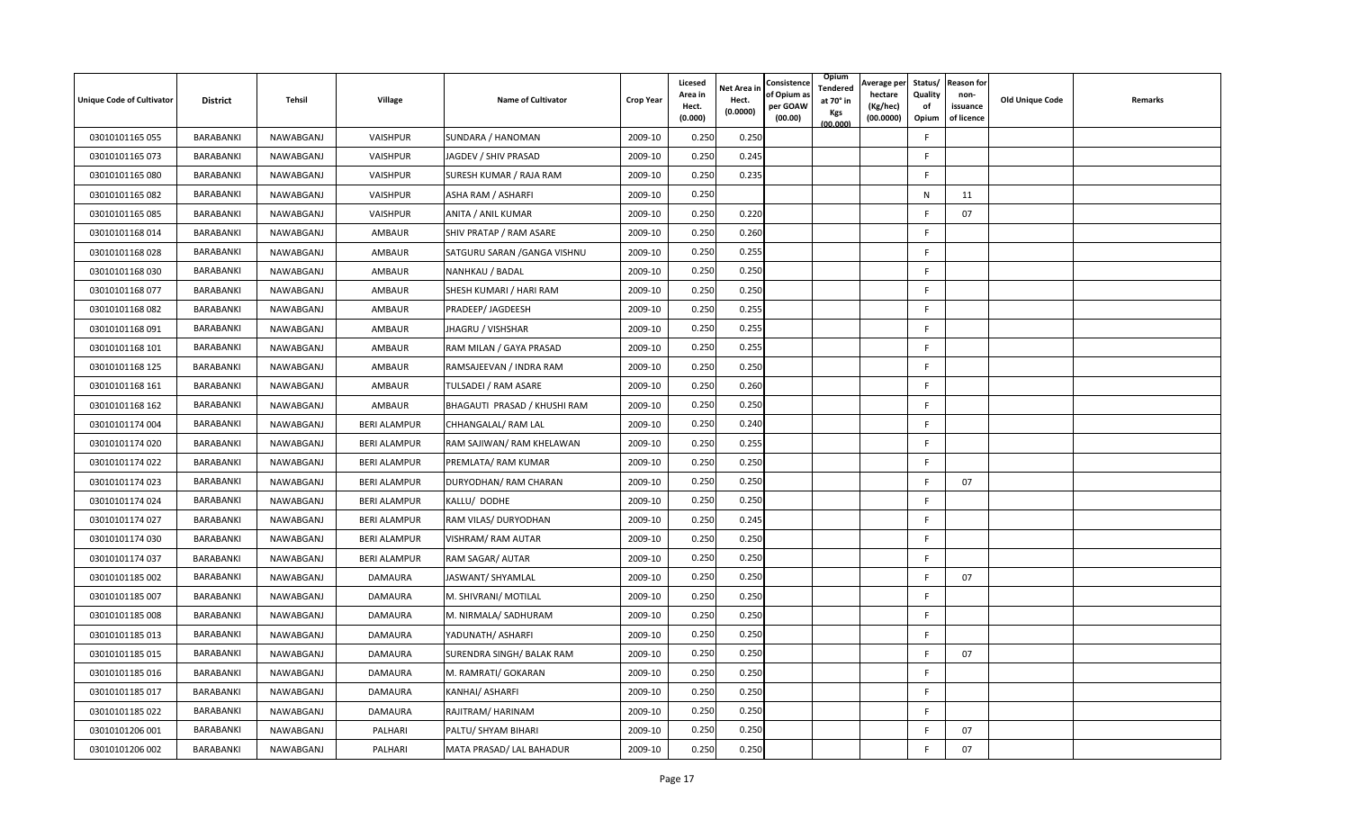| <b>Unique Code of Cultivator</b> | <b>District</b> | Tehsil    | Village             | <b>Name of Cultivator</b>    | <b>Crop Year</b> | Licesed<br>Area in<br>Hect.<br>(0.000) | <b>Net Area in</b><br>Hect.<br>(0.0000) | Consistence<br>of Opium a<br>per GOAW<br>(00.00) | Opium<br>Tendered<br>at 70° in<br>Kgs<br>(00.000) | Average per<br>hectare<br>(Kg/hec)<br>(00.0000) | Status/<br>Quality<br>of<br>Opium | <b>Reason for</b><br>non-<br>issuance<br>of licence | <b>Old Unique Code</b> | Remarks |
|----------------------------------|-----------------|-----------|---------------------|------------------------------|------------------|----------------------------------------|-----------------------------------------|--------------------------------------------------|---------------------------------------------------|-------------------------------------------------|-----------------------------------|-----------------------------------------------------|------------------------|---------|
| 03010101165 055                  | BARABANKI       | NAWABGANJ | VAISHPUR            | SUNDARA / HANOMAN            | 2009-10          | 0.250                                  | 0.250                                   |                                                  |                                                   |                                                 | F                                 |                                                     |                        |         |
| 03010101165 073                  | BARABANKI       | NAWABGANJ | VAISHPUR            | JAGDEV / SHIV PRASAD         | 2009-10          | 0.250                                  | 0.245                                   |                                                  |                                                   |                                                 | F                                 |                                                     |                        |         |
| 03010101165 080                  | BARABANKI       | NAWABGANJ | VAISHPUR            | SURESH KUMAR / RAJA RAM      | 2009-10          | 0.250                                  | 0.235                                   |                                                  |                                                   |                                                 | F.                                |                                                     |                        |         |
| 03010101165 082                  | BARABANKI       | NAWABGANJ | VAISHPUR            | ASHA RAM / ASHARFI           | 2009-10          | 0.250                                  |                                         |                                                  |                                                   |                                                 | N                                 | 11                                                  |                        |         |
| 03010101165 085                  | BARABANKI       | NAWABGANJ | VAISHPUR            | ANITA / ANIL KUMAR           | 2009-10          | 0.250                                  | 0.220                                   |                                                  |                                                   |                                                 | F                                 | 07                                                  |                        |         |
| 03010101168 014                  | BARABANKI       | NAWABGANJ | AMBAUR              | SHIV PRATAP / RAM ASARE      | 2009-10          | 0.250                                  | 0.260                                   |                                                  |                                                   |                                                 | F                                 |                                                     |                        |         |
| 03010101168028                   | BARABANKI       | NAWABGANJ | AMBAUR              | SATGURU SARAN / GANGA VISHNU | 2009-10          | 0.250                                  | 0.255                                   |                                                  |                                                   |                                                 | F                                 |                                                     |                        |         |
| 03010101168030                   | BARABANKI       | NAWABGANJ | AMBAUR              | NANHKAU / BADAL              | 2009-10          | 0.250                                  | 0.250                                   |                                                  |                                                   |                                                 | F                                 |                                                     |                        |         |
| 03010101168 077                  | BARABANKI       | NAWABGANJ | AMBAUR              | SHESH KUMARI / HARI RAM      | 2009-10          | 0.250                                  | 0.250                                   |                                                  |                                                   |                                                 | F.                                |                                                     |                        |         |
| 03010101168 082                  | BARABANKI       | NAWABGANJ | AMBAUR              | PRADEEP/ JAGDEESH            | 2009-10          | 0.250                                  | 0.255                                   |                                                  |                                                   |                                                 | F.                                |                                                     |                        |         |
| 03010101168 091                  | BARABANKI       | NAWABGANJ | AMBAUR              | JHAGRU / VISHSHAR            | 2009-10          | 0.250                                  | 0.255                                   |                                                  |                                                   |                                                 | F.                                |                                                     |                        |         |
| 03010101168 101                  | BARABANKI       | NAWABGANJ | AMBAUR              | RAM MILAN / GAYA PRASAD      | 2009-10          | 0.250                                  | 0.255                                   |                                                  |                                                   |                                                 | F                                 |                                                     |                        |         |
| 03010101168 125                  | BARABANKI       | NAWABGANJ | AMBAUR              | RAMSAJEEVAN / INDRA RAM      | 2009-10          | 0.250                                  | 0.250                                   |                                                  |                                                   |                                                 | F.                                |                                                     |                        |         |
| 03010101168 161                  | BARABANKI       | NAWABGANJ | <b>AMBAUR</b>       | TULSADEI / RAM ASARE         | 2009-10          | 0.250                                  | 0.260                                   |                                                  |                                                   |                                                 | F                                 |                                                     |                        |         |
| 03010101168 162                  | BARABANKI       | NAWABGANJ | <b>AMBAUR</b>       | BHAGAUTI PRASAD / KHUSHI RAM | 2009-10          | 0.250                                  | 0.250                                   |                                                  |                                                   |                                                 | F.                                |                                                     |                        |         |
| 03010101174 004                  | BARABANKI       | NAWABGANJ | <b>BERI ALAMPUR</b> | CHHANGALAL/ RAM LAL          | 2009-10          | 0.250                                  | 0.240                                   |                                                  |                                                   |                                                 | F                                 |                                                     |                        |         |
| 03010101174 020                  | BARABANKI       | NAWABGANJ | <b>BERI ALAMPUR</b> | RAM SAJIWAN/ RAM KHELAWAN    | 2009-10          | 0.250                                  | 0.255                                   |                                                  |                                                   |                                                 | F.                                |                                                     |                        |         |
| 03010101174 022                  | BARABANKI       | NAWABGANJ | <b>BERI ALAMPUR</b> | PREMLATA/ RAM KUMAR          | 2009-10          | 0.250                                  | 0.250                                   |                                                  |                                                   |                                                 | F                                 |                                                     |                        |         |
| 03010101174 023                  | BARABANKI       | NAWABGANJ | <b>BERI ALAMPUR</b> | DURYODHAN/ RAM CHARAN        | 2009-10          | 0.250                                  | 0.250                                   |                                                  |                                                   |                                                 | F                                 | 07                                                  |                        |         |
| 03010101174 024                  | BARABANKI       | NAWABGANJ | <b>BERI ALAMPUR</b> | KALLU/ DODHE                 | 2009-10          | 0.250                                  | 0.250                                   |                                                  |                                                   |                                                 | F                                 |                                                     |                        |         |
| 03010101174 027                  | BARABANKI       | NAWABGANJ | <b>BERI ALAMPUR</b> | RAM VILAS/ DURYODHAN         | 2009-10          | 0.250                                  | 0.245                                   |                                                  |                                                   |                                                 | F                                 |                                                     |                        |         |
| 03010101174 030                  | BARABANKI       | NAWABGANJ | <b>BERI ALAMPUR</b> | VISHRAM/ RAM AUTAR           | 2009-10          | 0.250                                  | 0.250                                   |                                                  |                                                   |                                                 | F.                                |                                                     |                        |         |
| 03010101174 037                  | BARABANKI       | NAWABGANJ | <b>BERI ALAMPUR</b> | RAM SAGAR/ AUTAR             | 2009-10          | 0.250                                  | 0.250                                   |                                                  |                                                   |                                                 | F                                 |                                                     |                        |         |
| 03010101185 002                  | BARABANKI       | NAWABGANJ | <b>DAMAURA</b>      | JASWANT/ SHYAMLAL            | 2009-10          | 0.250                                  | 0.250                                   |                                                  |                                                   |                                                 | F                                 | 07                                                  |                        |         |
| 03010101185 007                  | BARABANKI       | NAWABGANJ | DAMAURA             | M. SHIVRANI/ MOTILAL         | 2009-10          | 0.250                                  | 0.250                                   |                                                  |                                                   |                                                 | F.                                |                                                     |                        |         |
| 03010101185 008                  | BARABANKI       | NAWABGANJ | DAMAURA             | M. NIRMALA/ SADHURAM         | 2009-10          | 0.250                                  | 0.250                                   |                                                  |                                                   |                                                 | F                                 |                                                     |                        |         |
| 03010101185 013                  | BARABANKI       | NAWABGANJ | DAMAURA             | YADUNATH/ ASHARFI            | 2009-10          | 0.250                                  | 0.250                                   |                                                  |                                                   |                                                 | F                                 |                                                     |                        |         |
| 03010101185 015                  | BARABANKI       | NAWABGANJ | DAMAURA             | SURENDRA SINGH/ BALAK RAM    | 2009-10          | 0.250                                  | 0.250                                   |                                                  |                                                   |                                                 | F                                 | 07                                                  |                        |         |
| 03010101185 016                  | BARABANKI       | NAWABGANJ | DAMAURA             | M. RAMRATI/ GOKARAN          | 2009-10          | 0.250                                  | 0.250                                   |                                                  |                                                   |                                                 | F                                 |                                                     |                        |         |
| 03010101185 017                  | BARABANKI       | NAWABGANJ | DAMAURA             | KANHAI/ ASHARFI              | 2009-10          | 0.250                                  | 0.250                                   |                                                  |                                                   |                                                 | F                                 |                                                     |                        |         |
| 03010101185 022                  | BARABANKI       | NAWABGANJ | <b>DAMAURA</b>      | RAJITRAM/ HARINAM            | 2009-10          | 0.250                                  | 0.250                                   |                                                  |                                                   |                                                 | F.                                |                                                     |                        |         |
| 03010101206 001                  | BARABANKI       | NAWABGANJ | PALHARI             | PALTU/ SHYAM BIHARI          | 2009-10          | 0.250                                  | 0.250                                   |                                                  |                                                   |                                                 | F                                 | 07                                                  |                        |         |
| 03010101206 002                  | BARABANKI       | NAWABGANJ | PALHARI             | MATA PRASAD/ LAL BAHADUR     | 2009-10          | 0.250                                  | 0.250                                   |                                                  |                                                   |                                                 | F                                 | 07                                                  |                        |         |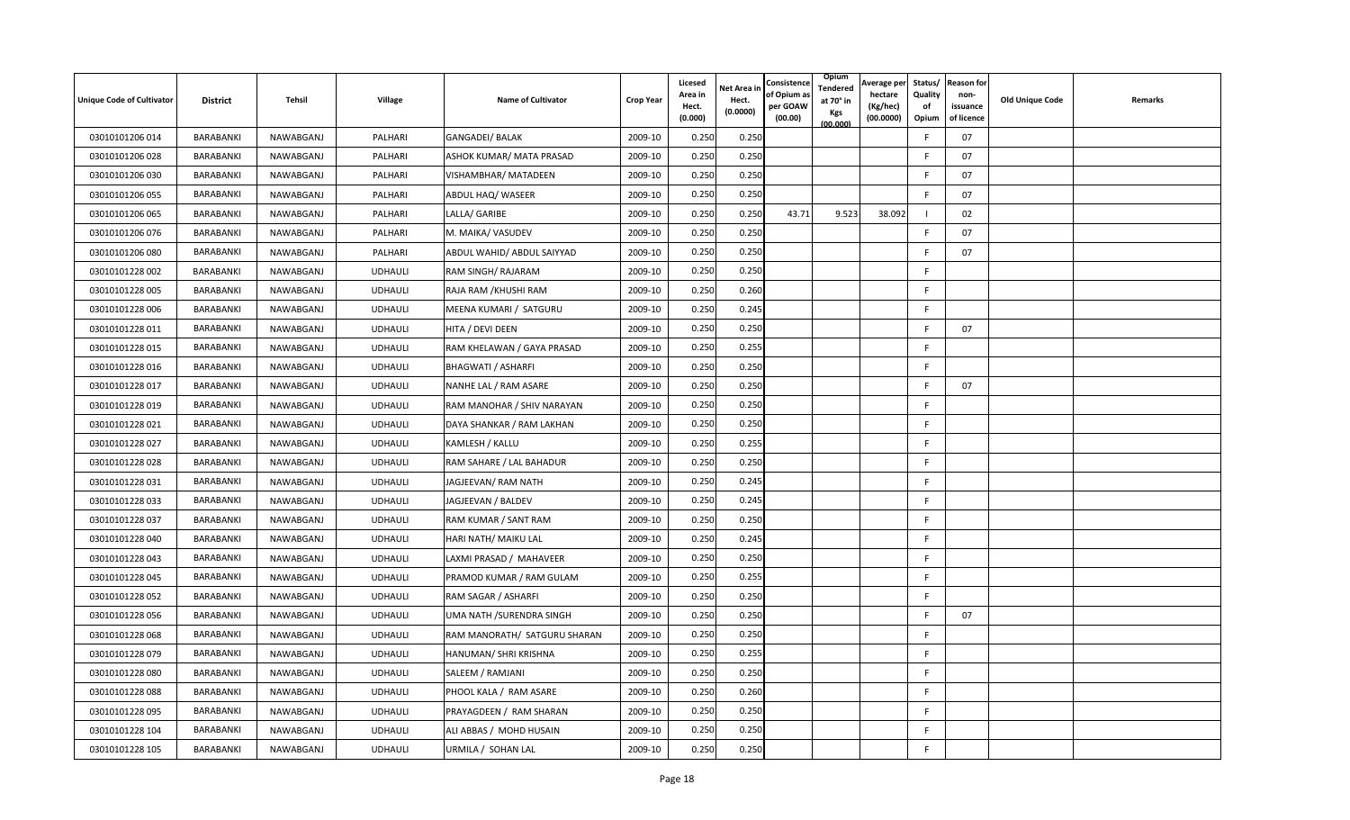| <b>Unique Code of Cultivator</b> | <b>District</b> | Tehsil    | Village        | <b>Name of Cultivator</b>    | <b>Crop Year</b> | Licesed<br>Area in<br>Hect.<br>(0.000) | Net Area in<br>Hect.<br>(0.0000) | Consistence<br>of Opium a<br>per GOAW<br>(00.00) | Opium<br>Tendered<br>at 70° in<br>Kgs<br>(00.000) | Average per<br>hectare<br>(Kg/hec)<br>(00.0000) | Status/<br>Quality<br>of<br>Opium | <b>Reason for</b><br>non-<br>issuance<br>of licence | <b>Old Unique Code</b> | Remarks |
|----------------------------------|-----------------|-----------|----------------|------------------------------|------------------|----------------------------------------|----------------------------------|--------------------------------------------------|---------------------------------------------------|-------------------------------------------------|-----------------------------------|-----------------------------------------------------|------------------------|---------|
| 03010101206 014                  | BARABANKI       | NAWABGANJ | PALHARI        | <b>GANGADEI/ BALAK</b>       | 2009-10          | 0.250                                  | 0.250                            |                                                  |                                                   |                                                 | F                                 | 07                                                  |                        |         |
| 03010101206 028                  | BARABANKI       | NAWABGANJ | PALHARI        | ASHOK KUMAR/ MATA PRASAD     | 2009-10          | 0.250                                  | 0.250                            |                                                  |                                                   |                                                 | E                                 | 07                                                  |                        |         |
| 03010101206 030                  | BARABANKI       | NAWABGANJ | PALHARI        | VISHAMBHAR/ MATADEEN         | 2009-10          | 0.250                                  | 0.250                            |                                                  |                                                   |                                                 |                                   | 07                                                  |                        |         |
| 03010101206 055                  | BARABANKI       | NAWABGANJ | PALHARI        | ABDUL HAQ/ WASEER            | 2009-10          | 0.250                                  | 0.250                            |                                                  |                                                   |                                                 | E                                 | 07                                                  |                        |         |
| 03010101206 065                  | BARABANKI       | NAWABGANJ | PALHARI        | LALLA/ GARIBE                | 2009-10          | 0.250                                  | 0.250                            | 43.71                                            | 9.523                                             | 38.092                                          |                                   | 02                                                  |                        |         |
| 03010101206 076                  | BARABANKI       | NAWABGANJ | PALHARI        | M. MAIKA/ VASUDEV            | 2009-10          | 0.250                                  | 0.250                            |                                                  |                                                   |                                                 |                                   | 07                                                  |                        |         |
| 03010101206 080                  | BARABANKI       | NAWABGANJ | PALHARI        | ABDUL WAHID/ ABDUL SAIYYAD   | 2009-10          | 0.250                                  | 0.250                            |                                                  |                                                   |                                                 | E                                 | 07                                                  |                        |         |
| 03010101228 002                  | BARABANKI       | NAWABGANJ | <b>UDHAULI</b> | RAM SINGH/ RAJARAM           | 2009-10          | 0.250                                  | 0.250                            |                                                  |                                                   |                                                 | F                                 |                                                     |                        |         |
| 03010101228 005                  | BARABANKI       | NAWABGANJ | <b>UDHAULI</b> | RAJA RAM / KHUSHI RAM        | 2009-10          | 0.250                                  | 0.260                            |                                                  |                                                   |                                                 | F                                 |                                                     |                        |         |
| 03010101228 006                  | BARABANKI       | NAWABGANJ | <b>UDHAULI</b> | MEENA KUMARI / SATGURU       | 2009-10          | 0.250                                  | 0.245                            |                                                  |                                                   |                                                 | F.                                |                                                     |                        |         |
| 03010101228 011                  | BARABANKI       | NAWABGANJ | <b>UDHAULI</b> | HITA / DEVI DEEN             | 2009-10          | 0.250                                  | 0.250                            |                                                  |                                                   |                                                 | F                                 | 07                                                  |                        |         |
| 03010101228 015                  | BARABANKI       | NAWABGANJ | <b>UDHAULI</b> | RAM KHELAWAN / GAYA PRASAD   | 2009-10          | 0.250                                  | 0.255                            |                                                  |                                                   |                                                 | F                                 |                                                     |                        |         |
| 03010101228 016                  | BARABANKI       | NAWABGANJ | <b>UDHAULI</b> | <b>BHAGWATI / ASHARFI</b>    | 2009-10          | 0.250                                  | 0.250                            |                                                  |                                                   |                                                 | F                                 |                                                     |                        |         |
| 03010101228 017                  | BARABANKI       | NAWABGANJ | <b>UDHAULI</b> | NANHE LAL / RAM ASARE        | 2009-10          | 0.250                                  | 0.250                            |                                                  |                                                   |                                                 | E                                 | 07                                                  |                        |         |
| 03010101228 019                  | BARABANKI       | NAWABGANJ | <b>UDHAULI</b> | RAM MANOHAR / SHIV NARAYAN   | 2009-10          | 0.250                                  | 0.250                            |                                                  |                                                   |                                                 | F                                 |                                                     |                        |         |
| 03010101228 021                  | BARABANKI       | NAWABGANJ | <b>UDHAULI</b> | DAYA SHANKAR / RAM LAKHAN    | 2009-10          | 0.250                                  | 0.250                            |                                                  |                                                   |                                                 | F                                 |                                                     |                        |         |
| 03010101228 027                  | BARABANKI       | NAWABGANJ | <b>UDHAULI</b> | KAMLESH / KALLU              | 2009-10          | 0.250                                  | 0.255                            |                                                  |                                                   |                                                 | F.                                |                                                     |                        |         |
| 03010101228 028                  | BARABANKI       | NAWABGANJ | <b>UDHAULI</b> | RAM SAHARE / LAL BAHADUR     | 2009-10          | 0.250                                  | 0.250                            |                                                  |                                                   |                                                 | F                                 |                                                     |                        |         |
| 03010101228 031                  | BARABANKI       | NAWABGANJ | <b>UDHAULI</b> | JAGJEEVAN/ RAM NATH          | 2009-10          | 0.250                                  | 0.245                            |                                                  |                                                   |                                                 | F.                                |                                                     |                        |         |
| 03010101228 033                  | BARABANKI       | NAWABGANJ | <b>UDHAULI</b> | JAGJEEVAN / BALDEV           | 2009-10          | 0.250                                  | 0.245                            |                                                  |                                                   |                                                 | F                                 |                                                     |                        |         |
| 03010101228 037                  | BARABANKI       | NAWABGANJ | <b>UDHAULI</b> | RAM KUMAR / SANT RAM         | 2009-10          | 0.250                                  | 0.250                            |                                                  |                                                   |                                                 | E                                 |                                                     |                        |         |
| 03010101228 040                  | BARABANKI       | NAWABGANJ | <b>UDHAULI</b> | HARI NATH/ MAIKU LAL         | 2009-10          | 0.250                                  | 0.245                            |                                                  |                                                   |                                                 | F                                 |                                                     |                        |         |
| 03010101228 043                  | BARABANKI       | NAWABGANJ | <b>UDHAULI</b> | LAXMI PRASAD / MAHAVEER      | 2009-10          | 0.250                                  | 0.250                            |                                                  |                                                   |                                                 | F                                 |                                                     |                        |         |
| 03010101228 045                  | BARABANKI       | NAWABGANJ | <b>UDHAULI</b> | PRAMOD KUMAR / RAM GULAM     | 2009-10          | 0.250                                  | 0.255                            |                                                  |                                                   |                                                 | E                                 |                                                     |                        |         |
| 03010101228 052                  | BARABANKI       | NAWABGANJ | <b>UDHAULI</b> | RAM SAGAR / ASHARFI          | 2009-10          | 0.250                                  | 0.250                            |                                                  |                                                   |                                                 | F                                 |                                                     |                        |         |
| 03010101228 056                  | BARABANKI       | NAWABGANJ | <b>UDHAULI</b> | UMA NATH / SURENDRA SINGH    | 2009-10          | 0.250                                  | 0.250                            |                                                  |                                                   |                                                 | F                                 | 07                                                  |                        |         |
| 03010101228 068                  | BARABANKI       | NAWABGANJ | <b>UDHAULI</b> | RAM MANORATH/ SATGURU SHARAN | 2009-10          | 0.250                                  | 0.250                            |                                                  |                                                   |                                                 | F                                 |                                                     |                        |         |
| 03010101228 079                  | BARABANKI       | NAWABGANJ | <b>UDHAULI</b> | HANUMAN/ SHRI KRISHNA        | 2009-10          | 0.250                                  | 0.255                            |                                                  |                                                   |                                                 | F                                 |                                                     |                        |         |
| 03010101228 080                  | BARABANKI       | NAWABGANJ | <b>UDHAULI</b> | SALEEM / RAMJANI             | 2009-10          | 0.250                                  | 0.250                            |                                                  |                                                   |                                                 | F                                 |                                                     |                        |         |
| 03010101228 088                  | BARABANKI       | NAWABGANJ | <b>UDHAULI</b> | PHOOL KALA / RAM ASARE       | 2009-10          | 0.250                                  | 0.260                            |                                                  |                                                   |                                                 | F                                 |                                                     |                        |         |
| 03010101228 095                  | BARABANKI       | NAWABGANJ | <b>UDHAULI</b> | PRAYAGDEEN / RAM SHARAN      | 2009-10          | 0.250                                  | 0.250                            |                                                  |                                                   |                                                 | F                                 |                                                     |                        |         |
| 03010101228 104                  | BARABANKI       | NAWABGANJ | <b>UDHAULI</b> | ALI ABBAS / MOHD HUSAIN      | 2009-10          | 0.250                                  | 0.250                            |                                                  |                                                   |                                                 | F                                 |                                                     |                        |         |
| 03010101228 105                  | BARABANKI       | NAWABGANJ | <b>UDHAULI</b> | URMILA / SOHAN LAL           | 2009-10          | 0.250                                  | 0.250                            |                                                  |                                                   |                                                 | F                                 |                                                     |                        |         |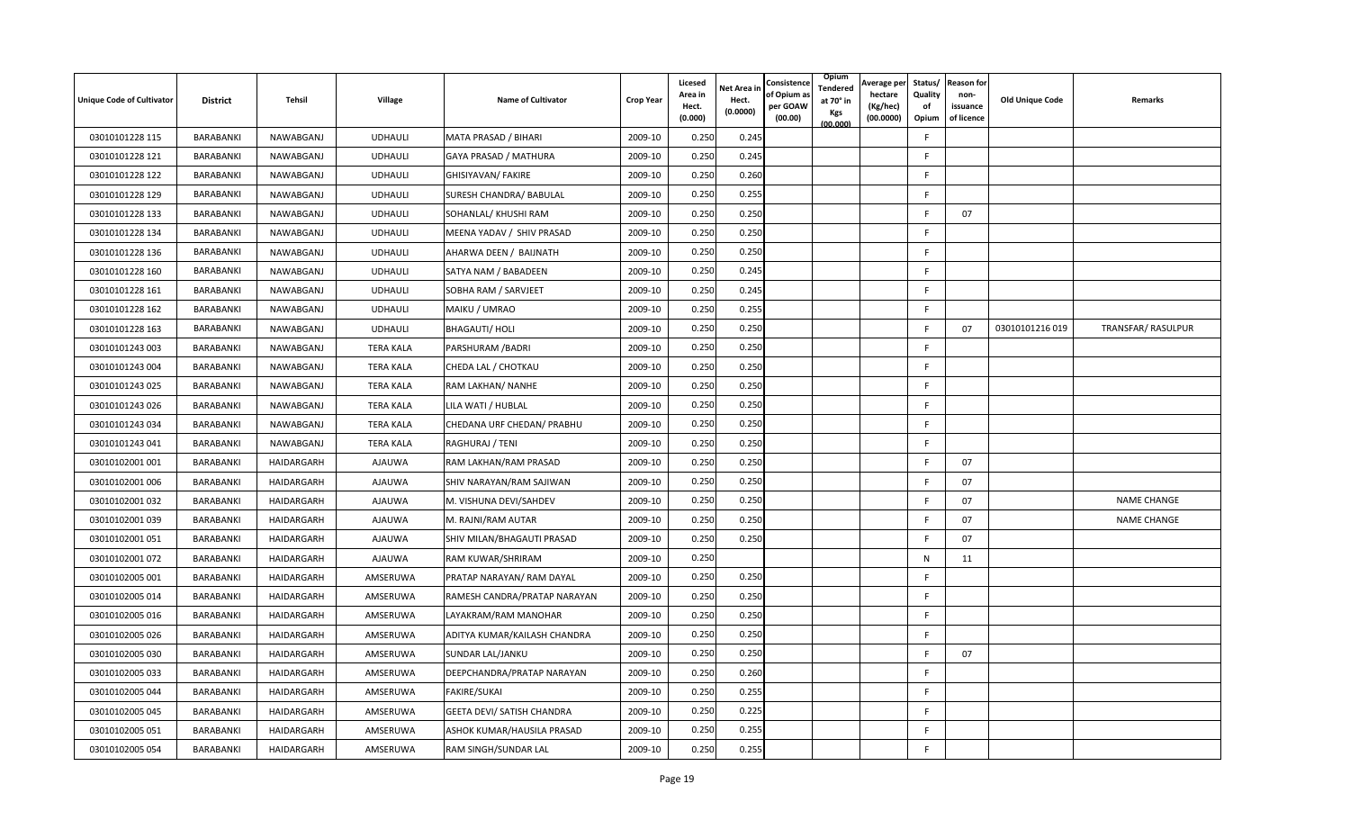| <b>Unique Code of Cultivator</b> | <b>District</b>  | Tehsil     | Village          | <b>Name of Cultivator</b>    | <b>Crop Year</b> | Licesed<br>Area in<br>Hect.<br>(0.000) | <b>Net Area in</b><br>Hect.<br>(0.0000) | Consistence<br>of Opium a<br>per GOAW<br>(00.00) | Opium<br>Tendered<br>at 70° in<br>Kgs<br>(00.000) | Average per<br>hectare<br>(Kg/hec)<br>(00.0000) | Quality<br>of<br>Opium | Status/ Reason for<br>non-<br>issuance<br>of licence | <b>Old Unique Code</b> | Remarks            |
|----------------------------------|------------------|------------|------------------|------------------------------|------------------|----------------------------------------|-----------------------------------------|--------------------------------------------------|---------------------------------------------------|-------------------------------------------------|------------------------|------------------------------------------------------|------------------------|--------------------|
| 03010101228 115                  | BARABANKI        | NAWABGANJ  | <b>UDHAULI</b>   | MATA PRASAD / BIHARI         | 2009-10          | 0.250                                  | 0.245                                   |                                                  |                                                   |                                                 | F.                     |                                                      |                        |                    |
| 03010101228 121                  | BARABANKI        | NAWABGANJ  | <b>UDHAULI</b>   | GAYA PRASAD / MATHURA        | 2009-10          | 0.250                                  | 0.245                                   |                                                  |                                                   |                                                 | F                      |                                                      |                        |                    |
| 03010101228 122                  | BARABANKI        | NAWABGANJ  | <b>UDHAULI</b>   | GHISIYAVAN/ FAKIRE           | 2009-10          | 0.250                                  | 0.260                                   |                                                  |                                                   |                                                 | F                      |                                                      |                        |                    |
| 03010101228 129                  | BARABANKI        | NAWABGANJ  | <b>UDHAULI</b>   | SURESH CHANDRA/ BABULAL      | 2009-10          | 0.250                                  | 0.255                                   |                                                  |                                                   |                                                 | E                      |                                                      |                        |                    |
| 03010101228 133                  | BARABANKI        | NAWABGANJ  | <b>UDHAULI</b>   | SOHANLAL/ KHUSHI RAM         | 2009-10          | 0.250                                  | 0.250                                   |                                                  |                                                   |                                                 | E                      | 07                                                   |                        |                    |
| 03010101228 134                  | BARABANKI        | NAWABGANJ  | <b>UDHAULI</b>   | MEENA YADAV / SHIV PRASAD    | 2009-10          | 0.250                                  | 0.250                                   |                                                  |                                                   |                                                 | E                      |                                                      |                        |                    |
| 03010101228 136                  | BARABANKI        | NAWABGANJ  | <b>UDHAULI</b>   | AHARWA DEEN / BAIJNATH       | 2009-10          | 0.250                                  | 0.250                                   |                                                  |                                                   |                                                 | F.                     |                                                      |                        |                    |
| 03010101228 160                  | BARABANKI        | NAWABGANJ  | <b>UDHAULI</b>   | SATYA NAM / BABADEEN         | 2009-10          | 0.250                                  | 0.245                                   |                                                  |                                                   |                                                 | F                      |                                                      |                        |                    |
| 03010101228 161                  | BARABANKI        | NAWABGANJ  | <b>UDHAULI</b>   | SOBHA RAM / SARVJEET         | 2009-10          | 0.250                                  | 0.245                                   |                                                  |                                                   |                                                 | F                      |                                                      |                        |                    |
| 03010101228 162                  | BARABANKI        | NAWABGANJ  | <b>UDHAULI</b>   | MAIKU / UMRAO                | 2009-10          | 0.250                                  | 0.255                                   |                                                  |                                                   |                                                 | F                      |                                                      |                        |                    |
| 03010101228 163                  | BARABANKI        | NAWABGANJ  | <b>UDHAULI</b>   | <b>BHAGAUTI/ HOLI</b>        | 2009-10          | 0.250                                  | 0.250                                   |                                                  |                                                   |                                                 | E                      | 07                                                   | 03010101216019         | TRANSFAR/ RASULPUR |
| 03010101243 003                  | BARABANKI        | NAWABGANJ  | <b>TERA KALA</b> | PARSHURAM / BADRI            | 2009-10          | 0.250                                  | 0.250                                   |                                                  |                                                   |                                                 | F                      |                                                      |                        |                    |
| 03010101243 004                  | BARABANKI        | NAWABGANJ  | <b>TERA KALA</b> | CHEDA LAL / CHOTKAU          | 2009-10          | 0.250                                  | 0.250                                   |                                                  |                                                   |                                                 | F.                     |                                                      |                        |                    |
| 03010101243 025                  | BARABANKI        | NAWABGANJ  | <b>TERA KALA</b> | RAM LAKHAN/ NANHE            | 2009-10          | 0.250                                  | 0.250                                   |                                                  |                                                   |                                                 | F.                     |                                                      |                        |                    |
| 03010101243 026                  | BARABANKI        | NAWABGANJ  | <b>TERA KALA</b> | LILA WATI / HUBLAL           | 2009-10          | 0.250                                  | 0.250                                   |                                                  |                                                   |                                                 | F.                     |                                                      |                        |                    |
| 03010101243 034                  | BARABANKI        | NAWABGANJ  | <b>TERA KALA</b> | CHEDANA URF CHEDAN/ PRABHU   | 2009-10          | 0.25C                                  | 0.250                                   |                                                  |                                                   |                                                 | F.                     |                                                      |                        |                    |
| 03010101243 041                  | BARABANKI        | NAWABGANJ  | <b>TERA KALA</b> | RAGHURAJ / TENI              | 2009-10          | 0.250                                  | 0.250                                   |                                                  |                                                   |                                                 | F                      |                                                      |                        |                    |
| 03010102001 001                  | BARABANKI        | HAIDARGARH | AJAUWA           | RAM LAKHAN/RAM PRASAD        | 2009-10          | 0.250                                  | 0.250                                   |                                                  |                                                   |                                                 | E                      | 07                                                   |                        |                    |
| 03010102001 006                  | BARABANKI        | HAIDARGARH | AJAUWA           | SHIV NARAYAN/RAM SAJIWAN     | 2009-10          | 0.250                                  | 0.250                                   |                                                  |                                                   |                                                 | E                      | 07                                                   |                        |                    |
| 03010102001 032                  | BARABANKI        | HAIDARGARH | AJAUWA           | M. VISHUNA DEVI/SAHDEV       | 2009-10          | 0.250                                  | 0.250                                   |                                                  |                                                   |                                                 | $\mathsf{F}$           | 07                                                   |                        | NAME CHANGE        |
| 03010102001 039                  | BARABANKI        | HAIDARGARH | <b>AJAUWA</b>    | M. RAJNI/RAM AUTAR           | 2009-10          | 0.250                                  | 0.250                                   |                                                  |                                                   |                                                 | $\mathsf{F}$           | 07                                                   |                        | <b>NAME CHANGE</b> |
| 03010102001 051                  | BARABANKI        | HAIDARGARH | AJAUWA           | SHIV MILAN/BHAGAUTI PRASAD   | 2009-10          | 0.250                                  | 0.250                                   |                                                  |                                                   |                                                 | E                      | 07                                                   |                        |                    |
| 03010102001 072                  | BARABANKI        | HAIDARGARH | AJAUWA           | RAM KUWAR/SHRIRAM            | 2009-10          | 0.250                                  |                                         |                                                  |                                                   |                                                 | N                      | 11                                                   |                        |                    |
| 03010102005 001                  | BARABANKI        | HAIDARGARH | AMSERUWA         | PRATAP NARAYAN/ RAM DAYAL    | 2009-10          | 0.250                                  | 0.250                                   |                                                  |                                                   |                                                 | F                      |                                                      |                        |                    |
| 03010102005 014                  | BARABANKI        | HAIDARGARH | AMSERUWA         | RAMESH CANDRA/PRATAP NARAYAN | 2009-10          | 0.250                                  | 0.250                                   |                                                  |                                                   |                                                 | F.                     |                                                      |                        |                    |
| 03010102005 016                  | BARABANKI        | HAIDARGARH | AMSERUWA         | LAYAKRAM/RAM MANOHAR         | 2009-10          | 0.250                                  | 0.250                                   |                                                  |                                                   |                                                 | F                      |                                                      |                        |                    |
| 03010102005 026                  | BARABANKI        | HAIDARGARH | AMSERUWA         | ADITYA KUMAR/KAILASH CHANDRA | 2009-10          | 0.250                                  | 0.250                                   |                                                  |                                                   |                                                 | E                      |                                                      |                        |                    |
| 03010102005 030                  | <b>BARABANKI</b> | HAIDARGARH | AMSERUWA         | SUNDAR LAL/JANKU             | 2009-10          | 0.250                                  | 0.250                                   |                                                  |                                                   |                                                 | F                      | 07                                                   |                        |                    |
| 03010102005 033                  | BARABANKI        | HAIDARGARH | AMSERUWA         | DEEPCHANDRA/PRATAP NARAYAN   | 2009-10          | 0.250                                  | 0.260                                   |                                                  |                                                   |                                                 | F                      |                                                      |                        |                    |
| 03010102005 044                  | BARABANKI        | HAIDARGARH | AMSERUWA         | <b>FAKIRE/SUKAI</b>          | 2009-10          | 0.250                                  | 0.255                                   |                                                  |                                                   |                                                 | F.                     |                                                      |                        |                    |
| 03010102005 045                  | BARABANKI        | HAIDARGARH | AMSERUWA         | GEETA DEVI/ SATISH CHANDRA   | 2009-10          | 0.250                                  | 0.225                                   |                                                  |                                                   |                                                 | F.                     |                                                      |                        |                    |
| 03010102005 051                  | BARABANKI        | HAIDARGARH | AMSERUWA         | ASHOK KUMAR/HAUSILA PRASAD   | 2009-10          | 0.250                                  | 0.255                                   |                                                  |                                                   |                                                 | F                      |                                                      |                        |                    |
| 03010102005 054                  | BARABANKI        | HAIDARGARH | AMSERUWA         | RAM SINGH/SUNDAR LAL         | 2009-10          | 0.250                                  | 0.255                                   |                                                  |                                                   |                                                 | F                      |                                                      |                        |                    |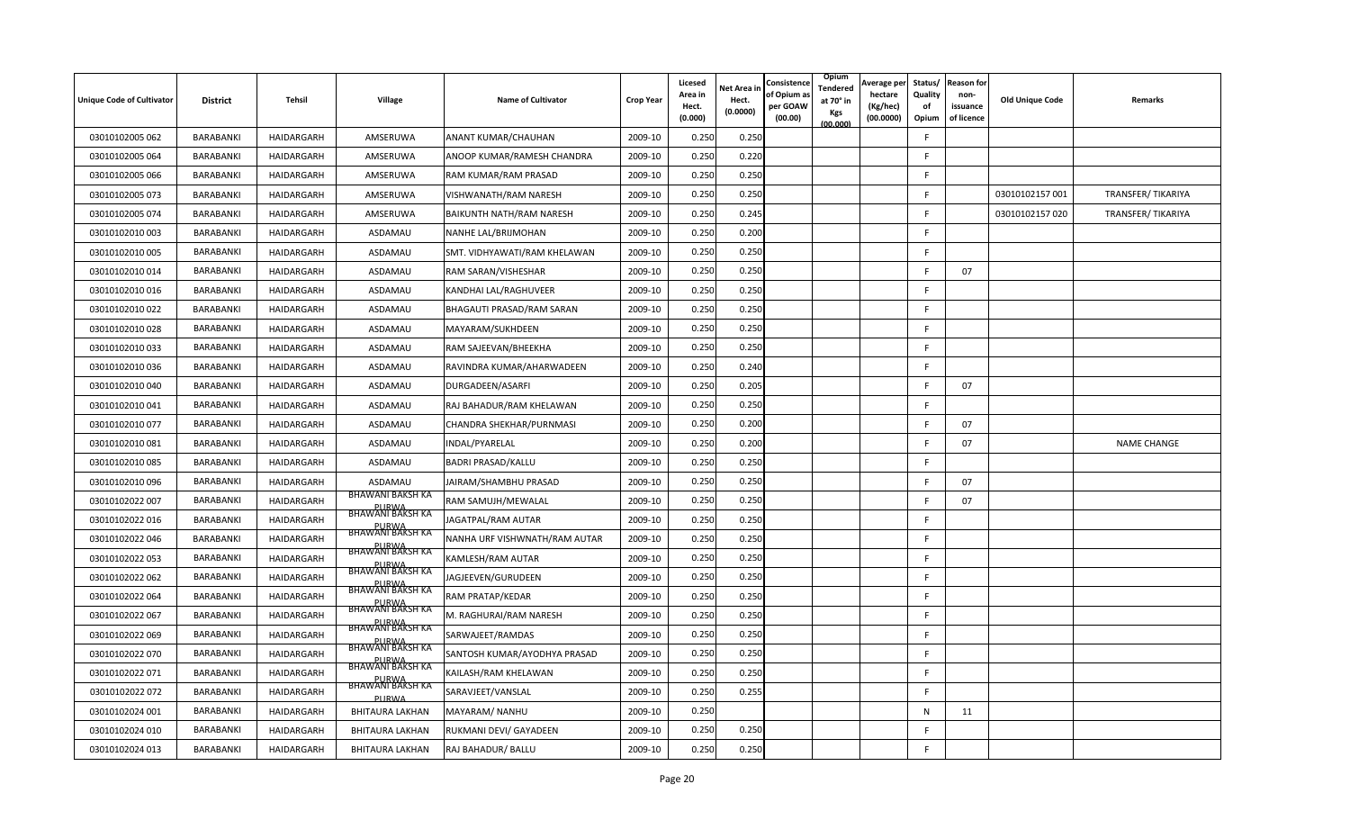| <b>Unique Code of Cultivator</b> | <b>District</b> | <b>Tehsil</b> | Village                                                     | <b>Name of Cultivator</b>     | <b>Crop Year</b> | Licesed<br>Area in<br>Hect.<br>(0.000) | Net Area in<br>Hect.<br>(0.0000) | Consistence<br>of Opium a<br>per GOAW<br>(00.00) | Opium<br>Tendered<br>at 70° in<br>Kgs<br>(00.000) | Average per<br>hectare<br>(Kg/hec)<br>(00.0000) | Status/<br>Quality<br>of<br>Opium | <b>Reason for</b><br>non-<br>issuance<br>of licence | <b>Old Unique Code</b> | Remarks            |
|----------------------------------|-----------------|---------------|-------------------------------------------------------------|-------------------------------|------------------|----------------------------------------|----------------------------------|--------------------------------------------------|---------------------------------------------------|-------------------------------------------------|-----------------------------------|-----------------------------------------------------|------------------------|--------------------|
| 03010102005 062                  | BARABANKI       | HAIDARGARH    | AMSERUWA                                                    | ANANT KUMAR/CHAUHAN           | 2009-10          | 0.250                                  | 0.250                            |                                                  |                                                   |                                                 | F                                 |                                                     |                        |                    |
| 03010102005 064                  | BARABANKI       | HAIDARGARH    | AMSERUWA                                                    | ANOOP KUMAR/RAMESH CHANDRA    | 2009-10          | 0.250                                  | 0.220                            |                                                  |                                                   |                                                 | F                                 |                                                     |                        |                    |
| 03010102005 066                  | BARABANKI       | HAIDARGARH    | AMSERUWA                                                    | RAM KUMAR/RAM PRASAD          | 2009-10          | 0.250                                  | 0.250                            |                                                  |                                                   |                                                 | F                                 |                                                     |                        |                    |
| 03010102005 073                  | BARABANKI       | HAIDARGARH    | AMSERUWA                                                    | VISHWANATH/RAM NARESH         | 2009-10          | 0.250                                  | 0.250                            |                                                  |                                                   |                                                 | F.                                |                                                     | 03010102157 001        | TRANSFER/TIKARIYA  |
| 03010102005 074                  | BARABANKI       | HAIDARGARH    | AMSERUWA                                                    | BAIKUNTH NATH/RAM NARESH      | 2009-10          | 0.250                                  | 0.245                            |                                                  |                                                   |                                                 | F.                                |                                                     | 03010102157 020        | TRANSFER/TIKARIYA  |
| 03010102010 003                  | BARABANKI       | HAIDARGARH    | ASDAMAU                                                     | NANHE LAL/BRIJMOHAN           | 2009-10          | 0.250                                  | 0.200                            |                                                  |                                                   |                                                 | F                                 |                                                     |                        |                    |
| 03010102010 005                  | BARABANKI       | HAIDARGARH    | ASDAMAU                                                     | SMT. VIDHYAWATI/RAM KHELAWAN  | 2009-10          | 0.250                                  | 0.250                            |                                                  |                                                   |                                                 | F.                                |                                                     |                        |                    |
| 03010102010014                   | BARABANKI       | HAIDARGARH    | ASDAMAU                                                     | RAM SARAN/VISHESHAR           | 2009-10          | 0.250                                  | 0.250                            |                                                  |                                                   |                                                 | E                                 | 07                                                  |                        |                    |
| 03010102010016                   | BARABANKI       | HAIDARGARH    | ASDAMAU                                                     | KANDHAI LAL/RAGHUVEER         | 2009-10          | 0.250                                  | 0.250                            |                                                  |                                                   |                                                 | F                                 |                                                     |                        |                    |
| 03010102010 022                  | BARABANKI       | HAIDARGARH    | ASDAMAU                                                     | BHAGAUTI PRASAD/RAM SARAN     | 2009-10          | 0.250                                  | 0.250                            |                                                  |                                                   |                                                 | F.                                |                                                     |                        |                    |
| 03010102010 028                  | BARABANKI       | HAIDARGARH    | ASDAMAU                                                     | MAYARAM/SUKHDEEN              | 2009-10          | 0.250                                  | 0.250                            |                                                  |                                                   |                                                 | F.                                |                                                     |                        |                    |
| 03010102010 033                  | BARABANKI       | HAIDARGARH    | ASDAMAU                                                     | RAM SAJEEVAN/BHEEKHA          | 2009-10          | 0.250                                  | 0.25C                            |                                                  |                                                   |                                                 | F                                 |                                                     |                        |                    |
| 03010102010036                   | BARABANKI       | HAIDARGARH    | ASDAMAU                                                     | RAVINDRA KUMAR/AHARWADEEN     | 2009-10          | 0.250                                  | 0.240                            |                                                  |                                                   |                                                 | F                                 |                                                     |                        |                    |
| 03010102010 040                  | BARABANKI       | HAIDARGARH    | ASDAMAU                                                     | DURGADEEN/ASARFI              | 2009-10          | 0.250                                  | 0.205                            |                                                  |                                                   |                                                 | F                                 | 07                                                  |                        |                    |
| 03010102010041                   | BARABANKI       | HAIDARGARH    | ASDAMAU                                                     | RAJ BAHADUR/RAM KHELAWAN      | 2009-10          | 0.250                                  | 0.250                            |                                                  |                                                   |                                                 | F                                 |                                                     |                        |                    |
| 03010102010 077                  | BARABANKI       | HAIDARGARH    | ASDAMAU                                                     | CHANDRA SHEKHAR/PURNMASI      | 2009-10          | 0.250                                  | 0.200                            |                                                  |                                                   |                                                 | F                                 | 07                                                  |                        |                    |
| 03010102010 081                  | BARABANKI       | HAIDARGARH    | ASDAMAU                                                     | <b>NDAL/PYARELAL</b>          | 2009-10          | 0.250                                  | 0.200                            |                                                  |                                                   |                                                 | F                                 | 07                                                  |                        | <b>NAME CHANGE</b> |
| 03010102010 085                  | BARABANKI       | HAIDARGARH    | ASDAMAU                                                     | <b>BADRI PRASAD/KALLU</b>     | 2009-10          | 0.250                                  | 0.250                            |                                                  |                                                   |                                                 | F.                                |                                                     |                        |                    |
| 03010102010 096                  | BARABANKI       | HAIDARGARH    | ASDAMAU                                                     | JAIRAM/SHAMBHU PRASAD         | 2009-10          | 0.250                                  | 0.250                            |                                                  |                                                   |                                                 | E                                 | 07                                                  |                        |                    |
| 03010102022 007                  | BARABANKI       | HAIDARGARH    | <b>BHAWANI BAKSH KA</b><br><b>BHAWANI BAKSH KA</b>          | RAM SAMUJH/MEWALAL            | 2009-10          | 0.250                                  | 0.250                            |                                                  |                                                   |                                                 | E                                 | 07                                                  |                        |                    |
| 03010102022 016                  | BARABANKI       | HAIDARGARH    | PURWA<br>BHAWANI BAKSH KA                                   | JAGATPAL/RAM AUTAR            | 2009-10          | 0.250                                  | 0.250                            |                                                  |                                                   |                                                 | E                                 |                                                     |                        |                    |
| 03010102022 046                  | BARABANKI       | HAIDARGARH    | <b>PURWA</b><br>BHAWANI BAKSH KA                            | NANHA URF VISHWNATH/RAM AUTAR | 2009-10          | 0.250                                  | 0.250                            |                                                  |                                                   |                                                 | F.                                |                                                     |                        |                    |
| 03010102022 053                  | BARABANKI       | HAIDARGARH    | PURWA<br>BHAWANI BAKSH KA                                   | KAMLESH/RAM AUTAR             | 2009-10          | 0.250                                  | 0.250                            |                                                  |                                                   |                                                 | F.                                |                                                     |                        |                    |
| 03010102022 062                  | BARABANKI       | HAIDARGARH    |                                                             | JAGJEEVEN/GURUDEEN            | 2009-10          | 0.250                                  | 0.250                            |                                                  |                                                   |                                                 | F                                 |                                                     |                        |                    |
| 03010102022 064                  | BARABANKI       | HAIDARGARH    | PURWA<br>BHAWANI BAKSH KA                                   | RAM PRATAP/KEDAR              | 2009-10          | 0.250                                  | 0.250                            |                                                  |                                                   |                                                 | F                                 |                                                     |                        |                    |
| 03010102022 067                  | BARABANKI       | HAIDARGARH    | <b>BHAWANI BAKSH KA</b>                                     | M. RAGHURAI/RAM NARESH        | 2009-10          | 0.250                                  | 0.250                            |                                                  |                                                   |                                                 | F                                 |                                                     |                        |                    |
| 03010102022 069                  | BARABANKI       | HAIDARGARH    | <b>BHAWANI BAKSH KA</b>                                     | SARWAJEET/RAMDAS              | 2009-10          | 0.250                                  | 0.250                            |                                                  |                                                   |                                                 | F                                 |                                                     |                        |                    |
| 03010102022 070                  | BARABANKI       | HAIDARGARH    | <b>BHAWANI BAKSH KA</b><br><b>PURWA</b><br>BHAWANI BAKSH KA | SANTOSH KUMAR/AYODHYA PRASAD  | 2009-10          | 0.250                                  | 0.250                            |                                                  |                                                   |                                                 | F                                 |                                                     |                        |                    |
| 03010102022 071                  | BARABANKI       | HAIDARGARH    | <b>PURWA</b><br>BHAWANI BAKSH KA                            | KAILASH/RAM KHELAWAN          | 2009-10          | 0.250                                  | 0.250                            |                                                  |                                                   |                                                 | F                                 |                                                     |                        |                    |
| 03010102022 072                  | BARABANKI       | HAIDARGARH    | PURWA                                                       | SARAVJEET/VANSLAL             | 2009-10          | 0.250                                  | 0.255                            |                                                  |                                                   |                                                 | F.                                |                                                     |                        |                    |
| 03010102024 001                  | BARABANKI       | HAIDARGARH    | <b>BHITAURA LAKHAN</b>                                      | MAYARAM/ NANHU                | 2009-10          | 0.250                                  |                                  |                                                  |                                                   |                                                 | N                                 | 11                                                  |                        |                    |
| 03010102024 010                  | BARABANKI       | HAIDARGARH    | BHITAURA LAKHAN                                             | RUKMANI DEVI/ GAYADEEN        | 2009-10          | 0.250                                  | 0.250                            |                                                  |                                                   |                                                 | F                                 |                                                     |                        |                    |
| 03010102024 013                  | BARABANKI       | HAIDARGARH    | <b>BHITAURA LAKHAN</b>                                      | RAJ BAHADUR/ BALLU            | 2009-10          | 0.250                                  | 0.250                            |                                                  |                                                   |                                                 | F                                 |                                                     |                        |                    |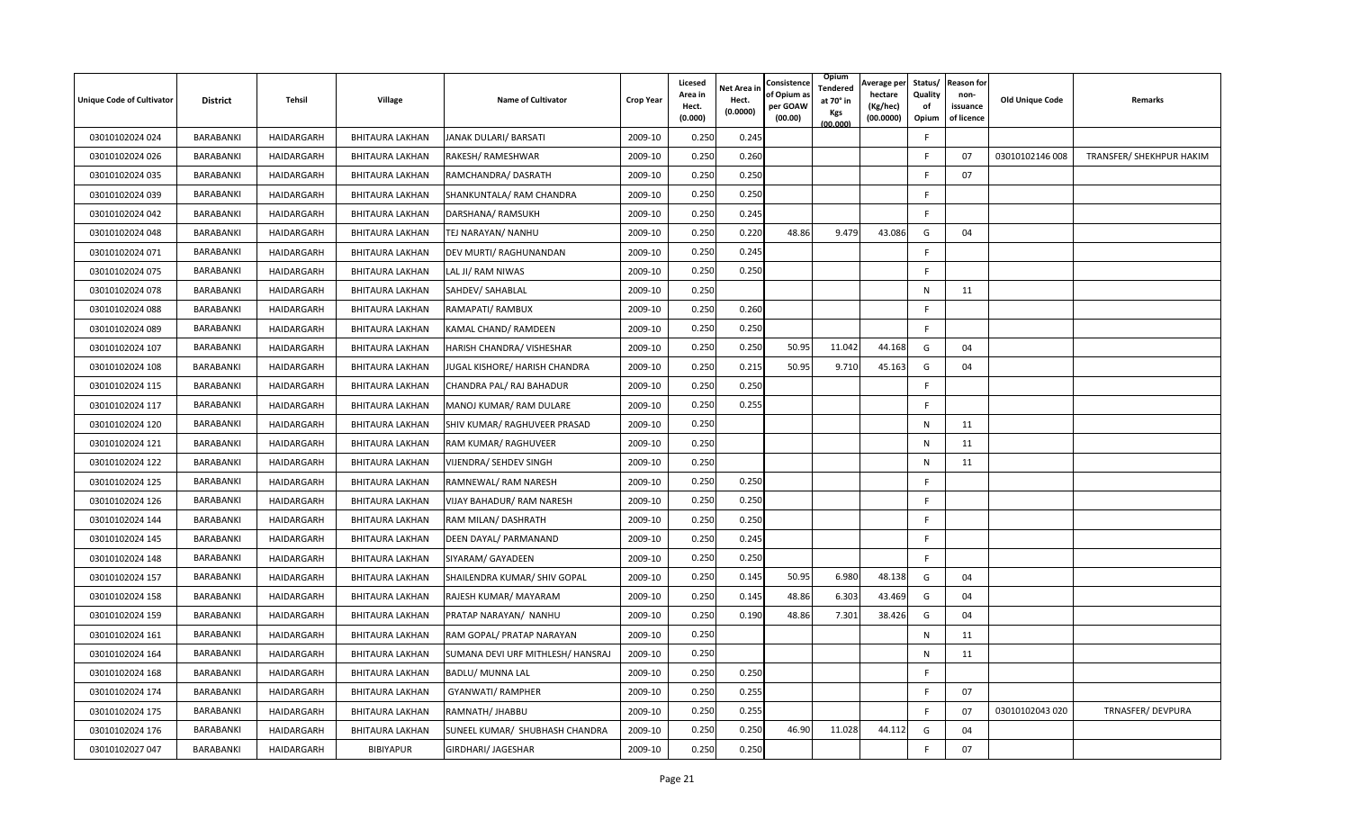| <b>Unique Code of Cultivator</b> | <b>District</b> | Tehsil            | Village                | <b>Name of Cultivator</b>         | <b>Crop Year</b> | Licesed<br>Area in<br>Hect.<br>(0.000) | Net Area in<br>Hect.<br>(0.0000) | Consistence<br>of Opium a<br>per GOAW<br>(00.00) | Opium<br>Tendered<br>at 70° in<br>Kgs<br>(00.000) | Average per<br>hectare<br>(Kg/hec)<br>(00.0000) | Status/<br>Quality<br>of<br>Opium | <b>Reason for</b><br>non-<br>issuance<br>of licence | <b>Old Unique Code</b> | Remarks                  |
|----------------------------------|-----------------|-------------------|------------------------|-----------------------------------|------------------|----------------------------------------|----------------------------------|--------------------------------------------------|---------------------------------------------------|-------------------------------------------------|-----------------------------------|-----------------------------------------------------|------------------------|--------------------------|
| 03010102024 024                  | BARABANKI       | <b>HAIDARGARH</b> | <b>BHITAURA LAKHAN</b> | JANAK DULARI/ BARSATI             | 2009-10          | 0.250                                  | 0.245                            |                                                  |                                                   |                                                 | F                                 |                                                     |                        |                          |
| 03010102024 026                  | BARABANKI       | HAIDARGARH        | BHITAURA LAKHAN        | RAKESH/ RAMESHWAR                 | 2009-10          | 0.250                                  | 0.260                            |                                                  |                                                   |                                                 | E                                 | 07                                                  | 03010102146 008        | TRANSFER/ SHEKHPUR HAKIM |
| 03010102024 035                  | BARABANKI       | HAIDARGARH        | <b>BHITAURA LAKHAN</b> | RAMCHANDRA/ DASRATH               | 2009-10          | 0.250                                  | 0.25C                            |                                                  |                                                   |                                                 |                                   | 07                                                  |                        |                          |
| 03010102024 039                  | BARABANKI       | HAIDARGARH        | <b>BHITAURA LAKHAN</b> | SHANKUNTALA/ RAM CHANDRA          | 2009-10          | 0.250                                  | 0.250                            |                                                  |                                                   |                                                 | F                                 |                                                     |                        |                          |
| 03010102024 042                  | BARABANKI       | HAIDARGARH        | <b>BHITAURA LAKHAN</b> | DARSHANA/ RAMSUKH                 | 2009-10          | 0.250                                  | 0.245                            |                                                  |                                                   |                                                 | F                                 |                                                     |                        |                          |
| 03010102024 048                  | BARABANKI       | HAIDARGARH        | BHITAURA LAKHAN        | TEJ NARAYAN/ NANHU                | 2009-10          | 0.250                                  | 0.220                            | 48.86                                            | 9.479                                             | 43.086                                          | G                                 | 04                                                  |                        |                          |
| 03010102024 071                  | BARABANKI       | HAIDARGARH        | BHITAURA LAKHAN        | DEV MURTI/ RAGHUNANDAN            | 2009-10          | 0.250                                  | 0.245                            |                                                  |                                                   |                                                 | F                                 |                                                     |                        |                          |
| 03010102024 075                  | BARABANKI       | HAIDARGARH        | <b>BHITAURA LAKHAN</b> | LAL JI/ RAM NIWAS                 | 2009-10          | 0.250                                  | 0.250                            |                                                  |                                                   |                                                 | F                                 |                                                     |                        |                          |
| 03010102024 078                  | BARABANKI       | HAIDARGARH        | BHITAURA LAKHAN        | SAHDEV/ SAHABLAL                  | 2009-10          | 0.250                                  |                                  |                                                  |                                                   |                                                 | N                                 | 11                                                  |                        |                          |
| 03010102024 088                  | BARABANKI       | HAIDARGARH        | BHITAURA LAKHAN        | RAMAPATI/ RAMBUX                  | 2009-10          | 0.250                                  | 0.260                            |                                                  |                                                   |                                                 | F.                                |                                                     |                        |                          |
| 03010102024 089                  | BARABANKI       | HAIDARGARH        | BHITAURA LAKHAN        | KAMAL CHAND/ RAMDEEN              | 2009-10          | 0.250                                  | 0.250                            |                                                  |                                                   |                                                 | F.                                |                                                     |                        |                          |
| 03010102024 107                  | BARABANKI       | HAIDARGARH        | <b>BHITAURA LAKHAN</b> | HARISH CHANDRA/ VISHESHAR         | 2009-10          | 0.250                                  | 0.250                            | 50.95                                            | 11.042                                            | 44.168                                          | G                                 | 04                                                  |                        |                          |
| 03010102024 108                  | BARABANKI       | <b>HAIDARGARH</b> | <b>BHITAURA LAKHAN</b> | JUGAL KISHORE/ HARISH CHANDRA     | 2009-10          | 0.250                                  | 0.215                            | 50.95                                            | 9.710                                             | 45.163                                          | G                                 | 04                                                  |                        |                          |
| 03010102024 115                  | BARABANKI       | HAIDARGARH        | BHITAURA LAKHAN        | CHANDRA PAL/ RAJ BAHADUR          | 2009-10          | 0.250                                  | 0.250                            |                                                  |                                                   |                                                 | F                                 |                                                     |                        |                          |
| 03010102024 117                  | BARABANKI       | HAIDARGARH        | BHITAURA LAKHAN        | MANOJ KUMAR/ RAM DULARE           | 2009-10          | 0.250                                  | 0.255                            |                                                  |                                                   |                                                 | F                                 |                                                     |                        |                          |
| 03010102024 120                  | BARABANKI       | HAIDARGARH        | <b>BHITAURA LAKHAN</b> | SHIV KUMAR/ RAGHUVEER PRASAD      | 2009-10          | 0.250                                  |                                  |                                                  |                                                   |                                                 | N                                 | 11                                                  |                        |                          |
| 03010102024 121                  | BARABANKI       | HAIDARGARH        | <b>BHITAURA LAKHAN</b> | RAM KUMAR/ RAGHUVEER              | 2009-10          | 0.250                                  |                                  |                                                  |                                                   |                                                 | N                                 | 11                                                  |                        |                          |
| 03010102024 122                  | BARABANKI       | HAIDARGARH        | BHITAURA LAKHAN        | VIJENDRA/ SEHDEV SINGH            | 2009-10          | 0.250                                  |                                  |                                                  |                                                   |                                                 | N                                 | 11                                                  |                        |                          |
| 03010102024 125                  | BARABANKI       | HAIDARGARH        | BHITAURA LAKHAN        | RAMNEWAL/ RAM NARESH              | 2009-10          | 0.250                                  | 0.250                            |                                                  |                                                   |                                                 | F.                                |                                                     |                        |                          |
| 03010102024 126                  | BARABANKI       | HAIDARGARH        | <b>BHITAURA LAKHAN</b> | VIJAY BAHADUR/ RAM NARESH         | 2009-10          | 0.250                                  | 0.250                            |                                                  |                                                   |                                                 | F                                 |                                                     |                        |                          |
| 03010102024 144                  | BARABANKI       | HAIDARGARH        | BHITAURA LAKHAN        | RAM MILAN/ DASHRATH               | 2009-10          | 0.250                                  | 0.250                            |                                                  |                                                   |                                                 | F                                 |                                                     |                        |                          |
| 03010102024 145                  | BARABANKI       | HAIDARGARH        | BHITAURA LAKHAN        | DEEN DAYAL/ PARMANAND             | 2009-10          | 0.250                                  | 0.245                            |                                                  |                                                   |                                                 | F.                                |                                                     |                        |                          |
| 03010102024 148                  | BARABANKI       | HAIDARGARH        | BHITAURA LAKHAN        | SIYARAM/ GAYADEEN                 | 2009-10          | 0.250                                  | 0.250                            |                                                  |                                                   |                                                 | F.                                |                                                     |                        |                          |
| 03010102024 157                  | BARABANKI       | HAIDARGARH        | BHITAURA LAKHAN        | SHAILENDRA KUMAR/ SHIV GOPAL      | 2009-10          | 0.250                                  | 0.145                            | 50.95                                            | 6.980                                             | 48.138                                          | G                                 | 04                                                  |                        |                          |
| 03010102024 158                  | BARABANKI       | <b>HAIDARGARH</b> | <b>BHITAURA LAKHAN</b> | RAJESH KUMAR/ MAYARAM             | 2009-10          | 0.250                                  | 0.145                            | 48.86                                            | 6.303                                             | 43.469                                          | G                                 | 04                                                  |                        |                          |
| 03010102024 159                  | BARABANKI       | HAIDARGARH        | BHITAURA LAKHAN        | PRATAP NARAYAN/ NANHU             | 2009-10          | 0.250                                  | 0.190                            | 48.86                                            | 7.301                                             | 38.426                                          | G                                 | 04                                                  |                        |                          |
| 03010102024 161                  | BARABANKI       | HAIDARGARH        | <b>BHITAURA LAKHAN</b> | RAM GOPAL/ PRATAP NARAYAN         | 2009-10          | 0.250                                  |                                  |                                                  |                                                   |                                                 | N                                 | 11                                                  |                        |                          |
| 03010102024 164                  | BARABANKI       | HAIDARGARH        | <b>BHITAURA LAKHAN</b> | SUMANA DEVI URF MITHLESH/ HANSRAJ | 2009-10          | 0.250                                  |                                  |                                                  |                                                   |                                                 | N                                 | 11                                                  |                        |                          |
| 03010102024 168                  | BARABANKI       | HAIDARGARH        | <b>BHITAURA LAKHAN</b> | BADLU/ MUNNA LAL                  | 2009-10          | 0.250                                  | 0.250                            |                                                  |                                                   |                                                 | F                                 |                                                     |                        |                          |
| 03010102024 174                  | BARABANKI       | HAIDARGARH        | BHITAURA LAKHAN        | <b>GYANWATI/ RAMPHER</b>          | 2009-10          | 0.250                                  | 0.255                            |                                                  |                                                   |                                                 | F                                 | 07                                                  |                        |                          |
| 03010102024 175                  | BARABANKI       | HAIDARGARH        | BHITAURA LAKHAN        | RAMNATH/ JHABBU                   | 2009-10          | 0.250                                  | 0.255                            |                                                  |                                                   |                                                 | F                                 | 07                                                  | 03010102043 020        | TRNASFER/DEVPURA         |
| 03010102024 176                  | BARABANKI       | HAIDARGARH        | BHITAURA LAKHAN        | SUNEEL KUMAR/ SHUBHASH CHANDRA    | 2009-10          | 0.250                                  | 0.250                            | 46.90                                            | 11.028                                            | 44.112                                          | G                                 | 04                                                  |                        |                          |
| 03010102027 047                  | BARABANKI       | HAIDARGARH        | <b>BIBIYAPUR</b>       | GIRDHARI/ JAGESHAR                | 2009-10          | 0.250                                  | 0.250                            |                                                  |                                                   |                                                 | F                                 | 07                                                  |                        |                          |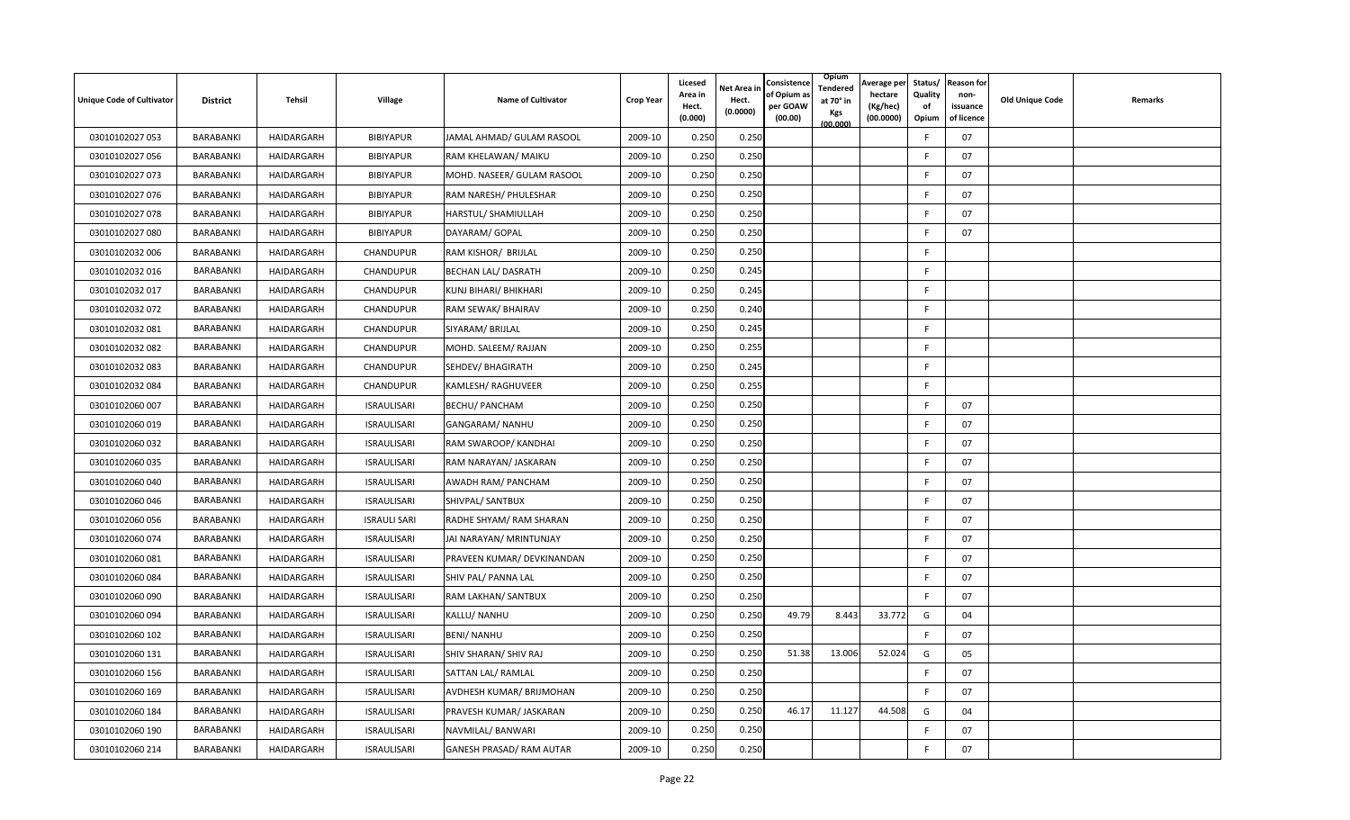| <b>Unique Code of Cultivator</b> | <b>District</b> | Tehsil     | Village             | <b>Name of Cultivator</b>  | <b>Crop Year</b> | Licesed<br>Area in<br>Hect.<br>(0.000) | Net Area in<br>Hect.<br>(0.0000) | Consistence<br>of Opium a<br>per GOAW<br>(00.00) | Opium<br>Tendered<br>at 70° in<br>Kgs<br>(00.000) | Average per<br>hectare<br>(Kg/hec)<br>(00.0000) | Status/<br>Quality<br>of<br>Opium | <b>Reason for</b><br>non-<br>issuance<br>of licence | <b>Old Unique Code</b> | Remarks |
|----------------------------------|-----------------|------------|---------------------|----------------------------|------------------|----------------------------------------|----------------------------------|--------------------------------------------------|---------------------------------------------------|-------------------------------------------------|-----------------------------------|-----------------------------------------------------|------------------------|---------|
| 03010102027 053                  | BARABANKI       | HAIDARGARH | <b>BIBIYAPUR</b>    | JAMAL AHMAD/ GULAM RASOOL  | 2009-10          | 0.250                                  | 0.250                            |                                                  |                                                   |                                                 | F                                 | 07                                                  |                        |         |
| 03010102027 056                  | BARABANKI       | HAIDARGARH | <b>BIBIYAPUR</b>    | RAM KHELAWAN/ MAIKU        | 2009-10          | 0.250                                  | 0.250                            |                                                  |                                                   |                                                 | E                                 | 07                                                  |                        |         |
| 03010102027 073                  | BARABANKI       | HAIDARGARH | <b>BIBIYAPUR</b>    | MOHD. NASEER/ GULAM RASOOL | 2009-10          | 0.250                                  | 0.250                            |                                                  |                                                   |                                                 |                                   | 07                                                  |                        |         |
| 03010102027 076                  | BARABANKI       | HAIDARGARH | <b>BIBIYAPUR</b>    | RAM NARESH/ PHULESHAR      | 2009-10          | 0.250                                  | 0.250                            |                                                  |                                                   |                                                 | F                                 | 07                                                  |                        |         |
| 03010102027 078                  | BARABANKI       | HAIDARGARH | <b>BIBIYAPUR</b>    | HARSTUL/ SHAMIULLAH        | 2009-10          | 0.250                                  | 0.250                            |                                                  |                                                   |                                                 | F                                 | 07                                                  |                        |         |
| 03010102027 080                  | BARABANKI       | HAIDARGARH | <b>BIBIYAPUR</b>    | DAYARAM/ GOPAL             | 2009-10          | 0.250                                  | 0.250                            |                                                  |                                                   |                                                 |                                   | 07                                                  |                        |         |
| 03010102032 006                  | BARABANKI       | HAIDARGARH | CHANDUPUR           | RAM KISHOR/ BRIJLAL        | 2009-10          | 0.250                                  | 0.250                            |                                                  |                                                   |                                                 | F                                 |                                                     |                        |         |
| 03010102032 016                  | BARABANKI       | HAIDARGARH | CHANDUPUR           | BECHAN LAL/ DASRATH        | 2009-10          | 0.250                                  | 0.245                            |                                                  |                                                   |                                                 | F                                 |                                                     |                        |         |
| 03010102032 017                  | BARABANKI       | HAIDARGARH | CHANDUPUR           | KUNJ BIHARI/ BHIKHARI      | 2009-10          | 0.250                                  | 0.245                            |                                                  |                                                   |                                                 | F                                 |                                                     |                        |         |
| 03010102032 072                  | BARABANKI       | HAIDARGARH | CHANDUPUR           | RAM SEWAK/ BHAIRAV         | 2009-10          | 0.250                                  | 0.240                            |                                                  |                                                   |                                                 | F.                                |                                                     |                        |         |
| 03010102032 081                  | BARABANKI       | HAIDARGARH | CHANDUPUR           | SIYARAM/ BRIJLAL           | 2009-10          | 0.250                                  | 0.245                            |                                                  |                                                   |                                                 | F.                                |                                                     |                        |         |
| 03010102032 082                  | BARABANKI       | HAIDARGARH | CHANDUPUR           | MOHD. SALEEM/ RAJJAN       | 2009-10          | 0.250                                  | 0.255                            |                                                  |                                                   |                                                 | F                                 |                                                     |                        |         |
| 03010102032 083                  | BARABANKI       | HAIDARGARH | <b>CHANDUPUR</b>    | SEHDEV/ BHAGIRATH          | 2009-10          | 0.250                                  | 0.245                            |                                                  |                                                   |                                                 | F                                 |                                                     |                        |         |
| 03010102032 084                  | BARABANKI       | HAIDARGARH | CHANDUPUR           | KAMLESH/ RAGHUVEER         | 2009-10          | 0.250                                  | 0.255                            |                                                  |                                                   |                                                 | F.                                |                                                     |                        |         |
| 03010102060 007                  | BARABANKI       | HAIDARGARH | <b>ISRAULISARI</b>  | <b>BECHU/ PANCHAM</b>      | 2009-10          | 0.250                                  | 0.250                            |                                                  |                                                   |                                                 | F                                 | 07                                                  |                        |         |
| 03010102060 019                  | BARABANKI       | HAIDARGARH | <b>ISRAULISARI</b>  | GANGARAM/ NANHU            | 2009-10          | 0.250                                  | 0.250                            |                                                  |                                                   |                                                 | F                                 | 07                                                  |                        |         |
| 03010102060 032                  | BARABANKI       | HAIDARGARH | <b>ISRAULISARI</b>  | RAM SWAROOP/ KANDHAI       | 2009-10          | 0.250                                  | 0.250                            |                                                  |                                                   |                                                 | F                                 | 07                                                  |                        |         |
| 03010102060 035                  | BARABANKI       | HAIDARGARH | <b>ISRAULISARI</b>  | RAM NARAYAN/ JASKARAN      | 2009-10          | 0.250                                  | 0.250                            |                                                  |                                                   |                                                 | F                                 | 07                                                  |                        |         |
| 03010102060 040                  | BARABANKI       | HAIDARGARH | <b>ISRAULISARI</b>  | AWADH RAM/ PANCHAM         | 2009-10          | 0.250                                  | 0.250                            |                                                  |                                                   |                                                 | E                                 | 07                                                  |                        |         |
| 03010102060046                   | BARABANKI       | HAIDARGARH | <b>ISRAULISARI</b>  | SHIVPAL/ SANTBUX           | 2009-10          | 0.250                                  | 0.250                            |                                                  |                                                   |                                                 | E                                 | 07                                                  |                        |         |
| 03010102060 056                  | BARABANKI       | HAIDARGARH | <b>ISRAULI SARI</b> | RADHE SHYAM/ RAM SHARAN    | 2009-10          | 0.250                                  | 0.250                            |                                                  |                                                   |                                                 | F                                 | 07                                                  |                        |         |
| 03010102060 074                  | BARABANKI       | HAIDARGARH | <b>ISRAULISARI</b>  | JAI NARAYAN/ MRINTUNJAY    | 2009-10          | 0.250                                  | 0.25C                            |                                                  |                                                   |                                                 | F                                 | 07                                                  |                        |         |
| 03010102060081                   | BARABANKI       | HAIDARGARH | ISRAULISARI         | PRAVEEN KUMAR/ DEVKINANDAN | 2009-10          | 0.250                                  | 0.250                            |                                                  |                                                   |                                                 | F                                 | 07                                                  |                        |         |
| 03010102060 084                  | BARABANKI       | HAIDARGARH | <b>ISRAULISARI</b>  | SHIV PAL/ PANNA LAL        | 2009-10          | 0.250                                  | 0.250                            |                                                  |                                                   |                                                 | F                                 | 07                                                  |                        |         |
| 03010102060 090                  | BARABANKI       | HAIDARGARH | <b>ISRAULISARI</b>  | RAM LAKHAN/ SANTBUX        | 2009-10          | 0.250                                  | 0.250                            |                                                  |                                                   |                                                 | F                                 | 07                                                  |                        |         |
| 03010102060 094                  | BARABANKI       | HAIDARGARH | <b>ISRAULISARI</b>  | KALLU/NANHU                | 2009-10          | 0.250                                  | 0.250                            | 49.79                                            | 8.443                                             | 33.772                                          | G                                 | 04                                                  |                        |         |
| 03010102060 102                  | BARABANKI       | HAIDARGARH | <b>ISRAULISARI</b>  | <b>BENI/ NANHU</b>         | 2009-10          | 0.250                                  | 0.25C                            |                                                  |                                                   |                                                 | F                                 | 07                                                  |                        |         |
| 03010102060 131                  | BARABANKI       | HAIDARGARH | <b>ISRAULISARI</b>  | SHIV SHARAN/ SHIV RAJ      | 2009-10          | 0.250                                  | 0.250                            | 51.38                                            | 13.006                                            | 52.024                                          | G                                 | 05                                                  |                        |         |
| 03010102060 156                  | BARABANKI       | HAIDARGARH | <b>ISRAULISARI</b>  | SATTAN LAL/ RAMLAL         | 2009-10          | 0.250                                  | 0.250                            |                                                  |                                                   |                                                 | F                                 | 07                                                  |                        |         |
| 03010102060 169                  | BARABANKI       | HAIDARGARH | <b>ISRAULISARI</b>  | AVDHESH KUMAR/ BRIJMOHAN   | 2009-10          | 0.250                                  | 0.250                            |                                                  |                                                   |                                                 | F                                 | 07                                                  |                        |         |
| 03010102060 184                  | BARABANKI       | HAIDARGARH | <b>ISRAULISARI</b>  | PRAVESH KUMAR/ JASKARAN    | 2009-10          | 0.250                                  | 0.250                            | 46.17                                            | 11.127                                            | 44.508                                          | G                                 | 04                                                  |                        |         |
| 03010102060 190                  | BARABANKI       | HAIDARGARH | <b>ISRAULISARI</b>  | NAVMILAL/ BANWARI          | 2009-10          | 0.250                                  | 0.250                            |                                                  |                                                   |                                                 | F                                 | 07                                                  |                        |         |
| 03010102060 214                  | BARABANKI       | HAIDARGARH | <b>ISRAULISARI</b>  | GANESH PRASAD/ RAM AUTAR   | 2009-10          | 0.250                                  | 0.250                            |                                                  |                                                   |                                                 | F                                 | 07                                                  |                        |         |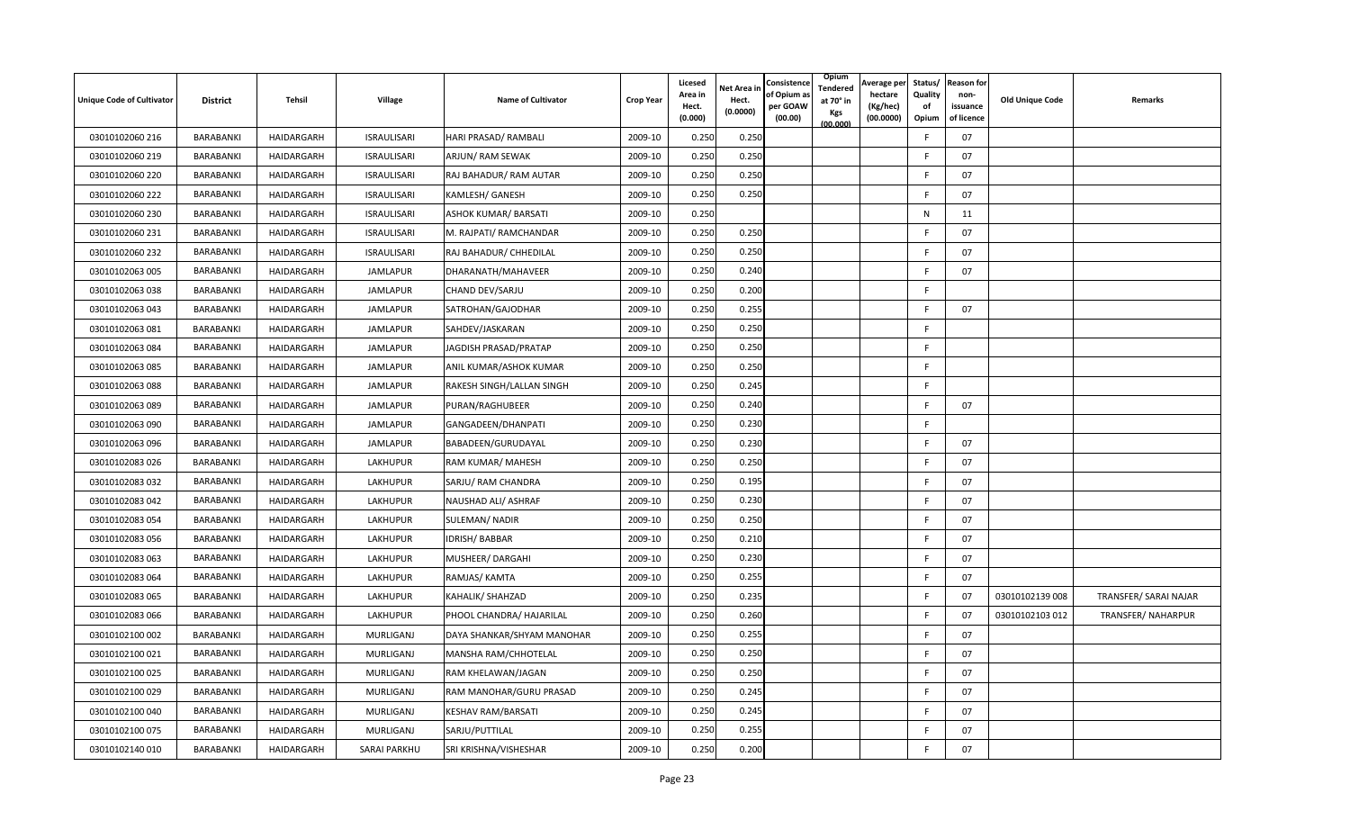| <b>Unique Code of Cultivator</b> | <b>District</b> | Tehsil     | Village             | <b>Name of Cultivator</b>  | <b>Crop Year</b> | Licesed<br>Area in<br>Hect.<br>(0.000) | Net Area in<br>Hect.<br>(0.0000) | Consistence<br>of Opium a<br>per GOAW<br>(00.00) | Opium<br>Tendered<br>at 70° in<br>Kgs<br>(00.000) | Average per<br>hectare<br>(Kg/hec)<br>(00.0000) | Status/<br>Quality<br>of<br>Opium | <b>Reason for</b><br>non-<br>issuance<br>of licence | <b>Old Unique Code</b> | Remarks               |
|----------------------------------|-----------------|------------|---------------------|----------------------------|------------------|----------------------------------------|----------------------------------|--------------------------------------------------|---------------------------------------------------|-------------------------------------------------|-----------------------------------|-----------------------------------------------------|------------------------|-----------------------|
| 03010102060 216                  | BARABANKI       | HAIDARGARH | <b>ISRAULISARI</b>  | HARI PRASAD/ RAMBALI       | 2009-10          | 0.250                                  | 0.250                            |                                                  |                                                   |                                                 | F                                 | 07                                                  |                        |                       |
| 03010102060 219                  | BARABANKI       | HAIDARGARH | <b>ISRAULISARI</b>  | ARJUN/ RAM SEWAK           | 2009-10          | 0.250                                  | 0.250                            |                                                  |                                                   |                                                 | F                                 | 07                                                  |                        |                       |
| 03010102060 220                  | BARABANKI       | HAIDARGARH | <b>ISRAULISARI</b>  | RAJ BAHADUR/ RAM AUTAR     | 2009-10          | 0.250                                  | 0.250                            |                                                  |                                                   |                                                 |                                   | 07                                                  |                        |                       |
| 03010102060 222                  | BARABANKI       | HAIDARGARH | <b>ISRAULISARI</b>  | KAMLESH/ GANESH            | 2009-10          | 0.250                                  | 0.250                            |                                                  |                                                   |                                                 | F                                 | 07                                                  |                        |                       |
| 03010102060 230                  | BARABANKI       | HAIDARGARH | <b>ISRAULISARI</b>  | ASHOK KUMAR/ BARSATI       | 2009-10          | 0.250                                  |                                  |                                                  |                                                   |                                                 | N                                 | 11                                                  |                        |                       |
| 03010102060 231                  | BARABANKI       | HAIDARGARH | <b>ISRAULISARI</b>  | M. RAJPATI/ RAMCHANDAR     | 2009-10          | 0.250                                  | 0.250                            |                                                  |                                                   |                                                 |                                   | 07                                                  |                        |                       |
| 03010102060 232                  | BARABANKI       | HAIDARGARH | <b>ISRAULISARI</b>  | RAJ BAHADUR/ CHHEDILAL     | 2009-10          | 0.250                                  | 0.250                            |                                                  |                                                   |                                                 | F                                 | 07                                                  |                        |                       |
| 03010102063 005                  | BARABANKI       | HAIDARGARH | <b>JAMLAPUR</b>     | DHARANATH/MAHAVEER         | 2009-10          | 0.250                                  | 0.240                            |                                                  |                                                   |                                                 | E                                 | 07                                                  |                        |                       |
| 03010102063 038                  | BARABANKI       | HAIDARGARH | <b>JAMLAPUR</b>     | CHAND DEV/SARJU            | 2009-10          | 0.250                                  | 0.200                            |                                                  |                                                   |                                                 | F                                 |                                                     |                        |                       |
| 03010102063 043                  | BARABANKI       | HAIDARGARH | <b>JAMLAPUR</b>     | SATROHAN/GAJODHAR          | 2009-10          | 0.250                                  | 0.255                            |                                                  |                                                   |                                                 | F                                 | 07                                                  |                        |                       |
| 03010102063 081                  | BARABANKI       | HAIDARGARH | JAMLAPUR            | SAHDEV/JASKARAN            | 2009-10          | 0.250                                  | 0.250                            |                                                  |                                                   |                                                 | F.                                |                                                     |                        |                       |
| 03010102063 084                  | BARABANKI       | HAIDARGARH | <b>JAMLAPUR</b>     | JAGDISH PRASAD/PRATAP      | 2009-10          | 0.250                                  | 0.250                            |                                                  |                                                   |                                                 | F.                                |                                                     |                        |                       |
| 03010102063 085                  | BARABANKI       | HAIDARGARH | <b>JAMLAPUR</b>     | ANIL KUMAR/ASHOK KUMAR     | 2009-10          | 0.250                                  | 0.250                            |                                                  |                                                   |                                                 | F                                 |                                                     |                        |                       |
| 03010102063 088                  | BARABANKI       | HAIDARGARH | <b>JAMLAPUR</b>     | RAKESH SINGH/LALLAN SINGH  | 2009-10          | 0.250                                  | 0.245                            |                                                  |                                                   |                                                 | F                                 |                                                     |                        |                       |
| 03010102063 089                  | BARABANKI       | HAIDARGARH | <b>JAMLAPUR</b>     | PURAN/RAGHUBEER            | 2009-10          | 0.250                                  | 0.240                            |                                                  |                                                   |                                                 | F                                 | 07                                                  |                        |                       |
| 03010102063 090                  | BARABANKI       | HAIDARGARH | <b>JAMLAPUR</b>     | GANGADEEN/DHANPATI         | 2009-10          | 0.250                                  | 0.230                            |                                                  |                                                   |                                                 | F                                 |                                                     |                        |                       |
| 03010102063 096                  | BARABANKI       | HAIDARGARH | <b>JAMLAPUR</b>     | BABADEEN/GURUDAYAL         | 2009-10          | 0.250                                  | 0.230                            |                                                  |                                                   |                                                 | F                                 | 07                                                  |                        |                       |
| 03010102083 026                  | BARABANKI       | HAIDARGARH | LAKHUPUR            | RAM KUMAR/ MAHESH          | 2009-10          | 0.250                                  | 0.250                            |                                                  |                                                   |                                                 | F                                 | 07                                                  |                        |                       |
| 03010102083 032                  | BARABANKI       | HAIDARGARH | LAKHUPUR            | SARJU/ RAM CHANDRA         | 2009-10          | 0.250                                  | 0.195                            |                                                  |                                                   |                                                 | F                                 | 07                                                  |                        |                       |
| 03010102083 042                  | BARABANKI       | HAIDARGARH | LAKHUPUR            | NAUSHAD ALI/ ASHRAF        | 2009-10          | 0.250                                  | 0.230                            |                                                  |                                                   |                                                 | F                                 | 07                                                  |                        |                       |
| 03010102083 054                  | BARABANKI       | HAIDARGARH | LAKHUPUR            | SULEMAN/ NADIR             | 2009-10          | 0.250                                  | 0.250                            |                                                  |                                                   |                                                 | E                                 | 07                                                  |                        |                       |
| 03010102083 056                  | BARABANKI       | HAIDARGARH | LAKHUPUR            | <b>IDRISH/BABBAR</b>       | 2009-10          | 0.250                                  | 0.210                            |                                                  |                                                   |                                                 | F                                 | 07                                                  |                        |                       |
| 03010102083 063                  | BARABANKI       | HAIDARGARH | LAKHUPUR            | MUSHEER/DARGAHI            | 2009-10          | 0.250                                  | 0.230                            |                                                  |                                                   |                                                 | F                                 | 07                                                  |                        |                       |
| 03010102083 064                  | BARABANKI       | HAIDARGARH | <b>LAKHUPUR</b>     | RAMJAS/ KAMTA              | 2009-10          | 0.250                                  | 0.255                            |                                                  |                                                   |                                                 | F                                 | 07                                                  |                        |                       |
| 03010102083 065                  | BARABANKI       | HAIDARGARH | <b>LAKHUPUR</b>     | KAHALIK/ SHAHZAD           | 2009-10          | 0.250                                  | 0.235                            |                                                  |                                                   |                                                 | F                                 | 07                                                  | 03010102139 008        | TRANSFER/ SARAI NAJAR |
| 03010102083 066                  | BARABANKI       | HAIDARGARH | LAKHUPUR            | PHOOL CHANDRA/ HAJARILAL   | 2009-10          | 0.250                                  | 0.260                            |                                                  |                                                   |                                                 | F                                 | 07                                                  | 03010102103 012        | TRANSFER/ NAHARPUR    |
| 03010102100 002                  | BARABANKI       | HAIDARGARH | MURLIGANJ           | DAYA SHANKAR/SHYAM MANOHAR | 2009-10          | 0.250                                  | 0.255                            |                                                  |                                                   |                                                 |                                   | 07                                                  |                        |                       |
| 03010102100 021                  | BARABANKI       | HAIDARGARH | MURLIGANJ           | MANSHA RAM/CHHOTELAL       | 2009-10          | 0.250                                  | 0.250                            |                                                  |                                                   |                                                 | F                                 | 07                                                  |                        |                       |
| 03010102100 025                  | BARABANKI       | HAIDARGARH | MURLIGANJ           | RAM KHELAWAN/JAGAN         | 2009-10          | 0.250                                  | 0.250                            |                                                  |                                                   |                                                 | F                                 | 07                                                  |                        |                       |
| 03010102100 029                  | BARABANKI       | HAIDARGARH | MURLIGANJ           | RAM MANOHAR/GURU PRASAD    | 2009-10          | 0.250                                  | 0.245                            |                                                  |                                                   |                                                 | E                                 | 07                                                  |                        |                       |
| 03010102100 040                  | BARABANKI       | HAIDARGARH | MURLIGANJ           | KESHAV RAM/BARSATI         | 2009-10          | 0.250                                  | 0.245                            |                                                  |                                                   |                                                 | E                                 | 07                                                  |                        |                       |
| 03010102100 075                  | BARABANKI       | HAIDARGARH | MURLIGANJ           | SARJU/PUTTILAL             | 2009-10          | 0.250                                  | 0.255                            |                                                  |                                                   |                                                 | F                                 | 07                                                  |                        |                       |
| 03010102140 010                  | BARABANKI       | HAIDARGARH | <b>SARAI PARKHU</b> | SRI KRISHNA/VISHESHAR      | 2009-10          | 0.250                                  | 0.200                            |                                                  |                                                   |                                                 | F                                 | 07                                                  |                        |                       |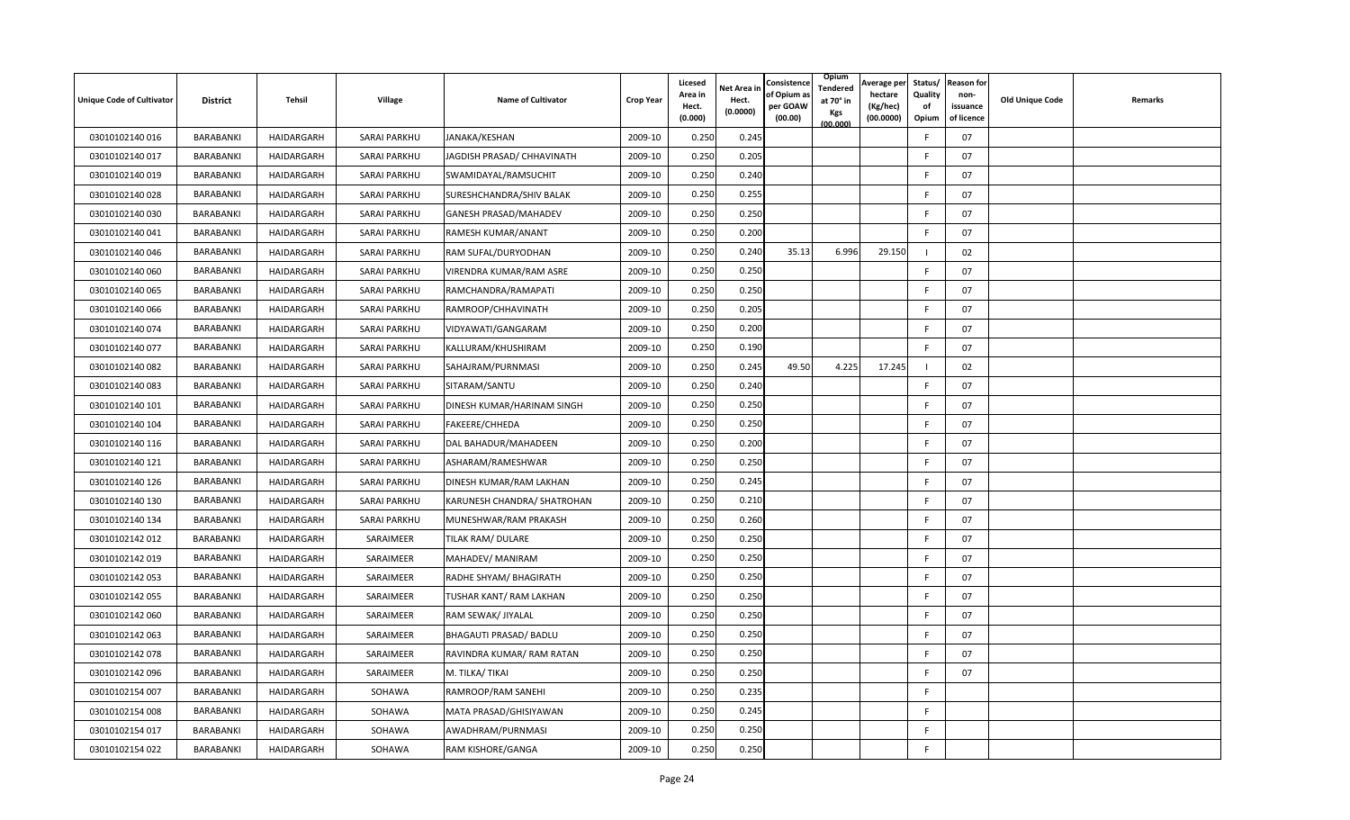| <b>Unique Code of Cultivator</b> | <b>District</b> | Tehsil            | Village             | <b>Name of Cultivator</b>    | <b>Crop Year</b> | Licesed<br>Area in<br>Hect.<br>(0.000) | Net Area in<br>Hect.<br>(0.0000) | Consistence<br>of Opium a<br>per GOAW<br>(00.00) | <b>Opium</b><br>Tendered<br>at 70° in<br>Kgs<br>(00.000) | Average per<br>hectare<br>(Kg/hec)<br>(00.0000) | Status/<br>Quality<br>of<br>Opium | <b>Reason for</b><br>non-<br>issuance<br>of licence | <b>Old Unique Code</b> | Remarks |
|----------------------------------|-----------------|-------------------|---------------------|------------------------------|------------------|----------------------------------------|----------------------------------|--------------------------------------------------|----------------------------------------------------------|-------------------------------------------------|-----------------------------------|-----------------------------------------------------|------------------------|---------|
| 03010102140016                   | BARABANKI       | HAIDARGARH        | <b>SARAI PARKHU</b> | JANAKA/KESHAN                | 2009-10          | 0.250                                  | 0.245                            |                                                  |                                                          |                                                 |                                   | 07                                                  |                        |         |
| 03010102140 017                  | BARABANKI       | HAIDARGARH        | <b>SARAI PARKHU</b> | JAGDISH PRASAD/ CHHAVINATH   | 2009-10          | 0.250                                  | 0.205                            |                                                  |                                                          |                                                 | F                                 | 07                                                  |                        |         |
| 03010102140019                   | BARABANKI       | <b>HAIDARGARH</b> | <b>SARAI PARKHU</b> | SWAMIDAYAL/RAMSUCHIT         | 2009-10          | 0.250                                  | 0.240                            |                                                  |                                                          |                                                 | F                                 | 07                                                  |                        |         |
| 03010102140 028                  | BARABANKI       | HAIDARGARH        | <b>SARAI PARKHU</b> | SURESHCHANDRA/SHIV BALAK     | 2009-10          | 0.250                                  | 0.255                            |                                                  |                                                          |                                                 | E                                 | 07                                                  |                        |         |
| 03010102140030                   | BARABANKI       | HAIDARGARH        | <b>SARAI PARKHU</b> | <b>GANESH PRASAD/MAHADEV</b> | 2009-10          | 0.250                                  | 0.250                            |                                                  |                                                          |                                                 | E                                 | 07                                                  |                        |         |
| 03010102140041                   | BARABANKI       | HAIDARGARH        | <b>SARAI PARKHU</b> | RAMESH KUMAR/ANANT           | 2009-10          | 0.250                                  | 0.200                            |                                                  |                                                          |                                                 | F                                 | 07                                                  |                        |         |
| 03010102140046                   | BARABANKI       | HAIDARGARH        | <b>SARAI PARKHU</b> | RAM SUFAL/DURYODHAN          | 2009-10          | 0.250                                  | 0.240                            | 35.13                                            | 6.996                                                    | 29.150                                          |                                   | 02                                                  |                        |         |
| 03010102140 060                  | BARABANKI       | HAIDARGARH        | <b>SARAI PARKHU</b> | VIRENDRA KUMAR/RAM ASRE      | 2009-10          | 0.250                                  | 0.250                            |                                                  |                                                          |                                                 | F                                 | 07                                                  |                        |         |
| 03010102140 065                  | BARABANKI       | HAIDARGARH        | SARAI PARKHU        | RAMCHANDRA/RAMAPATI          | 2009-10          | 0.250                                  | 0.250                            |                                                  |                                                          |                                                 | F                                 | 07                                                  |                        |         |
| 03010102140066                   | BARABANKI       | HAIDARGARH        | <b>SARAI PARKHU</b> | RAMROOP/CHHAVINATH           | 2009-10          | 0.250                                  | 0.205                            |                                                  |                                                          |                                                 |                                   | 07                                                  |                        |         |
| 03010102140 074                  | BARABANKI       | HAIDARGARH        | <b>SARAI PARKHU</b> | VIDYAWATI/GANGARAM           | 2009-10          | 0.250                                  | 0.200                            |                                                  |                                                          |                                                 | F                                 | 07                                                  |                        |         |
| 03010102140 077                  | BARABANKI       | HAIDARGARH        | <b>SARAI PARKHU</b> | KALLURAM/KHUSHIRAM           | 2009-10          | 0.250                                  | 0.190                            |                                                  |                                                          |                                                 | E                                 | 07                                                  |                        |         |
| 03010102140 082                  | BARABANKI       | HAIDARGARH        | SARAI PARKHU        | SAHAJRAM/PURNMASI            | 2009-10          | 0.250                                  | 0.245                            | 49.50                                            | 4.225                                                    | 17.245                                          |                                   | 02                                                  |                        |         |
| 03010102140083                   | BARABANKI       | HAIDARGARH        | <b>SARAI PARKHU</b> | SITARAM/SANTU                | 2009-10          | 0.250                                  | 0.240                            |                                                  |                                                          |                                                 | F                                 | 07                                                  |                        |         |
| 03010102140 101                  | BARABANKI       | HAIDARGARH        | <b>SARAI PARKHU</b> | DINESH KUMAR/HARINAM SINGH   | 2009-10          | 0.250                                  | 0.250                            |                                                  |                                                          |                                                 | F                                 | 07                                                  |                        |         |
| 03010102140 104                  | BARABANKI       | HAIDARGARH        | <b>SARAI PARKHU</b> | FAKEERE/CHHEDA               | 2009-10          | 0.250                                  | 0.25C                            |                                                  |                                                          |                                                 | F                                 | 07                                                  |                        |         |
| 03010102140 116                  | BARABANKI       | HAIDARGARH        | <b>SARAI PARKHU</b> | DAL BAHADUR/MAHADEEN         | 2009-10          | 0.250                                  | 0.200                            |                                                  |                                                          |                                                 | F                                 | 07                                                  |                        |         |
| 03010102140 121                  | BARABANKI       | HAIDARGARH        | SARAI PARKHU        | ASHARAM/RAMESHWAR            | 2009-10          | 0.250                                  | 0.250                            |                                                  |                                                          |                                                 | F                                 | 07                                                  |                        |         |
| 03010102140 126                  | BARABANKI       | HAIDARGARH        | <b>SARAI PARKHU</b> | DINESH KUMAR/RAM LAKHAN      | 2009-10          | 0.250                                  | 0.245                            |                                                  |                                                          |                                                 | F                                 | 07                                                  |                        |         |
| 03010102140 130                  | BARABANKI       | HAIDARGARH        | <b>SARAI PARKHU</b> | KARUNESH CHANDRA/ SHATROHAN  | 2009-10          | 0.250                                  | 0.210                            |                                                  |                                                          |                                                 | F                                 | 07                                                  |                        |         |
| 03010102140 134                  | BARABANKI       | HAIDARGARH        | SARAI PARKHU        | MUNESHWAR/RAM PRAKASH        | 2009-10          | 0.250                                  | 0.260                            |                                                  |                                                          |                                                 | F                                 | 07                                                  |                        |         |
| 03010102142 012                  | BARABANKI       | HAIDARGARH        | SARAIMEER           | TILAK RAM/ DULARE            | 2009-10          | 0.250                                  | 0.250                            |                                                  |                                                          |                                                 | F                                 | 07                                                  |                        |         |
| 03010102142 019                  | BARABANKI       | HAIDARGARH        | SARAIMEER           | MAHADEV/ MANIRAM             | 2009-10          | 0.250                                  | 0.250                            |                                                  |                                                          |                                                 | F                                 | 07                                                  |                        |         |
| 03010102142 053                  | BARABANKI       | HAIDARGARH        | SARAIMEER           | RADHE SHYAM/ BHAGIRATH       | 2009-10          | 0.250                                  | 0.250                            |                                                  |                                                          |                                                 | F                                 | 07                                                  |                        |         |
| 03010102142 055                  | BARABANKI       | HAIDARGARH        | SARAIMEER           | TUSHAR KANT/ RAM LAKHAN      | 2009-10          | 0.250                                  | 0.250                            |                                                  |                                                          |                                                 | E                                 | 07                                                  |                        |         |
| 03010102142 060                  | BARABANKI       | HAIDARGARH        | SARAIMEER           | RAM SEWAK/ JIYALAL           | 2009-10          | 0.250                                  | 0.250                            |                                                  |                                                          |                                                 | F                                 | 07                                                  |                        |         |
| 03010102142 063                  | BARABANKI       | HAIDARGARH        | SARAIMEER           | BHAGAUTI PRASAD/ BADLU       | 2009-10          | 0.250                                  | 0.250                            |                                                  |                                                          |                                                 | F                                 | 07                                                  |                        |         |
| 03010102142 078                  | BARABANKI       | HAIDARGARH        | SARAIMEER           | RAVINDRA KUMAR/ RAM RATAN    | 2009-10          | 0.250                                  | 0.25C                            |                                                  |                                                          |                                                 |                                   | 07                                                  |                        |         |
| 03010102142 096                  | BARABANKI       | HAIDARGARH        | SARAIMEER           | M. TILKA/TIKAI               | 2009-10          | 0.250                                  | 0.250                            |                                                  |                                                          |                                                 | F                                 | 07                                                  |                        |         |
| 03010102154 007                  | BARABANKI       | HAIDARGARH        | SOHAWA              | RAMROOP/RAM SANEHI           | 2009-10          | 0.250                                  | 0.235                            |                                                  |                                                          |                                                 | F                                 |                                                     |                        |         |
| 03010102154 008                  | BARABANKI       | HAIDARGARH        | SOHAWA              | MATA PRASAD/GHISIYAWAN       | 2009-10          | 0.250                                  | 0.245                            |                                                  |                                                          |                                                 | F                                 |                                                     |                        |         |
| 03010102154 017                  | BARABANKI       | HAIDARGARH        | SOHAWA              | AWADHRAM/PURNMASI            | 2009-10          | 0.250                                  | 0.250                            |                                                  |                                                          |                                                 | F                                 |                                                     |                        |         |
| 03010102154 022                  | BARABANKI       | HAIDARGARH        | SOHAWA              | RAM KISHORE/GANGA            | 2009-10          | 0.250                                  | 0.250                            |                                                  |                                                          |                                                 | F                                 |                                                     |                        |         |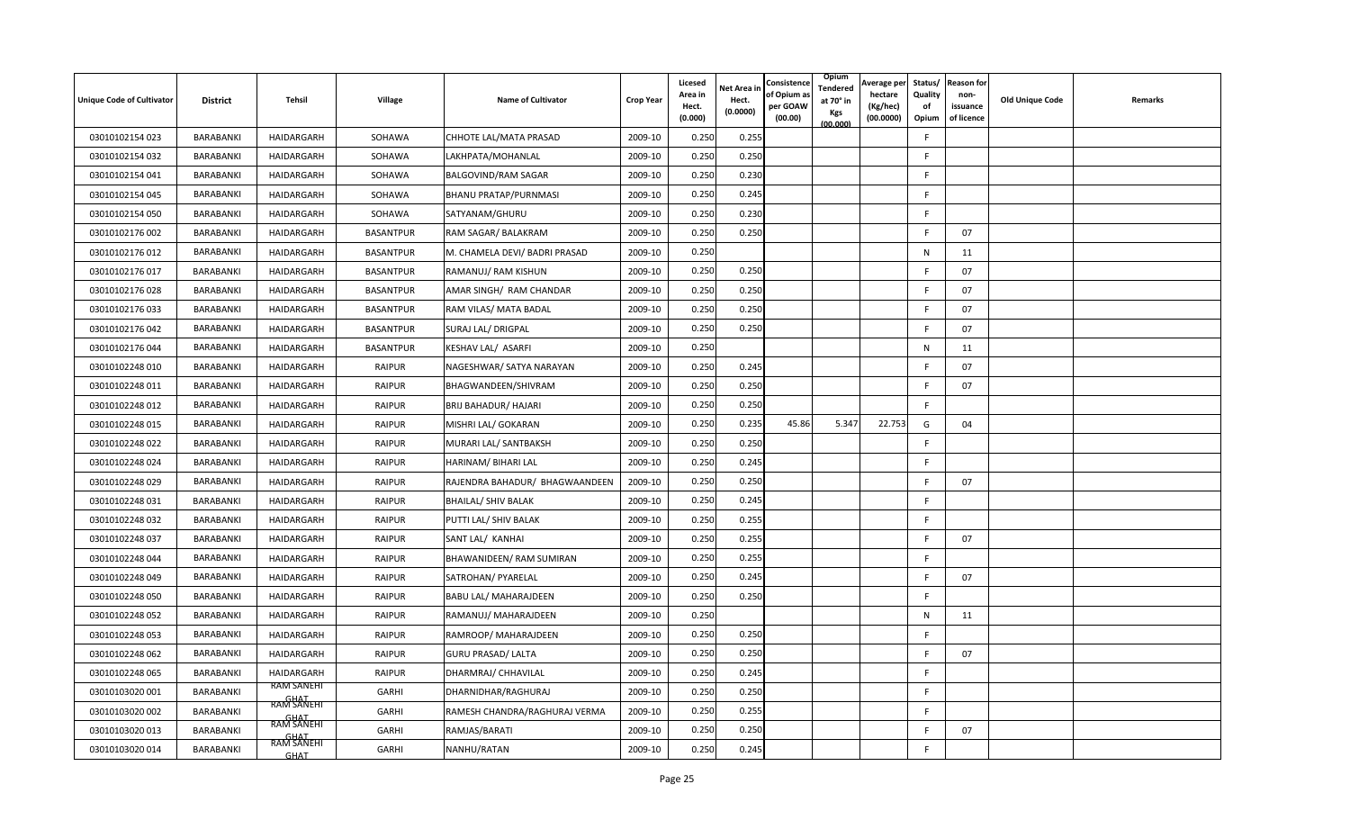| <b>Unique Code of Cultivator</b> | <b>District</b> | Tehsil                   | Village          | <b>Name of Cultivator</b>      | <b>Crop Year</b> | Licesed<br>Area in<br>Hect.<br>(0.000) | Net Area in<br>Hect.<br>(0.0000) | Consistence<br>of Opium a<br>per GOAW<br>(00.00) | Opium<br>Tendered<br>at 70° in<br>Kgs<br>(00.000) | Average per<br>hectare<br>(Kg/hec)<br>(00.0000) | Status/<br>Quality<br>of<br>Opium | <b>Reason for</b><br>non-<br>issuance<br>of licence | <b>Old Unique Code</b> | Remarks |
|----------------------------------|-----------------|--------------------------|------------------|--------------------------------|------------------|----------------------------------------|----------------------------------|--------------------------------------------------|---------------------------------------------------|-------------------------------------------------|-----------------------------------|-----------------------------------------------------|------------------------|---------|
| 03010102154 023                  | BARABANKI       | HAIDARGARH               | SOHAWA           | CHHOTE LAL/MATA PRASAD         | 2009-10          | 0.250                                  | 0.255                            |                                                  |                                                   |                                                 | F                                 |                                                     |                        |         |
| 03010102154 032                  | BARABANKI       | HAIDARGARH               | SOHAWA           | LAKHPATA/MOHANLAL              | 2009-10          | 0.250                                  | 0.250                            |                                                  |                                                   |                                                 | E                                 |                                                     |                        |         |
| 03010102154 041                  | BARABANKI       | HAIDARGARH               | SOHAWA           | BALGOVIND/RAM SAGAR            | 2009-10          | 0.250                                  | 0.230                            |                                                  |                                                   |                                                 | F                                 |                                                     |                        |         |
| 03010102154 045                  | BARABANKI       | HAIDARGARH               | SOHAWA           | <b>BHANU PRATAP/PURNMASI</b>   | 2009-10          | 0.250                                  | 0.245                            |                                                  |                                                   |                                                 | F                                 |                                                     |                        |         |
| 03010102154 050                  | BARABANKI       | HAIDARGARH               | SOHAWA           | SATYANAM/GHURU                 | 2009-10          | 0.250                                  | 0.23C                            |                                                  |                                                   |                                                 | F                                 |                                                     |                        |         |
| 03010102176 002                  | BARABANKI       | HAIDARGARH               | <b>BASANTPUR</b> | RAM SAGAR/ BALAKRAM            | 2009-10          | 0.250                                  | 0.250                            |                                                  |                                                   |                                                 | F                                 | 07                                                  |                        |         |
| 03010102176 012                  | BARABANKI       | HAIDARGARH               | <b>BASANTPUR</b> | M. CHAMELA DEVI/ BADRI PRASAD  | 2009-10          | 0.250                                  |                                  |                                                  |                                                   |                                                 | N                                 | 11                                                  |                        |         |
| 03010102176 017                  | BARABANKI       | HAIDARGARH               | <b>BASANTPUR</b> | RAMANUJ/ RAM KISHUN            | 2009-10          | 0.250                                  | 0.250                            |                                                  |                                                   |                                                 | E                                 | 07                                                  |                        |         |
| 03010102176 028                  | BARABANKI       | HAIDARGARH               | <b>BASANTPUR</b> | AMAR SINGH/ RAM CHANDAR        | 2009-10          | 0.250                                  | 0.250                            |                                                  |                                                   |                                                 | F                                 | 07                                                  |                        |         |
| 03010102176 033                  | BARABANKI       | HAIDARGARH               | <b>BASANTPUR</b> | RAM VILAS/ MATA BADAL          | 2009-10          | 0.250                                  | 0.250                            |                                                  |                                                   |                                                 | E                                 | 07                                                  |                        |         |
| 03010102176 042                  | BARABANKI       | HAIDARGARH               | <b>BASANTPUR</b> | SURAJ LAL/ DRIGPAL             | 2009-10          | 0.250                                  | 0.250                            |                                                  |                                                   |                                                 | F                                 | 07                                                  |                        |         |
| 03010102176 044                  | BARABANKI       | HAIDARGARH               | <b>BASANTPUR</b> | KESHAV LAL/ ASARFI             | 2009-10          | 0.250                                  |                                  |                                                  |                                                   |                                                 | N                                 | 11                                                  |                        |         |
| 03010102248 010                  | BARABANKI       | HAIDARGARH               | <b>RAIPUR</b>    | NAGESHWAR/ SATYA NARAYAN       | 2009-10          | 0.250                                  | 0.245                            |                                                  |                                                   |                                                 | F                                 | 07                                                  |                        |         |
| 03010102248 011                  | BARABANKI       | HAIDARGARH               | <b>RAIPUR</b>    | BHAGWANDEEN/SHIVRAM            | 2009-10          | 0.250                                  | 0.250                            |                                                  |                                                   |                                                 | F                                 | 07                                                  |                        |         |
| 03010102248 012                  | BARABANKI       | HAIDARGARH               | <b>RAIPUR</b>    | BRIJ BAHADUR/ HAJARI           | 2009-10          | 0.250                                  | 0.250                            |                                                  |                                                   |                                                 | F                                 |                                                     |                        |         |
| 03010102248 015                  | BARABANKI       | HAIDARGARH               | <b>RAIPUR</b>    | MISHRI LAL/ GOKARAN            | 2009-10          | 0.250                                  | 0.235                            | 45.86                                            | 5.347                                             | 22.753                                          | G                                 | 04                                                  |                        |         |
| 03010102248 022                  | BARABANKI       | HAIDARGARH               | <b>RAIPUR</b>    | MURARI LAL/ SANTBAKSH          | 2009-10          | 0.250                                  | 0.250                            |                                                  |                                                   |                                                 | F                                 |                                                     |                        |         |
| 03010102248 024                  | BARABANKI       | HAIDARGARH               | <b>RAIPUR</b>    | HARINAM/ BIHARI LAL            | 2009-10          | 0.250                                  | 0.245                            |                                                  |                                                   |                                                 | F                                 |                                                     |                        |         |
| 03010102248 029                  | BARABANKI       | HAIDARGARH               | <b>RAIPUR</b>    | RAJENDRA BAHADUR/ BHAGWAANDEEN | 2009-10          | 0.250                                  | 0.250                            |                                                  |                                                   |                                                 | E                                 | 07                                                  |                        |         |
| 03010102248 031                  | BARABANKI       | HAIDARGARH               | <b>RAIPUR</b>    | <b>BHAILAL/ SHIV BALAK</b>     | 2009-10          | 0.250                                  | 0.245                            |                                                  |                                                   |                                                 | E                                 |                                                     |                        |         |
| 03010102248 032                  | BARABANKI       | HAIDARGARH               | <b>RAIPUR</b>    | PUTTI LAL/ SHIV BALAK          | 2009-10          | 0.250                                  | 0.255                            |                                                  |                                                   |                                                 | F.                                |                                                     |                        |         |
| 03010102248 037                  | BARABANKI       | HAIDARGARH               | <b>RAIPUR</b>    | SANT LAL/ KANHAI               | 2009-10          | 0.250                                  | 0.255                            |                                                  |                                                   |                                                 | F                                 | 07                                                  |                        |         |
| 03010102248 044                  | BARABANKI       | HAIDARGARH               | <b>RAIPUR</b>    | BHAWANIDEEN/ RAM SUMIRAN       | 2009-10          | 0.250                                  | 0.255                            |                                                  |                                                   |                                                 | F                                 |                                                     |                        |         |
| 03010102248 049                  | BARABANKI       | HAIDARGARH               | <b>RAIPUR</b>    | SATROHAN/ PYARELAL             | 2009-10          | 0.250                                  | 0.245                            |                                                  |                                                   |                                                 | F                                 | 07                                                  |                        |         |
| 03010102248 050                  | BARABANKI       | HAIDARGARH               | <b>RAIPUR</b>    | BABU LAL/ MAHARAJDEEN          | 2009-10          | 0.250                                  | 0.250                            |                                                  |                                                   |                                                 | E                                 |                                                     |                        |         |
| 03010102248 052                  | BARABANKI       | HAIDARGARH               | <b>RAIPUR</b>    | RAMANUJ/ MAHARAJDEEN           | 2009-10          | 0.250                                  |                                  |                                                  |                                                   |                                                 | N                                 | 11                                                  |                        |         |
| 03010102248 053                  | BARABANKI       | HAIDARGARH               | <b>RAIPUR</b>    | RAMROOP/ MAHARAJDEEN           | 2009-10          | 0.250                                  | 0.250                            |                                                  |                                                   |                                                 | F                                 |                                                     |                        |         |
| 03010102248 062                  | BARABANKI       | HAIDARGARH               | <b>RAIPUR</b>    | <b>GURU PRASAD/ LALTA</b>      | 2009-10          | 0.250                                  | 0.250                            |                                                  |                                                   |                                                 | F                                 | 07                                                  |                        |         |
| 03010102248 065                  | BARABANKI       | HAIDARGARH               | <b>RAIPUR</b>    | DHARMRAJ/ CHHAVILAL            | 2009-10          | 0.250                                  | 0.245                            |                                                  |                                                   |                                                 | F                                 |                                                     |                        |         |
| 03010103020 001                  | BARABANKI       | RAM SANEHI<br>RAM SANEHI | <b>GARHI</b>     | DHARNIDHAR/RAGHURAJ            | 2009-10          | 0.250                                  | 0.250                            |                                                  |                                                   |                                                 | F                                 |                                                     |                        |         |
| 03010103020 002                  | BARABANKI       | RAM SANEHI               | <b>GARHI</b>     | RAMESH CHANDRA/RAGHURAJ VERMA  | 2009-10          | 0.250                                  | 0.255                            |                                                  |                                                   |                                                 | F                                 |                                                     |                        |         |
| 03010103020 013                  | BARABANKI       | <b>RAM SANEH</b>         | <b>GARHI</b>     | RAMJAS/BARATI                  | 2009-10          | 0.250                                  | 0.250                            |                                                  |                                                   |                                                 | F                                 | 07                                                  |                        |         |
| 03010103020 014                  | BARABANKI       | <b>GHAT</b>              | GARHI            | NANHU/RATAN                    | 2009-10          | 0.250                                  | 0.245                            |                                                  |                                                   |                                                 | F                                 |                                                     |                        |         |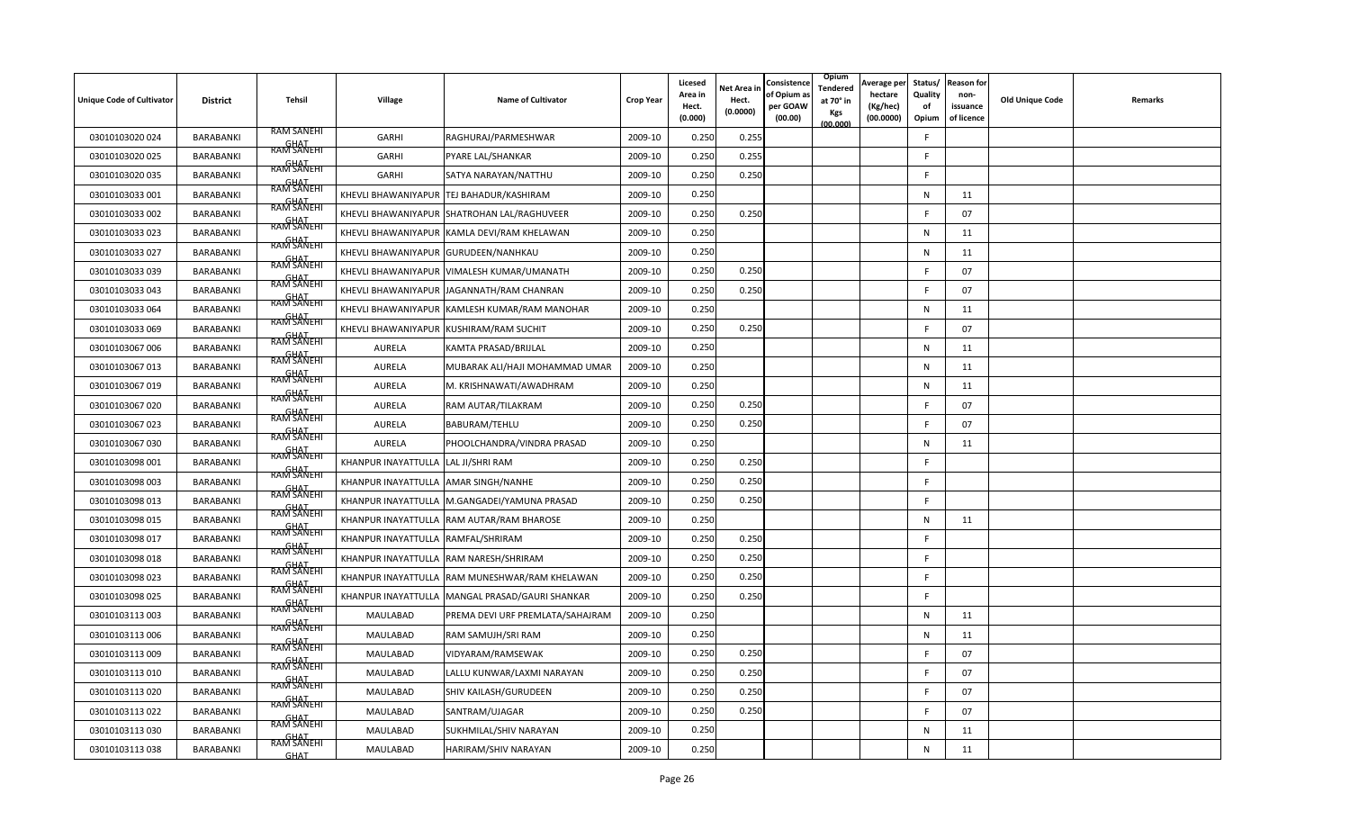| <b>Unique Code of Cultivator</b> | <b>District</b> | <b>Tehsil</b>             | Village                              | <b>Name of Cultivator</b>                    | <b>Crop Year</b> | Licesed<br>Area in<br>Hect.<br>(0.000) | Net Area in<br>Hect.<br>(0.0000) | Consistence<br>of Opium a<br>per GOAW<br>(00.00) | Opium<br>Tendered<br>at 70° in<br>Kgs<br>(00.000) | Average per<br>hectare<br>(Kg/hec)<br>(00.0000) | Status/<br>Quality<br>of<br>Opium | <b>Reason for</b><br>non-<br>issuance<br>of licence | <b>Old Unique Code</b> | Remarks |
|----------------------------------|-----------------|---------------------------|--------------------------------------|----------------------------------------------|------------------|----------------------------------------|----------------------------------|--------------------------------------------------|---------------------------------------------------|-------------------------------------------------|-----------------------------------|-----------------------------------------------------|------------------------|---------|
| 03010103020024                   | BARABANKI       | <b>RAM SANEHI</b>         | GARHI                                | RAGHURAJ/PARMESHWAR                          | 2009-10          | 0.250                                  | 0.255                            |                                                  |                                                   |                                                 | F                                 |                                                     |                        |         |
| 03010103020 025                  | BARABANKI       | GHAT<br>RAM SANEHI        | GARHI                                | PYARE LAL/SHANKAR                            | 2009-10          | 0.250                                  | 0.255                            |                                                  |                                                   |                                                 | E                                 |                                                     |                        |         |
| 03010103020 035                  | BARABANKI       | <b>RAM SANEHI</b>         | GARHI                                | SATYA NARAYAN/NATTHU                         | 2009-10          | 0.250                                  | 0.250                            |                                                  |                                                   |                                                 | F                                 |                                                     |                        |         |
| 03010103033 001                  | BARABANKI       | <b>RAM SANEHI</b>         | KHEVLI BHAWANIYAPUR                  | TEJ BAHADUR/KASHIRAM                         | 2009-10          | 0.250                                  |                                  |                                                  |                                                   |                                                 | N                                 | 11                                                  |                        |         |
| 03010103033 002                  | BARABANKI       | <b>RAM SANEHI</b>         | KHEVLI BHAWANIYAPUR                  | SHATROHAN LAL/RAGHUVEER                      | 2009-10          | 0.250                                  | 0.250                            |                                                  |                                                   |                                                 | F                                 | 07                                                  |                        |         |
| 03010103033 023                  | BARABANKI       | RAM SANEHI<br>RAM SANEHI  | KHEVLI BHAWANIYAPUR                  | KAMLA DEVI/RAM KHELAWAN                      | 2009-10          | 0.250                                  |                                  |                                                  |                                                   |                                                 | N                                 | 11                                                  |                        |         |
| 03010103033 027                  | BARABANKI       | RAM SANEHI                | KHEVLI BHAWANIYAPUR GURUDEEN/NANHKAU |                                              | 2009-10          | 0.250                                  |                                  |                                                  |                                                   |                                                 | N                                 | 11                                                  |                        |         |
| 03010103033 039                  | BARABANKI       | RAM SANEHI                |                                      | KHEVLI BHAWANIYAPUR VIMALESH KUMAR/UMANATH   | 2009-10          | 0.250                                  | 0.250                            |                                                  |                                                   |                                                 | F                                 | 07                                                  |                        |         |
| 03010103033 043                  | BARABANKI       | RAM SANEHI                |                                      | KHEVLI BHAWANIYAPUR JAGANNATH/RAM CHANRAN    | 2009-10          | 0.250                                  | 0.250                            |                                                  |                                                   |                                                 | F                                 | 07                                                  |                        |         |
| 03010103033 064                  | BARABANKI       | RAM SANEHI                | KHEVLI BHAWANIYAPUR                  | KAMLESH KUMAR/RAM MANOHAR                    | 2009-10          | 0.250                                  |                                  |                                                  |                                                   |                                                 | $\mathsf{N}$                      | 11                                                  |                        |         |
| 03010103033 069                  | BARABANKI       | GHAT<br>RAM SANEHI        | KHEVLI BHAWANIYAPUR                  | <b>KUSHIRAM/RAM SUCHIT</b>                   | 2009-10          | 0.250                                  | 0.250                            |                                                  |                                                   |                                                 | F                                 | 07                                                  |                        |         |
| 03010103067 006                  | BARABANKI       | GHAT<br>RAM SANEHI        | AURELA                               | KAMTA PRASAD/BRIJLAL                         | 2009-10          | 0.250                                  |                                  |                                                  |                                                   |                                                 | N                                 | 11                                                  |                        |         |
| 03010103067 013                  | BARABANKI       | RAM SANEHI                | AURELA                               | MUBARAK ALI/HAJI MOHAMMAD UMAR               | 2009-10          | 0.250                                  |                                  |                                                  |                                                   |                                                 | N                                 | 11                                                  |                        |         |
| 03010103067 019                  | BARABANKI       | RAM SANEHI                | AURELA                               | M. KRISHNAWATI/AWADHRAM                      | 2009-10          | 0.250                                  |                                  |                                                  |                                                   |                                                 | N                                 | 11                                                  |                        |         |
| 03010103067 020                  | BARABANKI       | <b>RAM SANEHI</b>         | AURELA                               | RAM AUTAR/TILAKRAM                           | 2009-10          | 0.250                                  | 0.250                            |                                                  |                                                   |                                                 | F                                 | 07                                                  |                        |         |
| 03010103067 023                  | BARABANKI       | RAM SANEHI                | AURELA                               | BABURAM/TEHLU                                | 2009-10          | 0.250                                  | 0.250                            |                                                  |                                                   |                                                 | F                                 | 07                                                  |                        |         |
| 03010103067 030                  | BARABANKI       | RAM SANEHI                | AURELA                               | PHOOLCHANDRA/VINDRA PRASAD                   | 2009-10          | 0.250                                  |                                  |                                                  |                                                   |                                                 | N                                 | 11                                                  |                        |         |
| 03010103098 001                  | BARABANKI       | RAM SANEHI                | KHANPUR INAYATTULLA                  | LAL JI/SHRI RAM                              | 2009-10          | 0.250                                  | 0.250                            |                                                  |                                                   |                                                 | F                                 |                                                     |                        |         |
| 03010103098 003                  | BARABANKI       | RAM SANEHI                | KHANPUR INAYATTULLA AMAR SINGH/NANHE |                                              | 2009-10          | 0.250                                  | 0.250                            |                                                  |                                                   |                                                 | F                                 |                                                     |                        |         |
| 03010103098 013                  | BARABANKI       | RAM SANEHI                |                                      | KHANPUR INAYATTULLA M.GANGADEI/YAMUNA PRASAD | 2009-10          | 0.250                                  | 0.250                            |                                                  |                                                   |                                                 | F                                 |                                                     |                        |         |
| 03010103098 015                  | BARABANKI       | RAM SANEHI                |                                      | KHANPUR INAYATTULLA RAM AUTAR/RAM BHAROSE    | 2009-10          | 0.250                                  |                                  |                                                  |                                                   |                                                 | N                                 | 11                                                  |                        |         |
| 03010103098 017                  | BARABANKI       | RAM SANEHI                | KHANPUR INAYATTULLA RAMFAL/SHRIRAM   |                                              | 2009-10          | 0.250                                  | 0.250                            |                                                  |                                                   |                                                 | F.                                |                                                     |                        |         |
| 03010103098 018                  | BARABANKI       | GHAT<br>RAM SANEHI        |                                      | KHANPUR INAYATTULLA RAM NARESH/SHRIRAM       | 2009-10          | 0.250                                  | 0.250                            |                                                  |                                                   |                                                 | F                                 |                                                     |                        |         |
| 03010103098 023                  | BARABANKI       | GHAT<br>RAM SANEHI        | KHANPUR INAYATTULLA                  | RAM MUNESHWAR/RAM KHELAWAN                   | 2009-10          | 0.250                                  | 0.250                            |                                                  |                                                   |                                                 | F                                 |                                                     |                        |         |
| 03010103098 025                  | BARABANKI       | <b>RAM SANEHI</b>         | KHANPUR INAYATTULLA                  | MANGAL PRASAD/GAURI SHANKAR                  | 2009-10          | 0.250                                  | 0.250                            |                                                  |                                                   |                                                 | F                                 |                                                     |                        |         |
| 03010103113003                   | BARABANKI       | <b>GHAT</b><br>RAM SANEHI | MAULABAD                             | PREMA DEVI URF PREMLATA/SAHAJRAM             | 2009-10          | 0.250                                  |                                  |                                                  |                                                   |                                                 | N                                 | 11                                                  |                        |         |
| 03010103113006                   | BARABANKI       | RAM SANEHI                | MAULABAD                             | RAM SAMUJH/SRI RAM                           | 2009-10          | 0.250                                  |                                  |                                                  |                                                   |                                                 | N                                 | 11                                                  |                        |         |
| 03010103113 009                  | BARABANKI       | RAM SANEHI                | MAULABAD                             | VIDYARAM/RAMSEWAK                            | 2009-10          | 0.250                                  | 0.250                            |                                                  |                                                   |                                                 | F                                 | 07                                                  |                        |         |
| 03010103113 010                  | BARABANKI       | RAM SANEHI                | MAULABAD                             | LALLU KUNWAR/LAXMI NARAYAN                   | 2009-10          | 0.250                                  | 0.250                            |                                                  |                                                   |                                                 | F                                 | 07                                                  |                        |         |
| 03010103113 020                  | BARABANKI       | RAM SANEHI                | MAULABAD                             | SHIV KAILASH/GURUDEEN                        | 2009-10          | 0.250                                  | 0.250                            |                                                  |                                                   |                                                 | F                                 | 07                                                  |                        |         |
| 03010103113 022                  | BARABANKI       | RAM SANEHI                | MAULABAD                             | SANTRAM/UJAGAR                               | 2009-10          | 0.250                                  | 0.250                            |                                                  |                                                   |                                                 | F                                 | 07                                                  |                        |         |
| 03010103113 030                  | BARABANKI       | RAM SANEHI                | MAULABAD                             | SUKHMILAL/SHIV NARAYAN                       | 2009-10          | 0.250                                  |                                  |                                                  |                                                   |                                                 | N                                 | 11                                                  |                        |         |
| 03010103113038                   | BARABANKI       | <b>GHAT</b>               | MAULABAD                             | HARIRAM/SHIV NARAYAN                         | 2009-10          | 0.250                                  |                                  |                                                  |                                                   |                                                 | $\mathsf{N}$                      | 11                                                  |                        |         |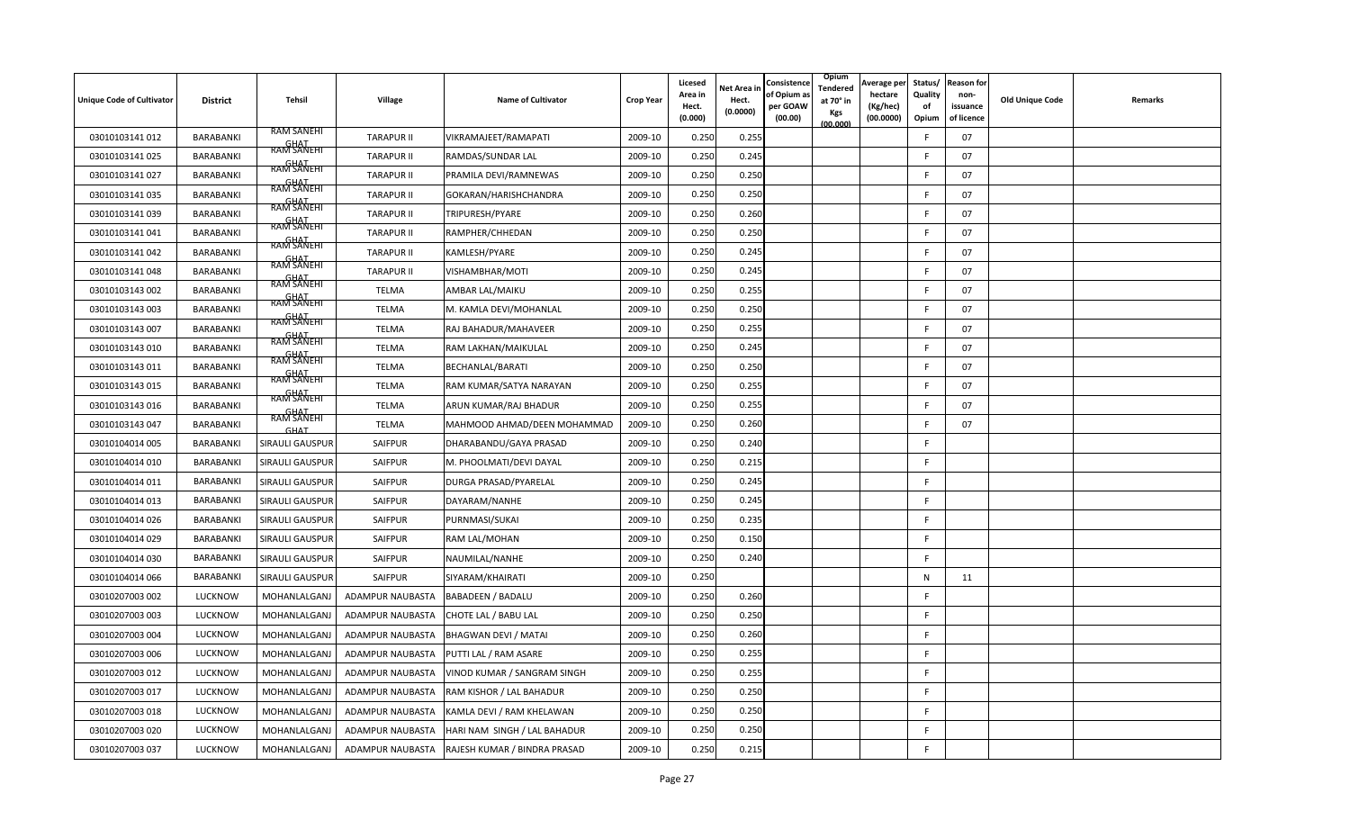| <b>Unique Code of Cultivator</b> | <b>District</b> | <b>Tehsil</b>             | Village           | <b>Name of Cultivator</b>    | <b>Crop Year</b> | Licesed<br>Area in<br>Hect.<br>(0.000) | Net Area in<br>Hect.<br>(0.0000) | Consistence<br>of Opium a<br>per GOAW<br>(00.00) | Opium<br>Tendered<br>at 70° in<br>Kgs<br>(00.000) | Average per<br>hectare<br>(Kg/hec)<br>(00.0000) | Status/<br>Quality<br>of<br>Opium | <b>Reason for</b><br>non-<br>issuance<br>of licence | <b>Old Unique Code</b> | Remarks |
|----------------------------------|-----------------|---------------------------|-------------------|------------------------------|------------------|----------------------------------------|----------------------------------|--------------------------------------------------|---------------------------------------------------|-------------------------------------------------|-----------------------------------|-----------------------------------------------------|------------------------|---------|
| 03010103141 012                  | BARABANKI       | <b>RAM SANEHI</b>         | <b>TARAPUR II</b> | VIKRAMAJEET/RAMAPATI         | 2009-10          | 0.250                                  | 0.255                            |                                                  |                                                   |                                                 | F                                 | 07                                                  |                        |         |
| 03010103141 025                  | BARABANKI       | GHAT<br>RAM SANEHI        | <b>TARAPUR II</b> | RAMDAS/SUNDAR LAL            | 2009-10          | 0.250                                  | 0.245                            |                                                  |                                                   |                                                 | F                                 | 07                                                  |                        |         |
| 03010103141 027                  | BARABANKI       | <b>RAM SANEHI</b>         | <b>TARAPUR II</b> | PRAMILA DEVI/RAMNEWAS        | 2009-10          | 0.250                                  | 0.250                            |                                                  |                                                   |                                                 |                                   | 07                                                  |                        |         |
| 03010103141 035                  | BARABANKI       | <b>RAM SANEHI</b>         | <b>TARAPUR II</b> | GOKARAN/HARISHCHANDRA        | 2009-10          | 0.250                                  | 0.250                            |                                                  |                                                   |                                                 | F                                 | 07                                                  |                        |         |
| 03010103141 039                  | BARABANKI       | RAM SANEHI<br>RAM SANEHI  | <b>TARAPUR II</b> | TRIPURESH/PYARE              | 2009-10          | 0.250                                  | 0.260                            |                                                  |                                                   |                                                 | F                                 | 07                                                  |                        |         |
| 03010103141 041                  | BARABANKI       |                           | <b>TARAPUR II</b> | RAMPHER/CHHEDAN              | 2009-10          | 0.250                                  | 0.250                            |                                                  |                                                   |                                                 |                                   | 07                                                  |                        |         |
| 03010103141 042                  | BARABANKI       | RAM SANEHI<br>RAM SANEHI  | <b>TARAPUR II</b> | KAMLESH/PYARE                | 2009-10          | 0.250                                  | 0.245                            |                                                  |                                                   |                                                 | E                                 | 07                                                  |                        |         |
| 03010103141 048                  | BARABANKI       | RAM SANEHI                | <b>TARAPUR II</b> | VISHAMBHAR/MOTI              | 2009-10          | 0.250                                  | 0.245                            |                                                  |                                                   |                                                 | E                                 | 07                                                  |                        |         |
| 03010103143 002                  | BARABANKI       | RAM SANEHI                | <b>TELMA</b>      | AMBAR LAL/MAIKU              | 2009-10          | 0.250                                  | 0.255                            |                                                  |                                                   |                                                 | F                                 | 07                                                  |                        |         |
| 03010103143 003                  | BARABANKI       | RAM SANEHI                | <b>TELMA</b>      | M. KAMLA DEVI/MOHANLAL       | 2009-10          | 0.250                                  | 0.250                            |                                                  |                                                   |                                                 | F                                 | 07                                                  |                        |         |
| 03010103143 007                  | BARABANKI       | GHAT<br>RAM SANEHI        | <b>TELMA</b>      | RAJ BAHADUR/MAHAVEER         | 2009-10          | 0.250                                  | 0.255                            |                                                  |                                                   |                                                 | F                                 | 07                                                  |                        |         |
| 03010103143 010                  | BARABANKI       | GHAT<br>RAM SANEHI        | <b>TELMA</b>      | RAM LAKHAN/MAIKULAL          | 2009-10          | 0.250                                  | 0.245                            |                                                  |                                                   |                                                 | E                                 | 07                                                  |                        |         |
| 03010103143 011                  | BARABANKI       | <b>GHAT</b><br>RAM SANEHI | <b>TELMA</b>      | BECHANLAL/BARATI             | 2009-10          | 0.250                                  | 0.250                            |                                                  |                                                   |                                                 | F                                 | 07                                                  |                        |         |
| 03010103143 015                  | BARABANKI       | RAM SANEHI                | <b>TELMA</b>      | RAM KUMAR/SATYA NARAYAN      | 2009-10          | 0.250                                  | 0.255                            |                                                  |                                                   |                                                 | F                                 | 07                                                  |                        |         |
| 03010103143 016                  | BARABANKI       | <b>RAM SANEHI</b>         | <b>TELMA</b>      | ARUN KUMAR/RAJ BHADUR        | 2009-10          | 0.250                                  | 0.255                            |                                                  |                                                   |                                                 | F                                 | 07                                                  |                        |         |
| 03010103143 047                  | BARABANKI       | <b>GHAT</b>               | <b>TELMA</b>      | MAHMOOD AHMAD/DEEN MOHAMMAD  | 2009-10          | 0.250                                  | 0.260                            |                                                  |                                                   |                                                 | F                                 | 07                                                  |                        |         |
| 03010104014 005                  | BARABANKI       | SIRAULI GAUSPUR           | SAIFPUR           | DHARABANDU/GAYA PRASAD       | 2009-10          | 0.250                                  | 0.240                            |                                                  |                                                   |                                                 | F.                                |                                                     |                        |         |
| 03010104014 010                  | BARABANKI       | SIRAULI GAUSPUR           | SAIFPUR           | M. PHOOLMATI/DEVI DAYAL      | 2009-10          | 0.250                                  | 0.215                            |                                                  |                                                   |                                                 | F.                                |                                                     |                        |         |
| 03010104014 011                  | BARABANKI       | <b>SIRAULI GAUSPUR</b>    | SAIFPUR           | DURGA PRASAD/PYARELAL        | 2009-10          | 0.250                                  | 0.245                            |                                                  |                                                   |                                                 | F.                                |                                                     |                        |         |
| 03010104014 013                  | BARABANKI       | <b>SIRAULI GAUSPUR</b>    | <b>SAIFPUR</b>    | DAYARAM/NANHE                | 2009-10          | 0.250                                  | 0.245                            |                                                  |                                                   |                                                 | F                                 |                                                     |                        |         |
| 03010104014 026                  | BARABANKI       | SIRAULI GAUSPUR           | SAIFPUR           | PURNMASI/SUKAI               | 2009-10          | 0.250                                  | 0.235                            |                                                  |                                                   |                                                 | F                                 |                                                     |                        |         |
| 03010104014 029                  | BARABANKI       | <b>SIRAULI GAUSPUR</b>    | SAIFPUR           | RAM LAL/MOHAN                | 2009-10          | 0.250                                  | 0.150                            |                                                  |                                                   |                                                 | F.                                |                                                     |                        |         |
| 03010104014 030                  | BARABANKI       | SIRAULI GAUSPUR           | SAIFPUR           | NAUMILAL/NANHE               | 2009-10          | 0.250                                  | 0.240                            |                                                  |                                                   |                                                 | F.                                |                                                     |                        |         |
| 03010104014 066                  | BARABANKI       | SIRAULI GAUSPUR           | <b>SAIFPUR</b>    | SIYARAM/KHAIRATI             | 2009-10          | 0.250                                  |                                  |                                                  |                                                   |                                                 | N                                 | 11                                                  |                        |         |
| 03010207003 002                  | <b>LUCKNOW</b>  | MOHANLALGANJ              | ADAMPUR NAUBASTA  | <b>BABADEEN / BADALU</b>     | 2009-10          | 0.250                                  | 0.260                            |                                                  |                                                   |                                                 | F                                 |                                                     |                        |         |
| 03010207003 003                  | LUCKNOW         | MOHANLALGANJ              | ADAMPUR NAUBASTA  | CHOTE LAL / BABU LAL         | 2009-10          | 0.250                                  | 0.250                            |                                                  |                                                   |                                                 | F                                 |                                                     |                        |         |
| 03010207003 004                  | LUCKNOW         | MOHANLALGANJ              | ADAMPUR NAUBASTA  | BHAGWAN DEVI / MATAI         | 2009-10          | 0.250                                  | 0.260                            |                                                  |                                                   |                                                 | F                                 |                                                     |                        |         |
| 03010207003 006                  | LUCKNOW         | MOHANLALGANJ              | ADAMPUR NAUBASTA  | PUTTI LAL / RAM ASARE        | 2009-10          | 0.250                                  | 0.255                            |                                                  |                                                   |                                                 | F                                 |                                                     |                        |         |
| 03010207003 012                  | LUCKNOW         | MOHANLALGANJ              | ADAMPUR NAUBASTA  | VINOD KUMAR / SANGRAM SINGH  | 2009-10          | 0.250                                  | 0.255                            |                                                  |                                                   |                                                 | F.                                |                                                     |                        |         |
| 03010207003 017                  | LUCKNOW         | MOHANLALGANJ              | ADAMPUR NAUBASTA  | RAM KISHOR / LAL BAHADUR     | 2009-10          | 0.250                                  | 0.250                            |                                                  |                                                   |                                                 | F.                                |                                                     |                        |         |
| 03010207003 018                  | LUCKNOW         | MOHANLALGANJ              | ADAMPUR NAUBASTA  | KAMLA DEVI / RAM KHELAWAN    | 2009-10          | 0.250                                  | 0.250                            |                                                  |                                                   |                                                 | F.                                |                                                     |                        |         |
| 03010207003 020                  | LUCKNOW         | MOHANLALGANJ              | ADAMPUR NAUBASTA  | HARI NAM SINGH / LAL BAHADUR | 2009-10          | 0.250                                  | 0.250                            |                                                  |                                                   |                                                 | F                                 |                                                     |                        |         |
| 03010207003 037                  | LUCKNOW         | MOHANLALGANJ              | ADAMPUR NAUBASTA  | RAJESH KUMAR / BINDRA PRASAD | 2009-10          | 0.250                                  | 0.215                            |                                                  |                                                   |                                                 | F                                 |                                                     |                        |         |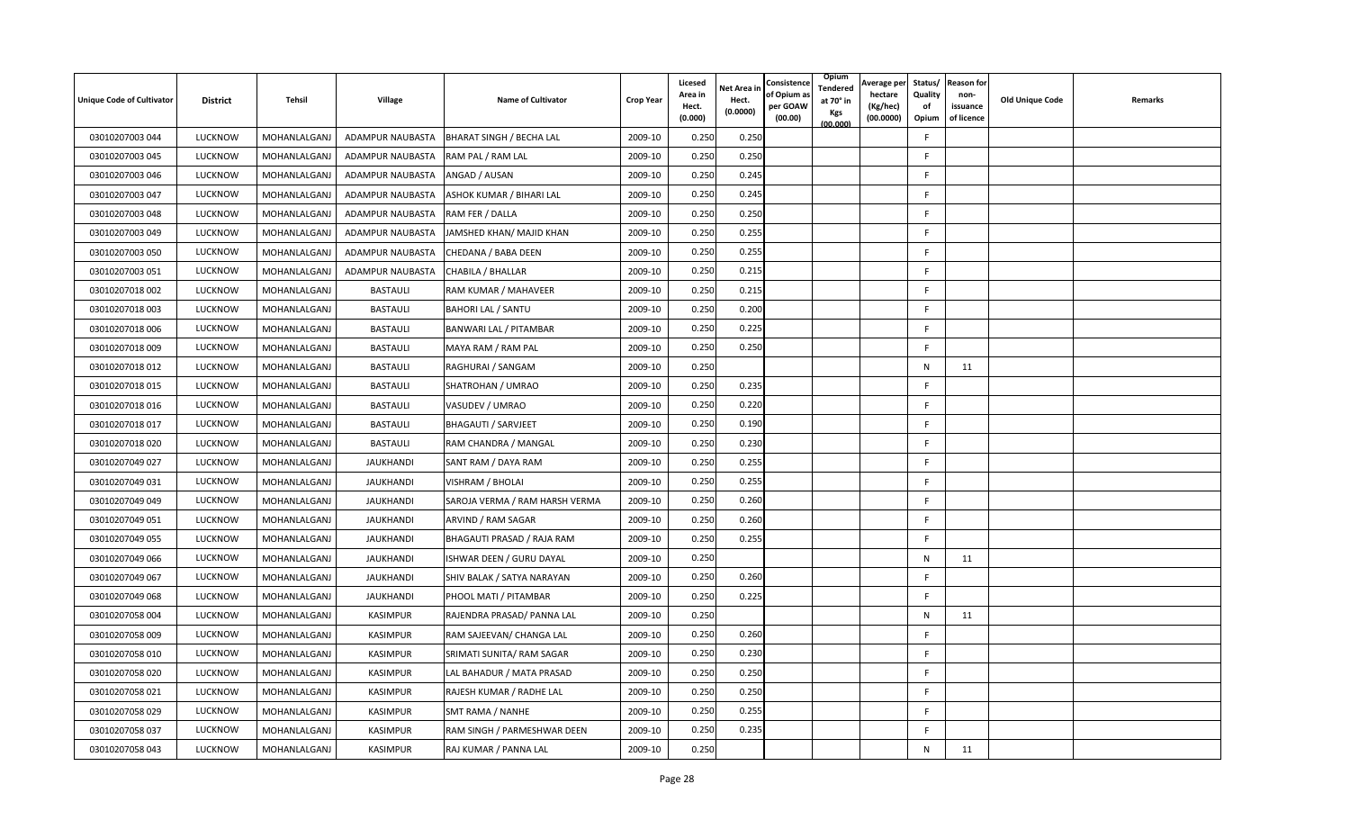| <b>Unique Code of Cultivator</b> | <b>District</b> | Tehsil       | Village          | <b>Name of Cultivator</b>       | <b>Crop Year</b> | Licesed<br>Area in<br>Hect.<br>(0.000) | <b>Jet Area in</b><br>Hect.<br>(0.0000) | Consistence<br>of Opium a<br>per GOAW<br>(00.00) | Opium<br>Tendered<br>at 70° in<br>Kgs<br>(00.000) | Average per<br>hectare<br>(Kg/hec)<br>(00.0000) | Status/<br>Quality<br>οf<br>Opium | <b>Reason for</b><br>non-<br>issuance<br>of licence | <b>Old Unique Code</b> | Remarks |
|----------------------------------|-----------------|--------------|------------------|---------------------------------|------------------|----------------------------------------|-----------------------------------------|--------------------------------------------------|---------------------------------------------------|-------------------------------------------------|-----------------------------------|-----------------------------------------------------|------------------------|---------|
| 03010207003 044                  | <b>LUCKNOW</b>  | MOHANLALGANJ | ADAMPUR NAUBASTA | <b>BHARAT SINGH / BECHA LAL</b> | 2009-10          | 0.250                                  | 0.250                                   |                                                  |                                                   |                                                 | F                                 |                                                     |                        |         |
| 03010207003 045                  | <b>LUCKNOW</b>  | MOHANLALGANJ | ADAMPUR NAUBASTA | RAM PAL / RAM LAL               | 2009-10          | 0.250                                  | 0.250                                   |                                                  |                                                   |                                                 | F.                                |                                                     |                        |         |
| 03010207003 046                  | LUCKNOW         | MOHANLALGANJ | ADAMPUR NAUBASTA | ANGAD / AUSAN                   | 2009-10          | 0.250                                  | 0.245                                   |                                                  |                                                   |                                                 | -F                                |                                                     |                        |         |
| 03010207003 047                  | LUCKNOW         | MOHANLALGANJ | ADAMPUR NAUBASTA | ASHOK KUMAR / BIHARI LAL        | 2009-10          | 0.250                                  | 0.245                                   |                                                  |                                                   |                                                 | F                                 |                                                     |                        |         |
| 03010207003 048                  | <b>LUCKNOW</b>  | MOHANLALGANJ | ADAMPUR NAUBASTA | RAM FER / DALLA                 | 2009-10          | 0.250                                  | 0.250                                   |                                                  |                                                   |                                                 | F.                                |                                                     |                        |         |
| 03010207003 049                  | <b>LUCKNOW</b>  | MOHANLALGANJ | ADAMPUR NAUBASTA | JAMSHED KHAN/ MAJID KHAN        | 2009-10          | 0.250                                  | 0.255                                   |                                                  |                                                   |                                                 | -F                                |                                                     |                        |         |
| 03010207003 050                  | LUCKNOW         | MOHANLALGANJ | ADAMPUR NAUBASTA | CHEDANA / BABA DEEN             | 2009-10          | 0.250                                  | 0.255                                   |                                                  |                                                   |                                                 | F                                 |                                                     |                        |         |
| 03010207003 051                  | LUCKNOW         | MOHANLALGANJ | ADAMPUR NAUBASTA | CHABILA / BHALLAR               | 2009-10          | 0.250                                  | 0.215                                   |                                                  |                                                   |                                                 | F                                 |                                                     |                        |         |
| 03010207018 002                  | LUCKNOW         | MOHANLALGANJ | <b>BASTAULI</b>  | RAM KUMAR / MAHAVEER            | 2009-10          | 0.250                                  | 0.215                                   |                                                  |                                                   |                                                 | $\mathsf{F}$                      |                                                     |                        |         |
| 03010207018 003                  | LUCKNOW         | MOHANLALGANJ | <b>BASTAULI</b>  | <b>BAHORI LAL / SANTU</b>       | 2009-10          | 0.250                                  | 0.200                                   |                                                  |                                                   |                                                 | F.                                |                                                     |                        |         |
| 03010207018 006                  | LUCKNOW         | MOHANLALGANJ | <b>BASTAULI</b>  | BANWARI LAL / PITAMBAR          | 2009-10          | 0.250                                  | 0.225                                   |                                                  |                                                   |                                                 | F.                                |                                                     |                        |         |
| 03010207018 009                  | <b>LUCKNOW</b>  | MOHANLALGANJ | <b>BASTAULI</b>  | MAYA RAM / RAM PAL              | 2009-10          | 0.250                                  | 0.250                                   |                                                  |                                                   |                                                 | E                                 |                                                     |                        |         |
| 03010207018 012                  | <b>LUCKNOW</b>  | MOHANLALGANJ | <b>BASTAULI</b>  | RAGHURAI / SANGAM               | 2009-10          | 0.250                                  |                                         |                                                  |                                                   |                                                 | N                                 | 11                                                  |                        |         |
| 03010207018 015                  | LUCKNOW         | MOHANLALGANJ | <b>BASTAULI</b>  | SHATROHAN / UMRAO               | 2009-10          | 0.250                                  | 0.235                                   |                                                  |                                                   |                                                 | F                                 |                                                     |                        |         |
| 03010207018 016                  | <b>LUCKNOW</b>  | MOHANLALGANJ | <b>BASTAULI</b>  | VASUDEV / UMRAO                 | 2009-10          | 0.250                                  | 0.220                                   |                                                  |                                                   |                                                 | F.                                |                                                     |                        |         |
| 03010207018 017                  | <b>LUCKNOW</b>  | MOHANLALGANJ | <b>BASTAULI</b>  | <b>BHAGAUTI / SARVJEET</b>      | 2009-10          | 0.250                                  | 0.190                                   |                                                  |                                                   |                                                 | F                                 |                                                     |                        |         |
| 03010207018 020                  | <b>LUCKNOW</b>  | MOHANLALGANJ | <b>BASTAULI</b>  | RAM CHANDRA / MANGAL            | 2009-10          | 0.250                                  | 0.230                                   |                                                  |                                                   |                                                 | F                                 |                                                     |                        |         |
| 03010207049 027                  | LUCKNOW         | MOHANLALGANJ | <b>JAUKHANDI</b> | SANT RAM / DAYA RAM             | 2009-10          | 0.250                                  | 0.255                                   |                                                  |                                                   |                                                 | F.                                |                                                     |                        |         |
| 03010207049 031                  | LUCKNOW         | MOHANLALGANJ | <b>JAUKHANDI</b> | VISHRAM / BHOLAI                | 2009-10          | 0.250                                  | 0.255                                   |                                                  |                                                   |                                                 | F                                 |                                                     |                        |         |
| 03010207049 049                  | LUCKNOW         | MOHANLALGANJ | <b>JAUKHANDI</b> | SAROJA VERMA / RAM HARSH VERMA  | 2009-10          | 0.250                                  | 0.260                                   |                                                  |                                                   |                                                 | F                                 |                                                     |                        |         |
| 03010207049 051                  | LUCKNOW         | MOHANLALGANJ | <b>JAUKHANDI</b> | ARVIND / RAM SAGAR              | 2009-10          | 0.250                                  | 0.260                                   |                                                  |                                                   |                                                 | $\mathsf{F}$                      |                                                     |                        |         |
| 03010207049 055                  | LUCKNOW         | MOHANLALGANJ | <b>JAUKHANDI</b> | BHAGAUTI PRASAD / RAJA RAM      | 2009-10          | 0.250                                  | 0.255                                   |                                                  |                                                   |                                                 | F                                 |                                                     |                        |         |
| 03010207049 066                  | <b>LUCKNOW</b>  | MOHANLALGANJ | <b>JAUKHANDI</b> | ISHWAR DEEN / GURU DAYAL        | 2009-10          | 0.250                                  |                                         |                                                  |                                                   |                                                 | N                                 | 11                                                  |                        |         |
| 03010207049 067                  | <b>LUCKNOW</b>  | MOHANLALGANJ | <b>JAUKHANDI</b> | SHIV BALAK / SATYA NARAYAN      | 2009-10          | 0.250                                  | 0.260                                   |                                                  |                                                   |                                                 | -F                                |                                                     |                        |         |
| 03010207049 068                  | LUCKNOW         | MOHANLALGANJ | <b>JAUKHANDI</b> | PHOOL MATI / PITAMBAR           | 2009-10          | 0.250                                  | 0.225                                   |                                                  |                                                   |                                                 | F                                 |                                                     |                        |         |
| 03010207058 004                  | LUCKNOW         | MOHANLALGANJ | <b>KASIMPUR</b>  | RAJENDRA PRASAD/ PANNA LAL      | 2009-10          | 0.250                                  |                                         |                                                  |                                                   |                                                 | $\mathsf{N}$                      | 11                                                  |                        |         |
| 03010207058 009                  | <b>LUCKNOW</b>  | MOHANLALGANJ | <b>KASIMPUR</b>  | RAM SAJEEVAN/ CHANGA LAL        | 2009-10          | 0.250                                  | 0.260                                   |                                                  |                                                   |                                                 | F                                 |                                                     |                        |         |
| 03010207058 010                  | LUCKNOW         | MOHANLALGANJ | <b>KASIMPUR</b>  | SRIMATI SUNITA/ RAM SAGAR       | 2009-10          | 0.250                                  | 0.230                                   |                                                  |                                                   |                                                 | F.                                |                                                     |                        |         |
| 03010207058 020                  | LUCKNOW         | MOHANLALGANJ | <b>KASIMPUR</b>  | LAL BAHADUR / MATA PRASAD       | 2009-10          | 0.250                                  | 0.250                                   |                                                  |                                                   |                                                 | F                                 |                                                     |                        |         |
| 03010207058 021                  | <b>LUCKNOW</b>  | MOHANLALGANJ | <b>KASIMPUR</b>  | RAJESH KUMAR / RADHE LAL        | 2009-10          | 0.250                                  | 0.250                                   |                                                  |                                                   |                                                 | $\mathsf{F}$                      |                                                     |                        |         |
| 03010207058 029                  | LUCKNOW         | MOHANLALGANJ | <b>KASIMPUR</b>  | SMT RAMA / NANHE                | 2009-10          | 0.250                                  | 0.255                                   |                                                  |                                                   |                                                 | F.                                |                                                     |                        |         |
| 03010207058 037                  | LUCKNOW         | MOHANLALGANJ | <b>KASIMPUR</b>  | RAM SINGH / PARMESHWAR DEEN     | 2009-10          | 0.250                                  | 0.235                                   |                                                  |                                                   |                                                 | $\mathsf{F}$                      |                                                     |                        |         |
| 03010207058 043                  | LUCKNOW         | MOHANLALGANJ | <b>KASIMPUR</b>  | RAJ KUMAR / PANNA LAL           | 2009-10          | 0.250                                  |                                         |                                                  |                                                   |                                                 | $\mathsf{N}$                      | 11                                                  |                        |         |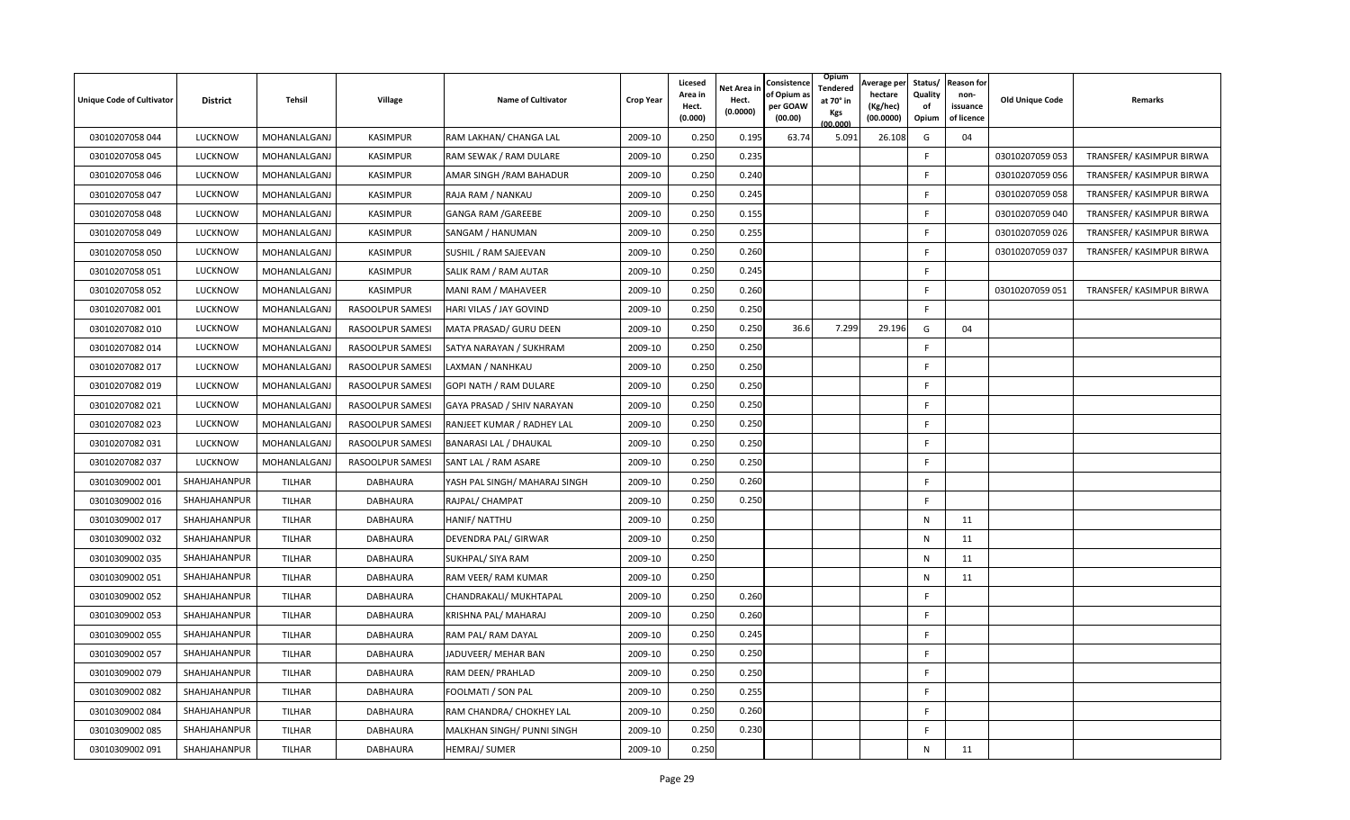| <b>Unique Code of Cultivator</b> | <b>District</b> | Tehsil        | Village          | <b>Name of Cultivator</b>     | <b>Crop Year</b> | Licesed<br>Area in<br>Hect.<br>(0.000) | Net Area in<br>Hect.<br>(0.0000) | Consistence<br>of Opium a<br>per GOAW<br>(00.00) | Opium<br>Tendered<br>at 70° in<br>Kgs<br>(00.000) | Average per<br>hectare<br>(Kg/hec)<br>(00.0000) | Status/<br>Quality<br>of<br>Opium | <b>Reason for</b><br>non-<br>issuance<br>of licence | <b>Old Unique Code</b> | Remarks                  |
|----------------------------------|-----------------|---------------|------------------|-------------------------------|------------------|----------------------------------------|----------------------------------|--------------------------------------------------|---------------------------------------------------|-------------------------------------------------|-----------------------------------|-----------------------------------------------------|------------------------|--------------------------|
| 03010207058 044                  | LUCKNOW         | MOHANLALGANJ  | <b>KASIMPUR</b>  | RAM LAKHAN/ CHANGA LAL        | 2009-10          | 0.250                                  | 0.195                            | 63.74                                            | 5.091                                             | 26.108                                          | G                                 | 04                                                  |                        |                          |
| 03010207058 045                  | LUCKNOW         | MOHANLALGANJ  | <b>KASIMPUR</b>  | RAM SEWAK / RAM DULARE        | 2009-10          | 0.250                                  | 0.235                            |                                                  |                                                   |                                                 | F                                 |                                                     | 03010207059 053        | TRANSFER/ KASIMPUR BIRWA |
| 03010207058 046                  | LUCKNOW         | MOHANLALGANJ  | <b>KASIMPUR</b>  | AMAR SINGH / RAM BAHADUR      | 2009-10          | 0.250                                  | 0.240                            |                                                  |                                                   |                                                 | F                                 |                                                     | 03010207059 056        | TRANSFER/ KASIMPUR BIRWA |
| 03010207058 047                  | LUCKNOW         | MOHANLALGANJ  | <b>KASIMPUR</b>  | RAJA RAM / NANKAU             | 2009-10          | 0.250                                  | 0.245                            |                                                  |                                                   |                                                 | F                                 |                                                     | 03010207059 058        | TRANSFER/ KASIMPUR BIRWA |
| 03010207058 048                  | LUCKNOW         | MOHANLALGANJ  | KASIMPUR         | GANGA RAM /GAREEBE            | 2009-10          | 0.250                                  | 0.155                            |                                                  |                                                   |                                                 | F                                 |                                                     | 03010207059 040        | TRANSFER/ KASIMPUR BIRWA |
| 03010207058 049                  | LUCKNOW         | MOHANLALGANJ  | KASIMPUR         | SANGAM / HANUMAN              | 2009-10          | 0.250                                  | 0.255                            |                                                  |                                                   |                                                 | E                                 |                                                     | 03010207059 026        | TRANSFER/ KASIMPUR BIRWA |
| 03010207058 050                  | LUCKNOW         | MOHANLALGANJ  | <b>KASIMPUR</b>  | SUSHIL / RAM SAJEEVAN         | 2009-10          | 0.250                                  | 0.260                            |                                                  |                                                   |                                                 | F                                 |                                                     | 03010207059 037        | TRANSFER/ KASIMPUR BIRWA |
| 03010207058 051                  | <b>LUCKNOW</b>  | MOHANLALGANJ  | <b>KASIMPUR</b>  | SALIK RAM / RAM AUTAR         | 2009-10          | 0.250                                  | 0.245                            |                                                  |                                                   |                                                 | F                                 |                                                     |                        |                          |
| 03010207058 052                  | LUCKNOW         | MOHANLALGANJ  | <b>KASIMPUR</b>  | MANI RAM / MAHAVEER           | 2009-10          | 0.250                                  | 0.260                            |                                                  |                                                   |                                                 | E                                 |                                                     | 03010207059 051        | TRANSFER/ KASIMPUR BIRWA |
| 03010207082 001                  | LUCKNOW         | MOHANLALGANJ  | RASOOLPUR SAMESI | HARI VILAS / JAY GOVIND       | 2009-10          | 0.250                                  | 0.250                            |                                                  |                                                   |                                                 | F                                 |                                                     |                        |                          |
| 03010207082 010                  | <b>LUCKNOW</b>  | MOHANLALGANJ  | RASOOLPUR SAMESI | MATA PRASAD/ GURU DEEN        | 2009-10          | 0.250                                  | 0.25C                            | 36.6                                             | 7.299                                             | 29.196                                          | G                                 | 04                                                  |                        |                          |
| 03010207082 014                  | LUCKNOW         | MOHANLALGANJ  | RASOOLPUR SAMESI | SATYA NARAYAN / SUKHRAM       | 2009-10          | 0.250                                  | 0.25C                            |                                                  |                                                   |                                                 | F                                 |                                                     |                        |                          |
| 03010207082 017                  | <b>LUCKNOW</b>  | MOHANLALGANJ  | RASOOLPUR SAMESI | LAXMAN / NANHKAU              | 2009-10          | 0.250                                  | 0.250                            |                                                  |                                                   |                                                 | F                                 |                                                     |                        |                          |
| 03010207082 019                  | LUCKNOW         | MOHANLALGANJ  | RASOOLPUR SAMESI | GOPI NATH / RAM DULARE        | 2009-10          | 0.250                                  | 0.250                            |                                                  |                                                   |                                                 | F                                 |                                                     |                        |                          |
| 03010207082 021                  | LUCKNOW         | MOHANLALGANJ  | RASOOLPUR SAMESI | GAYA PRASAD / SHIV NARAYAN    | 2009-10          | 0.250                                  | 0.25C                            |                                                  |                                                   |                                                 | F                                 |                                                     |                        |                          |
| 03010207082 023                  | LUCKNOW         | MOHANLALGANJ  | RASOOLPUR SAMESI | RANJEET KUMAR / RADHEY LAL    | 2009-10          | 0.250                                  | 0.250                            |                                                  |                                                   |                                                 | F                                 |                                                     |                        |                          |
| 03010207082 031                  | LUCKNOW         | MOHANLALGANJ  | RASOOLPUR SAMESI | <b>BANARASI LAL / DHAUKAL</b> | 2009-10          | 0.250                                  | 0.250                            |                                                  |                                                   |                                                 | F                                 |                                                     |                        |                          |
| 03010207082 037                  | <b>LUCKNOW</b>  | MOHANLALGANJ  | RASOOLPUR SAMESI | SANT LAL / RAM ASARE          | 2009-10          | 0.250                                  | 0.250                            |                                                  |                                                   |                                                 | F.                                |                                                     |                        |                          |
| 03010309002 001                  | SHAHJAHANPUR    | <b>TILHAR</b> | <b>DABHAURA</b>  | YASH PAL SINGH/ MAHARAJ SINGH | 2009-10          | 0.250                                  | 0.260                            |                                                  |                                                   |                                                 | F.                                |                                                     |                        |                          |
| 03010309002 016                  | SHAHJAHANPUR    | <b>TILHAR</b> | DABHAURA         | RAJPAL/ CHAMPAT               | 2009-10          | 0.250                                  | 0.250                            |                                                  |                                                   |                                                 | F                                 |                                                     |                        |                          |
| 03010309002 017                  | SHAHJAHANPUR    | <b>TILHAR</b> | DABHAURA         | HANIF/ NATTHU                 | 2009-10          | 0.250                                  |                                  |                                                  |                                                   |                                                 | N                                 | 11                                                  |                        |                          |
| 03010309002 032                  | SHAHJAHANPUR    | <b>TILHAR</b> | DABHAURA         | DEVENDRA PAL/ GIRWAR          | 2009-10          | 0.250                                  |                                  |                                                  |                                                   |                                                 | N                                 | 11                                                  |                        |                          |
| 03010309002 035                  | SHAHJAHANPUR    | <b>TILHAR</b> | DABHAURA         | SUKHPAL/ SIYA RAM             | 2009-10          | 0.250                                  |                                  |                                                  |                                                   |                                                 | N                                 | 11                                                  |                        |                          |
| 03010309002 051                  | SHAHJAHANPUR    | <b>TILHAR</b> | DABHAURA         | RAM VEER/ RAM KUMAR           | 2009-10          | 0.250                                  |                                  |                                                  |                                                   |                                                 | N                                 | 11                                                  |                        |                          |
| 03010309002 052                  | SHAHJAHANPUR    | <b>TILHAR</b> | DABHAURA         | CHANDRAKALI/ MUKHTAPAL        | 2009-10          | 0.250                                  | 0.260                            |                                                  |                                                   |                                                 | F                                 |                                                     |                        |                          |
| 03010309002 053                  | SHAHJAHANPUR    | <b>TILHAR</b> | DABHAURA         | KRISHNA PAL/ MAHARAJ          | 2009-10          | 0.250                                  | 0.260                            |                                                  |                                                   |                                                 | F                                 |                                                     |                        |                          |
| 03010309002 055                  | SHAHJAHANPUR    | <b>TILHAR</b> | DABHAURA         | RAM PAL/ RAM DAYAL            | 2009-10          | 0.250                                  | 0.245                            |                                                  |                                                   |                                                 | F                                 |                                                     |                        |                          |
| 03010309002 057                  | SHAHJAHANPUR    | <b>TILHAR</b> | DABHAURA         | JADUVEER/ MEHAR BAN           | 2009-10          | 0.250                                  | 0.250                            |                                                  |                                                   |                                                 | F                                 |                                                     |                        |                          |
| 03010309002 079                  | SHAHJAHANPUR    | <b>TILHAR</b> | DABHAURA         | RAM DEEN/ PRAHLAD             | 2009-10          | 0.250                                  | 0.250                            |                                                  |                                                   |                                                 | F                                 |                                                     |                        |                          |
| 03010309002 082                  | SHAHJAHANPUR    | <b>TILHAR</b> | DABHAURA         | FOOLMATI / SON PAL            | 2009-10          | 0.250                                  | 0.255                            |                                                  |                                                   |                                                 | F                                 |                                                     |                        |                          |
| 03010309002 084                  | SHAHJAHANPUR    | <b>TILHAR</b> | DABHAURA         | RAM CHANDRA/ CHOKHEY LAL      | 2009-10          | 0.250                                  | 0.260                            |                                                  |                                                   |                                                 | E                                 |                                                     |                        |                          |
| 03010309002 085                  | SHAHJAHANPUR    | <b>TILHAR</b> | DABHAURA         | MALKHAN SINGH/ PUNNI SINGH    | 2009-10          | 0.250                                  | 0.230                            |                                                  |                                                   |                                                 | F                                 |                                                     |                        |                          |
| 03010309002 091                  | SHAHJAHANPUR    | <b>TILHAR</b> | DABHAURA         | HEMRAJ/ SUMER                 | 2009-10          | 0.250                                  |                                  |                                                  |                                                   |                                                 | $\mathsf{N}$                      | 11                                                  |                        |                          |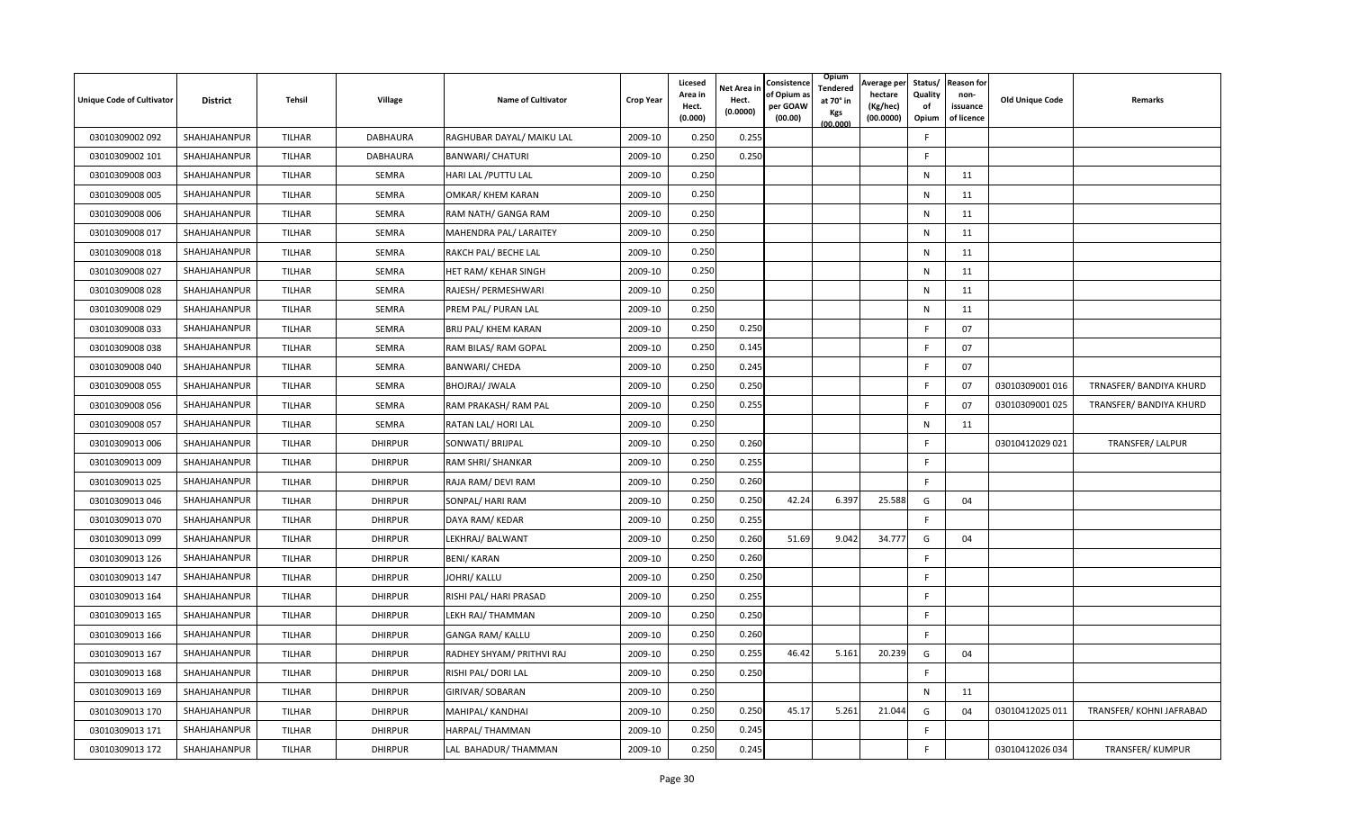| <b>Unique Code of Cultivator</b> | <b>District</b> | <b>Tehsil</b> | Village        | Name of Cultivator        | <b>Crop Year</b> | Licesed<br>Area in<br>Hect.<br>(0.000) | <b>Vet Area in</b><br>Hect.<br>(0.0000) | Consistence<br>of Opium a<br>per GOAW<br>(00.00) | Opium<br>Tendered<br>at 70° in<br>Kgs<br>(00.000) | Average per<br>hectare<br>(Kg/hec)<br>(00.0000) | Status/<br>Quality<br>of<br>Opium | <b>Reason for</b><br>non-<br>issuance<br>of licence | <b>Old Unique Code</b> | Remarks                  |
|----------------------------------|-----------------|---------------|----------------|---------------------------|------------------|----------------------------------------|-----------------------------------------|--------------------------------------------------|---------------------------------------------------|-------------------------------------------------|-----------------------------------|-----------------------------------------------------|------------------------|--------------------------|
| 03010309002 092                  | SHAHJAHANPUR    | TILHAR        | DABHAURA       | RAGHUBAR DAYAL/ MAIKU LAL | 2009-10          | 0.250                                  | 0.255                                   |                                                  |                                                   |                                                 | F                                 |                                                     |                        |                          |
| 03010309002 101                  | SHAHJAHANPUR    | TILHAR        | DABHAURA       | <b>BANWARI/ CHATURI</b>   | 2009-10          | 0.250                                  | 0.250                                   |                                                  |                                                   |                                                 | F                                 |                                                     |                        |                          |
| 03010309008 003                  | SHAHJAHANPUR    | <b>TILHAR</b> | SEMRA          | HARI LAL / PUTTU LAL      | 2009-10          | 0.250                                  |                                         |                                                  |                                                   |                                                 | N                                 | 11                                                  |                        |                          |
| 03010309008 005                  | SHAHJAHANPUR    | <b>TILHAR</b> | SEMRA          | OMKAR/ KHEM KARAN         | 2009-10          | 0.250                                  |                                         |                                                  |                                                   |                                                 | N                                 | 11                                                  |                        |                          |
| 03010309008 006                  | SHAHJAHANPUR    | <b>TILHAR</b> | SEMRA          | RAM NATH/ GANGA RAM       | 2009-10          | 0.250                                  |                                         |                                                  |                                                   |                                                 | N                                 | 11                                                  |                        |                          |
| 03010309008 017                  | SHAHJAHANPUR    | <b>TILHAR</b> | <b>SEMRA</b>   | MAHENDRA PAL/ LARAITEY    | 2009-10          | 0.250                                  |                                         |                                                  |                                                   |                                                 | N                                 | 11                                                  |                        |                          |
| 03010309008 018                  | SHAHJAHANPUR    | <b>TILHAR</b> | SEMRA          | RAKCH PAL/ BECHE LAL      | 2009-10          | 0.250                                  |                                         |                                                  |                                                   |                                                 | N                                 | 11                                                  |                        |                          |
| 03010309008 027                  | SHAHJAHANPUR    | <b>TILHAR</b> | SEMRA          | HET RAM/ KEHAR SINGH      | 2009-10          | 0.250                                  |                                         |                                                  |                                                   |                                                 | N                                 | 11                                                  |                        |                          |
| 03010309008 028                  | SHAHJAHANPUR    | <b>TILHAR</b> | <b>SEMRA</b>   | RAJESH/ PERMESHWARI       | 2009-10          | 0.250                                  |                                         |                                                  |                                                   |                                                 | N                                 | 11                                                  |                        |                          |
| 03010309008 029                  | SHAHJAHANPUR    | TILHAR        | SEMRA          | PREM PAL/ PURAN LAL       | 2009-10          | 0.250                                  |                                         |                                                  |                                                   |                                                 | N                                 | 11                                                  |                        |                          |
| 03010309008 033                  | SHAHJAHANPUR    | <b>TILHAR</b> | SEMRA          | BRIJ PAL/ KHEM KARAN      | 2009-10          | 0.250                                  | 0.250                                   |                                                  |                                                   |                                                 |                                   | 07                                                  |                        |                          |
| 03010309008 038                  | SHAHJAHANPUR    | <b>TILHAR</b> | SEMRA          | RAM BILAS/ RAM GOPAL      | 2009-10          | 0.250                                  | 0.145                                   |                                                  |                                                   |                                                 | E                                 | 07                                                  |                        |                          |
| 03010309008 040                  | SHAHJAHANPUR    | TILHAR        | <b>SEMRA</b>   | BANWARI/ CHEDA            | 2009-10          | 0.250                                  | 0.245                                   |                                                  |                                                   |                                                 | F                                 | 07                                                  |                        |                          |
| 03010309008 055                  | SHAHJAHANPUR    | <b>TILHAR</b> | SEMRA          | BHOJRAJ/ JWALA            | 2009-10          | 0.250                                  | 0.250                                   |                                                  |                                                   |                                                 | F                                 | 07                                                  | 03010309001 016        | TRNASFER/ BANDIYA KHURD  |
| 03010309008 056                  | SHAHJAHANPUR    | <b>TILHAR</b> | SEMRA          | RAM PRAKASH/ RAM PAL      | 2009-10          | 0.250                                  | 0.255                                   |                                                  |                                                   |                                                 | F                                 | 07                                                  | 03010309001 025        | TRANSFER/ BANDIYA KHURD  |
| 03010309008 057                  | SHAHJAHANPUR    | <b>TILHAR</b> | SEMRA          | RATAN LAL/ HORI LAL       | 2009-10          | 0.250                                  |                                         |                                                  |                                                   |                                                 | $\mathsf{N}$                      | 11                                                  |                        |                          |
| 03010309013 006                  | SHAHJAHANPUR    | <b>TILHAR</b> | <b>DHIRPUR</b> | SONWATI/ BRIJPAL          | 2009-10          | 0.250                                  | 0.260                                   |                                                  |                                                   |                                                 | F.                                |                                                     | 03010412029 021        | TRANSFER/ LALPUR         |
| 03010309013 009                  | SHAHJAHANPUR    | <b>TILHAR</b> | <b>DHIRPUR</b> | RAM SHRI/ SHANKAR         | 2009-10          | 0.250                                  | 0.255                                   |                                                  |                                                   |                                                 | F.                                |                                                     |                        |                          |
| 03010309013 025                  | SHAHJAHANPUR    | TILHAR        | <b>DHIRPUR</b> | RAJA RAM/ DEVI RAM        | 2009-10          | 0.250                                  | 0.260                                   |                                                  |                                                   |                                                 | F.                                |                                                     |                        |                          |
| 03010309013 046                  | SHAHJAHANPUR    | TILHAR        | <b>DHIRPUR</b> | SONPAL/ HARI RAM          | 2009-10          | 0.250                                  | 0.250                                   | 42.24                                            | 6.397                                             | 25.588                                          | G                                 | 04                                                  |                        |                          |
| 03010309013 070                  | SHAHJAHANPUR    | <b>TILHAR</b> | <b>DHIRPUR</b> | DAYA RAM/ KEDAR           | 2009-10          | 0.250                                  | 0.255                                   |                                                  |                                                   |                                                 | F.                                |                                                     |                        |                          |
| 03010309013 099                  | SHAHJAHANPUR    | <b>TILHAR</b> | <b>DHIRPUR</b> | LEKHRAJ/ BALWANT          | 2009-10          | 0.250                                  | 0.260                                   | 51.69                                            | 9.042                                             | 34.777                                          | G                                 | 04                                                  |                        |                          |
| 03010309013 126                  | SHAHJAHANPUR    | <b>TILHAR</b> | <b>DHIRPUR</b> | <b>BENI/ KARAN</b>        | 2009-10          | 0.250                                  | 0.260                                   |                                                  |                                                   |                                                 | F.                                |                                                     |                        |                          |
| 03010309013 147                  | SHAHJAHANPUR    | <b>TILHAR</b> | <b>DHIRPUR</b> | JOHRI/ KALLU              | 2009-10          | 0.250                                  | 0.250                                   |                                                  |                                                   |                                                 | F.                                |                                                     |                        |                          |
| 03010309013 164                  | SHAHJAHANPUR    | TILHAR        | <b>DHIRPUR</b> | RISHI PAL/ HARI PRASAD    | 2009-10          | 0.250                                  | 0.255                                   |                                                  |                                                   |                                                 | F                                 |                                                     |                        |                          |
| 03010309013 165                  | SHAHJAHANPUR    | TILHAR        | <b>DHIRPUR</b> | LEKH RAJ/ THAMMAN         | 2009-10          | 0.250                                  | 0.250                                   |                                                  |                                                   |                                                 | F                                 |                                                     |                        |                          |
| 03010309013 166                  | SHAHJAHANPUR    | <b>TILHAR</b> | <b>DHIRPUR</b> | GANGA RAM/ KALLU          | 2009-10          | 0.250                                  | 0.260                                   |                                                  |                                                   |                                                 | F                                 |                                                     |                        |                          |
| 03010309013 167                  | SHAHJAHANPUR    | TILHAR        | <b>DHIRPUR</b> | RADHEY SHYAM/ PRITHVI RAJ | 2009-10          | 0.250                                  | 0.255                                   | 46.42                                            | 5.161                                             | 20.239                                          | G                                 | 04                                                  |                        |                          |
| 03010309013 168                  | SHAHJAHANPUR    | <b>TILHAR</b> | <b>DHIRPUR</b> | RISHI PAL/ DORI LAL       | 2009-10          | 0.250                                  | 0.250                                   |                                                  |                                                   |                                                 | F                                 |                                                     |                        |                          |
| 03010309013 169                  | SHAHJAHANPUR    | <b>TILHAR</b> | <b>DHIRPUR</b> | GIRIVAR/ SOBARAN          | 2009-10          | 0.250                                  |                                         |                                                  |                                                   |                                                 | $\mathsf{N}$                      | 11                                                  |                        |                          |
| 03010309013 170                  | SHAHJAHANPUR    | TILHAR        | <b>DHIRPUR</b> | MAHIPAL/ KANDHAI          | 2009-10          | 0.250                                  | 0.250                                   | 45.17                                            | 5.261                                             | 21.044                                          | G                                 | 04                                                  | 03010412025 011        | TRANSFER/ KOHNI JAFRABAD |
| 03010309013 171                  | SHAHJAHANPUR    | TILHAR        | <b>DHIRPUR</b> | HARPAL/ THAMMAN           | 2009-10          | 0.250                                  | 0.245                                   |                                                  |                                                   |                                                 | F                                 |                                                     |                        |                          |
| 03010309013 172                  | SHAHJAHANPUR    | TILHAR        | <b>DHIRPUR</b> | LAL BAHADUR/ THAMMAN      | 2009-10          | 0.250                                  | 0.245                                   |                                                  |                                                   |                                                 | F.                                |                                                     | 03010412026 034        | TRANSFER/KUMPUR          |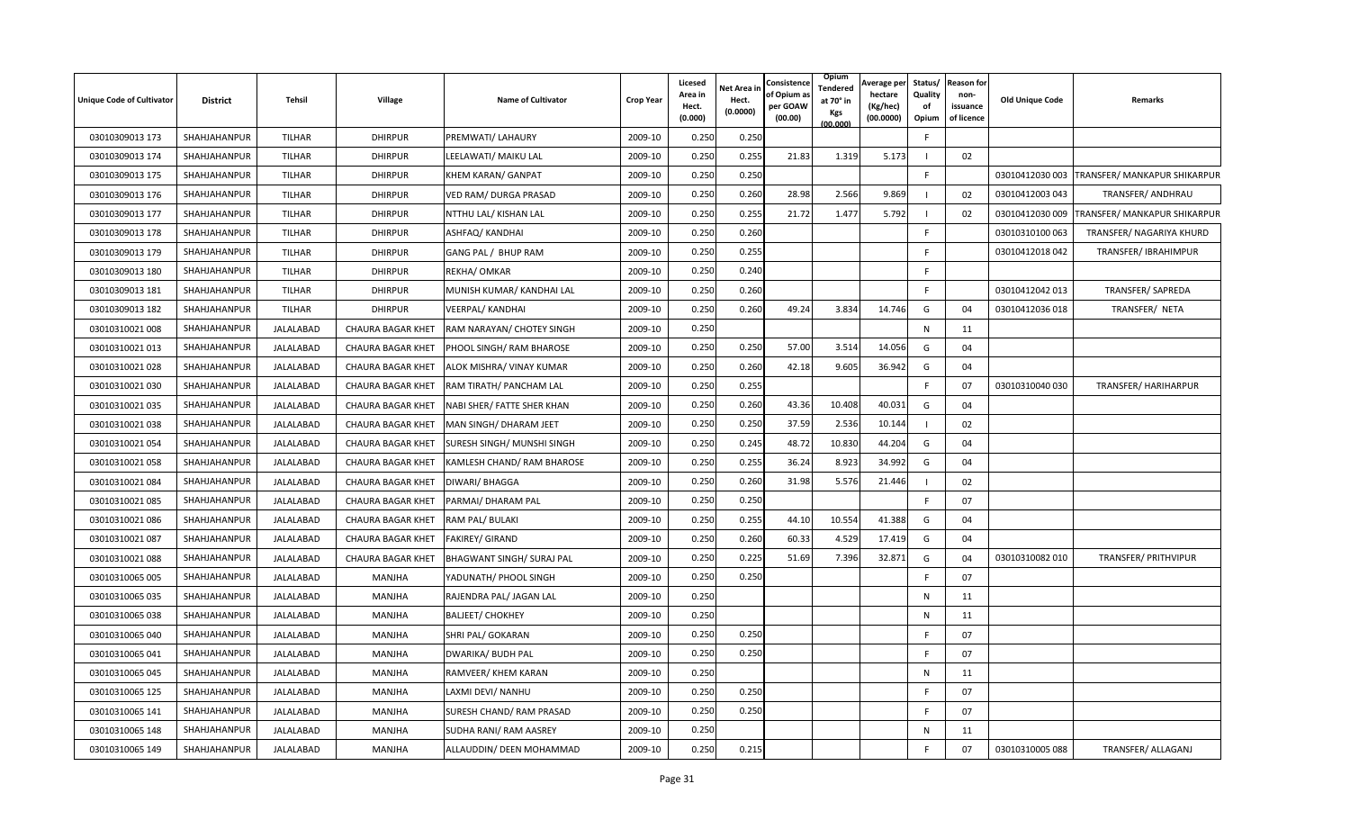| <b>Unique Code of Cultivator</b> | <b>District</b> | Tehsil        | Village                  | <b>Name of Cultivator</b>  | <b>Crop Year</b> | Licesed<br>Area in<br>Hect.<br>(0.000) | Net Area in<br>Hect.<br>(0.0000) | Consistence<br>of Opium a:<br>per GOAW<br>(00.00) | Opium<br>Tendered<br>at 70° in<br>Kgs<br>(00.000) | Average per<br>hectare<br>(Kg/hec)<br>(00.0000) | Quality<br>оf<br>Opium | Status/ Reason for<br>non-<br>issuance<br>of licence | <b>Old Unique Code</b> | Remarks                      |
|----------------------------------|-----------------|---------------|--------------------------|----------------------------|------------------|----------------------------------------|----------------------------------|---------------------------------------------------|---------------------------------------------------|-------------------------------------------------|------------------------|------------------------------------------------------|------------------------|------------------------------|
| 03010309013 173                  | SHAHJAHANPUR    | <b>TILHAR</b> | <b>DHIRPUR</b>           | PREMWATI/ LAHAURY          | 2009-10          | 0.250                                  | 0.250                            |                                                   |                                                   |                                                 | $\mathsf{F}$           |                                                      |                        |                              |
| 03010309013 174                  | SHAHJAHANPUR    | <b>TILHAR</b> | <b>DHIRPUR</b>           | LEELAWATI/ MAIKU LAL       | 2009-10          | 0.250                                  | 0.255                            | 21.83                                             | 1.319                                             | 5.173                                           |                        | 02                                                   |                        |                              |
| 03010309013 175                  | SHAHJAHANPUR    | <b>TILHAR</b> | <b>DHIRPUR</b>           | <b>KHEM KARAN/ GANPAT</b>  | 2009-10          | 0.250                                  | 0.250                            |                                                   |                                                   |                                                 | $\mathsf{F}$           |                                                      | 03010412030 003        | TRANSFER/ MANKAPUR SHIKARPUR |
| 03010309013 176                  | SHAHJAHANPUR    | <b>TILHAR</b> | <b>DHIRPUR</b>           | VED RAM/ DURGA PRASAD      | 2009-10          | 0.250                                  | 0.260                            | 28.98                                             | 2.566                                             | 9.869                                           |                        | 02                                                   | 03010412003 043        | TRANSFER/ ANDHRAU            |
| 03010309013 177                  | SHAHJAHANPUR    | <b>TILHAR</b> | <b>DHIRPUR</b>           | NTTHU LAL/ KISHAN LAL      | 2009-10          | 0.250                                  | 0.255                            | 21.72                                             | 1.477                                             | 5.792                                           |                        | 02                                                   | 03010412030 009        | TRANSFER/ MANKAPUR SHIKARPUR |
| 03010309013 178                  | SHAHJAHANPUR    | <b>TILHAR</b> | <b>DHIRPUR</b>           | ASHFAQ/ KANDHAI            | 2009-10          | 0.250                                  | 0.260                            |                                                   |                                                   |                                                 | F.                     |                                                      | 03010310100 063        | TRANSFER/ NAGARIYA KHURD     |
| 03010309013 179                  | SHAHJAHANPUR    | TILHAR        | <b>DHIRPUR</b>           | GANG PAL / BHUP RAM        | 2009-10          | 0.250                                  | 0.255                            |                                                   |                                                   |                                                 | F.                     |                                                      | 03010412018 042        | TRANSFER/IBRAHIMPUR          |
| 03010309013 180                  | SHAHJAHANPUR    | <b>TILHAR</b> | <b>DHIRPUR</b>           | REKHA/ OMKAR               | 2009-10          | 0.250                                  | 0.240                            |                                                   |                                                   |                                                 | F                      |                                                      |                        |                              |
| 03010309013 181                  | SHAHJAHANPUR    | TILHAR        | <b>DHIRPUR</b>           | MUNISH KUMAR/ KANDHAI LAL  | 2009-10          | 0.250                                  | 0.260                            |                                                   |                                                   |                                                 | F                      |                                                      | 03010412042 013        | TRANSFER/SAPREDA             |
| 03010309013 182                  | SHAHJAHANPUR    | TILHAR        | <b>DHIRPUR</b>           | VEERPAL/ KANDHAI           | 2009-10          | 0.250                                  | 0.260                            | 49.24                                             | 3.834                                             | 14.746                                          | G                      | 04                                                   | 03010412036 018        | TRANSFER/ NETA               |
| 03010310021 008                  | SHAHJAHANPUR    | JALALABAD     | <b>CHAURA BAGAR KHET</b> | RAM NARAYAN/ CHOTEY SINGH  | 2009-10          | 0.250                                  |                                  |                                                   |                                                   |                                                 | N                      | 11                                                   |                        |                              |
| 03010310021 013                  | SHAHJAHANPUR    | JALALABAD     | CHAURA BAGAR KHET        | PHOOL SINGH/ RAM BHAROSE   | 2009-10          | 0.250                                  | 0.250                            | 57.00                                             | 3.514                                             | 14.056                                          | G                      | 04                                                   |                        |                              |
| 03010310021 028                  | SHAHJAHANPUR    | JALALABAD     | CHAURA BAGAR KHET        | ALOK MISHRA/ VINAY KUMAR   | 2009-10          | 0.250                                  | 0.260                            | 42.18                                             | 9.605                                             | 36.942                                          | G                      | 04                                                   |                        |                              |
| 03010310021 030                  | SHAHJAHANPUR    | JALALABAD     | CHAURA BAGAR KHET        | RAM TIRATH/ PANCHAM LAL    | 2009-10          | 0.250                                  | 0.255                            |                                                   |                                                   |                                                 | F.                     | 07                                                   | 03010310040 030        | TRANSFER/ HARIHARPUR         |
| 03010310021 035                  | SHAHJAHANPUR    | JALALABAD     | CHAURA BAGAR KHET        | NABI SHER/ FATTE SHER KHAN | 2009-10          | 0.250                                  | 0.260                            | 43.36                                             | 10.408                                            | 40.031                                          | G                      | 04                                                   |                        |                              |
| 03010310021 038                  | SHAHJAHANPUR    | JALALABAD     | <b>CHAURA BAGAR KHET</b> | MAN SINGH/ DHARAM JEET     | 2009-10          | 0.250                                  | 0.250                            | 37.59                                             | 2.536                                             | 10.144                                          |                        | 02                                                   |                        |                              |
| 03010310021 054                  | SHAHJAHANPUR    | JALALABAD     | <b>CHAURA BAGAR KHET</b> | SURESH SINGH/ MUNSHI SINGH | 2009-10          | 0.250                                  | 0.245                            | 48.72                                             | 10.830                                            | 44.204                                          | G                      | 04                                                   |                        |                              |
| 03010310021 058                  | SHAHJAHANPUR    | JALALABAD     | CHAURA BAGAR KHET        | KAMLESH CHAND/RAM BHAROSE  | 2009-10          | 0.250                                  | 0.255                            | 36.24                                             | 8.923                                             | 34.992                                          | G                      | 04                                                   |                        |                              |
| 03010310021 084                  | SHAHJAHANPUR    | JALALABAD     | CHAURA BAGAR KHET        | DIWARI/ BHAGGA             | 2009-10          | 0.250                                  | 0.260                            | 31.98                                             | 5.576                                             | 21.446                                          |                        | 02                                                   |                        |                              |
| 03010310021 085                  | SHAHJAHANPUR    | JALALABAD     | CHAURA BAGAR KHET        | PARMAI/ DHARAM PAL         | 2009-10          | 0.250                                  | 0.250                            |                                                   |                                                   |                                                 | F                      | 07                                                   |                        |                              |
| 03010310021 086                  | SHAHJAHANPUR    | JALALABAD     | <b>CHAURA BAGAR KHET</b> | RAM PAL/ BULAKI            | 2009-10          | 0.250                                  | 0.255                            | 44.10                                             | 10.554                                            | 41.388                                          | G                      | 04                                                   |                        |                              |
| 03010310021 087                  | SHAHJAHANPUR    | JALALABAD     | CHAURA BAGAR KHET        | <b>FAKIREY/ GIRAND</b>     | 2009-10          | 0.250                                  | 0.260                            | 60.33                                             | 4.529                                             | 17.419                                          | G                      | 04                                                   |                        |                              |
| 03010310021 088                  | SHAHJAHANPUR    | JALALABAD     | <b>CHAURA BAGAR KHET</b> | BHAGWANT SINGH/ SURAJ PAL  | 2009-10          | 0.250                                  | 0.225                            | 51.69                                             | 7.396                                             | 32.871                                          | G                      | 04                                                   | 03010310082 010        | <b>TRANSFER/ PRITHVIPUR</b>  |
| 03010310065 005                  | SHAHJAHANPUR    | JALALABAD     | MANJHA                   | YADUNATH/ PHOOL SINGH      | 2009-10          | 0.250                                  | 0.250                            |                                                   |                                                   |                                                 | F                      | 07                                                   |                        |                              |
| 03010310065 035                  | SHAHJAHANPUR    | JALALABAD     | MANJHA                   | RAJENDRA PAL/ JAGAN LAL    | 2009-10          | 0.250                                  |                                  |                                                   |                                                   |                                                 | N                      | 11                                                   |                        |                              |
| 03010310065 038                  | SHAHJAHANPUR    | JALALABAD     | MANJHA                   | <b>BALJEET/ CHOKHEY</b>    | 2009-10          | 0.250                                  |                                  |                                                   |                                                   |                                                 | N                      | 11                                                   |                        |                              |
| 03010310065 040                  | SHAHJAHANPUR    | JALALABAD     | MANJHA                   | SHRI PAL/ GOKARAN          | 2009-10          | 0.250                                  | 0.250                            |                                                   |                                                   |                                                 | -F                     | 07                                                   |                        |                              |
| 03010310065 041                  | SHAHJAHANPUR    | JALALABAD     | <b>MANJHA</b>            | <b>DWARIKA/ BUDH PAL</b>   | 2009-10          | 0.250                                  | 0.250                            |                                                   |                                                   |                                                 | -F                     | 07                                                   |                        |                              |
| 03010310065 045                  | SHAHJAHANPUR    | JALALABAD     | MANJHA                   | RAMVEER/ KHEM KARAN        | 2009-10          | 0.250                                  |                                  |                                                   |                                                   |                                                 | N                      | 11                                                   |                        |                              |
| 03010310065 125                  | SHAHJAHANPUR    | JALALABAD     | MANJHA                   | LAXMI DEVI/ NANHU          | 2009-10          | 0.250                                  | 0.250                            |                                                   |                                                   |                                                 | F.                     | 07                                                   |                        |                              |
| 03010310065 141                  | SHAHJAHANPUR    | JALALABAD     | MANJHA                   | SURESH CHAND/RAM PRASAD    | 2009-10          | 0.250                                  | 0.250                            |                                                   |                                                   |                                                 | F.                     | 07                                                   |                        |                              |
| 03010310065 148                  | SHAHJAHANPUR    | JALALABAD     | MANJHA                   | SUDHA RANI/ RAM AASREY     | 2009-10          | 0.250                                  |                                  |                                                   |                                                   |                                                 | N                      | 11                                                   |                        |                              |
| 03010310065 149                  | SHAHJAHANPUR    | JALALABAD     | MANJHA                   | ALLAUDDIN/ DEEN MOHAMMAD   | 2009-10          | 0.250                                  | 0.215                            |                                                   |                                                   |                                                 | $\mathsf{F}$           | 07                                                   | 03010310005 088        | TRANSFER/ ALLAGANJ           |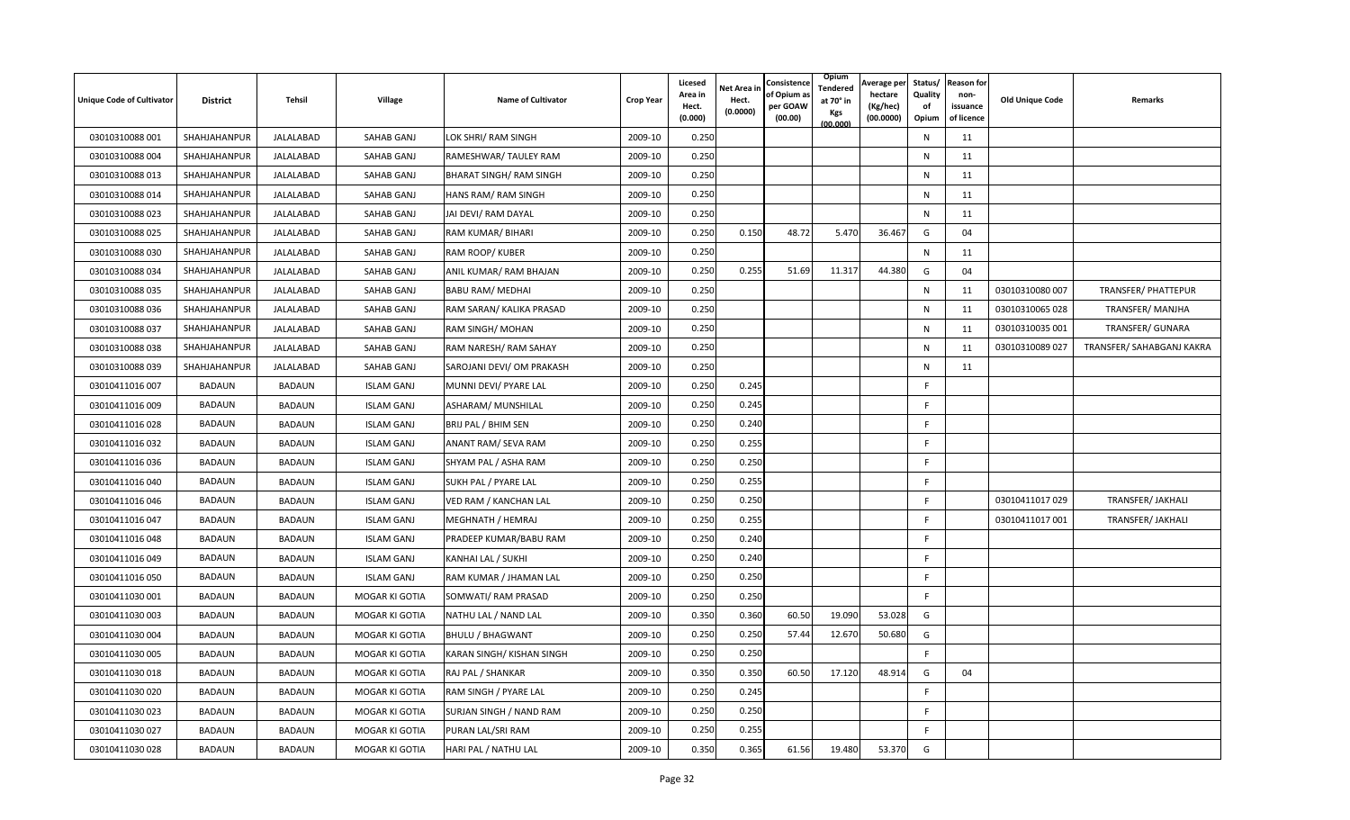| <b>Unique Code of Cultivator</b> | <b>District</b> | <b>Tehsil</b>    | Village           | <b>Name of Cultivator</b> | <b>Crop Year</b> | Licesed<br>Area in<br>Hect.<br>(0.000) | <b>Net Area in</b><br>Hect.<br>(0.0000) | Consistence<br>of Opium a:<br>per GOAW<br>(00.00) | Opium<br>Tendered<br>at 70° in<br>Kgs<br>(00.000) | Average per<br>hectare<br>(Kg/hec)<br>(00.0000) | Quality<br>of<br>Opium | Status/ Reason for<br>non-<br>issuance<br>of licence | <b>Old Unique Code</b> | Remarks                   |
|----------------------------------|-----------------|------------------|-------------------|---------------------------|------------------|----------------------------------------|-----------------------------------------|---------------------------------------------------|---------------------------------------------------|-------------------------------------------------|------------------------|------------------------------------------------------|------------------------|---------------------------|
| 03010310088 001                  | SHAHJAHANPUR    | <b>JALALABAD</b> | SAHAB GANJ        | LOK SHRI/ RAM SINGH       | 2009-10          | 0.250                                  |                                         |                                                   |                                                   |                                                 | N                      | 11                                                   |                        |                           |
| 03010310088 004                  | SHAHJAHANPUR    | JALALABAD        | SAHAB GANJ        | RAMESHWAR/ TAULEY RAM     | 2009-10          | 0.250                                  |                                         |                                                   |                                                   |                                                 | N                      | 11                                                   |                        |                           |
| 03010310088 013                  | SHAHJAHANPUR    | JALALABAD        | SAHAB GANJ        | BHARAT SINGH/ RAM SINGH   | 2009-10          | 0.250                                  |                                         |                                                   |                                                   |                                                 | N                      | 11                                                   |                        |                           |
| 03010310088 014                  | SHAHJAHANPUR    | JALALABAD        | SAHAB GANJ        | HANS RAM/ RAM SINGH       | 2009-10          | 0.250                                  |                                         |                                                   |                                                   |                                                 | N                      | 11                                                   |                        |                           |
| 03010310088 023                  | SHAHJAHANPUR    | <b>JALALABAD</b> | SAHAB GANJ        | JAI DEVI/ RAM DAYAL       | 2009-10          | 0.250                                  |                                         |                                                   |                                                   |                                                 | ${\sf N}$              | 11                                                   |                        |                           |
| 03010310088 025                  | SHAHJAHANPUR    | <b>JALALABAD</b> | SAHAB GANJ        | RAM KUMAR/ BIHARI         | 2009-10          | 0.250                                  | 0.150                                   | 48.72                                             | 5.470                                             | 36.467                                          | G                      | 04                                                   |                        |                           |
| 03010310088 030                  | SHAHJAHANPUR    | JALALABAD        | SAHAB GANJ        | RAM ROOP/KUBER            | 2009-10          | 0.250                                  |                                         |                                                   |                                                   |                                                 | N                      | 11                                                   |                        |                           |
| 03010310088 034                  | SHAHJAHANPUR    | JALALABAD        | SAHAB GANJ        | ANIL KUMAR/ RAM BHAJAN    | 2009-10          | 0.250                                  | 0.255                                   | 51.69                                             | 11.317                                            | 44.380                                          | G                      | 04                                                   |                        |                           |
| 03010310088 035                  | SHAHJAHANPUR    | JALALABAD        | SAHAB GANJ        | <b>BABU RAM/ MEDHAI</b>   | 2009-10          | 0.250                                  |                                         |                                                   |                                                   |                                                 | N                      | 11                                                   | 03010310080 007        | TRANSFER/ PHATTEPUR       |
| 03010310088 036                  | SHAHJAHANPUR    | JALALABAD        | SAHAB GANJ        | RAM SARAN/ KALIKA PRASAD  | 2009-10          | 0.250                                  |                                         |                                                   |                                                   |                                                 | N                      | 11                                                   | 03010310065 028        | TRANSFER/MANJHA           |
| 03010310088 037                  | SHAHJAHANPUR    | JALALABAD        | SAHAB GANJ        | RAM SINGH/ MOHAN          | 2009-10          | 0.250                                  |                                         |                                                   |                                                   |                                                 | N                      | 11                                                   | 03010310035 001        | TRANSFER/ GUNARA          |
| 03010310088038                   | SHAHJAHANPUR    | JALALABAD        | SAHAB GANJ        | RAM NARESH/RAM SAHAY      | 2009-10          | 0.250                                  |                                         |                                                   |                                                   |                                                 | N                      | 11                                                   | 03010310089 027        | TRANSFER/ SAHABGANJ KAKRA |
| 03010310088 039                  | SHAHJAHANPUR    | JALALABAD        | SAHAB GANJ        | SAROJANI DEVI/OM PRAKASH  | 2009-10          | 0.250                                  |                                         |                                                   |                                                   |                                                 | ${\sf N}$              | 11                                                   |                        |                           |
| 03010411016 007                  | <b>BADAUN</b>   | <b>BADAUN</b>    | <b>ISLAM GANJ</b> | MUNNI DEVI/ PYARE LAL     | 2009-10          | 0.250                                  | 0.245                                   |                                                   |                                                   |                                                 | E                      |                                                      |                        |                           |
| 03010411016 009                  | <b>BADAUN</b>   | <b>BADAUN</b>    | <b>ISLAM GANJ</b> | ASHARAM/ MUNSHILAL        | 2009-10          | 0.250                                  | 0.245                                   |                                                   |                                                   |                                                 | E                      |                                                      |                        |                           |
| 03010411016028                   | <b>BADAUN</b>   | <b>BADAUN</b>    | <b>ISLAM GANJ</b> | BRIJ PAL / BHIM SEN       | 2009-10          | 0.250                                  | 0.240                                   |                                                   |                                                   |                                                 | F.                     |                                                      |                        |                           |
| 03010411016 032                  | <b>BADAUN</b>   | <b>BADAUN</b>    | <b>ISLAM GANJ</b> | ANANT RAM/ SEVA RAM       | 2009-10          | 0.250                                  | 0.255                                   |                                                   |                                                   |                                                 | F                      |                                                      |                        |                           |
| 03010411016036                   | <b>BADAUN</b>   | <b>BADAUN</b>    | <b>ISLAM GANJ</b> | SHYAM PAL / ASHA RAM      | 2009-10          | 0.250                                  | 0.250                                   |                                                   |                                                   |                                                 | E                      |                                                      |                        |                           |
| 03010411016 040                  | <b>BADAUN</b>   | <b>BADAUN</b>    | <b>ISLAM GANJ</b> | SUKH PAL / PYARE LAL      | 2009-10          | 0.250                                  | 0.255                                   |                                                   |                                                   |                                                 | E                      |                                                      |                        |                           |
| 03010411016 046                  | <b>BADAUN</b>   | <b>BADAUN</b>    | <b>ISLAM GANJ</b> | VED RAM / KANCHAN LAL     | 2009-10          | 0.250                                  | 0.250                                   |                                                   |                                                   |                                                 | E                      |                                                      | 03010411017029         | TRANSFER/ JAKHALI         |
| 03010411016 047                  | <b>BADAUN</b>   | <b>BADAUN</b>    | <b>ISLAM GANJ</b> | MEGHNATH / HEMRAJ         | 2009-10          | 0.250                                  | 0.255                                   |                                                   |                                                   |                                                 | F                      |                                                      | 03010411017 001        | TRANSFER/ JAKHALI         |
| 03010411016048                   | <b>BADAUN</b>   | BADAUN           | <b>ISLAM GANJ</b> | PRADEEP KUMAR/BABU RAM    | 2009-10          | 0.250                                  | 0.240                                   |                                                   |                                                   |                                                 | F                      |                                                      |                        |                           |
| 03010411016049                   | <b>BADAUN</b>   | <b>BADAUN</b>    | <b>ISLAM GANJ</b> | KANHAI LAL / SUKHI        | 2009-10          | 0.250                                  | 0.240                                   |                                                   |                                                   |                                                 | F                      |                                                      |                        |                           |
| 03010411016 050                  | <b>BADAUN</b>   | <b>BADAUN</b>    | <b>ISLAM GANJ</b> | RAM KUMAR / JHAMAN LAL    | 2009-10          | 0.250                                  | 0.250                                   |                                                   |                                                   |                                                 | F                      |                                                      |                        |                           |
| 03010411030 001                  | <b>BADAUN</b>   | BADAUN           | MOGAR KI GOTIA    | SOMWATI/ RAM PRASAD       | 2009-10          | 0.250                                  | 0.250                                   |                                                   |                                                   |                                                 | F                      |                                                      |                        |                           |
| 03010411030 003                  | <b>BADAUN</b>   | <b>BADAUN</b>    | MOGAR KI GOTIA    | NATHU LAL / NAND LAL      | 2009-10          | 0.350                                  | 0.360                                   | 60.50                                             | 19.090                                            | 53.028                                          | G                      |                                                      |                        |                           |
| 03010411030 004                  | <b>BADAUN</b>   | <b>BADAUN</b>    | MOGAR KI GOTIA    | <b>BHULU / BHAGWANT</b>   | 2009-10          | 0.250                                  | 0.250                                   | 57.44                                             | 12.670                                            | 50.680                                          | G                      |                                                      |                        |                           |
| 03010411030 005                  | <b>BADAUN</b>   | <b>BADAUN</b>    | MOGAR KI GOTIA    | KARAN SINGH/ KISHAN SINGH | 2009-10          | 0.250                                  | 0.250                                   |                                                   |                                                   |                                                 | F.                     |                                                      |                        |                           |
| 03010411030 018                  | <b>BADAUN</b>   | <b>BADAUN</b>    | MOGAR KI GOTIA    | RAJ PAL / SHANKAR         | 2009-10          | 0.350                                  | 0.350                                   | 60.50                                             | 17.120                                            | 48.914                                          | G                      | 04                                                   |                        |                           |
| 03010411030 020                  | <b>BADAUN</b>   | <b>BADAUN</b>    | MOGAR KI GOTIA    | RAM SINGH / PYARE LAL     | 2009-10          | 0.250                                  | 0.245                                   |                                                   |                                                   |                                                 | E                      |                                                      |                        |                           |
| 03010411030 023                  | <b>BADAUN</b>   | BADAUN           | MOGAR KI GOTIA    | SURJAN SINGH / NAND RAM   | 2009-10          | 0.250                                  | 0.250                                   |                                                   |                                                   |                                                 | F                      |                                                      |                        |                           |
| 03010411030 027                  | <b>BADAUN</b>   | <b>BADAUN</b>    | MOGAR KI GOTIA    | PURAN LAL/SRI RAM         | 2009-10          | 0.250                                  | 0.255                                   |                                                   |                                                   |                                                 | F.                     |                                                      |                        |                           |
| 03010411030 028                  | <b>BADAUN</b>   | <b>BADAUN</b>    | MOGAR KI GOTIA    | HARI PAL / NATHU LAL      | 2009-10          | 0.350                                  | 0.365                                   | 61.56                                             | 19.480                                            | 53.370                                          | G                      |                                                      |                        |                           |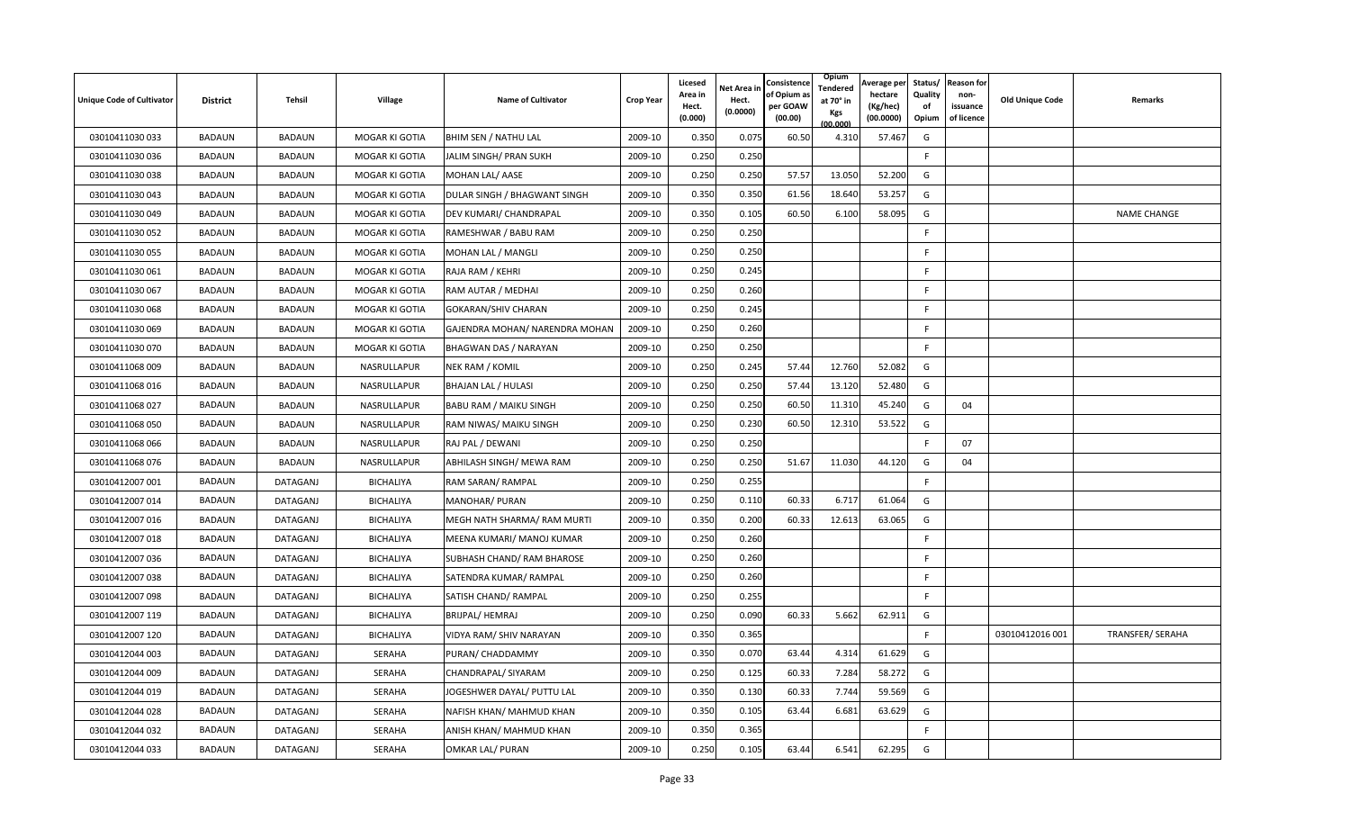| <b>Unique Code of Cultivator</b> | <b>District</b> | <b>Tehsil</b> | Village          | Name of Cultivator             | <b>Crop Year</b> | Licesed<br>Area in<br>Hect.<br>(0.000) | <b>Net Area in</b><br>Hect.<br>(0.0000) | Consistence<br>of Opium a<br>per GOAW<br>(00.00) | Opium<br>Tendered<br>at 70° in<br>Kgs<br>(00.000) | Average per<br>hectare<br>(Kg/hec)<br>(00.0000) | Status/<br>Quality<br>of<br>Opium | <b>Reason for</b><br>non-<br>issuance<br>of licence | <b>Old Unique Code</b> | Remarks                 |
|----------------------------------|-----------------|---------------|------------------|--------------------------------|------------------|----------------------------------------|-----------------------------------------|--------------------------------------------------|---------------------------------------------------|-------------------------------------------------|-----------------------------------|-----------------------------------------------------|------------------------|-------------------------|
| 03010411030 033                  | <b>BADAUN</b>   | <b>BADAUN</b> | MOGAR KI GOTIA   | <b>BHIM SEN / NATHU LAL</b>    | 2009-10          | 0.350                                  | 0.075                                   | 60.50                                            | 4.310                                             | 57.467                                          | G                                 |                                                     |                        |                         |
| 03010411030 036                  | <b>BADAUN</b>   | <b>BADAUN</b> | MOGAR KI GOTIA   | JALIM SINGH/ PRAN SUKH         | 2009-10          | 0.250                                  | 0.250                                   |                                                  |                                                   |                                                 | F.                                |                                                     |                        |                         |
| 03010411030 038                  | <b>BADAUN</b>   | <b>BADAUN</b> | MOGAR KI GOTIA   | MOHAN LAL/ AASE                | 2009-10          | 0.250                                  | 0.250                                   | 57.57                                            | 13.050                                            | 52.200                                          | G                                 |                                                     |                        |                         |
| 03010411030 043                  | <b>BADAUN</b>   | <b>BADAUN</b> | MOGAR KI GOTIA   | DULAR SINGH / BHAGWANT SINGH   | 2009-10          | 0.350                                  | 0.350                                   | 61.56                                            | 18.640                                            | 53.257                                          | G                                 |                                                     |                        |                         |
| 03010411030 049                  | <b>BADAUN</b>   | <b>BADAUN</b> | MOGAR KI GOTIA   | DEV KUMARI/ CHANDRAPAL         | 2009-10          | 0.350                                  | 0.105                                   | 60.50                                            | 6.100                                             | 58.095                                          | G                                 |                                                     |                        | <b>NAME CHANGE</b>      |
| 03010411030 052                  | <b>BADAUN</b>   | <b>BADAUN</b> | MOGAR KI GOTIA   | RAMESHWAR / BABU RAM           | 2009-10          | 0.250                                  | 0.250                                   |                                                  |                                                   |                                                 | F                                 |                                                     |                        |                         |
| 03010411030 055                  | <b>BADAUN</b>   | <b>BADAUN</b> | MOGAR KI GOTIA   | MOHAN LAL / MANGLI             | 2009-10          | 0.250                                  | 0.250                                   |                                                  |                                                   |                                                 | F                                 |                                                     |                        |                         |
| 03010411030 061                  | <b>BADAUN</b>   | <b>BADAUN</b> | MOGAR KI GOTIA   | RAJA RAM / KEHRI               | 2009-10          | 0.250                                  | 0.245                                   |                                                  |                                                   |                                                 | F                                 |                                                     |                        |                         |
| 03010411030 067                  | <b>BADAUN</b>   | <b>BADAUN</b> | MOGAR KI GOTIA   | RAM AUTAR / MEDHAI             | 2009-10          | 0.250                                  | 0.260                                   |                                                  |                                                   |                                                 | F.                                |                                                     |                        |                         |
| 03010411030 068                  | <b>BADAUN</b>   | <b>BADAUN</b> | MOGAR KI GOTIA   | <b>GOKARAN/SHIV CHARAN</b>     | 2009-10          | 0.250                                  | 0.245                                   |                                                  |                                                   |                                                 | F.                                |                                                     |                        |                         |
| 03010411030 069                  | <b>BADAUN</b>   | <b>BADAUN</b> | MOGAR KI GOTIA   | GAJENDRA MOHAN/ NARENDRA MOHAN | 2009-10          | 0.250                                  | 0.260                                   |                                                  |                                                   |                                                 | F.                                |                                                     |                        |                         |
| 03010411030 070                  | <b>BADAUN</b>   | <b>BADAUN</b> | MOGAR KI GOTIA   | BHAGWAN DAS / NARAYAN          | 2009-10          | 0.250                                  | 0.250                                   |                                                  |                                                   |                                                 | F.                                |                                                     |                        |                         |
| 03010411068 009                  | <b>BADAUN</b>   | <b>BADAUN</b> | NASRULLAPUR      | NEK RAM / KOMIL                | 2009-10          | 0.250                                  | 0.245                                   | 57.44                                            | 12.760                                            | 52.082                                          | G                                 |                                                     |                        |                         |
| 03010411068 016                  | <b>BADAUN</b>   | <b>BADAUN</b> | NASRULLAPUR      | BHAJAN LAL / HULASI            | 2009-10          | 0.250                                  | 0.250                                   | 57.44                                            | 13.120                                            | 52.480                                          | G                                 |                                                     |                        |                         |
| 03010411068 027                  | <b>BADAUN</b>   | <b>BADAUN</b> | NASRULLAPUR      | BABU RAM / MAIKU SINGH         | 2009-10          | 0.250                                  | 0.250                                   | 60.50                                            | 11.310                                            | 45.240                                          | G                                 | 04                                                  |                        |                         |
| 03010411068 050                  | <b>BADAUN</b>   | <b>BADAUN</b> | NASRULLAPUR      | RAM NIWAS/ MAIKU SINGH         | 2009-10          | 0.250                                  | 0.230                                   | 60.50                                            | 12.310                                            | 53.522                                          | G                                 |                                                     |                        |                         |
| 03010411068 066                  | <b>BADAUN</b>   | <b>BADAUN</b> | NASRULLAPUR      | RAJ PAL / DEWANI               | 2009-10          | 0.250                                  | 0.250                                   |                                                  |                                                   |                                                 | F                                 | 07                                                  |                        |                         |
| 03010411068 076                  | <b>BADAUN</b>   | <b>BADAUN</b> | NASRULLAPUR      | ABHILASH SINGH/ MEWA RAM       | 2009-10          | 0.250                                  | 0.250                                   | 51.67                                            | 11.030                                            | 44.120                                          | G                                 | 04                                                  |                        |                         |
| 03010412007 001                  | <b>BADAUN</b>   | DATAGANJ      | <b>BICHALIYA</b> | RAM SARAN/ RAMPAL              | 2009-10          | 0.250                                  | 0.255                                   |                                                  |                                                   |                                                 | F.                                |                                                     |                        |                         |
| 03010412007 014                  | <b>BADAUN</b>   | DATAGANJ      | <b>BICHALIYA</b> | MANOHAR/ PURAN                 | 2009-10          | 0.250                                  | 0.110                                   | 60.33                                            | 6.717                                             | 61.064                                          | G                                 |                                                     |                        |                         |
| 03010412007 016                  | <b>BADAUN</b>   | DATAGANJ      | <b>BICHALIYA</b> | MEGH NATH SHARMA/ RAM MURTI    | 2009-10          | 0.350                                  | 0.200                                   | 60.33                                            | 12.613                                            | 63.065                                          | G                                 |                                                     |                        |                         |
| 03010412007018                   | <b>BADAUN</b>   | DATAGANJ      | BICHALIYA        | MEENA KUMARI/ MANOJ KUMAR      | 2009-10          | 0.250                                  | 0.260                                   |                                                  |                                                   |                                                 | F.                                |                                                     |                        |                         |
| 03010412007 036                  | <b>BADAUN</b>   | DATAGANJ      | <b>BICHALIYA</b> | SUBHASH CHAND/RAM BHAROSE      | 2009-10          | 0.250                                  | 0.260                                   |                                                  |                                                   |                                                 | F                                 |                                                     |                        |                         |
| 03010412007 038                  | <b>BADAUN</b>   | DATAGANJ      | BICHALIYA        | SATENDRA KUMAR/RAMPAL          | 2009-10          | 0.250                                  | 0.260                                   |                                                  |                                                   |                                                 | F                                 |                                                     |                        |                         |
| 03010412007 098                  | <b>BADAUN</b>   | DATAGANJ      | BICHALIYA        | SATISH CHAND/ RAMPAL           | 2009-10          | 0.250                                  | 0.255                                   |                                                  |                                                   |                                                 | F                                 |                                                     |                        |                         |
| 03010412007 119                  | <b>BADAUN</b>   | DATAGANJ      | <b>BICHALIYA</b> | BRIJPAL/ HEMRAJ                | 2009-10          | 0.250                                  | 0.090                                   | 60.33                                            | 5.662                                             | 62.911                                          | G                                 |                                                     |                        |                         |
| 03010412007 120                  | <b>BADAUN</b>   | DATAGANJ      | BICHALIYA        | VIDYA RAM/ SHIV NARAYAN        | 2009-10          | 0.350                                  | 0.365                                   |                                                  |                                                   |                                                 | F.                                |                                                     | 03010412016 001        | <b>TRANSFER/ SERAHA</b> |
| 03010412044 003                  | <b>BADAUN</b>   | DATAGANJ      | <b>SERAHA</b>    | PURAN/ CHADDAMMY               | 2009-10          | 0.350                                  | 0.07(                                   | 63.44                                            | 4.314                                             | 61.629                                          | G                                 |                                                     |                        |                         |
| 03010412044 009                  | <b>BADAUN</b>   | DATAGANJ      | SERAHA           | CHANDRAPAL/ SIYARAM            | 2009-10          | 0.250                                  | 0.125                                   | 60.33                                            | 7.284                                             | 58.272                                          | G                                 |                                                     |                        |                         |
| 03010412044 019                  | <b>BADAUN</b>   | DATAGANJ      | <b>SERAHA</b>    | JOGESHWER DAYAL/ PUTTU LAL     | 2009-10          | 0.350                                  | 0.130                                   | 60.33                                            | 7.744                                             | 59.569                                          | G                                 |                                                     |                        |                         |
| 03010412044 028                  | <b>BADAUN</b>   | DATAGANJ      | <b>SERAHA</b>    | NAFISH KHAN/ MAHMUD KHAN       | 2009-10          | 0.350                                  | 0.105                                   | 63.44                                            | 6.681                                             | 63.629                                          | G                                 |                                                     |                        |                         |
| 03010412044 032                  | <b>BADAUN</b>   | DATAGANJ      | <b>SERAHA</b>    | ANISH KHAN/ MAHMUD KHAN        | 2009-10          | 0.350                                  | 0.365                                   |                                                  |                                                   |                                                 | F.                                |                                                     |                        |                         |
| 03010412044 033                  | <b>BADAUN</b>   | DATAGANJ      | <b>SERAHA</b>    | OMKAR LAL/ PURAN               | 2009-10          | 0.250                                  | 0.105                                   | 63.44                                            | 6.541                                             | 62.295                                          | G                                 |                                                     |                        |                         |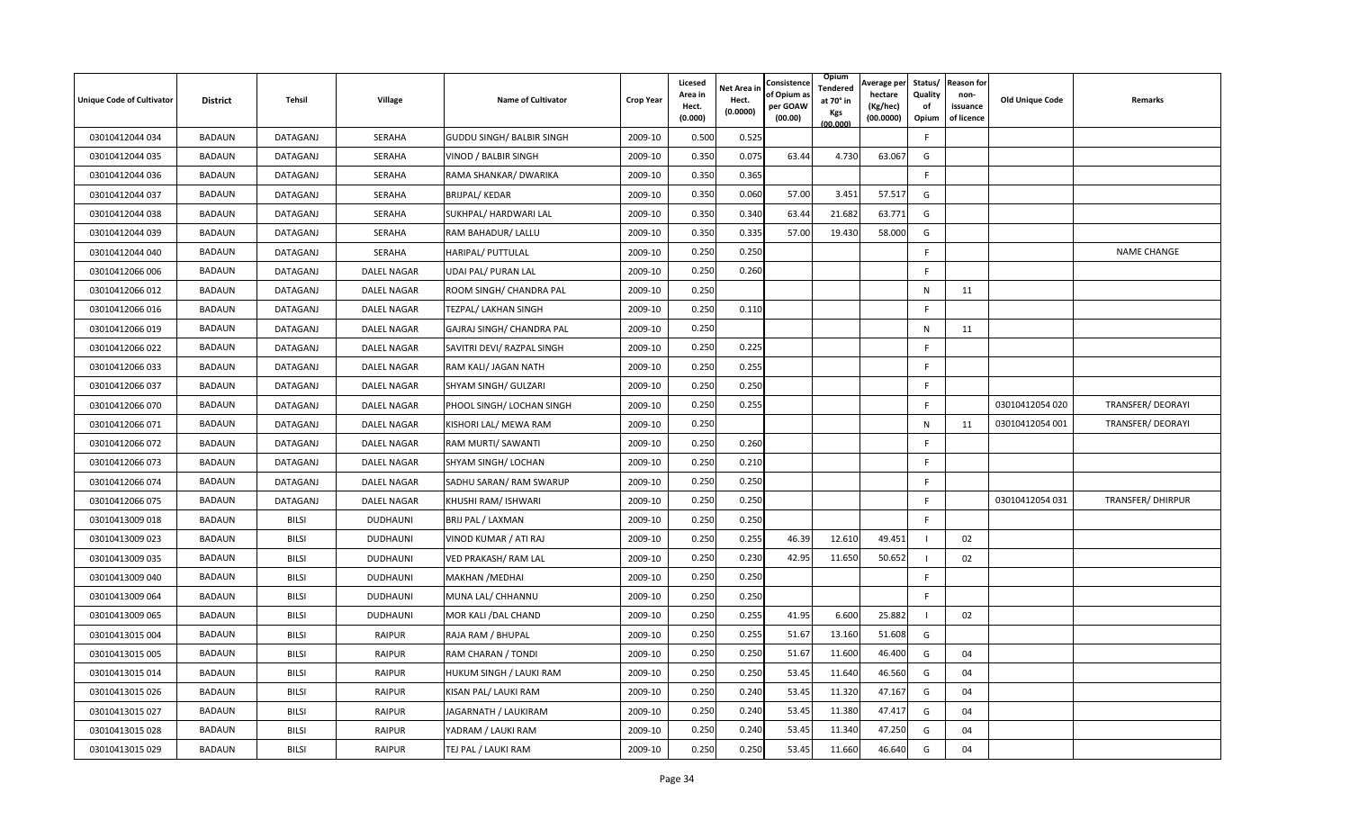| <b>Unique Code of Cultivator</b> | <b>District</b> | <b>Tehsil</b> | Village            | <b>Name of Cultivator</b>        | <b>Crop Year</b> | <b>Licesed</b><br>Area in<br>Hect.<br>(0.000) | Net Area in<br>Hect.<br>(0.0000) | Consistence<br>of Opium a<br>per GOAW<br>(00.00) | Opium<br>Tendered<br>at 70° in<br>Kgs<br>(00.000) | Average per<br>hectare<br>(Kg/hec)<br>(00.0000) | Status/<br>Quality<br>of<br>Opium | <b>Reason for</b><br>non-<br>issuance<br>of licence | <b>Old Unique Code</b> | Remarks                  |
|----------------------------------|-----------------|---------------|--------------------|----------------------------------|------------------|-----------------------------------------------|----------------------------------|--------------------------------------------------|---------------------------------------------------|-------------------------------------------------|-----------------------------------|-----------------------------------------------------|------------------------|--------------------------|
| 03010412044 034                  | <b>BADAUN</b>   | DATAGANJ      | <b>SERAHA</b>      | <b>GUDDU SINGH/ BALBIR SINGH</b> | 2009-10          | 0.500                                         | 0.525                            |                                                  |                                                   |                                                 | F                                 |                                                     |                        |                          |
| 03010412044 035                  | <b>BADAUN</b>   | DATAGANJ      | SERAHA             | VINOD / BALBIR SINGH             | 2009-10          | 0.350                                         | 0.075                            | 63.44                                            | 4.730                                             | 63.067                                          | G                                 |                                                     |                        |                          |
| 03010412044 036                  | <b>BADAUN</b>   | DATAGANJ      | <b>SERAHA</b>      | RAMA SHANKAR/ DWARIKA            | 2009-10          | 0.350                                         | 0.365                            |                                                  |                                                   |                                                 | F                                 |                                                     |                        |                          |
| 03010412044 037                  | <b>BADAUN</b>   | DATAGANJ      | SERAHA             | BRIJPAL/KEDAR                    | 2009-10          | 0.350                                         | 0.060                            | 57.00                                            | 3.451                                             | 57.517                                          | G                                 |                                                     |                        |                          |
| 03010412044 038                  | <b>BADAUN</b>   | DATAGANJ      | SERAHA             | SUKHPAL/ HARDWARI LAL            | 2009-10          | 0.350                                         | 0.340                            | 63.44                                            | 21.682                                            | 63.771                                          | G                                 |                                                     |                        |                          |
| 03010412044 039                  | <b>BADAUN</b>   | DATAGANJ      | <b>SERAHA</b>      | RAM BAHADUR/ LALLU               | 2009-10          | 0.350                                         | 0.335                            | 57.00                                            | 19.430                                            | 58.000                                          | G                                 |                                                     |                        |                          |
| 03010412044 040                  | <b>BADAUN</b>   | DATAGANJ      | SERAHA             | HARIPAL/ PUTTULAL                | 2009-10          | 0.250                                         | 0.250                            |                                                  |                                                   |                                                 | F.                                |                                                     |                        | <b>NAME CHANGE</b>       |
| 03010412066 006                  | <b>BADAUN</b>   | DATAGANJ      | <b>DALEL NAGAR</b> | UDAI PAL/ PURAN LAL              | 2009-10          | 0.250                                         | 0.260                            |                                                  |                                                   |                                                 | F                                 |                                                     |                        |                          |
| 03010412066 012                  | <b>BADAUN</b>   | DATAGANJ      | DALEL NAGAR        | ROOM SINGH/ CHANDRA PAL          | 2009-10          | 0.250                                         |                                  |                                                  |                                                   |                                                 | N                                 | 11                                                  |                        |                          |
| 03010412066 016                  | <b>BADAUN</b>   | DATAGANJ      | DALEL NAGAR        | TEZPAL/ LAKHAN SINGH             | 2009-10          | 0.250                                         | 0.110                            |                                                  |                                                   |                                                 | F.                                |                                                     |                        |                          |
| 03010412066 019                  | <b>BADAUN</b>   | DATAGANJ      | DALEL NAGAR        | GAJRAJ SINGH/ CHANDRA PAL        | 2009-10          | 0.250                                         |                                  |                                                  |                                                   |                                                 | N                                 | 11                                                  |                        |                          |
| 03010412066 022                  | <b>BADAUN</b>   | DATAGANJ      | <b>DALEL NAGAR</b> | SAVITRI DEVI/ RAZPAL SINGH       | 2009-10          | 0.250                                         | 0.225                            |                                                  |                                                   |                                                 | F                                 |                                                     |                        |                          |
| 03010412066 033                  | <b>BADAUN</b>   | DATAGANJ      | <b>DALEL NAGAR</b> | RAM KALI/ JAGAN NATH             | 2009-10          | 0.250                                         | 0.255                            |                                                  |                                                   |                                                 | F                                 |                                                     |                        |                          |
| 03010412066 037                  | <b>BADAUN</b>   | DATAGANJ      | DALEL NAGAR        | SHYAM SINGH/ GULZARI             | 2009-10          | 0.250                                         | 0.250                            |                                                  |                                                   |                                                 | F                                 |                                                     |                        |                          |
| 03010412066 070                  | <b>BADAUN</b>   | DATAGANJ      | <b>DALEL NAGAR</b> | PHOOL SINGH/ LOCHAN SINGH        | 2009-10          | 0.250                                         | 0.255                            |                                                  |                                                   |                                                 | F                                 |                                                     | 03010412054 020        | TRANSFER/ DEORAYI        |
| 03010412066 071                  | <b>BADAUN</b>   | DATAGANJ      | <b>DALEL NAGAR</b> | KISHORI LAL/ MEWA RAM            | 2009-10          | 0.250                                         |                                  |                                                  |                                                   |                                                 | $\mathsf{N}$                      | 11                                                  | 03010412054 001        | <b>TRANSFER/ DEORAYI</b> |
| 03010412066 072                  | <b>BADAUN</b>   | DATAGANJ      | <b>DALEL NAGAR</b> | RAM MURTI/ SAWANTI               | 2009-10          | 0.250                                         | 0.260                            |                                                  |                                                   |                                                 | F.                                |                                                     |                        |                          |
| 03010412066 073                  | <b>BADAUN</b>   | DATAGANJ      | DALEL NAGAR        | SHYAM SINGH/ LOCHAN              | 2009-10          | 0.250                                         | 0.210                            |                                                  |                                                   |                                                 | F.                                |                                                     |                        |                          |
| 03010412066 074                  | <b>BADAUN</b>   | DATAGANJ      | DALEL NAGAR        | SADHU SARAN/ RAM SWARUP          | 2009-10          | 0.250                                         | 0.250                            |                                                  |                                                   |                                                 | F.                                |                                                     |                        |                          |
| 03010412066 075                  | <b>BADAUN</b>   | DATAGANJ      | DALEL NAGAR        | KHUSHI RAM/ ISHWARI              | 2009-10          | 0.250                                         | 0.250                            |                                                  |                                                   |                                                 | F                                 |                                                     | 03010412054 031        | <b>TRANSFER/ DHIRPUR</b> |
| 03010413009 018                  | <b>BADAUN</b>   | <b>BILSI</b>  | <b>DUDHAUNI</b>    | BRIJ PAL / LAXMAN                | 2009-10          | 0.250                                         | 0.250                            |                                                  |                                                   |                                                 | F.                                |                                                     |                        |                          |
| 03010413009 023                  | <b>BADAUN</b>   | <b>BILSI</b>  | <b>DUDHAUNI</b>    | VINOD KUMAR / ATI RAJ            | 2009-10          | 0.250                                         | 0.255                            | 46.39                                            | 12.610                                            | 49.451                                          |                                   | 02                                                  |                        |                          |
| 03010413009 035                  | <b>BADAUN</b>   | <b>BILSI</b>  | DUDHAUNI           | VED PRAKASH/ RAM LAL             | 2009-10          | 0.250                                         | 0.230                            | 42.95                                            | 11.650                                            | 50.652                                          |                                   | 02                                                  |                        |                          |
| 03010413009 040                  | <b>BADAUN</b>   | <b>BILSI</b>  | DUDHAUNI           | <b>MAKHAN / MEDHAI</b>           | 2009-10          | 0.250                                         | 0.250                            |                                                  |                                                   |                                                 | F                                 |                                                     |                        |                          |
| 03010413009 064                  | <b>BADAUN</b>   | <b>BILSI</b>  | <b>DUDHAUNI</b>    | MUNA LAL/ CHHANNU                | 2009-10          | 0.250                                         | 0.250                            |                                                  |                                                   |                                                 | F.                                |                                                     |                        |                          |
| 03010413009 065                  | <b>BADAUN</b>   | <b>BILSI</b>  | <b>DUDHAUNI</b>    | MOR KALI / DAL CHAND             | 2009-10          | 0.250                                         | 0.255                            | 41.95                                            | 6.600                                             | 25.882                                          |                                   | 02                                                  |                        |                          |
| 03010413015 004                  | <b>BADAUN</b>   | BILSI         | RAIPUR             | RAJA RAM / BHUPAL                | 2009-10          | 0.250                                         | 0.255                            | 51.67                                            | 13.160                                            | 51.608                                          | G                                 |                                                     |                        |                          |
| 03010413015 005                  | <b>BADAUN</b>   | <b>BILSI</b>  | <b>RAIPUR</b>      | RAM CHARAN / TONDI               | 2009-10          | 0.250                                         | 0.250                            | 51.67                                            | 11.600                                            | 46.400                                          | G                                 | 04                                                  |                        |                          |
| 03010413015 014                  | <b>BADAUN</b>   | <b>BILSI</b>  | <b>RAIPUR</b>      | HUKUM SINGH / LAUKI RAM          | 2009-10          | 0.250                                         | 0.250                            | 53.45                                            | 11.640                                            | 46.560                                          | G                                 | 04                                                  |                        |                          |
| 03010413015 026                  | <b>BADAUN</b>   | <b>BILSI</b>  | RAIPUR             | KISAN PAL/ LAUKI RAM             | 2009-10          | 0.250                                         | 0.240                            | 53.45                                            | 11.320                                            | 47.167                                          | G                                 | 04                                                  |                        |                          |
| 03010413015 027                  | <b>BADAUN</b>   | <b>BILSI</b>  | RAIPUR             | JAGARNATH / LAUKIRAM             | 2009-10          | 0.250                                         | 0.240                            | 53.45                                            | 11.380                                            | 47.417                                          | G                                 | 04                                                  |                        |                          |
| 03010413015 028                  | <b>BADAUN</b>   | BILSI         | <b>RAIPUR</b>      | YADRAM / LAUKI RAM               | 2009-10          | 0.250                                         | 0.240                            | 53.45                                            | 11.340                                            | 47.250                                          | G                                 | 04                                                  |                        |                          |
| 03010413015 029                  | <b>BADAUN</b>   | <b>BILSI</b>  | <b>RAIPUR</b>      | TEJ PAL / LAUKI RAM              | 2009-10          | 0.250                                         | 0.250                            | 53.45                                            | 11.660                                            | 46.640                                          | G                                 | 04                                                  |                        |                          |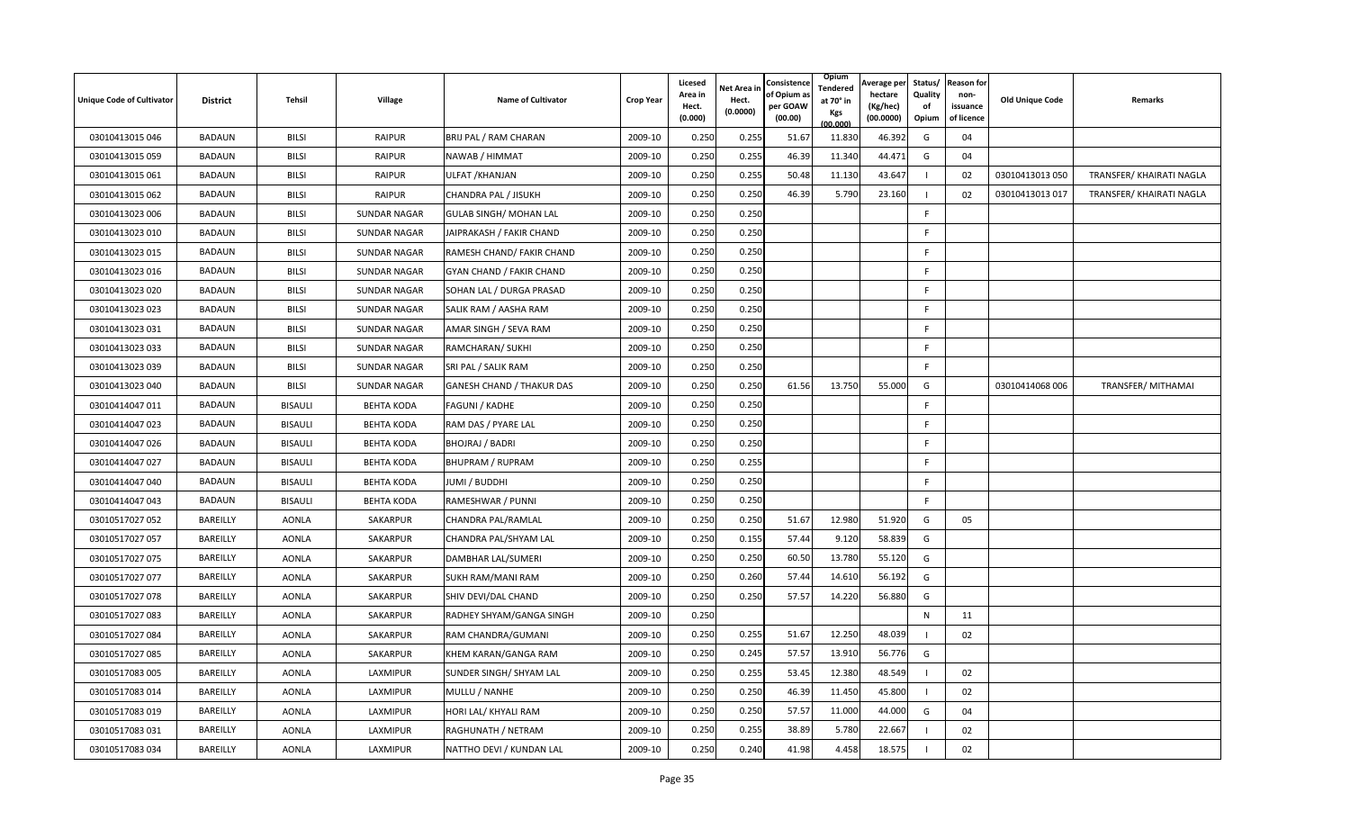| <b>Unique Code of Cultivator</b> | <b>District</b> | <b>Tehsil</b>  | Village             | Name of Cultivator               | <b>Crop Year</b> | Licesed<br>Area in<br>Hect.<br>(0.000) | <b>Vet Area in</b><br>Hect.<br>(0.0000) | Consistence<br>of Opium a<br>per GOAW<br>(00.00) | Opium<br>Tendered<br>at 70° in<br>Kgs<br>(00.000) | Average per<br>hectare<br>(Kg/hec)<br>(00.0000) | Status/<br>Quality<br>of<br>Opium | <b>Reason for</b><br>non-<br>issuance<br>of licence | <b>Old Unique Code</b> | Remarks                  |
|----------------------------------|-----------------|----------------|---------------------|----------------------------------|------------------|----------------------------------------|-----------------------------------------|--------------------------------------------------|---------------------------------------------------|-------------------------------------------------|-----------------------------------|-----------------------------------------------------|------------------------|--------------------------|
| 03010413015 046                  | <b>BADAUN</b>   | <b>BILSI</b>   | <b>RAIPUR</b>       | BRIJ PAL / RAM CHARAN            | 2009-10          | 0.250                                  | 0.255                                   | 51.67                                            | 11.830                                            | 46.392                                          | G                                 | 04                                                  |                        |                          |
| 03010413015 059                  | <b>BADAUN</b>   | <b>BILSI</b>   | <b>RAIPUR</b>       | NAWAB / HIMMAT                   | 2009-10          | 0.250                                  | 0.255                                   | 46.39                                            | 11.340                                            | 44.471                                          | G                                 | 04                                                  |                        |                          |
| 03010413015 061                  | <b>BADAUN</b>   | <b>BILSI</b>   | <b>RAIPUR</b>       | ULFAT / KHANJAN                  | 2009-10          | 0.250                                  | 0.255                                   | 50.48                                            | 11.130                                            | 43.647                                          |                                   | 02                                                  | 03010413013 050        | TRANSFER/ KHAIRATI NAGLA |
| 03010413015 062                  | <b>BADAUN</b>   | BILSI          | <b>RAIPUR</b>       | CHANDRA PAL / JISUKH             | 2009-10          | 0.250                                  | 0.250                                   | 46.39                                            | 5.790                                             | 23.160                                          |                                   | 02                                                  | 03010413013 017        | TRANSFER/ KHAIRATI NAGLA |
| 03010413023 006                  | <b>BADAUN</b>   | <b>BILSI</b>   | <b>SUNDAR NAGAR</b> | GULAB SINGH/ MOHAN LAL           | 2009-10          | 0.250                                  | 0.250                                   |                                                  |                                                   |                                                 | E                                 |                                                     |                        |                          |
| 03010413023 010                  | <b>BADAUN</b>   | <b>BILSI</b>   | <b>SUNDAR NAGAR</b> | JAIPRAKASH / FAKIR CHAND         | 2009-10          | 0.250                                  | 0.250                                   |                                                  |                                                   |                                                 | E                                 |                                                     |                        |                          |
| 03010413023 015                  | <b>BADAUN</b>   | <b>BILSI</b>   | <b>SUNDAR NAGAR</b> | RAMESH CHAND/ FAKIR CHAND        | 2009-10          | 0.250                                  | 0.250                                   |                                                  |                                                   |                                                 | F.                                |                                                     |                        |                          |
| 03010413023 016                  | <b>BADAUN</b>   | <b>BILSI</b>   | <b>SUNDAR NAGAR</b> | GYAN CHAND / FAKIR CHAND         | 2009-10          | 0.250                                  | 0.250                                   |                                                  |                                                   |                                                 | F.                                |                                                     |                        |                          |
| 03010413023 020                  | <b>BADAUN</b>   | <b>BILSI</b>   | <b>SUNDAR NAGAR</b> | SOHAN LAL / DURGA PRASAD         | 2009-10          | 0.250                                  | 0.250                                   |                                                  |                                                   |                                                 | F                                 |                                                     |                        |                          |
| 03010413023 023                  | <b>BADAUN</b>   | <b>BILSI</b>   | <b>SUNDAR NAGAR</b> | SALIK RAM / AASHA RAM            | 2009-10          | 0.250                                  | 0.250                                   |                                                  |                                                   |                                                 | F.                                |                                                     |                        |                          |
| 03010413023 031                  | <b>BADAUN</b>   | <b>BILSI</b>   | <b>SUNDAR NAGAR</b> | AMAR SINGH / SEVA RAM            | 2009-10          | 0.250                                  | 0.250                                   |                                                  |                                                   |                                                 | F                                 |                                                     |                        |                          |
| 03010413023 033                  | <b>BADAUN</b>   | <b>BILSI</b>   | SUNDAR NAGAR        | RAMCHARAN/ SUKHI                 | 2009-10          | 0.250                                  | 0.250                                   |                                                  |                                                   |                                                 | F.                                |                                                     |                        |                          |
| 03010413023 039                  | <b>BADAUN</b>   | BILSI          | <b>SUNDAR NAGAR</b> | SRI PAL / SALIK RAM              | 2009-10          | 0.250                                  | 0.250                                   |                                                  |                                                   |                                                 | -F                                |                                                     |                        |                          |
| 03010413023 040                  | <b>BADAUN</b>   | <b>BILSI</b>   | <b>SUNDAR NAGAR</b> | <b>GANESH CHAND / THAKUR DAS</b> | 2009-10          | 0.250                                  | 0.250                                   | 61.56                                            | 13.750                                            | 55.000                                          | G                                 |                                                     | 03010414068 006        | TRANSFER/ MITHAMAI       |
| 03010414047 011                  | <b>BADAUN</b>   | <b>BISAULI</b> | <b>BEHTA KODA</b>   | FAGUNI / KADHE                   | 2009-10          | 0.250                                  | 0.250                                   |                                                  |                                                   |                                                 | F                                 |                                                     |                        |                          |
| 03010414047 023                  | <b>BADAUN</b>   | <b>BISAULI</b> | <b>BEHTA KODA</b>   | RAM DAS / PYARE LAL              | 2009-10          | 0.250                                  | 0.250                                   |                                                  |                                                   |                                                 | F.                                |                                                     |                        |                          |
| 03010414047 026                  | <b>BADAUN</b>   | <b>BISAULI</b> | <b>BEHTA KODA</b>   | BHOJRAJ / BADRI                  | 2009-10          | 0.250                                  | 0.250                                   |                                                  |                                                   |                                                 | F.                                |                                                     |                        |                          |
| 03010414047 027                  | <b>BADAUN</b>   | <b>BISAULI</b> | <b>BEHTA KODA</b>   | <b>BHUPRAM / RUPRAM</b>          | 2009-10          | 0.250                                  | 0.255                                   |                                                  |                                                   |                                                 | F.                                |                                                     |                        |                          |
| 03010414047 040                  | <b>BADAUN</b>   | <b>BISAULI</b> | <b>BEHTA KODA</b>   | JUMI / BUDDHI                    | 2009-10          | 0.250                                  | 0.250                                   |                                                  |                                                   |                                                 | F.                                |                                                     |                        |                          |
| 03010414047 043                  | <b>BADAUN</b>   | <b>BISAULI</b> | <b>BEHTA KODA</b>   | RAMESHWAR / PUNNI                | 2009-10          | 0.250                                  | 0.250                                   |                                                  |                                                   |                                                 | F                                 |                                                     |                        |                          |
| 03010517027 052                  | BAREILLY        | <b>AONLA</b>   | SAKARPUR            | CHANDRA PAL/RAMLAL               | 2009-10          | 0.250                                  | 0.250                                   | 51.67                                            | 12.980                                            | 51.920                                          | G                                 | 05                                                  |                        |                          |
| 03010517027 057                  | <b>BAREILLY</b> | AONLA          | SAKARPUR            | CHANDRA PAL/SHYAM LAL            | 2009-10          | 0.250                                  | 0.155                                   | 57.44                                            | 9.120                                             | 58.839                                          | G                                 |                                                     |                        |                          |
| 03010517027 075                  | <b>BAREILLY</b> | <b>AONLA</b>   | SAKARPUR            | DAMBHAR LAL/SUMERI               | 2009-10          | 0.250                                  | 0.250                                   | 60.50                                            | 13.780                                            | 55.120                                          | G                                 |                                                     |                        |                          |
| 03010517027 077                  | <b>BAREILLY</b> | <b>AONLA</b>   | SAKARPUR            | SUKH RAM/MANI RAM                | 2009-10          | 0.250                                  | 0.260                                   | 57.44                                            | 14.610                                            | 56.192                                          | G                                 |                                                     |                        |                          |
| 03010517027 078                  | BAREILLY        | <b>AONLA</b>   | SAKARPUR            | SHIV DEVI/DAL CHAND              | 2009-10          | 0.250                                  | 0.250                                   | 57.57                                            | 14.220                                            | 56.880                                          | G                                 |                                                     |                        |                          |
| 03010517027 083                  | BAREILLY        | <b>AONLA</b>   | SAKARPUR            | RADHEY SHYAM/GANGA SINGH         | 2009-10          | 0.250                                  |                                         |                                                  |                                                   |                                                 | N                                 | 11                                                  |                        |                          |
| 03010517027 084                  | BAREILLY        | <b>AONLA</b>   | SAKARPUR            | RAM CHANDRA/GUMANI               | 2009-10          | 0.250                                  | 0.255                                   | 51.67                                            | 12.250                                            | 48.039                                          |                                   | 02                                                  |                        |                          |
| 03010517027 085                  | BAREILLY        | <b>AONLA</b>   | SAKARPUR            | KHEM KARAN/GANGA RAM             | 2009-10          | 0.250                                  | 0.245                                   | 57.57                                            | 13.910                                            | 56.776                                          | G                                 |                                                     |                        |                          |
| 03010517083 005                  | <b>BAREILLY</b> | <b>AONLA</b>   | LAXMIPUR            | SUNDER SINGH/ SHYAM LAL          | 2009-10          | 0.250                                  | 0.255                                   | 53.45                                            | 12.380                                            | 48.549                                          |                                   | 02                                                  |                        |                          |
| 03010517083 014                  | BAREILLY        | <b>AONLA</b>   | LAXMIPUR            | MULLU / NANHE                    | 2009-10          | 0.250                                  | 0.250                                   | 46.39                                            | 11.450                                            | 45.800                                          |                                   | 02                                                  |                        |                          |
| 03010517083 019                  | BAREILLY        | AONLA          | LAXMIPUR            | HORI LAL/ KHYALI RAM             | 2009-10          | 0.250                                  | 0.250                                   | 57.57                                            | 11.000                                            | 44.000                                          | G                                 | 04                                                  |                        |                          |
| 03010517083 031                  | BAREILLY        | <b>AONLA</b>   | LAXMIPUR            | RAGHUNATH / NETRAM               | 2009-10          | 0.250                                  | 0.255                                   | 38.89                                            | 5.780                                             | 22.667                                          |                                   | 02                                                  |                        |                          |
| 03010517083 034                  | BAREILLY        | <b>AONLA</b>   | LAXMIPUR            | NATTHO DEVI / KUNDAN LAL         | 2009-10          | 0.250                                  | 0.240                                   | 41.98                                            | 4.458                                             | 18.575                                          |                                   | 02                                                  |                        |                          |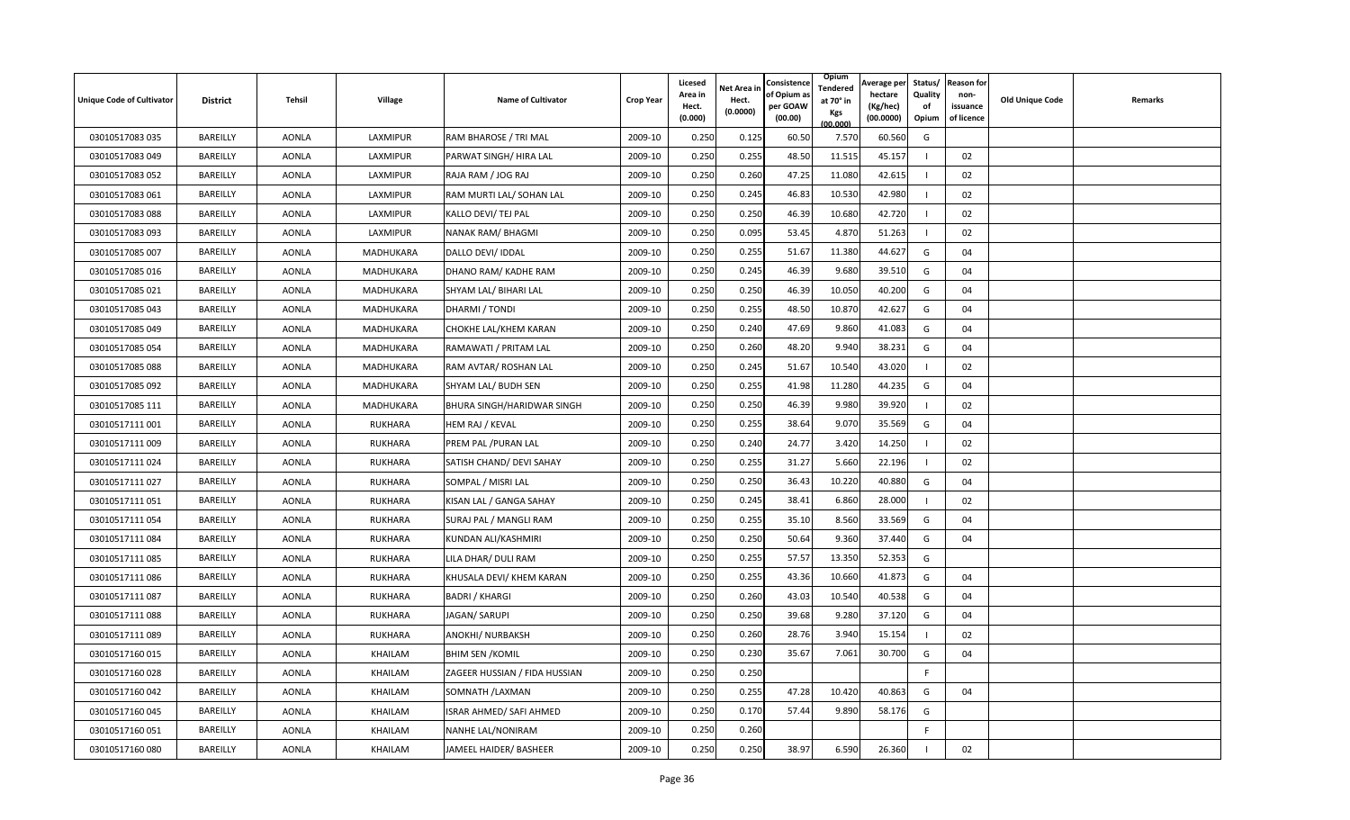| <b>Unique Code of Cultivator</b> | <b>District</b> | <b>Tehsil</b> | Village        | Name of Cultivator            | <b>Crop Year</b> | Licesed<br>Area in<br>Hect.<br>(0.000) | <b>Vet Area in</b><br>Hect.<br>(0.0000) | Consistence<br>of Opium a<br>per GOAW<br>(00.00) | Opium<br>Tendered<br>at 70° in<br>Kgs<br>(00.000) | Average per<br>hectare<br>(Kg/hec)<br>(00.0000) | Status/<br>Quality<br>of<br>Opium | <b>Reason for</b><br>non-<br>issuance<br>of licence | <b>Old Unique Code</b> | Remarks |
|----------------------------------|-----------------|---------------|----------------|-------------------------------|------------------|----------------------------------------|-----------------------------------------|--------------------------------------------------|---------------------------------------------------|-------------------------------------------------|-----------------------------------|-----------------------------------------------------|------------------------|---------|
| 03010517083 035                  | BAREILLY        | <b>AONLA</b>  | LAXMIPUR       | RAM BHAROSE / TRI MAL         | 2009-10          | 0.250                                  | 0.125                                   | 60.50                                            | 7.570                                             | 60.560                                          | G                                 |                                                     |                        |         |
| 03010517083 049                  | BAREILLY        | <b>AONLA</b>  | LAXMIPUR       | PARWAT SINGH/ HIRA LAL        | 2009-10          | 0.250                                  | 0.255                                   | 48.50                                            | 11.515                                            | 45.157                                          |                                   | 02                                                  |                        |         |
| 03010517083 052                  | BAREILLY        | <b>AONLA</b>  | LAXMIPUR       | RAJA RAM / JOG RAJ            | 2009-10          | 0.250                                  | 0.260                                   | 47.25                                            | 11.080                                            | 42.615                                          |                                   | 02                                                  |                        |         |
| 03010517083 061                  | BAREILLY        | <b>AONLA</b>  | LAXMIPUR       | RAM MURTI LAL/ SOHAN LAL      | 2009-10          | 0.250                                  | 0.245                                   | 46.83                                            | 10.530                                            | 42.980                                          |                                   | 02                                                  |                        |         |
| 03010517083088                   | BAREILLY        | <b>AONLA</b>  | LAXMIPUR       | KALLO DEVI/ TEJ PAL           | 2009-10          | 0.250                                  | 0.250                                   | 46.39                                            | 10.680                                            | 42.720                                          |                                   | 02                                                  |                        |         |
| 03010517083 093                  | BAREILLY        | <b>AONLA</b>  | LAXMIPUR       | NANAK RAM/ BHAGMI             | 2009-10          | 0.250                                  | 0.095                                   | 53.45                                            | 4.870                                             | 51.263                                          |                                   | 02                                                  |                        |         |
| 03010517085 007                  | BAREILLY        | <b>AONLA</b>  | MADHUKARA      | DALLO DEVI/ IDDAL             | 2009-10          | 0.250                                  | 0.255                                   | 51.67                                            | 11.380                                            | 44.627                                          | G                                 | 04                                                  |                        |         |
| 03010517085 016                  | BAREILLY        | <b>AONLA</b>  | MADHUKARA      | DHANO RAM/ KADHE RAM          | 2009-10          | 0.250                                  | 0.245                                   | 46.39                                            | 9.680                                             | 39.510                                          | G                                 | 04                                                  |                        |         |
| 03010517085 021                  | <b>BAREILLY</b> | <b>AONLA</b>  | MADHUKARA      | SHYAM LAL/ BIHARI LAL         | 2009-10          | 0.250                                  | 0.250                                   | 46.39                                            | 10.050                                            | 40.200                                          | G                                 | 04                                                  |                        |         |
| 03010517085 043                  | BAREILLY        | <b>AONLA</b>  | MADHUKARA      | DHARMI / TONDI                | 2009-10          | 0.250                                  | 0.255                                   | 48.50                                            | 10.870                                            | 42.627                                          | G                                 | 04                                                  |                        |         |
| 03010517085 049                  | BAREILLY        | <b>AONLA</b>  | MADHUKARA      | CHOKHE LAL/KHEM KARAN         | 2009-10          | 0.250                                  | 0.240                                   | 47.69                                            | 9.860                                             | 41.083                                          | G                                 | 04                                                  |                        |         |
| 03010517085 054                  | BAREILLY        | <b>AONLA</b>  | MADHUKARA      | RAMAWATI / PRITAM LAL         | 2009-10          | 0.250                                  | 0.260                                   | 48.20                                            | 9.940                                             | 38.231                                          | G                                 | 04                                                  |                        |         |
| 03010517085 088                  | <b>BAREILLY</b> | AONLA         | MADHUKARA      | RAM AVTAR/ ROSHAN LAL         | 2009-10          | 0.250                                  | 0.245                                   | 51.67                                            | 10.540                                            | 43.020                                          |                                   | 02                                                  |                        |         |
| 03010517085 092                  | BAREILLY        | <b>AONLA</b>  | MADHUKARA      | SHYAM LAL/ BUDH SEN           | 2009-10          | 0.250                                  | 0.255                                   | 41.98                                            | 11.280                                            | 44.235                                          | G                                 | 04                                                  |                        |         |
| 03010517085 111                  | BAREILLY        | <b>AONLA</b>  | MADHUKARA      | BHURA SINGH/HARIDWAR SINGH    | 2009-10          | 0.250                                  | 0.250                                   | 46.39                                            | 9.980                                             | 39.920                                          |                                   | 02                                                  |                        |         |
| 03010517111 001                  | BAREILLY        | <b>AONLA</b>  | RUKHARA        | HEM RAJ / KEVAL               | 2009-10          | 0.250                                  | 0.255                                   | 38.64                                            | 9.070                                             | 35.569                                          | G                                 | 04                                                  |                        |         |
| 03010517111 009                  | BAREILLY        | <b>AONLA</b>  | <b>RUKHARA</b> | PREM PAL /PURAN LAL           | 2009-10          | 0.250                                  | 0.240                                   | 24.77                                            | 3.420                                             | 14.250                                          |                                   | 02                                                  |                        |         |
| 03010517111024                   | BAREILLY        | AONLA         | <b>RUKHARA</b> | SATISH CHAND/ DEVI SAHAY      | 2009-10          | 0.250                                  | 0.255                                   | 31.27                                            | 5.660                                             | 22.196                                          |                                   | 02                                                  |                        |         |
| 03010517111 027                  | BAREILLY        | <b>AONLA</b>  | RUKHARA        | SOMPAL / MISRI LAL            | 2009-10          | 0.250                                  | 0.250                                   | 36.43                                            | 10.220                                            | 40.880                                          | G                                 | 04                                                  |                        |         |
| 03010517111 051                  | BAREILLY        | <b>AONLA</b>  | RUKHARA        | KISAN LAL / GANGA SAHAY       | 2009-10          | 0.250                                  | 0.245                                   | 38.41                                            | 6.860                                             | 28.000                                          |                                   | 02                                                  |                        |         |
| 03010517111054                   | BAREILLY        | <b>AONLA</b>  | <b>RUKHARA</b> | SURAJ PAL / MANGLI RAM        | 2009-10          | 0.250                                  | 0.255                                   | 35.10                                            | 8.560                                             | 33.569                                          | G                                 | 04                                                  |                        |         |
| 03010517111084                   | BAREILLY        | <b>AONLA</b>  | <b>RUKHARA</b> | KUNDAN ALI/KASHMIRI           | 2009-10          | 0.250                                  | 0.250                                   | 50.64                                            | 9.360                                             | 37.440                                          | G                                 | 04                                                  |                        |         |
| 03010517111085                   | <b>BAREILLY</b> | <b>AONLA</b>  | <b>RUKHARA</b> | LILA DHAR/ DULI RAM           | 2009-10          | 0.250                                  | 0.255                                   | 57.57                                            | 13.350                                            | 52.353                                          | G                                 |                                                     |                        |         |
| 03010517111 086                  | BAREILLY        | <b>AONLA</b>  | <b>RUKHARA</b> | KHUSALA DEVI/ KHEM KARAN      | 2009-10          | 0.250                                  | 0.255                                   | 43.36                                            | 10.660                                            | 41.873                                          | G                                 | 04                                                  |                        |         |
| 03010517111 087                  | BAREILLY        | <b>AONLA</b>  | RUKHARA        | <b>BADRI / KHARGI</b>         | 2009-10          | 0.250                                  | 0.260                                   | 43.03                                            | 10.540                                            | 40.538                                          | G                                 | 04                                                  |                        |         |
| 03010517111088                   | BAREILLY        | <b>AONLA</b>  | RUKHARA        | JAGAN/ SARUPI                 | 2009-10          | 0.250                                  | 0.250                                   | 39.68                                            | 9.280                                             | 37.120                                          | G                                 | 04                                                  |                        |         |
| 03010517111089                   | BAREILLY        | <b>AONLA</b>  | RUKHARA        | ANOKHI/ NURBAKSH              | 2009-10          | 0.250                                  | 0.260                                   | 28.76                                            | 3.940                                             | 15.154                                          |                                   | 02                                                  |                        |         |
| 03010517160015                   | <b>BAREILLY</b> | <b>AONLA</b>  | KHAILAM        | <b>BHIM SEN / KOMIL</b>       | 2009-10          | 0.250                                  | 0.230                                   | 35.67                                            | 7.061                                             | 30.700                                          | G                                 | 04                                                  |                        |         |
| 03010517160028                   | BAREILLY        | <b>AONLA</b>  | KHAILAM        | ZAGEER HUSSIAN / FIDA HUSSIAN | 2009-10          | 0.250                                  | 0.250                                   |                                                  |                                                   |                                                 | F.                                |                                                     |                        |         |
| 03010517160042                   | BAREILLY        | AONLA         | KHAILAM        | SOMNATH / LAXMAN              | 2009-10          | 0.250                                  | 0.255                                   | 47.28                                            | 10.420                                            | 40.863                                          | G                                 | 04                                                  |                        |         |
| 03010517160 045                  | BAREILLY        | <b>AONLA</b>  | KHAILAM        | ISRAR AHMED/ SAFI AHMED       | 2009-10          | 0.250                                  | 0.170                                   | 57.44                                            | 9.890                                             | 58.176                                          | G                                 |                                                     |                        |         |
| 03010517160051                   | BAREILLY        | <b>AONLA</b>  | KHAILAM        | NANHE LAL/NONIRAM             | 2009-10          | 0.250                                  | 0.260                                   |                                                  |                                                   |                                                 | F                                 |                                                     |                        |         |
| 03010517160080                   | BAREILLY        | <b>AONLA</b>  | KHAILAM        | JAMEEL HAIDER/ BASHEER        | 2009-10          | 0.250                                  | 0.250                                   | 38.97                                            | 6.590                                             | 26.360                                          |                                   | 02                                                  |                        |         |